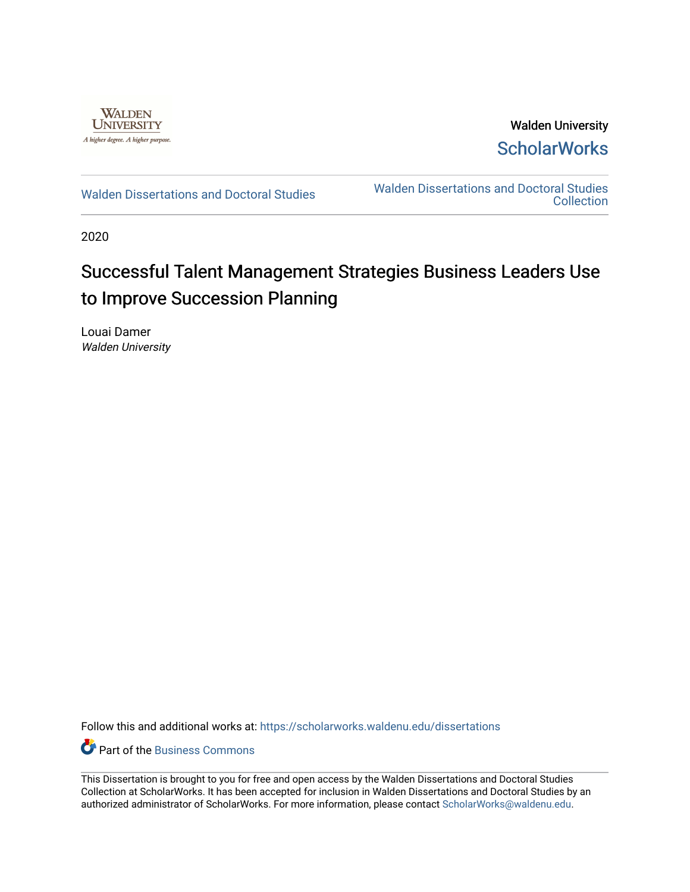

Walden University **ScholarWorks** 

[Walden Dissertations and Doctoral Studies](https://scholarworks.waldenu.edu/dissertations) Walden Dissertations and Doctoral Studies **Collection** 

2020

# Successful Talent Management Strategies Business Leaders Use to Improve Succession Planning

Louai Damer Walden University

Follow this and additional works at: [https://scholarworks.waldenu.edu/dissertations](https://scholarworks.waldenu.edu/dissertations?utm_source=scholarworks.waldenu.edu%2Fdissertations%2F9097&utm_medium=PDF&utm_campaign=PDFCoverPages)

**C** Part of the [Business Commons](http://network.bepress.com/hgg/discipline/622?utm_source=scholarworks.waldenu.edu%2Fdissertations%2F9097&utm_medium=PDF&utm_campaign=PDFCoverPages)

This Dissertation is brought to you for free and open access by the Walden Dissertations and Doctoral Studies Collection at ScholarWorks. It has been accepted for inclusion in Walden Dissertations and Doctoral Studies by an authorized administrator of ScholarWorks. For more information, please contact [ScholarWorks@waldenu.edu](mailto:ScholarWorks@waldenu.edu).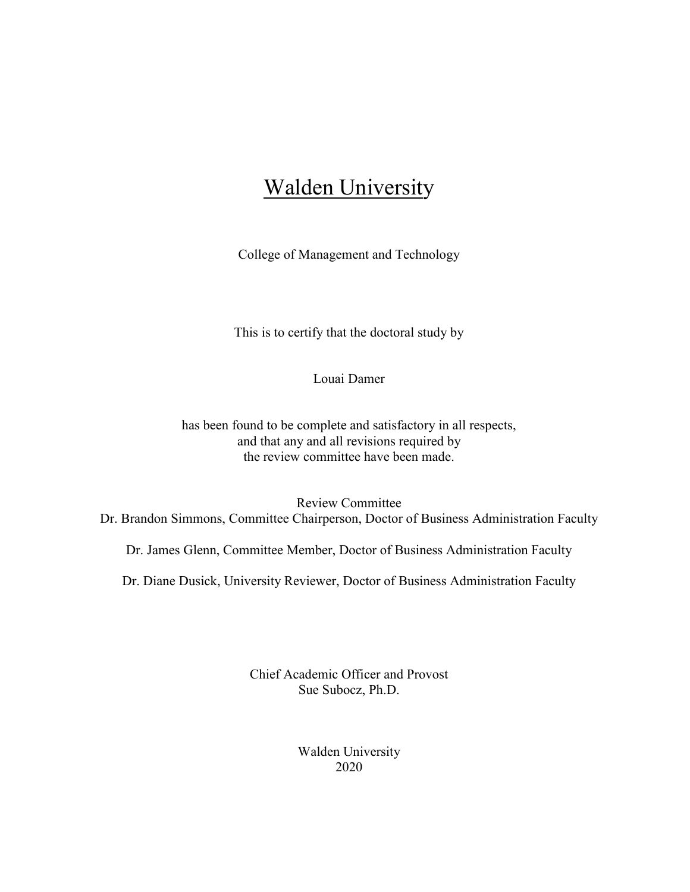## **Walden University**

College of Management and Technology

This is to certify that the doctoral study by

Louai Damer

has been found to be complete and satisfactory in all respects, and that any and all revisions required by the review committee have been made.

Review Committee Dr. Brandon Simmons, Committee Chairperson, Doctor of Business Administration Faculty

Dr. James Glenn, Committee Member, Doctor of Business Administration Faculty

Dr. Diane Dusick, University Reviewer, Doctor of Business Administration Faculty

Chief Academic Officer and Provost Sue Subocz, Ph.D.

> Walden University 2020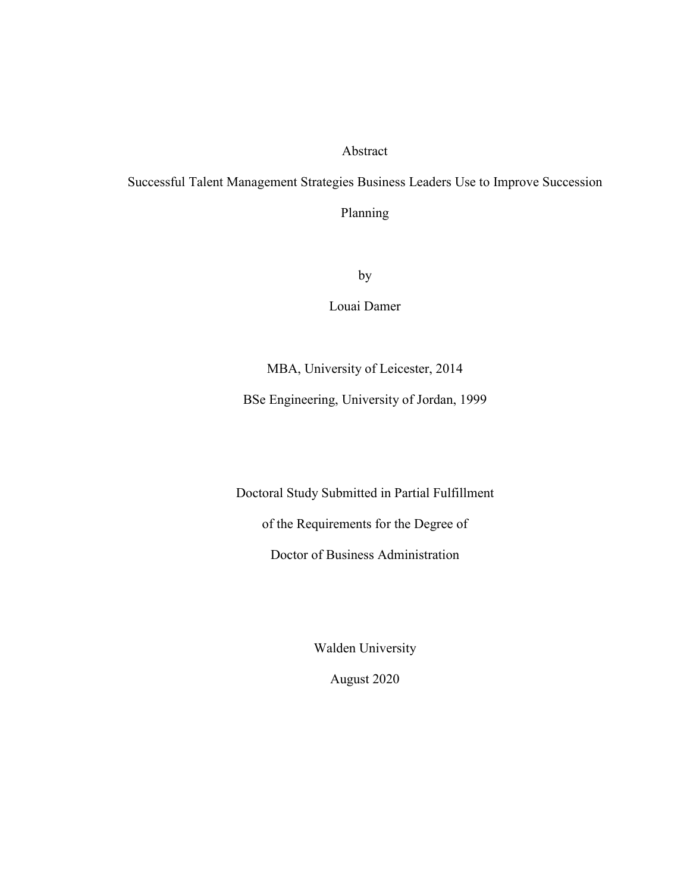Abstract

Successful Talent Management Strategies Business Leaders Use to Improve Succession

Planning

by

Louai Damer

MBA, University of Leicester, 2014

BSe Engineering, University of Jordan, 1999

Doctoral Study Submitted in Partial Fulfillment

of the Requirements for the Degree of

Doctor of Business Administration

Walden University

August 2020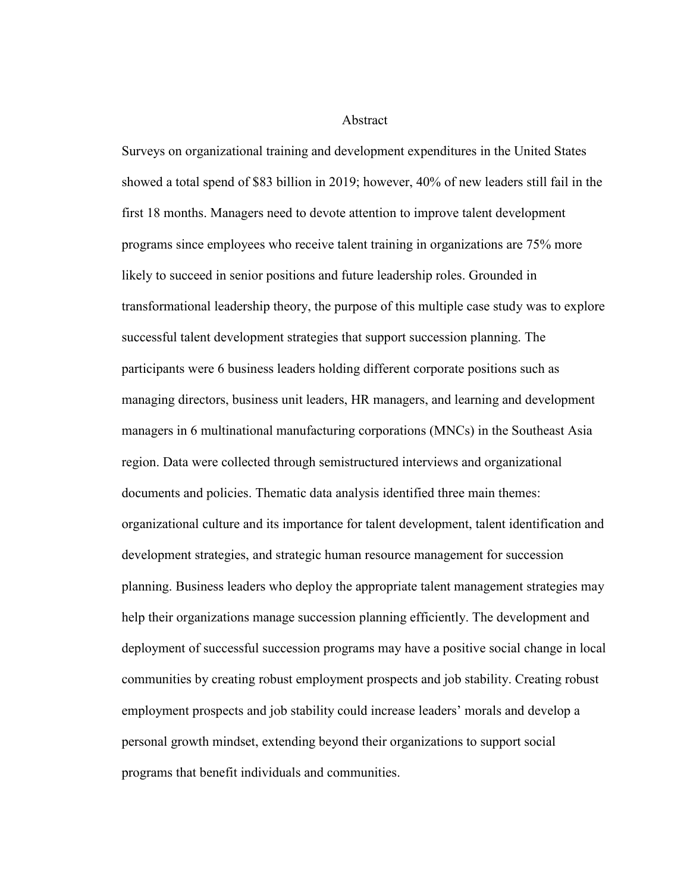Abstract

Surveys on organizational training and development expenditures in the United States showed a total spend of \$83 billion in 2019; however, 40% of new leaders still fail in the first 18 months. Managers need to devote attention to improve talent development programs since employees who receive talent training in organizations are 75% more likely to succeed in senior positions and future leadership roles. Grounded in transformational leadership theory, the purpose of this multiple case study was to explore successful talent development strategies that support succession planning. The participants were 6 business leaders holding different corporate positions such as managing directors, business unit leaders, HR managers, and learning and development managers in 6 multinational manufacturing corporations (MNCs) in the Southeast Asia region. Data were collected through semistructured interviews and organizational documents and policies. Thematic data analysis identified three main themes: organizational culture and its importance for talent development, talent identification and development strategies, and strategic human resource management for succession planning. Business leaders who deploy the appropriate talent management strategies may help their organizations manage succession planning efficiently. The development and deployment of successful succession programs may have a positive social change in local communities by creating robust employment prospects and job stability. Creating robust employment prospects and job stability could increase leaders' morals and develop a personal growth mindset, extending beyond their organizations to support social programs that benefit individuals and communities.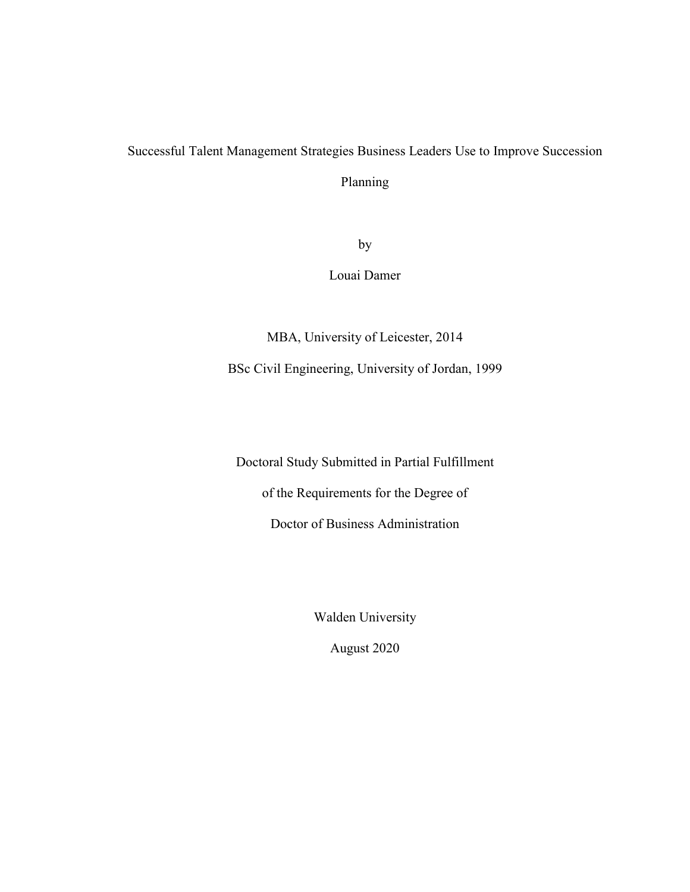## Successful Talent Management Strategies Business Leaders Use to Improve Succession

Planning

by

Louai Damer

MBA, University of Leicester, 2014 BSc Civil Engineering, University of Jordan, 1999

Doctoral Study Submitted in Partial Fulfillment of the Requirements for the Degree of Doctor of Business Administration

Walden University

August 2020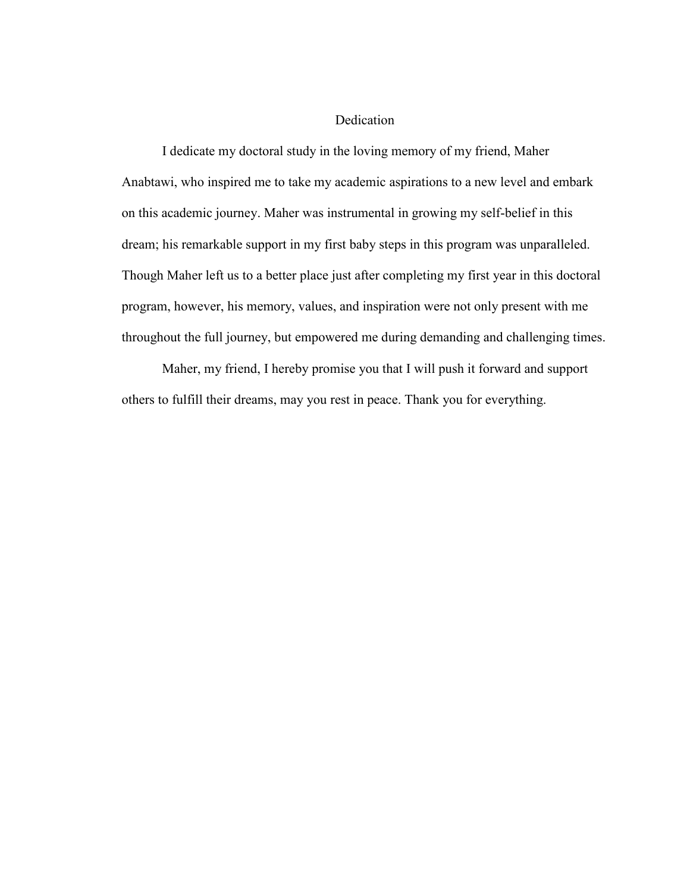#### Dedication

I dedicate my doctoral study in the loving memory of my friend, Maher Anabtawi, who inspired me to take my academic aspirations to a new level and embark on this academic journey. Maher was instrumental in growing my self-belief in this dream; his remarkable support in my first baby steps in this program was unparalleled. Though Maher left us to a better place just after completing my first year in this doctoral program, however, his memory, values, and inspiration were not only present with me throughout the full journey, but empowered me during demanding and challenging times.

Maher, my friend, I hereby promise you that I will push it forward and support others to fulfill their dreams, may you rest in peace. Thank you for everything.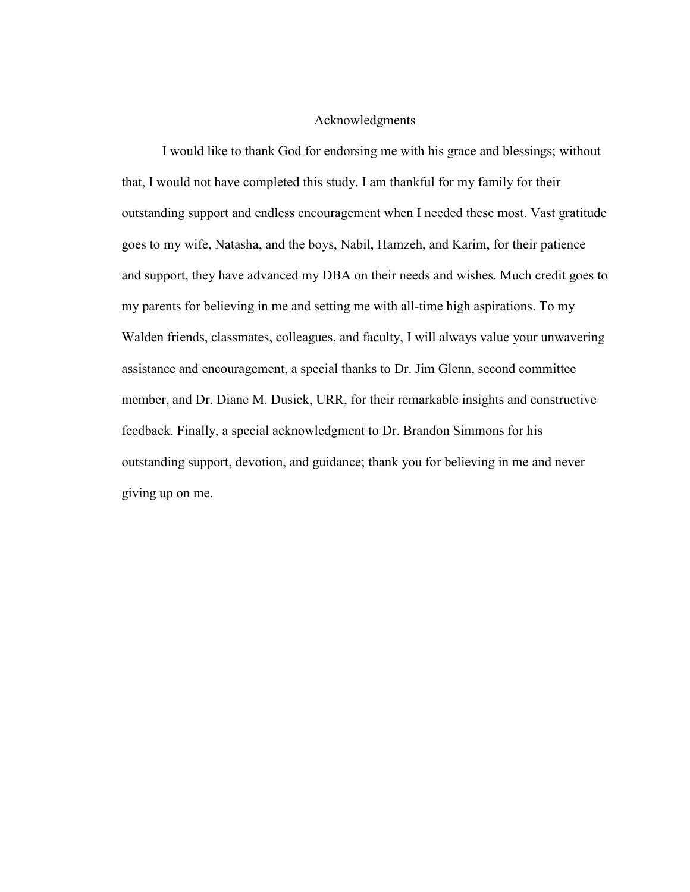#### Acknowledgments

I would like to thank God for endorsing me with his grace and blessings; without that, I would not have completed this study. I am thankful for my family for their outstanding support and endless encouragement when I needed these most. Vast gratitude goes to my wife, Natasha, and the boys, Nabil, Hamzeh, and Karim, for their patience and support, they have advanced my DBA on their needs and wishes. Much credit goes to my parents for believing in me and setting me with all-time high aspirations. To my Walden friends, classmates, colleagues, and faculty, I will always value your unwavering assistance and encouragement, a special thanks to Dr. Jim Glenn, second committee member, and Dr. Diane M. Dusick, URR, for their remarkable insights and constructive feedback. Finally, a special acknowledgment to Dr. Brandon Simmons for his outstanding support, devotion, and guidance; thank you for believing in me and never giving up on me.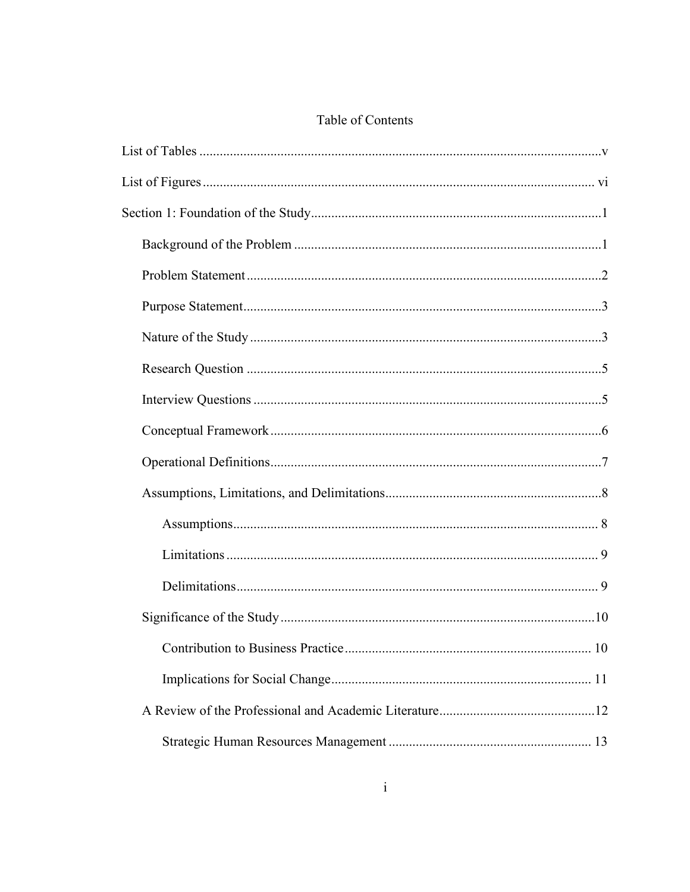### Table of Contents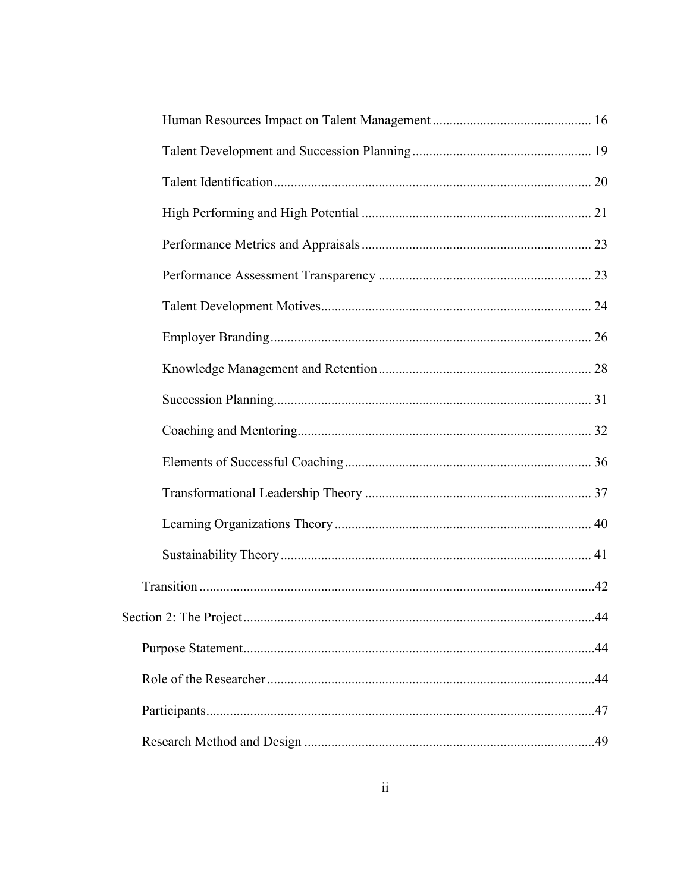| 44 |
|----|
|    |
|    |
|    |
|    |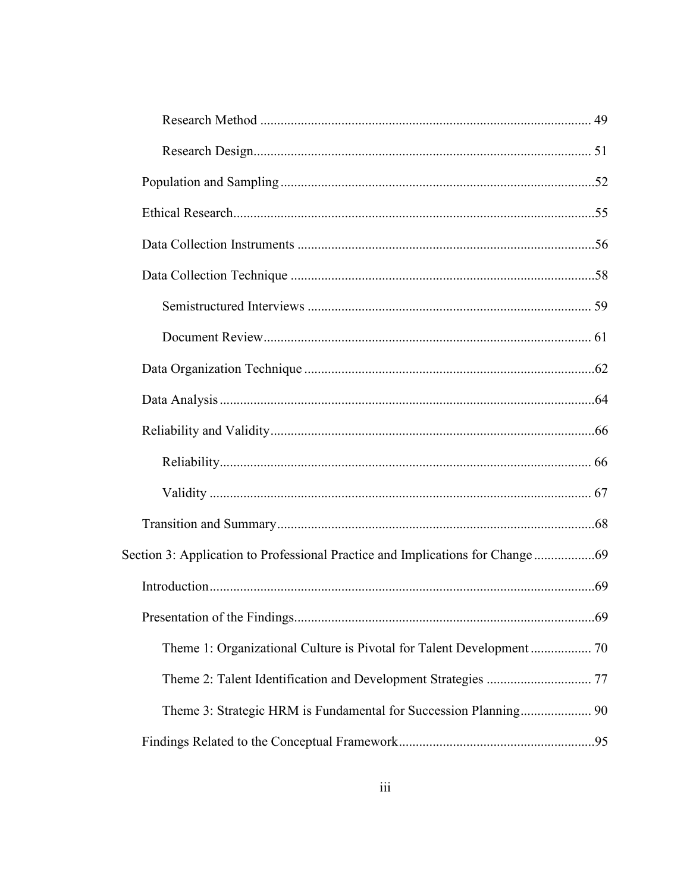| Section 3: Application to Professional Practice and Implications for Change  69 |  |
|---------------------------------------------------------------------------------|--|
|                                                                                 |  |
|                                                                                 |  |
|                                                                                 |  |
|                                                                                 |  |
| Theme 3: Strategic HRM is Fundamental for Succession Planning 90                |  |
|                                                                                 |  |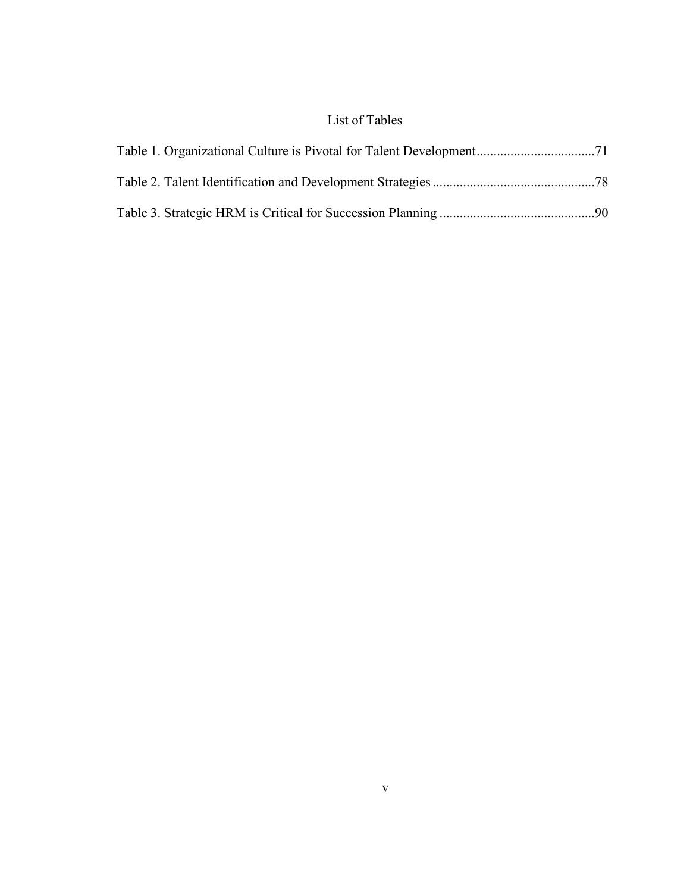### List of Tables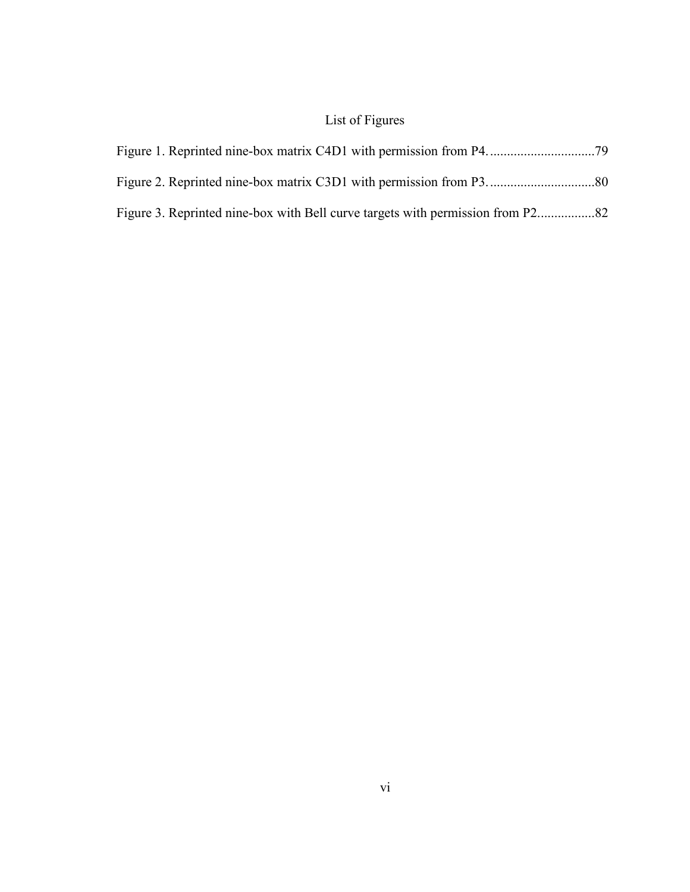## List of Figures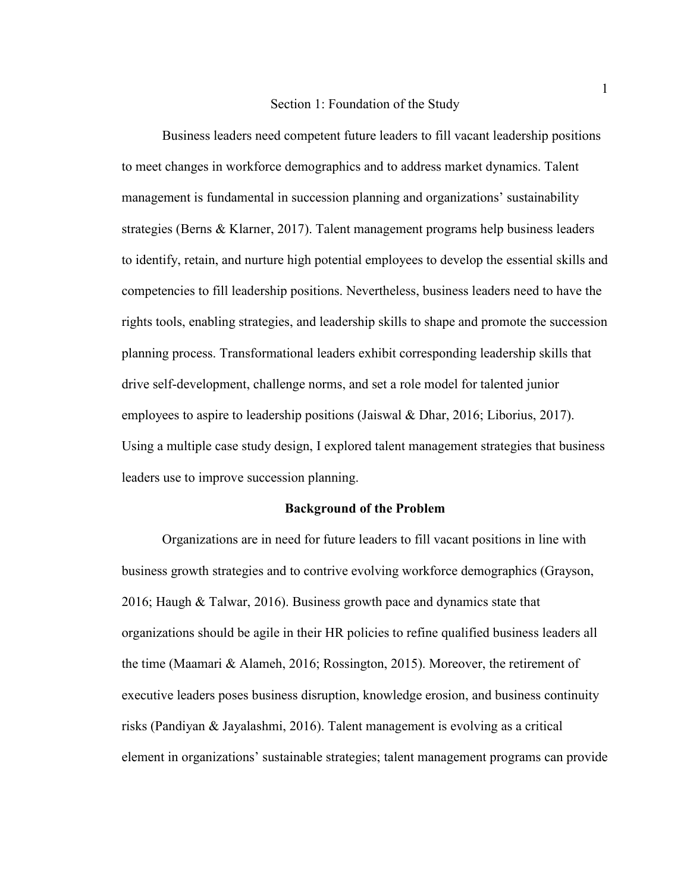#### Section 1: Foundation of the Study

Business leaders need competent future leaders to fill vacant leadership positions to meet changes in workforce demographics and to address market dynamics. Talent management is fundamental in succession planning and organizations' sustainability strategies (Berns & Klarner, 2017). Talent management programs help business leaders to identify, retain, and nurture high potential employees to develop the essential skills and competencies to fill leadership positions. Nevertheless, business leaders need to have the rights tools, enabling strategies, and leadership skills to shape and promote the succession planning process. Transformational leaders exhibit corresponding leadership skills that drive self-development, challenge norms, and set a role model for talented junior employees to aspire to leadership positions (Jaiswal & Dhar, 2016; Liborius, 2017). Using a multiple case study design, I explored talent management strategies that business leaders use to improve succession planning.

#### **Background of the Problem**

Organizations are in need for future leaders to fill vacant positions in line with business growth strategies and to contrive evolving workforce demographics (Grayson, 2016; Haugh & Talwar, 2016). Business growth pace and dynamics state that organizations should be agile in their HR policies to refine qualified business leaders all the time (Maamari & Alameh, 2016; Rossington, 2015). Moreover, the retirement of executive leaders poses business disruption, knowledge erosion, and business continuity risks (Pandiyan & Jayalashmi, 2016). Talent management is evolving as a critical element in organizations' sustainable strategies; talent management programs can provide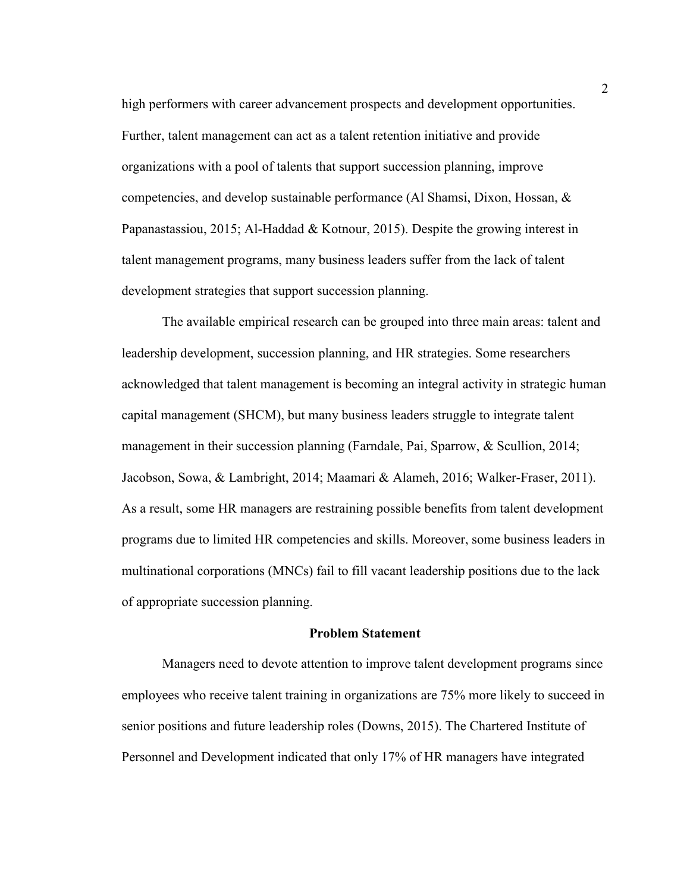high performers with career advancement prospects and development opportunities. Further, talent management can act as a talent retention initiative and provide organizations with a pool of talents that support succession planning, improve competencies, and develop sustainable performance (Al Shamsi, Dixon, Hossan, & Papanastassiou, 2015; Al-Haddad & Kotnour, 2015). Despite the growing interest in talent management programs, many business leaders suffer from the lack of talent development strategies that support succession planning.

The available empirical research can be grouped into three main areas: talent and leadership development, succession planning, and HR strategies. Some researchers acknowledged that talent management is becoming an integral activity in strategic human capital management (SHCM), but many business leaders struggle to integrate talent management in their succession planning (Farndale, Pai, Sparrow, & Scullion, 2014; Jacobson, Sowa, & Lambright, 2014; Maamari & Alameh, 2016; Walker-Fraser, 2011). As a result, some HR managers are restraining possible benefits from talent development programs due to limited HR competencies and skills. Moreover, some business leaders in multinational corporations (MNCs) fail to fill vacant leadership positions due to the lack of appropriate succession planning.

#### **Problem Statement**

Managers need to devote attention to improve talent development programs since employees who receive talent training in organizations are 75% more likely to succeed in senior positions and future leadership roles (Downs, 2015). The Chartered Institute of Personnel and Development indicated that only 17% of HR managers have integrated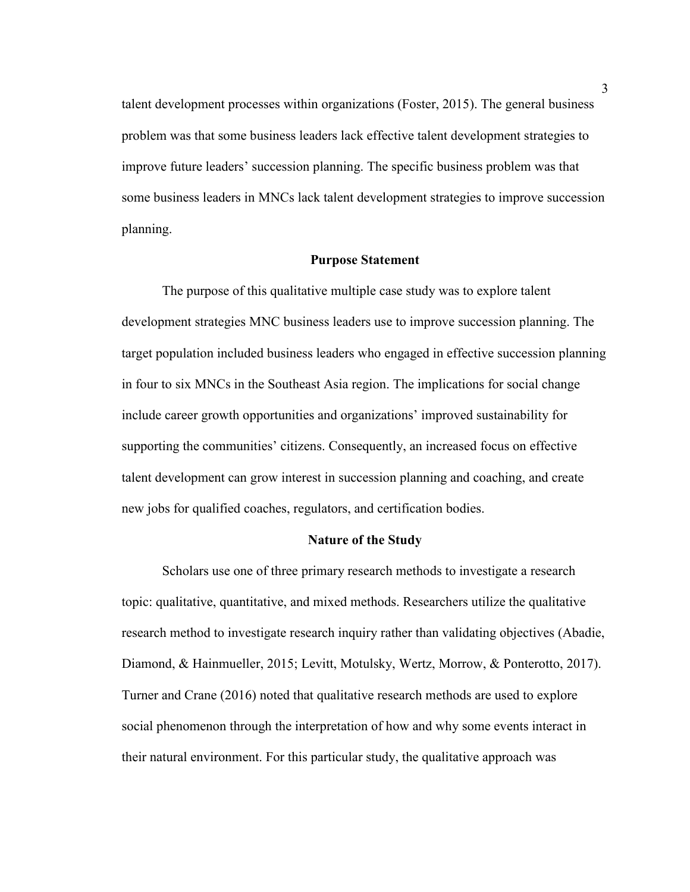talent development processes within organizations (Foster, 2015). The general business problem was that some business leaders lack effective talent development strategies to improve future leaders' succession planning. The specific business problem was that some business leaders in MNCs lack talent development strategies to improve succession planning.

#### **Purpose Statement**

The purpose of this qualitative multiple case study was to explore talent development strategies MNC business leaders use to improve succession planning. The target population included business leaders who engaged in effective succession planning in four to six MNCs in the Southeast Asia region. The implications for social change include career growth opportunities and organizations' improved sustainability for supporting the communities' citizens. Consequently, an increased focus on effective talent development can grow interest in succession planning and coaching, and create new jobs for qualified coaches, regulators, and certification bodies.

#### **Nature of the Study**

Scholars use one of three primary research methods to investigate a research topic: qualitative, quantitative, and mixed methods. Researchers utilize the qualitative research method to investigate research inquiry rather than validating objectives (Abadie, Diamond, & Hainmueller, 2015; Levitt, Motulsky, Wertz, Morrow, & Ponterotto, 2017). Turner and Crane (2016) noted that qualitative research methods are used to explore social phenomenon through the interpretation of how and why some events interact in their natural environment. For this particular study, the qualitative approach was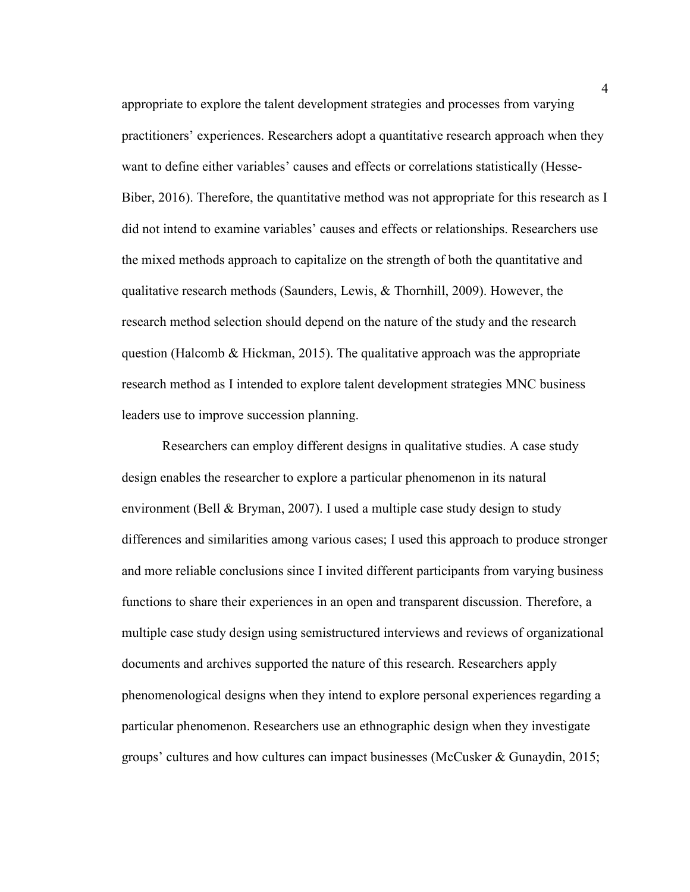appropriate to explore the talent development strategies and processes from varying practitioners' experiences. Researchers adopt a quantitative research approach when they want to define either variables' causes and effects or correlations statistically (Hesse-Biber, 2016). Therefore, the quantitative method was not appropriate for this research as I did not intend to examine variables' causes and effects or relationships. Researchers use the mixed methods approach to capitalize on the strength of both the quantitative and qualitative research methods (Saunders, Lewis, & Thornhill, 2009). However, the research method selection should depend on the nature of the study and the research question (Halcomb & Hickman, 2015). The qualitative approach was the appropriate research method as I intended to explore talent development strategies MNC business leaders use to improve succession planning.

Researchers can employ different designs in qualitative studies. A case study design enables the researcher to explore a particular phenomenon in its natural environment (Bell & Bryman, 2007). I used a multiple case study design to study differences and similarities among various cases; I used this approach to produce stronger and more reliable conclusions since I invited different participants from varying business functions to share their experiences in an open and transparent discussion. Therefore, a multiple case study design using semistructured interviews and reviews of organizational documents and archives supported the nature of this research. Researchers apply phenomenological designs when they intend to explore personal experiences regarding a particular phenomenon. Researchers use an ethnographic design when they investigate groups' cultures and how cultures can impact businesses (McCusker & Gunaydin, 2015;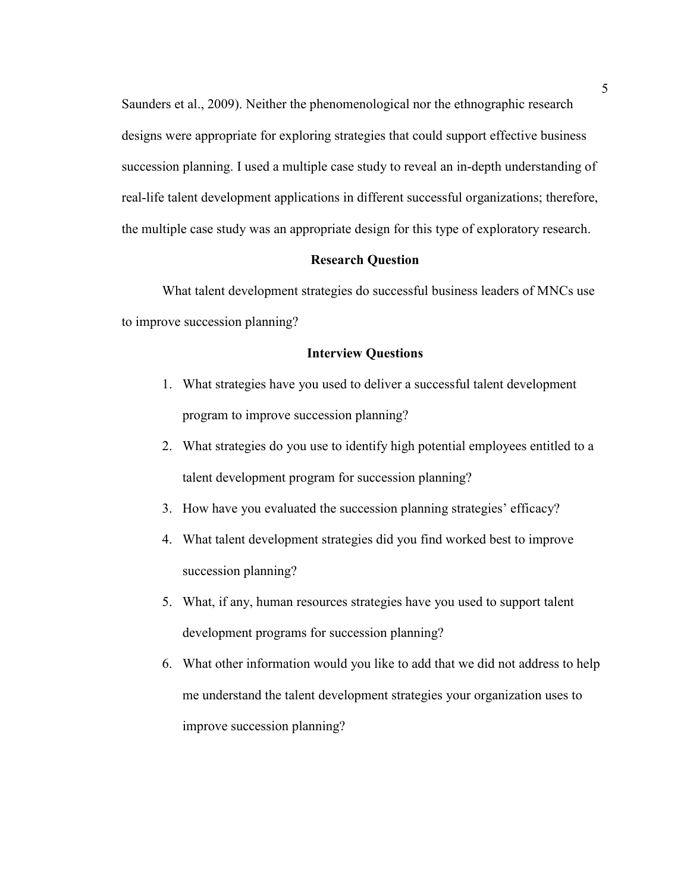Saunders et al., 2009). Neither the phenomenological nor the ethnographic research designs were appropriate for exploring strategies that could support effective business succession planning. I used a multiple case study to reveal an in-depth understanding of real-life talent development applications in different successful organizations; therefore, the multiple case study was an appropriate design for this type of exploratory research.

#### **Research Question**

What talent development strategies do successful business leaders of MNCs use to improve succession planning?

#### **Interview Questions**

- 1. What strategies have you used to deliver a successful talent development program to improve succession planning?
- 2. What strategies do you use to identify high potential employees entitled to a talent development program for succession planning?
- 3. How have you evaluated the succession planning strategies' efficacy?
- 4. What talent development strategies did you find worked best to improve succession planning?
- 5. What, if any, human resources strategies have you used to support talent development programs for succession planning?
- 6. What other information would you like to add that we did not address to help me understand the talent development strategies your organization uses to improve succession planning?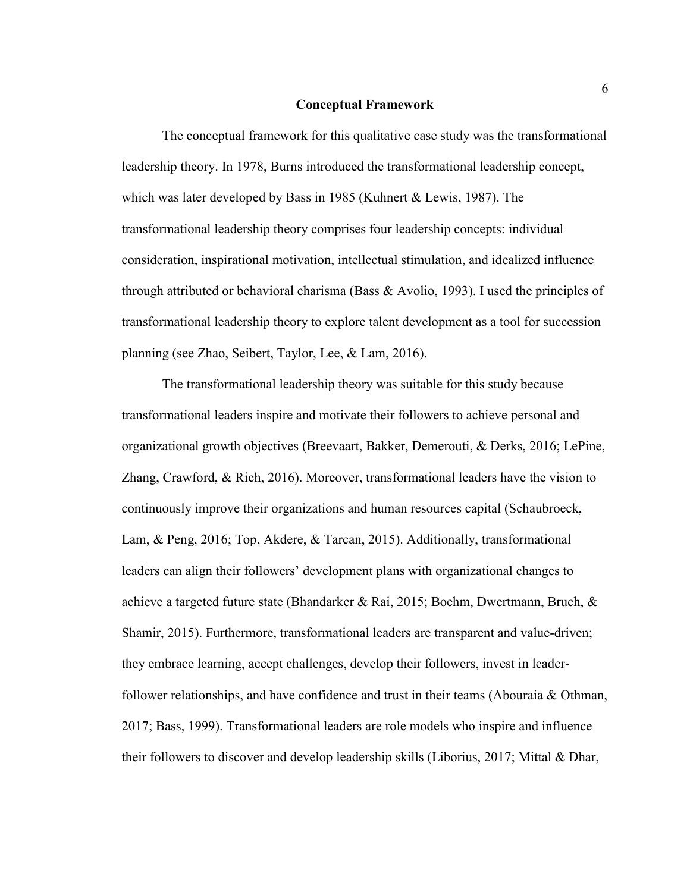#### **Conceptual Framework**

The conceptual framework for this qualitative case study was the transformational leadership theory. In 1978, Burns introduced the transformational leadership concept, which was later developed by Bass in 1985 (Kuhnert & Lewis, 1987). The transformational leadership theory comprises four leadership concepts: individual consideration, inspirational motivation, intellectual stimulation, and idealized influence through attributed or behavioral charisma (Bass & Avolio, 1993). I used the principles of transformational leadership theory to explore talent development as a tool for succession planning (see Zhao, Seibert, Taylor, Lee, & Lam, 2016).

The transformational leadership theory was suitable for this study because transformational leaders inspire and motivate their followers to achieve personal and organizational growth objectives (Breevaart, Bakker, Demerouti, & Derks, 2016; LePine, Zhang, Crawford, & Rich, 2016). Moreover, transformational leaders have the vision to continuously improve their organizations and human resources capital (Schaubroeck, Lam, & Peng, 2016; Top, Akdere, & Tarcan, 2015). Additionally, transformational leaders can align their followers' development plans with organizational changes to achieve a targeted future state (Bhandarker & Rai, 2015; Boehm, Dwertmann, Bruch, & Shamir, 2015). Furthermore, transformational leaders are transparent and value-driven; they embrace learning, accept challenges, develop their followers, invest in leaderfollower relationships, and have confidence and trust in their teams (Abouraia & Othman, 2017; Bass, 1999). Transformational leaders are role models who inspire and influence their followers to discover and develop leadership skills (Liborius, 2017; Mittal & Dhar,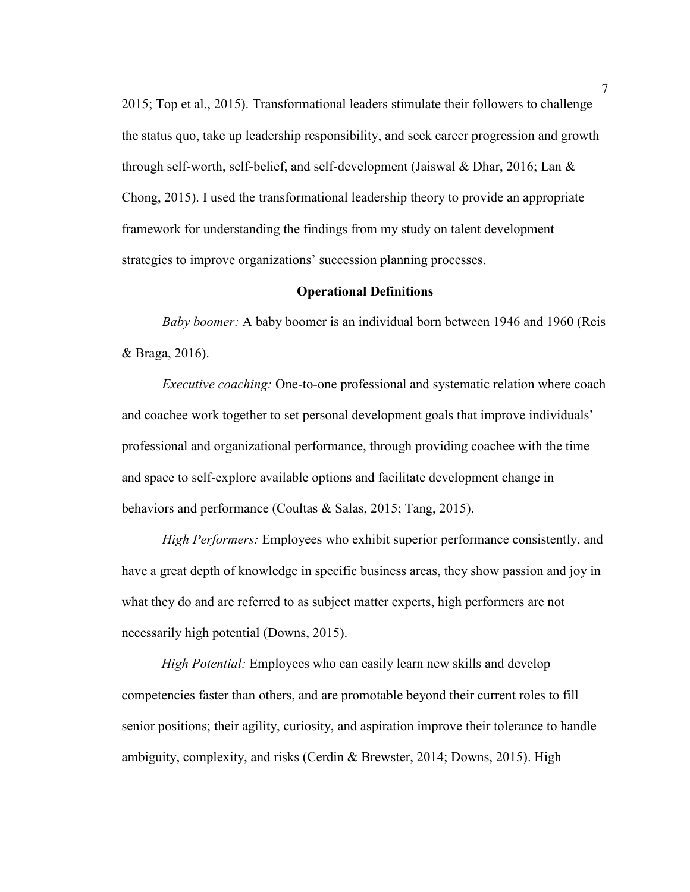2015; Top et al., 2015). Transformational leaders stimulate their followers to challenge the status quo, take up leadership responsibility, and seek career progression and growth through self-worth, self-belief, and self-development (Jaiswal & Dhar, 2016; Lan & Chong, 2015). I used the transformational leadership theory to provide an appropriate framework for understanding the findings from my study on talent development strategies to improve organizations' succession planning processes.

#### **Operational Definitions**

*Baby boomer:* A baby boomer is an individual born between 1946 and 1960 (Reis & Braga, 2016).

*Executive coaching:* One-to-one professional and systematic relation where coach and coachee work together to set personal development goals that improve individuals' professional and organizational performance, through providing coachee with the time and space to self-explore available options and facilitate development change in behaviors and performance (Coultas & Salas, 2015; Tang, 2015).

*High Performers:* Employees who exhibit superior performance consistently, and have a great depth of knowledge in specific business areas, they show passion and joy in what they do and are referred to as subject matter experts, high performers are not necessarily high potential (Downs, 2015).

*High Potential:* Employees who can easily learn new skills and develop competencies faster than others, and are promotable beyond their current roles to fill senior positions; their agility, curiosity, and aspiration improve their tolerance to handle ambiguity, complexity, and risks (Cerdin & Brewster, 2014; Downs, 2015). High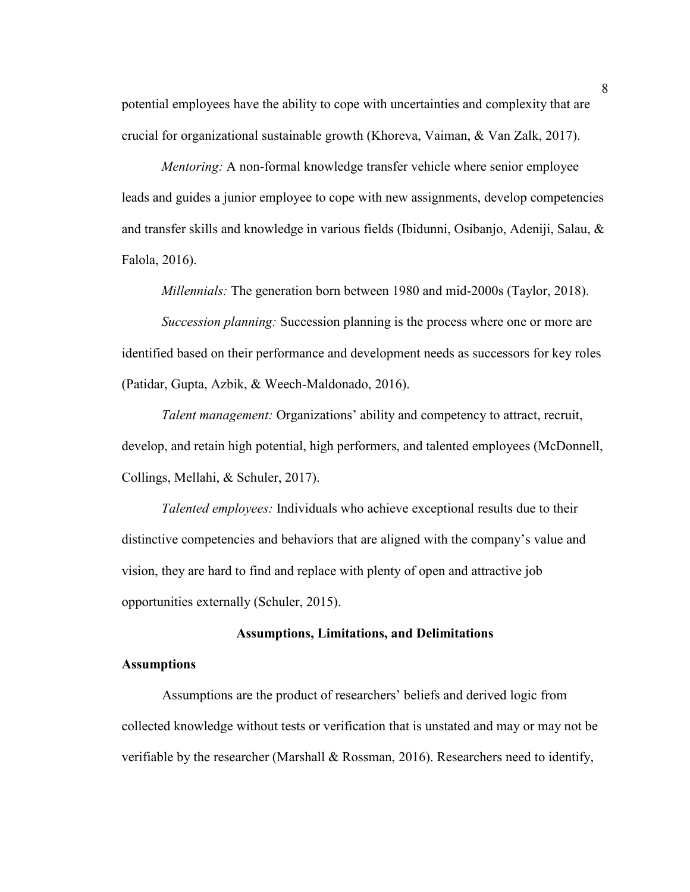potential employees have the ability to cope with uncertainties and complexity that are crucial for organizational sustainable growth (Khoreva, Vaiman, & Van Zalk, 2017).

*Mentoring:* A non-formal knowledge transfer vehicle where senior employee leads and guides a junior employee to cope with new assignments, develop competencies and transfer skills and knowledge in various fields (Ibidunni, Osibanjo, Adeniji, Salau, & Falola, 2016).

*Millennials:* The generation born between 1980 and mid-2000s (Taylor, 2018).

*Succession planning:* Succession planning is the process where one or more are identified based on their performance and development needs as successors for key roles (Patidar, Gupta, Azbik, & Weech-Maldonado, 2016).

*Talent management:* Organizations' ability and competency to attract, recruit, develop, and retain high potential, high performers, and talented employees (McDonnell, Collings, Mellahi, & Schuler, 2017).

*Talented employees:* Individuals who achieve exceptional results due to their distinctive competencies and behaviors that are aligned with the company's value and vision, they are hard to find and replace with plenty of open and attractive job opportunities externally (Schuler, 2015).

#### **Assumptions, Limitations, and Delimitations**

#### **Assumptions**

Assumptions are the product of researchers' beliefs and derived logic from collected knowledge without tests or verification that is unstated and may or may not be verifiable by the researcher (Marshall  $\&$  Rossman, 2016). Researchers need to identify,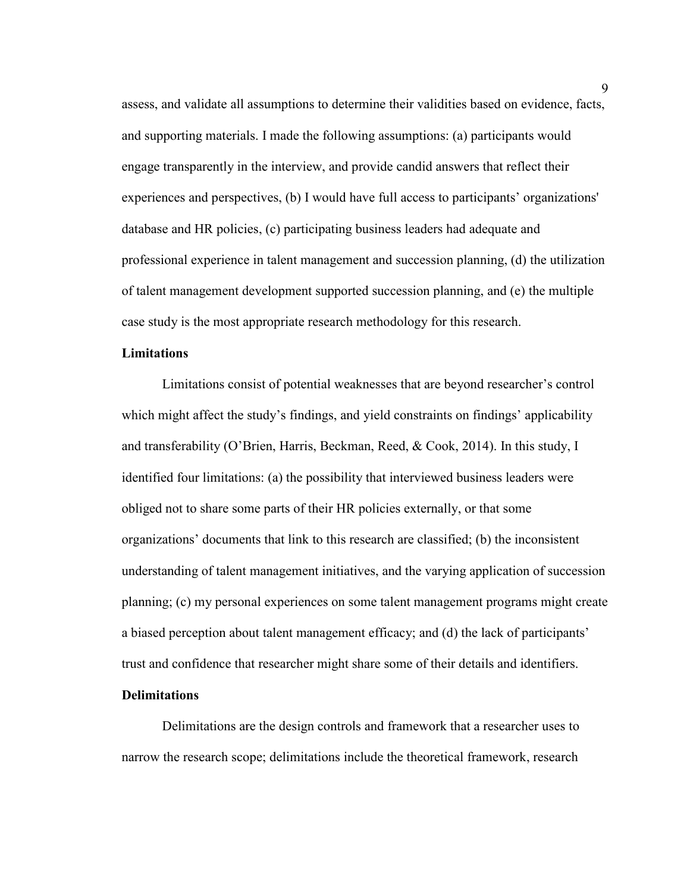assess, and validate all assumptions to determine their validities based on evidence, facts, and supporting materials. I made the following assumptions: (a) participants would engage transparently in the interview, and provide candid answers that reflect their experiences and perspectives, (b) I would have full access to participants' organizations' database and HR policies, (c) participating business leaders had adequate and professional experience in talent management and succession planning, (d) the utilization of talent management development supported succession planning, and (e) the multiple case study is the most appropriate research methodology for this research.

#### **Limitations**

Limitations consist of potential weaknesses that are beyond researcher's control which might affect the study's findings, and yield constraints on findings' applicability and transferability (O'Brien, Harris, Beckman, Reed, & Cook, 2014). In this study, I identified four limitations: (a) the possibility that interviewed business leaders were obliged not to share some parts of their HR policies externally, or that some organizations' documents that link to this research are classified; (b) the inconsistent understanding of talent management initiatives, and the varying application of succession planning; (c) my personal experiences on some talent management programs might create a biased perception about talent management efficacy; and (d) the lack of participants' trust and confidence that researcher might share some of their details and identifiers.

#### **Delimitations**

Delimitations are the design controls and framework that a researcher uses to narrow the research scope; delimitations include the theoretical framework, research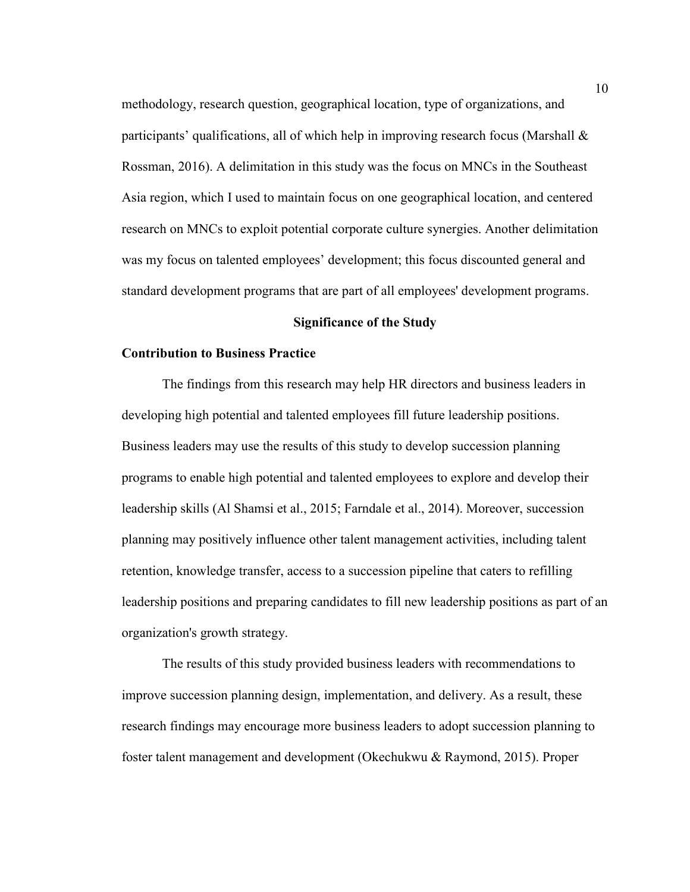methodology, research question, geographical location, type of organizations, and participants' qualifications, all of which help in improving research focus (Marshall  $\&$ Rossman, 2016). A delimitation in this study was the focus on MNCs in the Southeast Asia region, which I used to maintain focus on one geographical location, and centered research on MNCs to exploit potential corporate culture synergies. Another delimitation was my focus on talented employees' development; this focus discounted general and standard development programs that are part of all employees' development programs.

#### **Significance of the Study**

#### **Contribution to Business Practice**

The findings from this research may help HR directors and business leaders in developing high potential and talented employees fill future leadership positions. Business leaders may use the results of this study to develop succession planning programs to enable high potential and talented employees to explore and develop their leadership skills (Al Shamsi et al., 2015; Farndale et al., 2014). Moreover, succession planning may positively influence other talent management activities, including talent retention, knowledge transfer, access to a succession pipeline that caters to refilling leadership positions and preparing candidates to fill new leadership positions as part of an organization's growth strategy.

The results of this study provided business leaders with recommendations to improve succession planning design, implementation, and delivery. As a result, these research findings may encourage more business leaders to adopt succession planning to foster talent management and development (Okechukwu & Raymond, 2015). Proper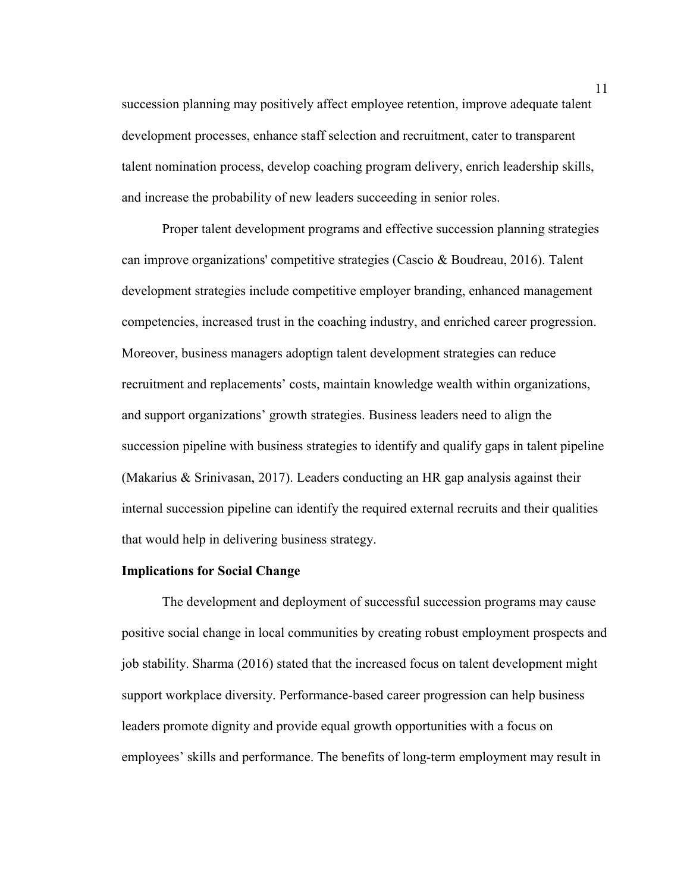succession planning may positively affect employee retention, improve adequate talent development processes, enhance staff selection and recruitment, cater to transparent talent nomination process, develop coaching program delivery, enrich leadership skills, and increase the probability of new leaders succeeding in senior roles.

Proper talent development programs and effective succession planning strategies can improve organizations' competitive strategies (Cascio & Boudreau, 2016). Talent development strategies include competitive employer branding, enhanced management competencies, increased trust in the coaching industry, and enriched career progression. Moreover, business managers adoptign talent development strategies can reduce recruitment and replacements' costs, maintain knowledge wealth within organizations, and support organizations' growth strategies. Business leaders need to align the succession pipeline with business strategies to identify and qualify gaps in talent pipeline (Makarius & Srinivasan, 2017). Leaders conducting an HR gap analysis against their internal succession pipeline can identify the required external recruits and their qualities that would help in delivering business strategy.

#### **Implications for Social Change**

The development and deployment of successful succession programs may cause positive social change in local communities by creating robust employment prospects and job stability. Sharma (2016) stated that the increased focus on talent development might support workplace diversity. Performance-based career progression can help business leaders promote dignity and provide equal growth opportunities with a focus on employees' skills and performance. The benefits of long-term employment may result in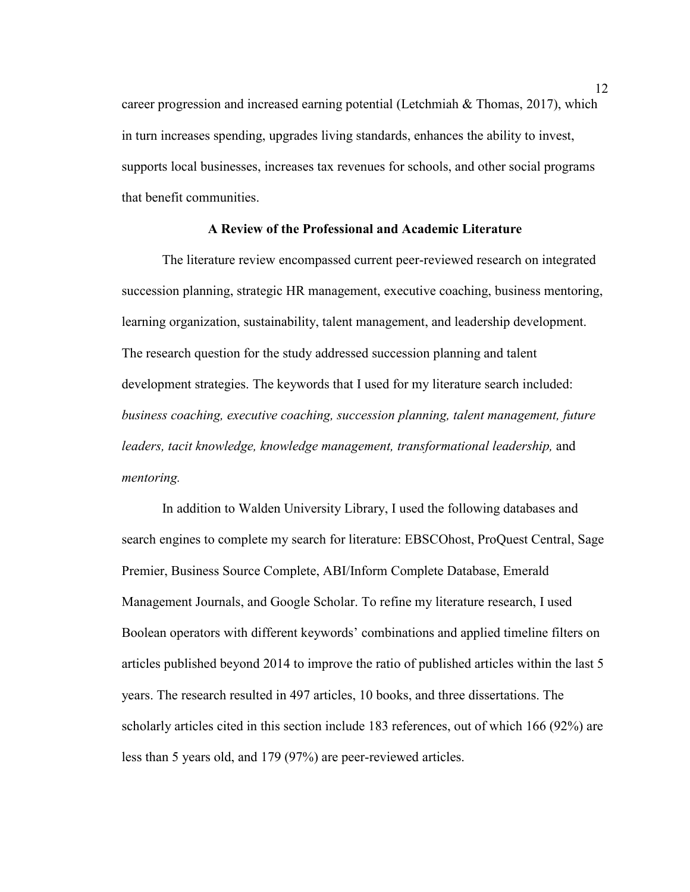career progression and increased earning potential (Letchmiah & Thomas, 2017), which in turn increases spending, upgrades living standards, enhances the ability to invest, supports local businesses, increases tax revenues for schools, and other social programs that benefit communities.

#### **A Review of the Professional and Academic Literature**

The literature review encompassed current peer-reviewed research on integrated succession planning, strategic HR management, executive coaching, business mentoring, learning organization, sustainability, talent management, and leadership development. The research question for the study addressed succession planning and talent development strategies. The keywords that I used for my literature search included: *business coaching, executive coaching, succession planning, talent management, future leaders, tacit knowledge, knowledge management, transformational leadership, and mentoring.*

In addition to Walden University Library, I used the following databases and search engines to complete my search for literature: EBSCOhost, ProQuest Central, Sage Premier, Business Source Complete, ABI/Inform Complete Database, Emerald Management Journals, and Google Scholar. To refine my literature research, I used Boolean operators with different keywords' combinations and applied timeline filters on articles published beyond 2014 to improve the ratio of published articles within the last 5 years. The research resulted in 497 articles, 10 books, and three dissertations. The scholarly articles cited in this section include 183 references, out of which 166 (92%) are less than 5 years old, and 179 (97%) are peer-reviewed articles.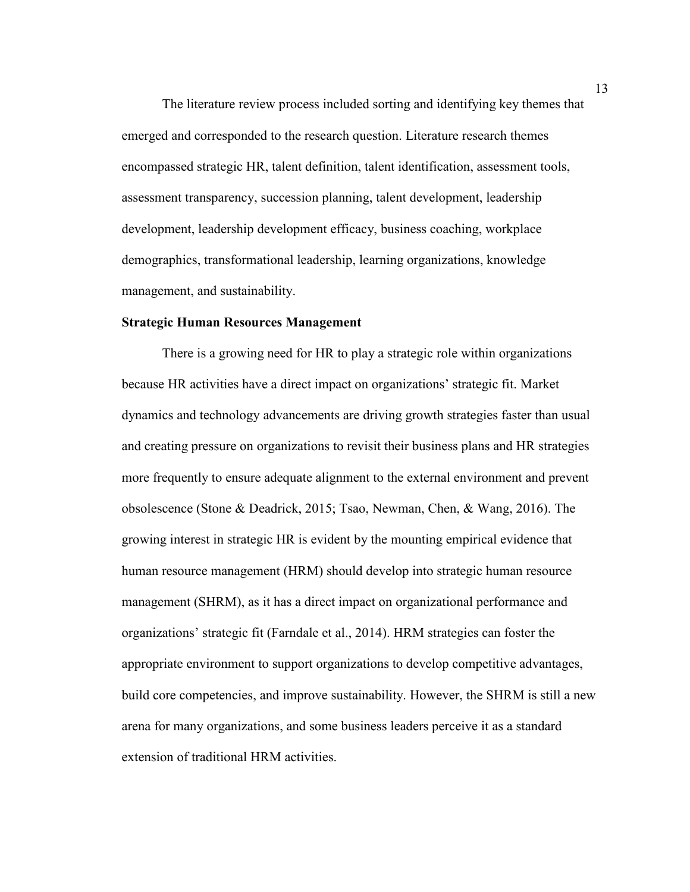The literature review process included sorting and identifying key themes that emerged and corresponded to the research question. Literature research themes encompassed strategic HR, talent definition, talent identification, assessment tools, assessment transparency, succession planning, talent development, leadership development, leadership development efficacy, business coaching, workplace demographics, transformational leadership, learning organizations, knowledge management, and sustainability.

#### **Strategic Human Resources Management**

There is a growing need for HR to play a strategic role within organizations because HR activities have a direct impact on organizations' strategic fit. Market dynamics and technology advancements are driving growth strategies faster than usual and creating pressure on organizations to revisit their business plans and HR strategies more frequently to ensure adequate alignment to the external environment and prevent obsolescence (Stone & Deadrick, 2015; Tsao, Newman, Chen, & Wang, 2016). The growing interest in strategic HR is evident by the mounting empirical evidence that human resource management (HRM) should develop into strategic human resource management (SHRM), as it has a direct impact on organizational performance and organizations' strategic fit (Farndale et al., 2014). HRM strategies can foster the appropriate environment to support organizations to develop competitive advantages, build core competencies, and improve sustainability. However, the SHRM is still a new arena for many organizations, and some business leaders perceive it as a standard extension of traditional HRM activities.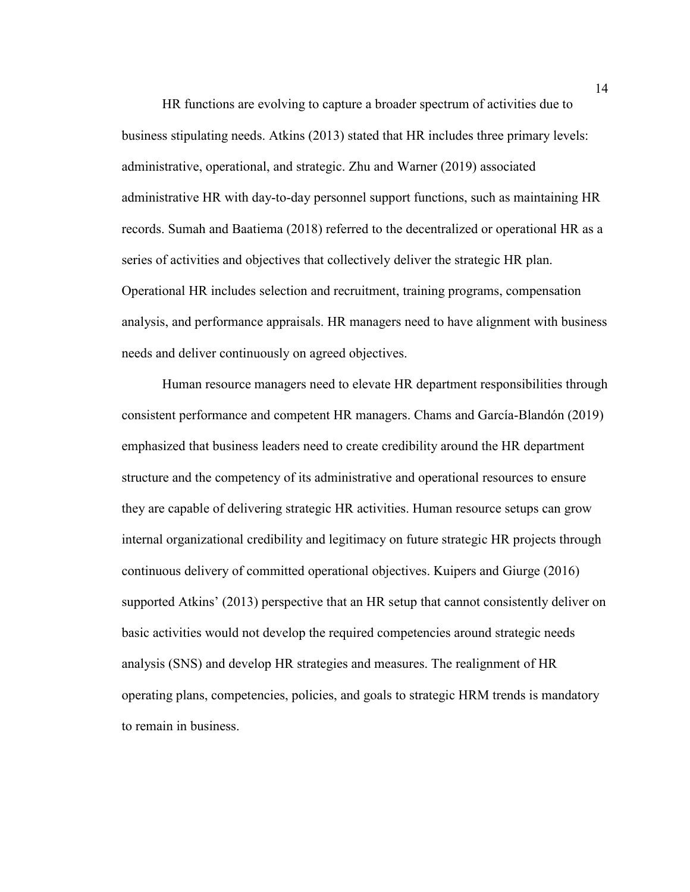HR functions are evolving to capture a broader spectrum of activities due to business stipulating needs. Atkins (2013) stated that HR includes three primary levels: administrative, operational, and strategic. Zhu and Warner (2019) associated administrative HR with day-to-day personnel support functions, such as maintaining HR records. Sumah and Baatiema (2018) referred to the decentralized or operational HR as a series of activities and objectives that collectively deliver the strategic HR plan. Operational HR includes selection and recruitment, training programs, compensation analysis, and performance appraisals. HR managers need to have alignment with business needs and deliver continuously on agreed objectives.

Human resource managers need to elevate HR department responsibilities through consistent performance and competent HR managers. Chams and García-Blandón (2019) emphasized that business leaders need to create credibility around the HR department structure and the competency of its administrative and operational resources to ensure they are capable of delivering strategic HR activities. Human resource setups can grow internal organizational credibility and legitimacy on future strategic HR projects through continuous delivery of committed operational objectives. Kuipers and Giurge (2016) supported Atkins' (2013) perspective that an HR setup that cannot consistently deliver on basic activities would not develop the required competencies around strategic needs analysis (SNS) and develop HR strategies and measures. The realignment of HR operating plans, competencies, policies, and goals to strategic HRM trends is mandatory to remain in business.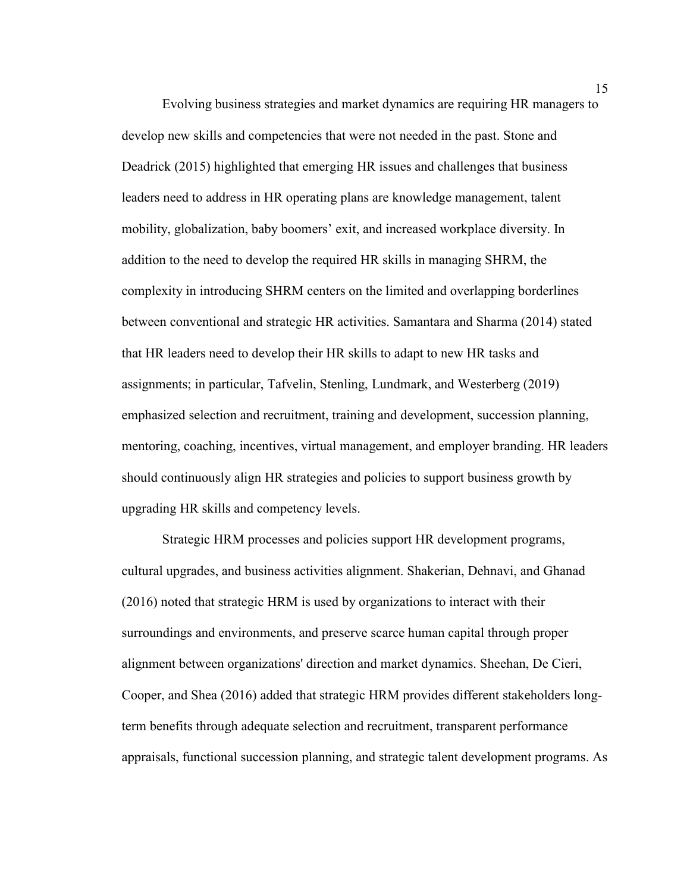Evolving business strategies and market dynamics are requiring HR managers to develop new skills and competencies that were not needed in the past. Stone and Deadrick (2015) highlighted that emerging HR issues and challenges that business leaders need to address in HR operating plans are knowledge management, talent mobility, globalization, baby boomers' exit, and increased workplace diversity. In addition to the need to develop the required HR skills in managing SHRM, the complexity in introducing SHRM centers on the limited and overlapping borderlines between conventional and strategic HR activities. Samantara and Sharma (2014) stated that HR leaders need to develop their HR skills to adapt to new HR tasks and assignments; in particular, Tafvelin, Stenling, Lundmark, and Westerberg (2019) emphasized selection and recruitment, training and development, succession planning, mentoring, coaching, incentives, virtual management, and employer branding. HR leaders should continuously align HR strategies and policies to support business growth by upgrading HR skills and competency levels.

Strategic HRM processes and policies support HR development programs, cultural upgrades, and business activities alignment. Shakerian, Dehnavi, and Ghanad (2016) noted that strategic HRM is used by organizations to interact with their surroundings and environments, and preserve scarce human capital through proper alignment between organizations' direction and market dynamics. Sheehan, De Cieri, Cooper, and Shea (2016) added that strategic HRM provides different stakeholders longterm benefits through adequate selection and recruitment, transparent performance appraisals, functional succession planning, and strategic talent development programs. As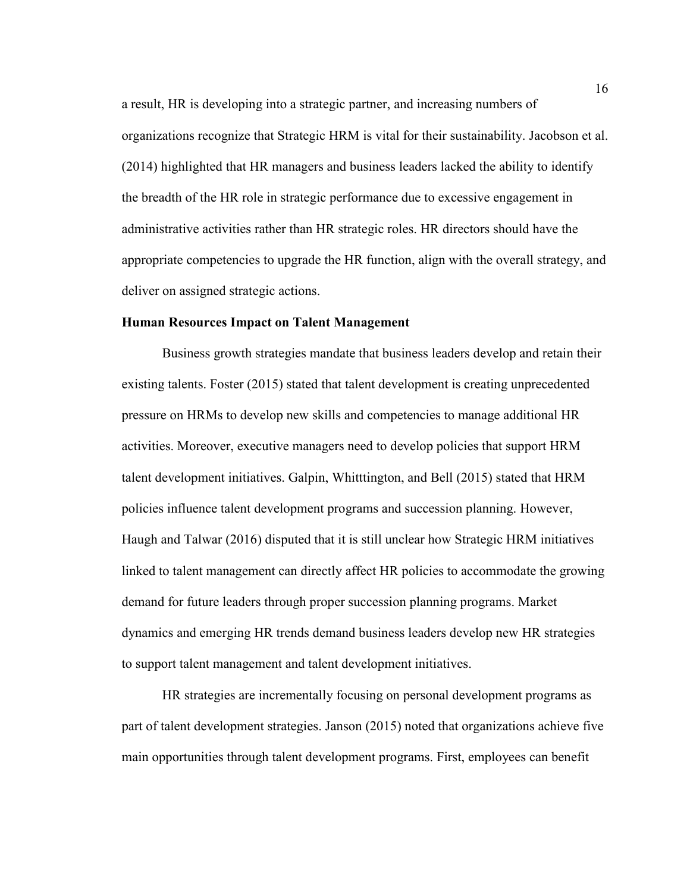a result, HR is developing into a strategic partner, and increasing numbers of organizations recognize that Strategic HRM is vital for their sustainability. Jacobson et al. (2014) highlighted that HR managers and business leaders lacked the ability to identify the breadth of the HR role in strategic performance due to excessive engagement in administrative activities rather than HR strategic roles. HR directors should have the appropriate competencies to upgrade the HR function, align with the overall strategy, and deliver on assigned strategic actions.

#### **Human Resources Impact on Talent Management**

Business growth strategies mandate that business leaders develop and retain their existing talents. Foster (2015) stated that talent development is creating unprecedented pressure on HRMs to develop new skills and competencies to manage additional HR activities. Moreover, executive managers need to develop policies that support HRM talent development initiatives. Galpin, Whitttington, and Bell (2015) stated that HRM policies influence talent development programs and succession planning. However, Haugh and Talwar (2016) disputed that it is still unclear how Strategic HRM initiatives linked to talent management can directly affect HR policies to accommodate the growing demand for future leaders through proper succession planning programs. Market dynamics and emerging HR trends demand business leaders develop new HR strategies to support talent management and talent development initiatives.

HR strategies are incrementally focusing on personal development programs as part of talent development strategies. Janson (2015) noted that organizations achieve five main opportunities through talent development programs. First, employees can benefit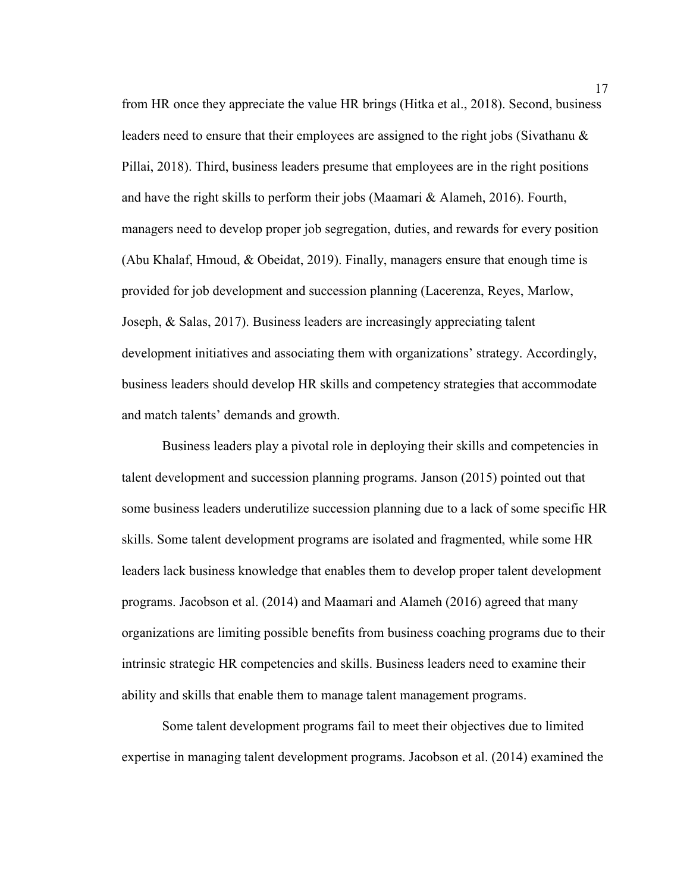from HR once they appreciate the value HR brings (Hitka et al., 2018). Second, business leaders need to ensure that their employees are assigned to the right jobs (Sivathanu & Pillai, 2018). Third, business leaders presume that employees are in the right positions and have the right skills to perform their jobs (Maamari & Alameh, 2016). Fourth, managers need to develop proper job segregation, duties, and rewards for every position (Abu Khalaf, Hmoud, & Obeidat, 2019). Finally, managers ensure that enough time is provided for job development and succession planning (Lacerenza, Reyes, Marlow, Joseph, & Salas, 2017). Business leaders are increasingly appreciating talent development initiatives and associating them with organizations' strategy. Accordingly, business leaders should develop HR skills and competency strategies that accommodate and match talents' demands and growth.

Business leaders play a pivotal role in deploying their skills and competencies in talent development and succession planning programs. Janson (2015) pointed out that some business leaders underutilize succession planning due to a lack of some specific HR skills. Some talent development programs are isolated and fragmented, while some HR leaders lack business knowledge that enables them to develop proper talent development programs. Jacobson et al. (2014) and Maamari and Alameh (2016) agreed that many organizations are limiting possible benefits from business coaching programs due to their intrinsic strategic HR competencies and skills. Business leaders need to examine their ability and skills that enable them to manage talent management programs.

Some talent development programs fail to meet their objectives due to limited expertise in managing talent development programs. Jacobson et al. (2014) examined the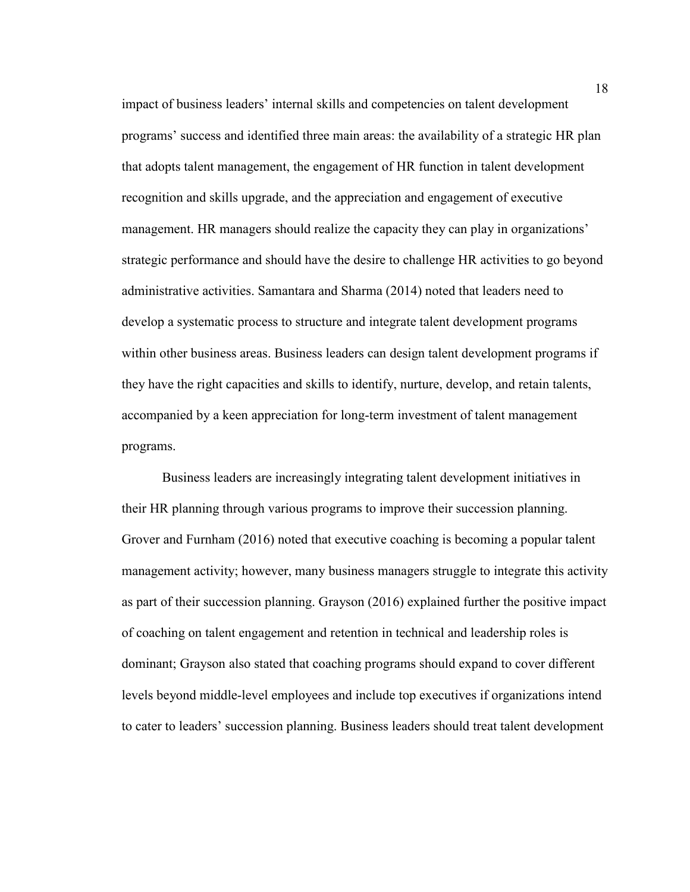impact of business leaders' internal skills and competencies on talent development programs' success and identified three main areas: the availability of a strategic HR plan that adopts talent management, the engagement of HR function in talent development recognition and skills upgrade, and the appreciation and engagement of executive management. HR managers should realize the capacity they can play in organizations' strategic performance and should have the desire to challenge HR activities to go beyond administrative activities. Samantara and Sharma (2014) noted that leaders need to develop a systematic process to structure and integrate talent development programs within other business areas. Business leaders can design talent development programs if they have the right capacities and skills to identify, nurture, develop, and retain talents, accompanied by a keen appreciation for long-term investment of talent management programs.

Business leaders are increasingly integrating talent development initiatives in their HR planning through various programs to improve their succession planning. Grover and Furnham (2016) noted that executive coaching is becoming a popular talent management activity; however, many business managers struggle to integrate this activity as part of their succession planning. Grayson (2016) explained further the positive impact of coaching on talent engagement and retention in technical and leadership roles is dominant; Grayson also stated that coaching programs should expand to cover different levels beyond middle-level employees and include top executives if organizations intend to cater to leaders' succession planning. Business leaders should treat talent development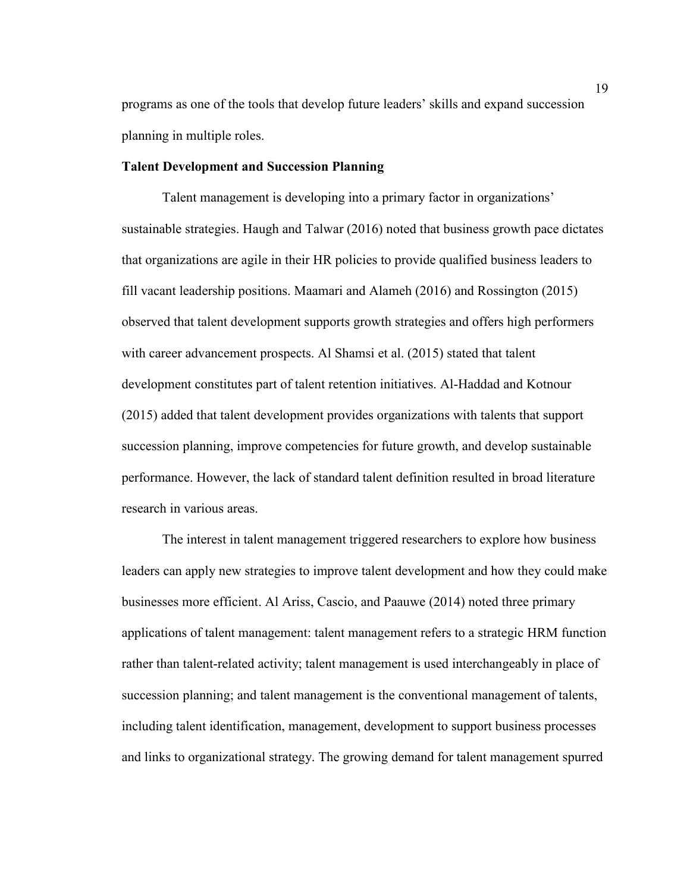programs as one of the tools that develop future leaders' skills and expand succession planning in multiple roles.

#### **Talent Development and Succession Planning**

Talent management is developing into a primary factor in organizations' sustainable strategies. Haugh and Talwar (2016) noted that business growth pace dictates that organizations are agile in their HR policies to provide qualified business leaders to fill vacant leadership positions. Maamari and Alameh (2016) and Rossington (2015) observed that talent development supports growth strategies and offers high performers with career advancement prospects. Al Shamsi et al. (2015) stated that talent development constitutes part of talent retention initiatives. Al-Haddad and Kotnour (2015) added that talent development provides organizations with talents that support succession planning, improve competencies for future growth, and develop sustainable performance. However, the lack of standard talent definition resulted in broad literature research in various areas.

The interest in talent management triggered researchers to explore how business leaders can apply new strategies to improve talent development and how they could make businesses more efficient. Al Ariss, Cascio, and Paauwe (2014) noted three primary applications of talent management: talent management refers to a strategic HRM function rather than talent-related activity; talent management is used interchangeably in place of succession planning; and talent management is the conventional management of talents, including talent identification, management, development to support business processes and links to organizational strategy. The growing demand for talent management spurred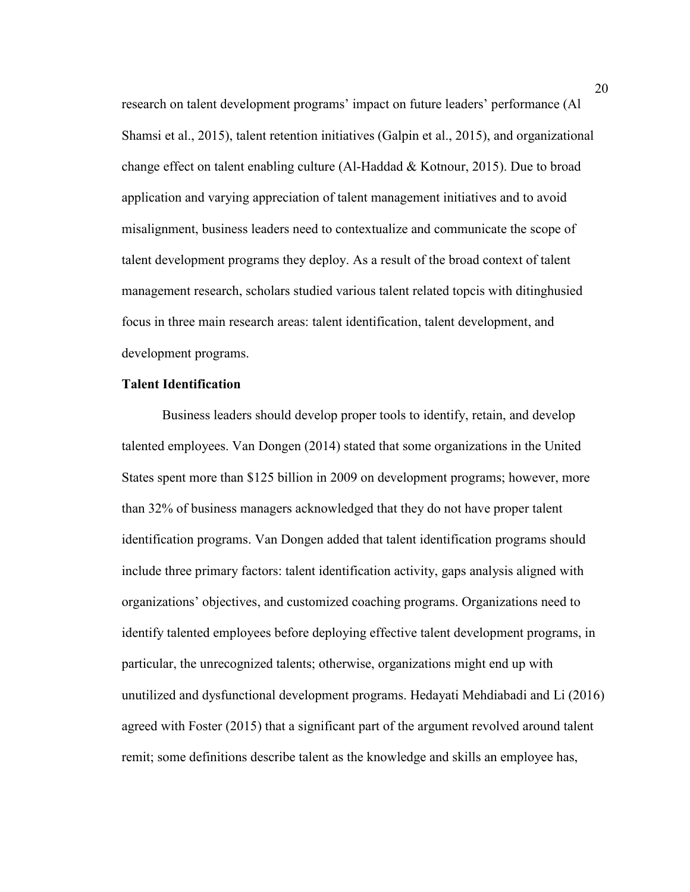research on talent development programs' impact on future leaders' performance (Al Shamsi et al., 2015), talent retention initiatives (Galpin et al., 2015), and organizational change effect on talent enabling culture (Al-Haddad & Kotnour, 2015). Due to broad application and varying appreciation of talent management initiatives and to avoid misalignment, business leaders need to contextualize and communicate the scope of talent development programs they deploy. As a result of the broad context of talent management research, scholars studied various talent related topcis with ditinghusied focus in three main research areas: talent identification, talent development, and development programs.

#### **Talent Identification**

Business leaders should develop proper tools to identify, retain, and develop talented employees. Van Dongen (2014) stated that some organizations in the United States spent more than \$125 billion in 2009 on development programs; however, more than 32% of business managers acknowledged that they do not have proper talent identification programs. Van Dongen added that talent identification programs should include three primary factors: talent identification activity, gaps analysis aligned with organizations' objectives, and customized coaching programs. Organizations need to identify talented employees before deploying effective talent development programs, in particular, the unrecognized talents; otherwise, organizations might end up with unutilized and dysfunctional development programs. Hedayati Mehdiabadi and Li (2016) agreed with Foster (2015) that a significant part of the argument revolved around talent remit; some definitions describe talent as the knowledge and skills an employee has,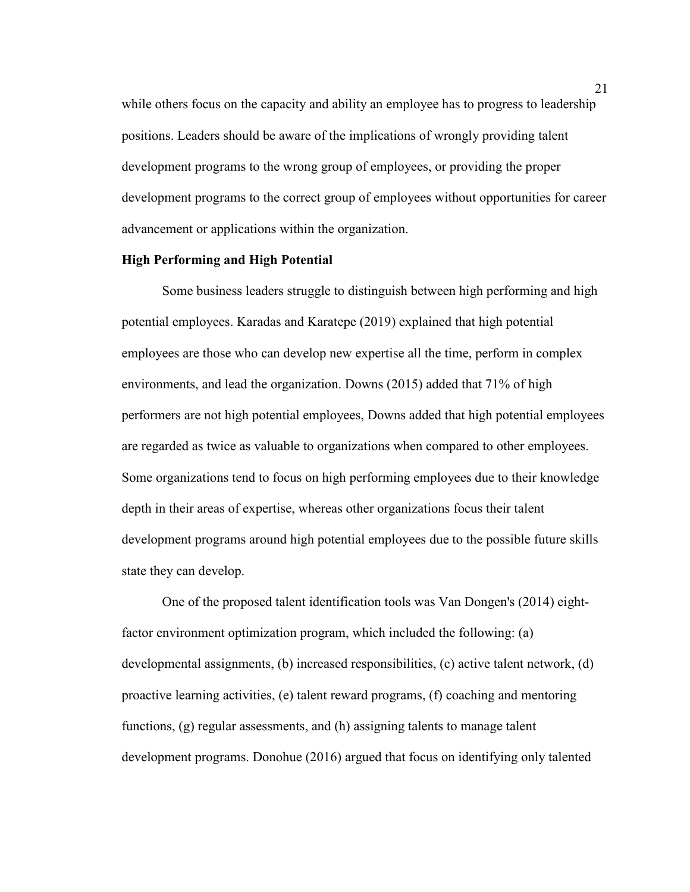while others focus on the capacity and ability an employee has to progress to leadership positions. Leaders should be aware of the implications of wrongly providing talent development programs to the wrong group of employees, or providing the proper development programs to the correct group of employees without opportunities for career advancement or applications within the organization.

#### **High Performing and High Potential**

Some business leaders struggle to distinguish between high performing and high potential employees. Karadas and Karatepe (2019) explained that high potential employees are those who can develop new expertise all the time, perform in complex environments, and lead the organization. Downs (2015) added that 71% of high performers are not high potential employees, Downs added that high potential employees are regarded as twice as valuable to organizations when compared to other employees. Some organizations tend to focus on high performing employees due to their knowledge depth in their areas of expertise, whereas other organizations focus their talent development programs around high potential employees due to the possible future skills state they can develop.

One of the proposed talent identification tools was Van Dongen's (2014) eightfactor environment optimization program, which included the following: (a) developmental assignments, (b) increased responsibilities, (c) active talent network, (d) proactive learning activities, (e) talent reward programs, (f) coaching and mentoring functions, (g) regular assessments, and (h) assigning talents to manage talent development programs. Donohue (2016) argued that focus on identifying only talented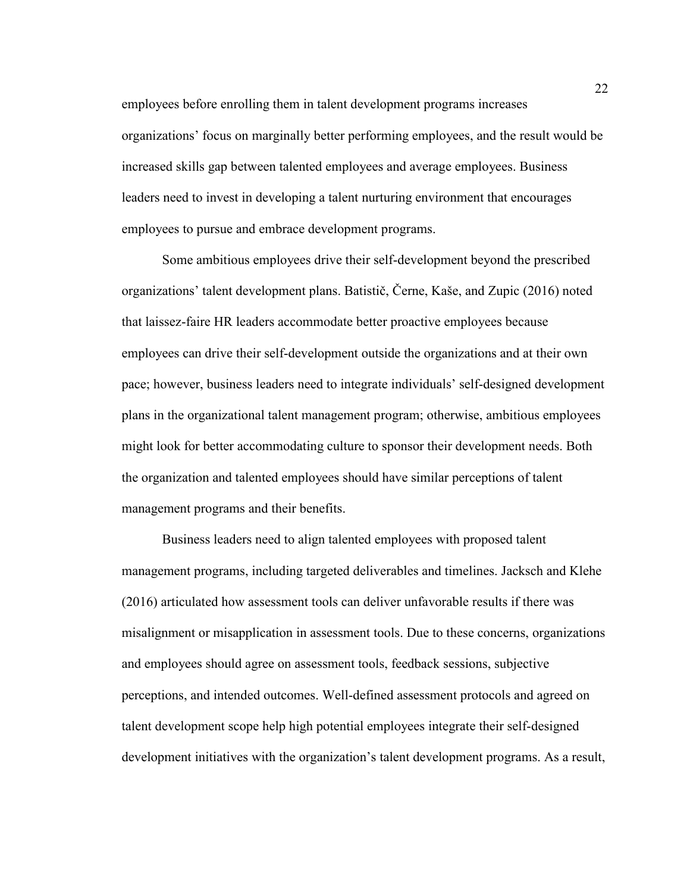employees before enrolling them in talent development programs increases organizations' focus on marginally better performing employees, and the result would be increased skills gap between talented employees and average employees. Business leaders need to invest in developing a talent nurturing environment that encourages employees to pursue and embrace development programs.

Some ambitious employees drive their self-development beyond the prescribed organizations' talent development plans. Batistič, Černe, Kaše, and Zupic (2016) noted that laissez-faire HR leaders accommodate better proactive employees because employees can drive their self-development outside the organizations and at their own pace; however, business leaders need to integrate individuals' self-designed development plans in the organizational talent management program; otherwise, ambitious employees might look for better accommodating culture to sponsor their development needs. Both the organization and talented employees should have similar perceptions of talent management programs and their benefits.

Business leaders need to align talented employees with proposed talent management programs, including targeted deliverables and timelines. Jacksch and Klehe (2016) articulated how assessment tools can deliver unfavorable results if there was misalignment or misapplication in assessment tools. Due to these concerns, organizations and employees should agree on assessment tools, feedback sessions, subjective perceptions, and intended outcomes. Well-defined assessment protocols and agreed on talent development scope help high potential employees integrate their self-designed development initiatives with the organization's talent development programs. As a result,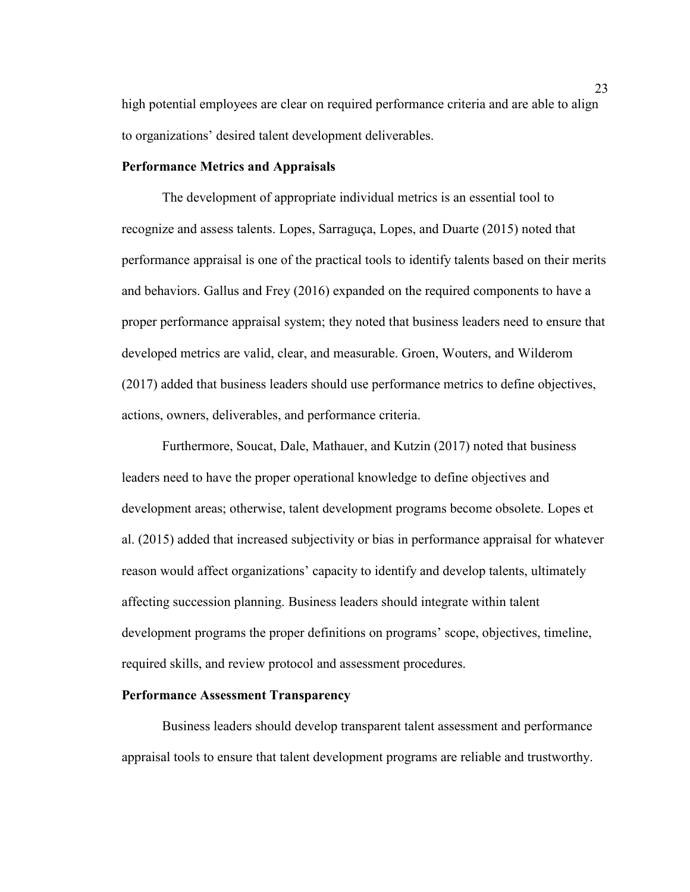high potential employees are clear on required performance criteria and are able to align to organizations' desired talent development deliverables.

#### **Performance Metrics and Appraisals**

The development of appropriate individual metrics is an essential tool to recognize and assess talents. Lopes, Sarraguça, Lopes, and Duarte (2015) noted that performance appraisal is one of the practical tools to identify talents based on their merits and behaviors. Gallus and Frey (2016) expanded on the required components to have a proper performance appraisal system; they noted that business leaders need to ensure that developed metrics are valid, clear, and measurable. Groen, Wouters, and Wilderom (2017) added that business leaders should use performance metrics to define objectives, actions, owners, deliverables, and performance criteria.

Furthermore, Soucat, Dale, Mathauer, and Kutzin (2017) noted that business leaders need to have the proper operational knowledge to define objectives and development areas; otherwise, talent development programs become obsolete. Lopes et al. (2015) added that increased subjectivity or bias in performance appraisal for whatever reason would affect organizations' capacity to identify and develop talents, ultimately affecting succession planning. Business leaders should integrate within talent development programs the proper definitions on programs' scope, objectives, timeline, required skills, and review protocol and assessment procedures.

#### **Performance Assessment Transparency**

Business leaders should develop transparent talent assessment and performance appraisal tools to ensure that talent development programs are reliable and trustworthy.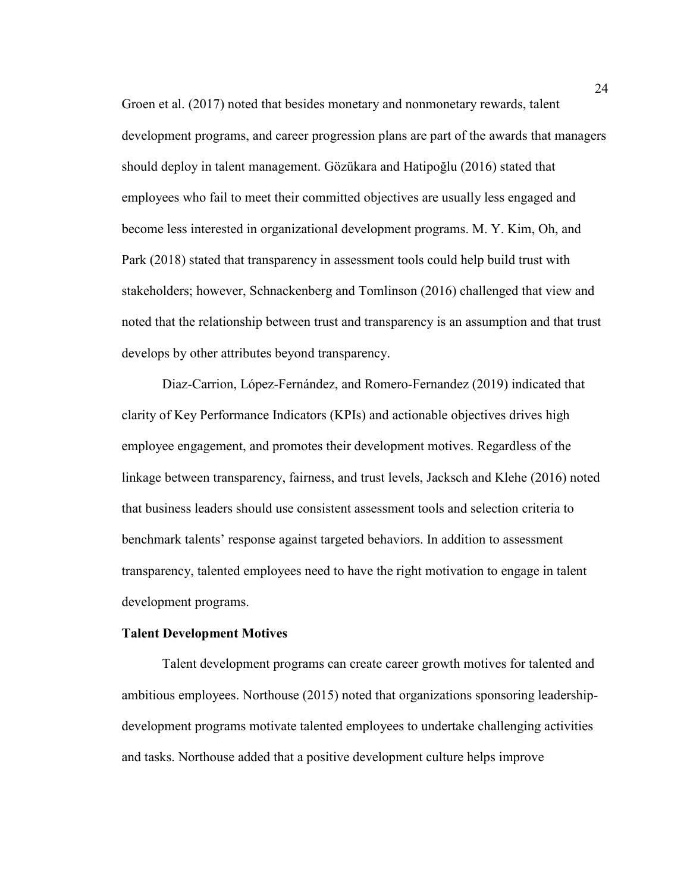Groen et al. (2017) noted that besides monetary and nonmonetary rewards, talent development programs, and career progression plans are part of the awards that managers should deploy in talent management. Gözükara and Hatipoğlu (2016) stated that employees who fail to meet their committed objectives are usually less engaged and become less interested in organizational development programs. M. Y. Kim, Oh, and Park (2018) stated that transparency in assessment tools could help build trust with stakeholders; however, Schnackenberg and Tomlinson (2016) challenged that view and noted that the relationship between trust and transparency is an assumption and that trust develops by other attributes beyond transparency.

Diaz-Carrion, López-Fernández, and Romero-Fernandez (2019) indicated that clarity of Key Performance Indicators (KPIs) and actionable objectives drives high employee engagement, and promotes their development motives. Regardless of the linkage between transparency, fairness, and trust levels, Jacksch and Klehe (2016) noted that business leaders should use consistent assessment tools and selection criteria to benchmark talents' response against targeted behaviors. In addition to assessment transparency, talented employees need to have the right motivation to engage in talent development programs.

### **Talent Development Motives**

Talent development programs can create career growth motives for talented and ambitious employees. Northouse (2015) noted that organizations sponsoring leadershipdevelopment programs motivate talented employees to undertake challenging activities and tasks. Northouse added that a positive development culture helps improve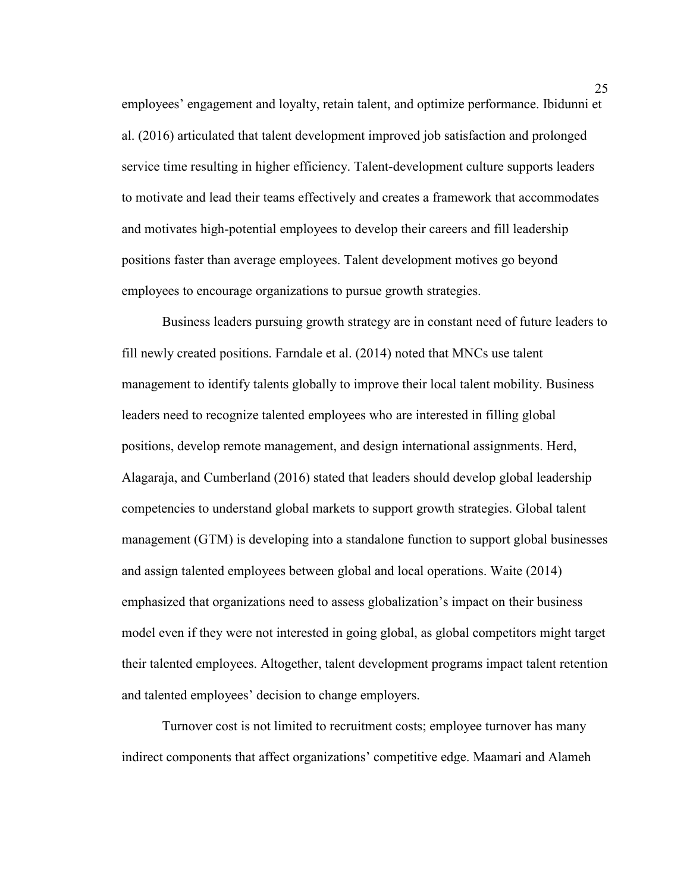employees' engagement and loyalty, retain talent, and optimize performance. Ibidunni et al. (2016) articulated that talent development improved job satisfaction and prolonged service time resulting in higher efficiency. Talent-development culture supports leaders to motivate and lead their teams effectively and creates a framework that accommodates and motivates high-potential employees to develop their careers and fill leadership positions faster than average employees. Talent development motives go beyond employees to encourage organizations to pursue growth strategies.

Business leaders pursuing growth strategy are in constant need of future leaders to fill newly created positions. Farndale et al. (2014) noted that MNCs use talent management to identify talents globally to improve their local talent mobility. Business leaders need to recognize talented employees who are interested in filling global positions, develop remote management, and design international assignments. Herd, Alagaraja, and Cumberland (2016) stated that leaders should develop global leadership competencies to understand global markets to support growth strategies. Global talent management (GTM) is developing into a standalone function to support global businesses and assign talented employees between global and local operations. Waite (2014) emphasized that organizations need to assess globalization's impact on their business model even if they were not interested in going global, as global competitors might target their talented employees. Altogether, talent development programs impact talent retention and talented employees' decision to change employers.

Turnover cost is not limited to recruitment costs; employee turnover has many indirect components that affect organizations' competitive edge. Maamari and Alameh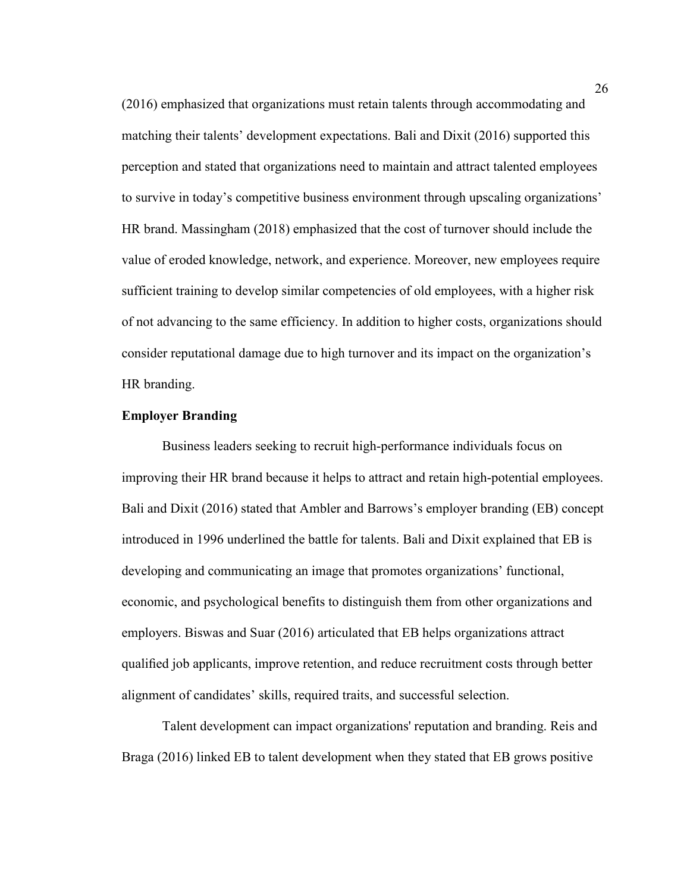(2016) emphasized that organizations must retain talents through accommodating and matching their talents' development expectations. Bali and Dixit (2016) supported this perception and stated that organizations need to maintain and attract talented employees to survive in today's competitive business environment through upscaling organizations' HR brand. Massingham (2018) emphasized that the cost of turnover should include the value of eroded knowledge, network, and experience. Moreover, new employees require sufficient training to develop similar competencies of old employees, with a higher risk of not advancing to the same efficiency. In addition to higher costs, organizations should consider reputational damage due to high turnover and its impact on the organization's HR branding.

# **Employer Branding**

Business leaders seeking to recruit high-performance individuals focus on improving their HR brand because it helps to attract and retain high-potential employees. Bali and Dixit (2016) stated that Ambler and Barrows's employer branding (EB) concept introduced in 1996 underlined the battle for talents. Bali and Dixit explained that EB is developing and communicating an image that promotes organizations' functional, economic, and psychological benefits to distinguish them from other organizations and employers. Biswas and Suar (2016) articulated that EB helps organizations attract qualified job applicants, improve retention, and reduce recruitment costs through better alignment of candidates' skills, required traits, and successful selection.

Talent development can impact organizations' reputation and branding. Reis and Braga (2016) linked EB to talent development when they stated that EB grows positive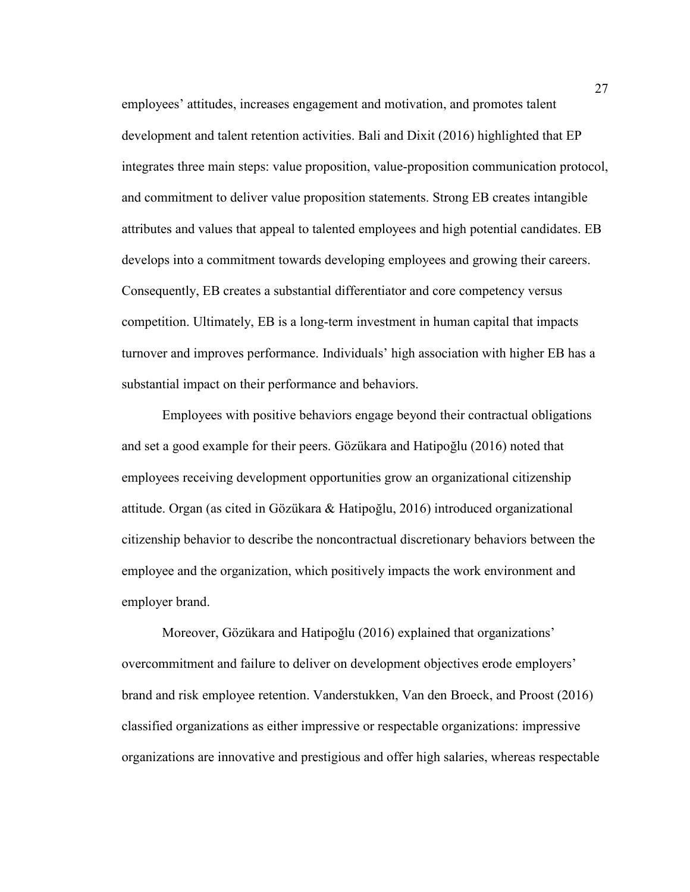employees' attitudes, increases engagement and motivation, and promotes talent development and talent retention activities. Bali and Dixit (2016) highlighted that EP integrates three main steps: value proposition, value-proposition communication protocol, and commitment to deliver value proposition statements. Strong EB creates intangible attributes and values that appeal to talented employees and high potential candidates. EB develops into a commitment towards developing employees and growing their careers. Consequently, EB creates a substantial differentiator and core competency versus competition. Ultimately, EB is a long-term investment in human capital that impacts turnover and improves performance. Individuals' high association with higher EB has a substantial impact on their performance and behaviors.

Employees with positive behaviors engage beyond their contractual obligations and set a good example for their peers. Gözükara and Hatipoğlu (2016) noted that employees receiving development opportunities grow an organizational citizenship attitude. Organ (as cited in Gözükara & Hatipoğlu, 2016) introduced organizational citizenship behavior to describe the noncontractual discretionary behaviors between the employee and the organization, which positively impacts the work environment and employer brand.

Moreover, Gözükara and Hatipoğlu (2016) explained that organizations' overcommitment and failure to deliver on development objectives erode employers' brand and risk employee retention. Vanderstukken, Van den Broeck, and Proost (2016) classified organizations as either impressive or respectable organizations: impressive organizations are innovative and prestigious and offer high salaries, whereas respectable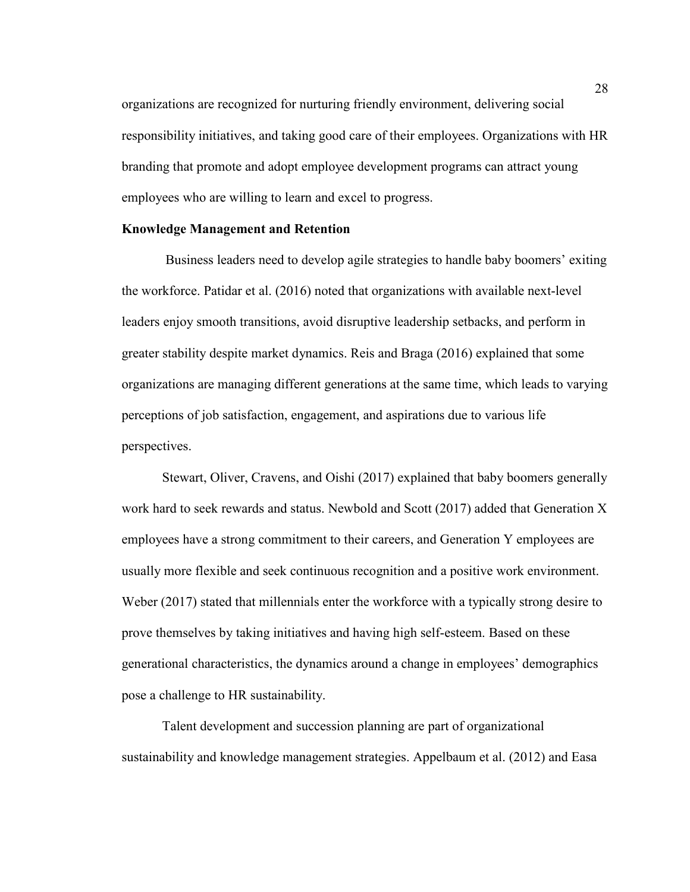organizations are recognized for nurturing friendly environment, delivering social responsibility initiatives, and taking good care of their employees. Organizations with HR branding that promote and adopt employee development programs can attract young employees who are willing to learn and excel to progress.

## **Knowledge Management and Retention**

 Business leaders need to develop agile strategies to handle baby boomers' exiting the workforce. Patidar et al. (2016) noted that organizations with available next-level leaders enjoy smooth transitions, avoid disruptive leadership setbacks, and perform in greater stability despite market dynamics. Reis and Braga (2016) explained that some organizations are managing different generations at the same time, which leads to varying perceptions of job satisfaction, engagement, and aspirations due to various life perspectives.

Stewart, Oliver, Cravens, and Oishi (2017) explained that baby boomers generally work hard to seek rewards and status. Newbold and Scott (2017) added that Generation X employees have a strong commitment to their careers, and Generation Y employees are usually more flexible and seek continuous recognition and a positive work environment. Weber (2017) stated that millennials enter the workforce with a typically strong desire to prove themselves by taking initiatives and having high self-esteem. Based on these generational characteristics, the dynamics around a change in employees' demographics pose a challenge to HR sustainability.

Talent development and succession planning are part of organizational sustainability and knowledge management strategies. Appelbaum et al. (2012) and Easa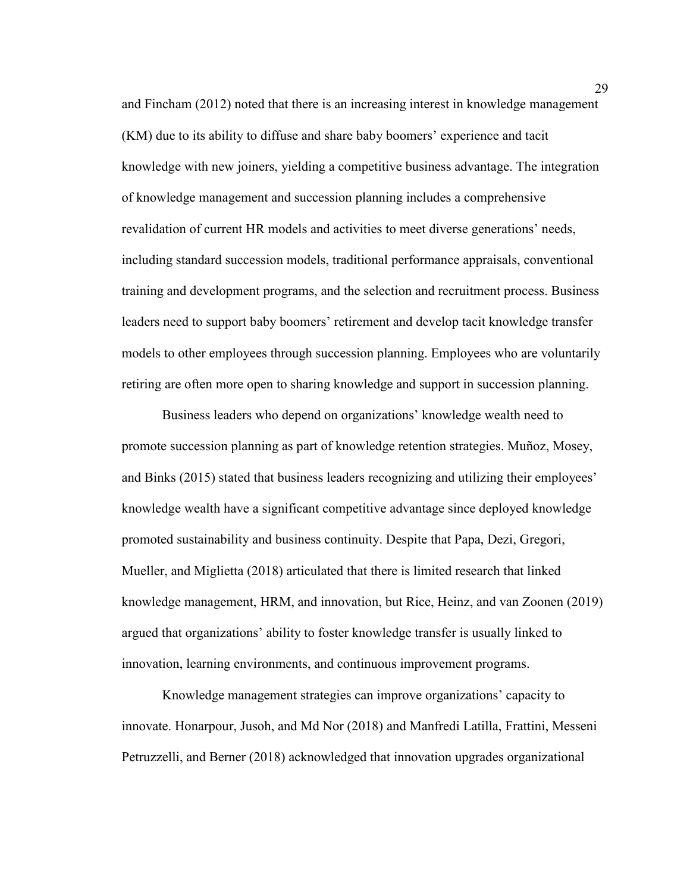and Fincham (2012) noted that there is an increasing interest in knowledge management (KM) due to its ability to diffuse and share baby boomers' experience and tacit knowledge with new joiners, yielding a competitive business advantage. The integration of knowledge management and succession planning includes a comprehensive revalidation of current HR models and activities to meet diverse generations' needs, including standard succession models, traditional performance appraisals, conventional training and development programs, and the selection and recruitment process. Business leaders need to support baby boomers' retirement and develop tacit knowledge transfer models to other employees through succession planning. Employees who are voluntarily retiring are often more open to sharing knowledge and support in succession planning.

Business leaders who depend on organizations' knowledge wealth need to promote succession planning as part of knowledge retention strategies. Muñoz, Mosey, and Binks (2015) stated that business leaders recognizing and utilizing their employees' knowledge wealth have a significant competitive advantage since deployed knowledge promoted sustainability and business continuity. Despite that Papa, Dezi, Gregori, Mueller, and Miglietta (2018) articulated that there is limited research that linked knowledge management, HRM, and innovation, but Rice, Heinz, and van Zoonen (2019) argued that organizations' ability to foster knowledge transfer is usually linked to innovation, learning environments, and continuous improvement programs.

Knowledge management strategies can improve organizations' capacity to innovate. Honarpour, Jusoh, and Md Nor (2018) and Manfredi Latilla, Frattini, Messeni Petruzzelli, and Berner (2018) acknowledged that innovation upgrades organizational

29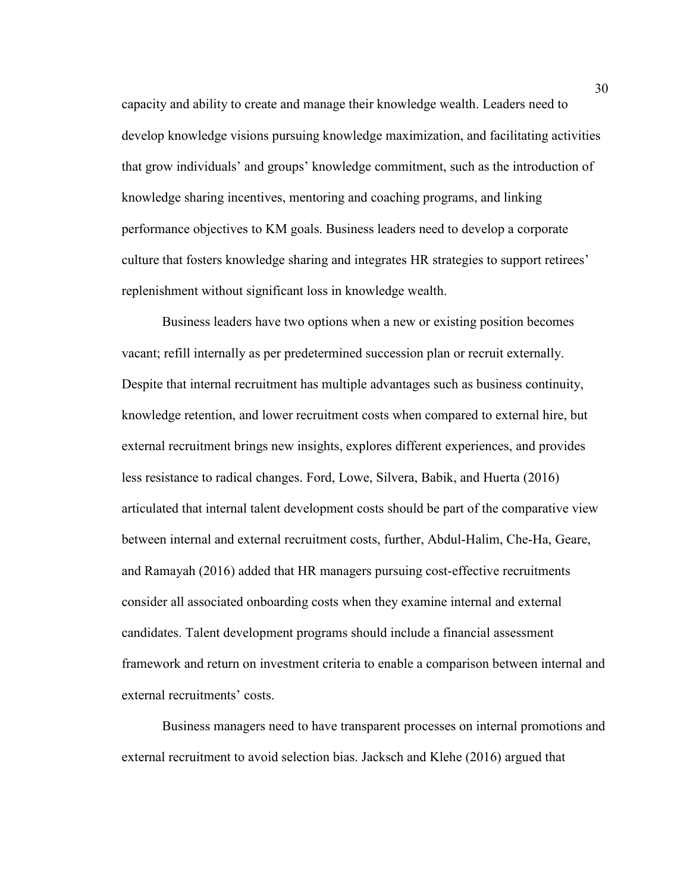capacity and ability to create and manage their knowledge wealth. Leaders need to develop knowledge visions pursuing knowledge maximization, and facilitating activities that grow individuals' and groups' knowledge commitment, such as the introduction of knowledge sharing incentives, mentoring and coaching programs, and linking performance objectives to KM goals. Business leaders need to develop a corporate culture that fosters knowledge sharing and integrates HR strategies to support retirees' replenishment without significant loss in knowledge wealth.

Business leaders have two options when a new or existing position becomes vacant; refill internally as per predetermined succession plan or recruit externally. Despite that internal recruitment has multiple advantages such as business continuity, knowledge retention, and lower recruitment costs when compared to external hire, but external recruitment brings new insights, explores different experiences, and provides less resistance to radical changes. Ford, Lowe, Silvera, Babik, and Huerta (2016) articulated that internal talent development costs should be part of the comparative view between internal and external recruitment costs, further, Abdul-Halim, Che-Ha, Geare, and Ramayah (2016) added that HR managers pursuing cost-effective recruitments consider all associated onboarding costs when they examine internal and external candidates. Talent development programs should include a financial assessment framework and return on investment criteria to enable a comparison between internal and external recruitments' costs.

Business managers need to have transparent processes on internal promotions and external recruitment to avoid selection bias. Jacksch and Klehe (2016) argued that

30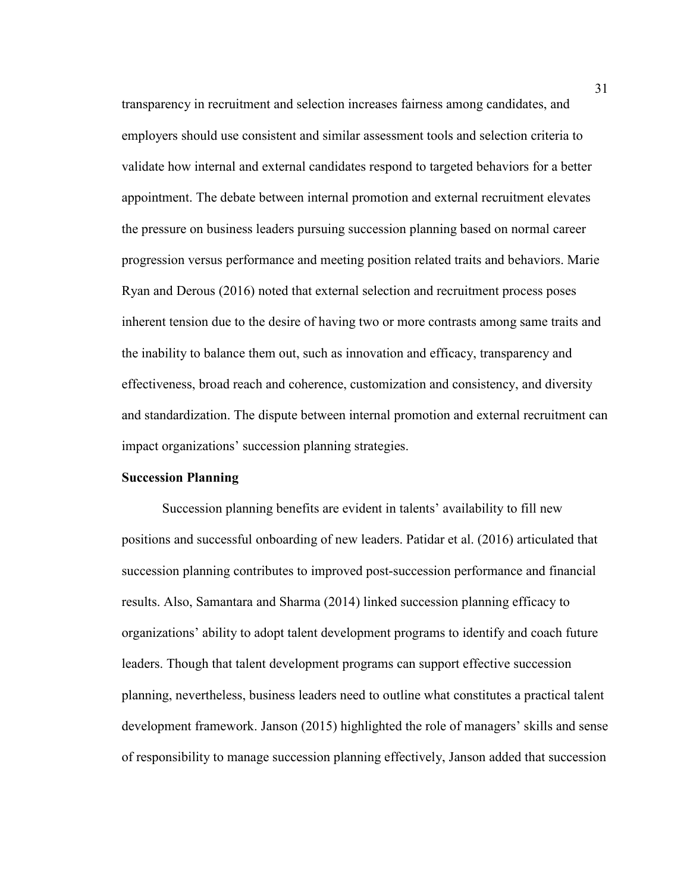transparency in recruitment and selection increases fairness among candidates, and employers should use consistent and similar assessment tools and selection criteria to validate how internal and external candidates respond to targeted behaviors for a better appointment. The debate between internal promotion and external recruitment elevates the pressure on business leaders pursuing succession planning based on normal career progression versus performance and meeting position related traits and behaviors. Marie Ryan and Derous (2016) noted that external selection and recruitment process poses inherent tension due to the desire of having two or more contrasts among same traits and the inability to balance them out, such as innovation and efficacy, transparency and effectiveness, broad reach and coherence, customization and consistency, and diversity and standardization. The dispute between internal promotion and external recruitment can impact organizations' succession planning strategies.

# **Succession Planning**

Succession planning benefits are evident in talents' availability to fill new positions and successful onboarding of new leaders. Patidar et al. (2016) articulated that succession planning contributes to improved post-succession performance and financial results. Also, Samantara and Sharma (2014) linked succession planning efficacy to organizations' ability to adopt talent development programs to identify and coach future leaders. Though that talent development programs can support effective succession planning, nevertheless, business leaders need to outline what constitutes a practical talent development framework. Janson (2015) highlighted the role of managers' skills and sense of responsibility to manage succession planning effectively, Janson added that succession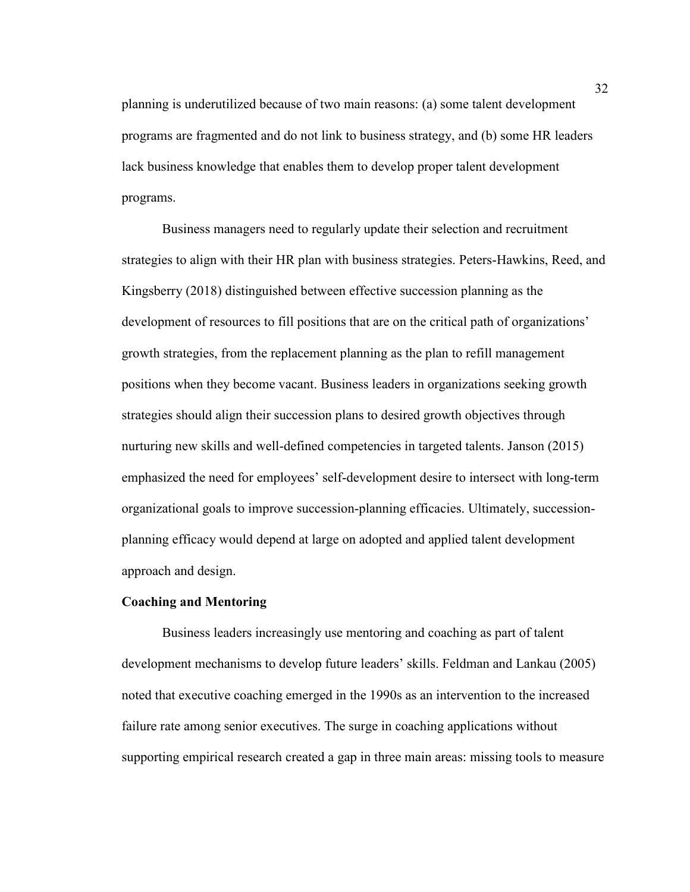planning is underutilized because of two main reasons: (a) some talent development programs are fragmented and do not link to business strategy, and (b) some HR leaders lack business knowledge that enables them to develop proper talent development programs.

Business managers need to regularly update their selection and recruitment strategies to align with their HR plan with business strategies. Peters-Hawkins, Reed, and Kingsberry (2018) distinguished between effective succession planning as the development of resources to fill positions that are on the critical path of organizations' growth strategies, from the replacement planning as the plan to refill management positions when they become vacant. Business leaders in organizations seeking growth strategies should align their succession plans to desired growth objectives through nurturing new skills and well-defined competencies in targeted talents. Janson (2015) emphasized the need for employees' self-development desire to intersect with long-term organizational goals to improve succession-planning efficacies. Ultimately, successionplanning efficacy would depend at large on adopted and applied talent development approach and design.

## **Coaching and Mentoring**

Business leaders increasingly use mentoring and coaching as part of talent development mechanisms to develop future leaders' skills. Feldman and Lankau (2005) noted that executive coaching emerged in the 1990s as an intervention to the increased failure rate among senior executives. The surge in coaching applications without supporting empirical research created a gap in three main areas: missing tools to measure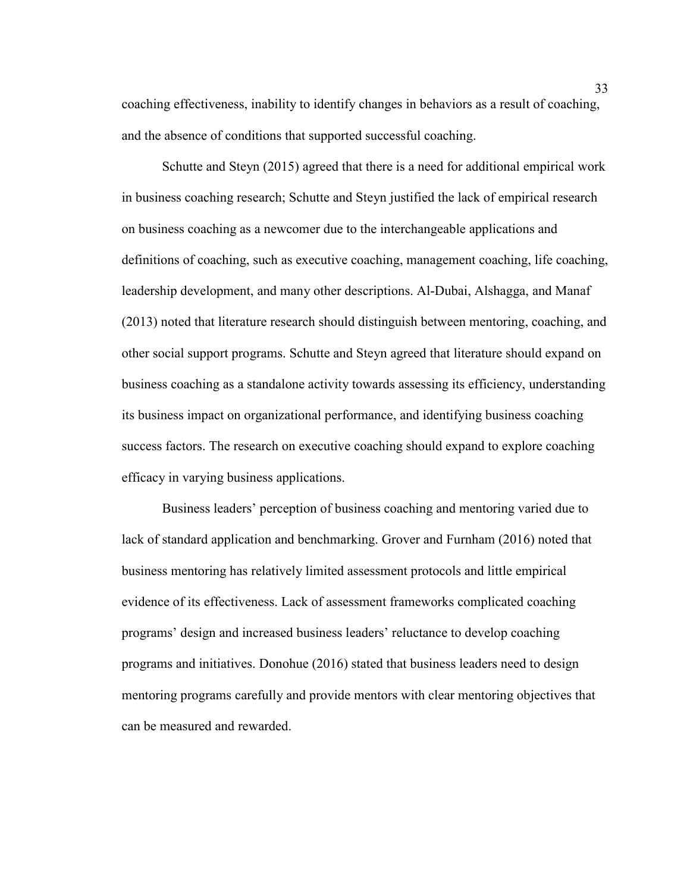coaching effectiveness, inability to identify changes in behaviors as a result of coaching, and the absence of conditions that supported successful coaching.

Schutte and Steyn (2015) agreed that there is a need for additional empirical work in business coaching research; Schutte and Steyn justified the lack of empirical research on business coaching as a newcomer due to the interchangeable applications and definitions of coaching, such as executive coaching, management coaching, life coaching, leadership development, and many other descriptions. Al-Dubai, Alshagga, and Manaf (2013) noted that literature research should distinguish between mentoring, coaching, and other social support programs. Schutte and Steyn agreed that literature should expand on business coaching as a standalone activity towards assessing its efficiency, understanding its business impact on organizational performance, and identifying business coaching success factors. The research on executive coaching should expand to explore coaching efficacy in varying business applications.

Business leaders' perception of business coaching and mentoring varied due to lack of standard application and benchmarking. Grover and Furnham (2016) noted that business mentoring has relatively limited assessment protocols and little empirical evidence of its effectiveness. Lack of assessment frameworks complicated coaching programs' design and increased business leaders' reluctance to develop coaching programs and initiatives. Donohue (2016) stated that business leaders need to design mentoring programs carefully and provide mentors with clear mentoring objectives that can be measured and rewarded.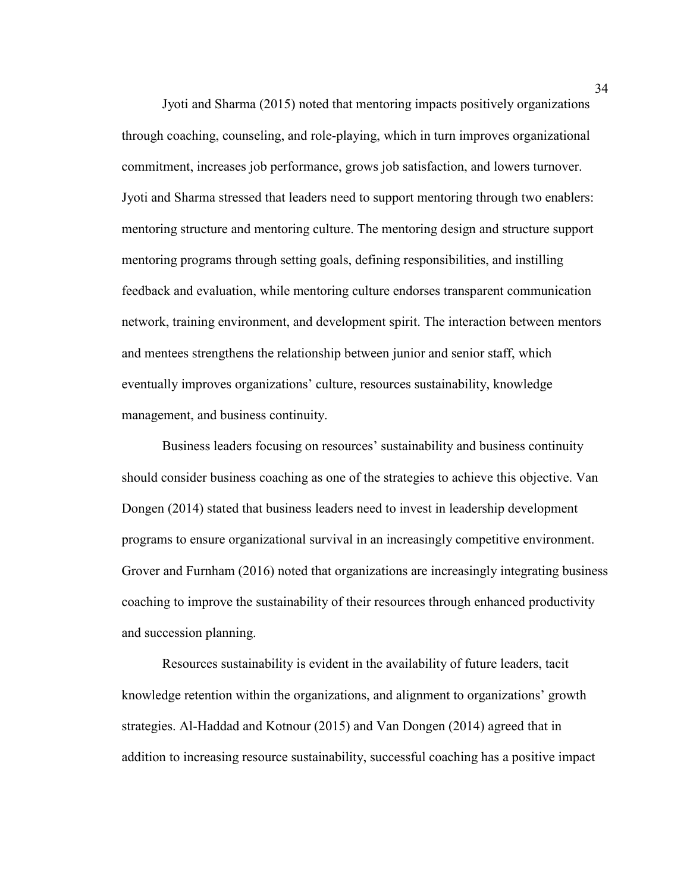Jyoti and Sharma (2015) noted that mentoring impacts positively organizations through coaching, counseling, and role-playing, which in turn improves organizational commitment, increases job performance, grows job satisfaction, and lowers turnover. Jyoti and Sharma stressed that leaders need to support mentoring through two enablers: mentoring structure and mentoring culture. The mentoring design and structure support mentoring programs through setting goals, defining responsibilities, and instilling feedback and evaluation, while mentoring culture endorses transparent communication network, training environment, and development spirit. The interaction between mentors and mentees strengthens the relationship between junior and senior staff, which eventually improves organizations' culture, resources sustainability, knowledge management, and business continuity.

Business leaders focusing on resources' sustainability and business continuity should consider business coaching as one of the strategies to achieve this objective. Van Dongen (2014) stated that business leaders need to invest in leadership development programs to ensure organizational survival in an increasingly competitive environment. Grover and Furnham (2016) noted that organizations are increasingly integrating business coaching to improve the sustainability of their resources through enhanced productivity and succession planning.

Resources sustainability is evident in the availability of future leaders, tacit knowledge retention within the organizations, and alignment to organizations' growth strategies. Al-Haddad and Kotnour (2015) and Van Dongen (2014) agreed that in addition to increasing resource sustainability, successful coaching has a positive impact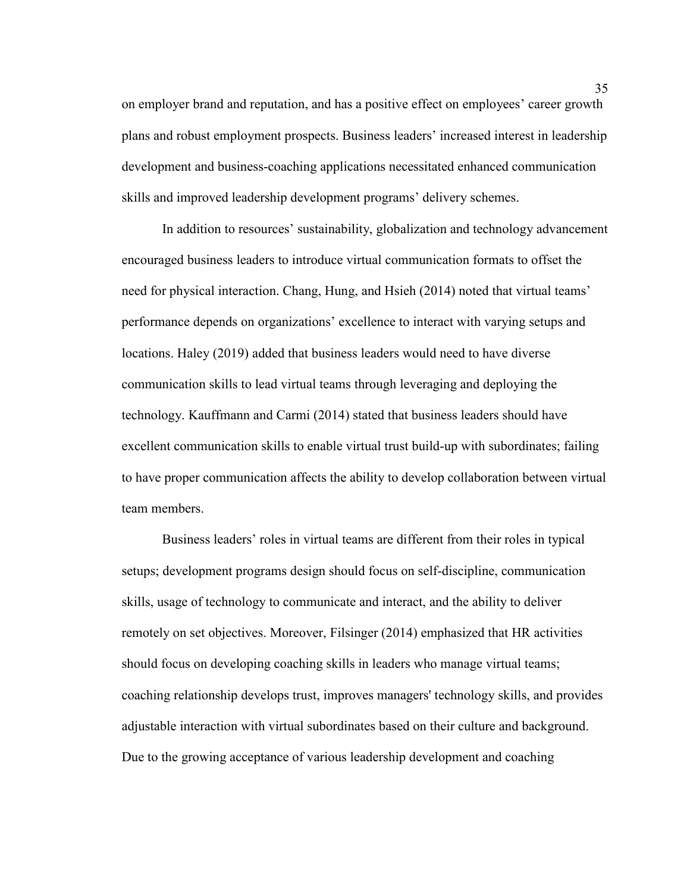on employer brand and reputation, and has a positive effect on employees' career growth plans and robust employment prospects. Business leaders' increased interest in leadership development and business-coaching applications necessitated enhanced communication skills and improved leadership development programs' delivery schemes.

In addition to resources' sustainability, globalization and technology advancement encouraged business leaders to introduce virtual communication formats to offset the need for physical interaction. Chang, Hung, and Hsieh (2014) noted that virtual teams' performance depends on organizations' excellence to interact with varying setups and locations. Haley (2019) added that business leaders would need to have diverse communication skills to lead virtual teams through leveraging and deploying the technology. Kauffmann and Carmi (2014) stated that business leaders should have excellent communication skills to enable virtual trust build-up with subordinates; failing to have proper communication affects the ability to develop collaboration between virtual team members.

Business leaders' roles in virtual teams are different from their roles in typical setups; development programs design should focus on self-discipline, communication skills, usage of technology to communicate and interact, and the ability to deliver remotely on set objectives. Moreover, Filsinger (2014) emphasized that HR activities should focus on developing coaching skills in leaders who manage virtual teams; coaching relationship develops trust, improves managers' technology skills, and provides adjustable interaction with virtual subordinates based on their culture and background. Due to the growing acceptance of various leadership development and coaching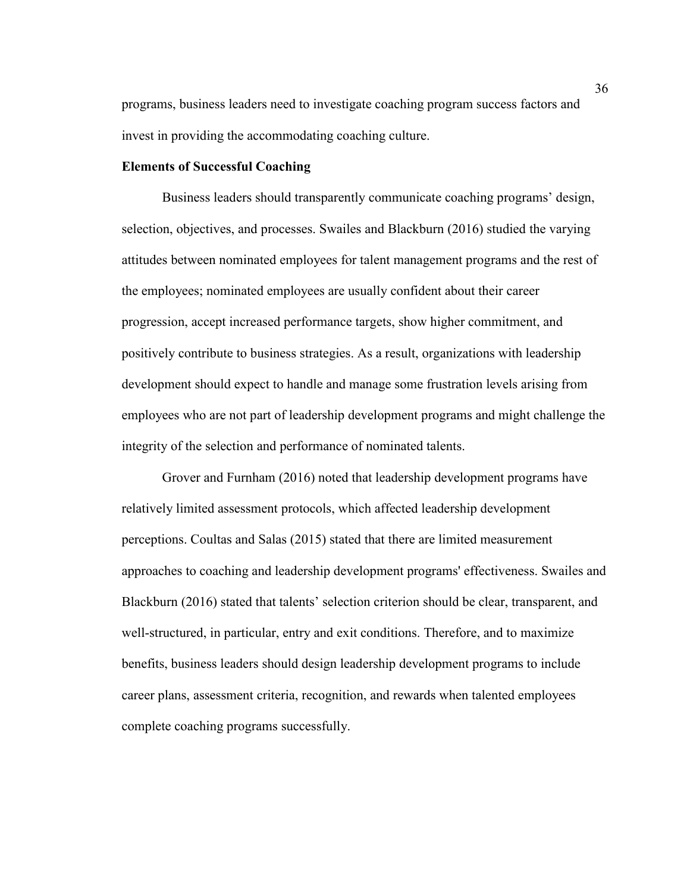programs, business leaders need to investigate coaching program success factors and invest in providing the accommodating coaching culture.

# **Elements of Successful Coaching**

Business leaders should transparently communicate coaching programs' design, selection, objectives, and processes. Swailes and Blackburn (2016) studied the varying attitudes between nominated employees for talent management programs and the rest of the employees; nominated employees are usually confident about their career progression, accept increased performance targets, show higher commitment, and positively contribute to business strategies. As a result, organizations with leadership development should expect to handle and manage some frustration levels arising from employees who are not part of leadership development programs and might challenge the integrity of the selection and performance of nominated talents.

Grover and Furnham (2016) noted that leadership development programs have relatively limited assessment protocols, which affected leadership development perceptions. Coultas and Salas (2015) stated that there are limited measurement approaches to coaching and leadership development programs' effectiveness. Swailes and Blackburn (2016) stated that talents' selection criterion should be clear, transparent, and well-structured, in particular, entry and exit conditions. Therefore, and to maximize benefits, business leaders should design leadership development programs to include career plans, assessment criteria, recognition, and rewards when talented employees complete coaching programs successfully.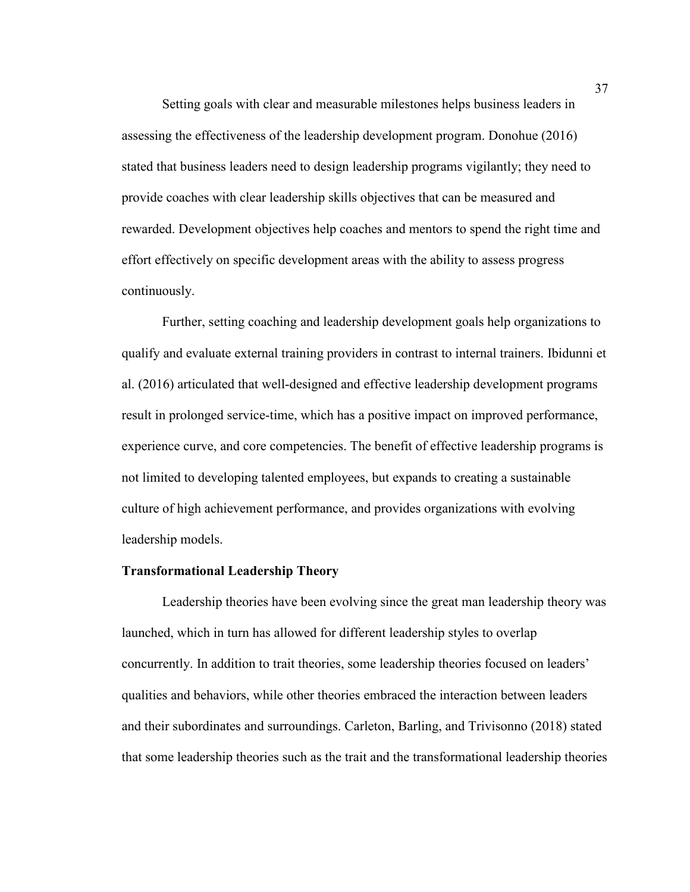Setting goals with clear and measurable milestones helps business leaders in assessing the effectiveness of the leadership development program. Donohue (2016) stated that business leaders need to design leadership programs vigilantly; they need to provide coaches with clear leadership skills objectives that can be measured and rewarded. Development objectives help coaches and mentors to spend the right time and effort effectively on specific development areas with the ability to assess progress continuously.

Further, setting coaching and leadership development goals help organizations to qualify and evaluate external training providers in contrast to internal trainers. Ibidunni et al. (2016) articulated that well-designed and effective leadership development programs result in prolonged service-time, which has a positive impact on improved performance, experience curve, and core competencies. The benefit of effective leadership programs is not limited to developing talented employees, but expands to creating a sustainable culture of high achievement performance, and provides organizations with evolving leadership models.

## **Transformational Leadership Theory**

Leadership theories have been evolving since the great man leadership theory was launched, which in turn has allowed for different leadership styles to overlap concurrently. In addition to trait theories, some leadership theories focused on leaders' qualities and behaviors, while other theories embraced the interaction between leaders and their subordinates and surroundings. Carleton, Barling, and Trivisonno (2018) stated that some leadership theories such as the trait and the transformational leadership theories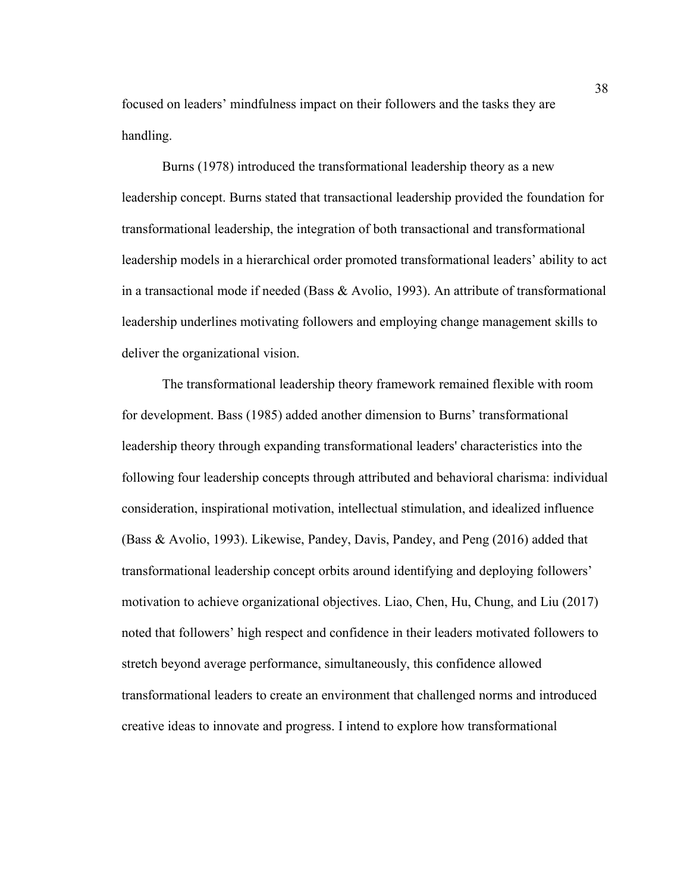focused on leaders' mindfulness impact on their followers and the tasks they are handling.

Burns (1978) introduced the transformational leadership theory as a new leadership concept. Burns stated that transactional leadership provided the foundation for transformational leadership, the integration of both transactional and transformational leadership models in a hierarchical order promoted transformational leaders' ability to act in a transactional mode if needed (Bass & Avolio, 1993). An attribute of transformational leadership underlines motivating followers and employing change management skills to deliver the organizational vision.

The transformational leadership theory framework remained flexible with room for development. Bass (1985) added another dimension to Burns' transformational leadership theory through expanding transformational leaders' characteristics into the following four leadership concepts through attributed and behavioral charisma: individual consideration, inspirational motivation, intellectual stimulation, and idealized influence (Bass & Avolio, 1993). Likewise, Pandey, Davis, Pandey, and Peng (2016) added that transformational leadership concept orbits around identifying and deploying followers' motivation to achieve organizational objectives. Liao, Chen, Hu, Chung, and Liu (2017) noted that followers' high respect and confidence in their leaders motivated followers to stretch beyond average performance, simultaneously, this confidence allowed transformational leaders to create an environment that challenged norms and introduced creative ideas to innovate and progress. I intend to explore how transformational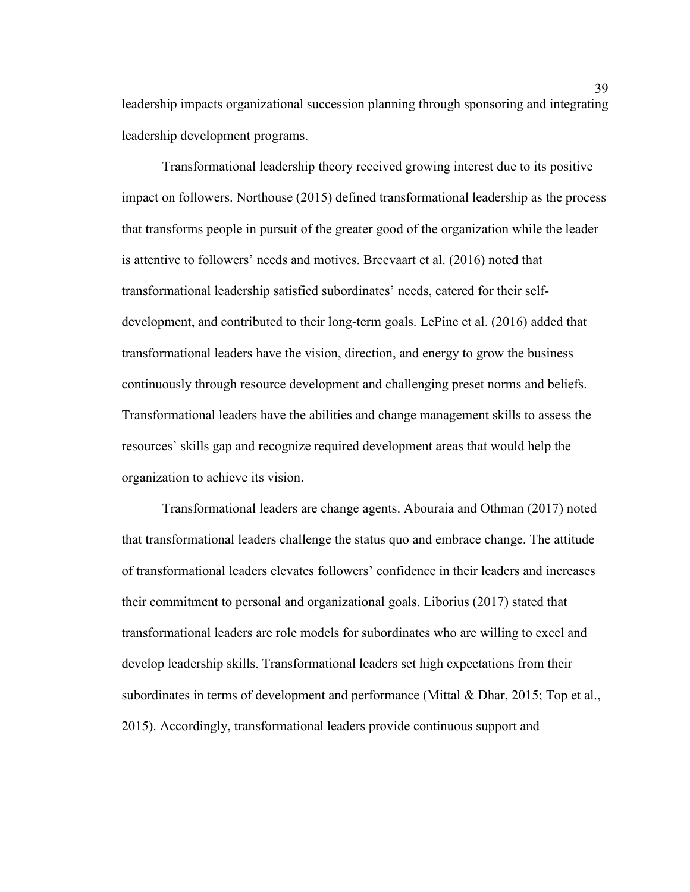leadership impacts organizational succession planning through sponsoring and integrating leadership development programs.

Transformational leadership theory received growing interest due to its positive impact on followers. Northouse (2015) defined transformational leadership as the process that transforms people in pursuit of the greater good of the organization while the leader is attentive to followers' needs and motives. Breevaart et al. (2016) noted that transformational leadership satisfied subordinates' needs, catered for their selfdevelopment, and contributed to their long-term goals. LePine et al. (2016) added that transformational leaders have the vision, direction, and energy to grow the business continuously through resource development and challenging preset norms and beliefs. Transformational leaders have the abilities and change management skills to assess the resources' skills gap and recognize required development areas that would help the organization to achieve its vision.

Transformational leaders are change agents. Abouraia and Othman (2017) noted that transformational leaders challenge the status quo and embrace change. The attitude of transformational leaders elevates followers' confidence in their leaders and increases their commitment to personal and organizational goals. Liborius (2017) stated that transformational leaders are role models for subordinates who are willing to excel and develop leadership skills. Transformational leaders set high expectations from their subordinates in terms of development and performance (Mittal & Dhar, 2015; Top et al., 2015). Accordingly, transformational leaders provide continuous support and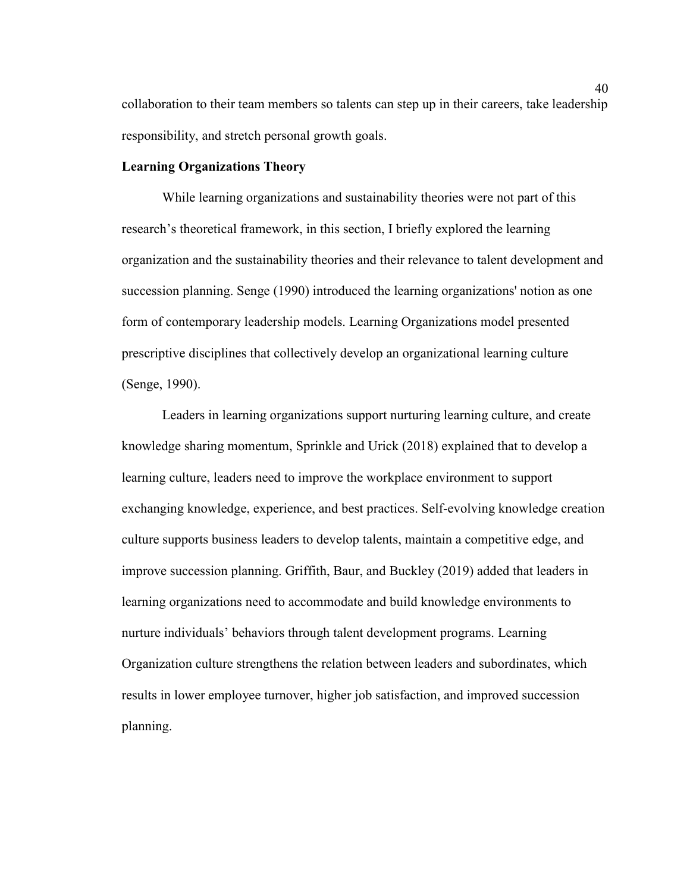collaboration to their team members so talents can step up in their careers, take leadership responsibility, and stretch personal growth goals.

## **Learning Organizations Theory**

While learning organizations and sustainability theories were not part of this research's theoretical framework, in this section, I briefly explored the learning organization and the sustainability theories and their relevance to talent development and succession planning. Senge (1990) introduced the learning organizations' notion as one form of contemporary leadership models. Learning Organizations model presented prescriptive disciplines that collectively develop an organizational learning culture (Senge, 1990).

Leaders in learning organizations support nurturing learning culture, and create knowledge sharing momentum, Sprinkle and Urick (2018) explained that to develop a learning culture, leaders need to improve the workplace environment to support exchanging knowledge, experience, and best practices. Self-evolving knowledge creation culture supports business leaders to develop talents, maintain a competitive edge, and improve succession planning. Griffith, Baur, and Buckley (2019) added that leaders in learning organizations need to accommodate and build knowledge environments to nurture individuals' behaviors through talent development programs. Learning Organization culture strengthens the relation between leaders and subordinates, which results in lower employee turnover, higher job satisfaction, and improved succession planning.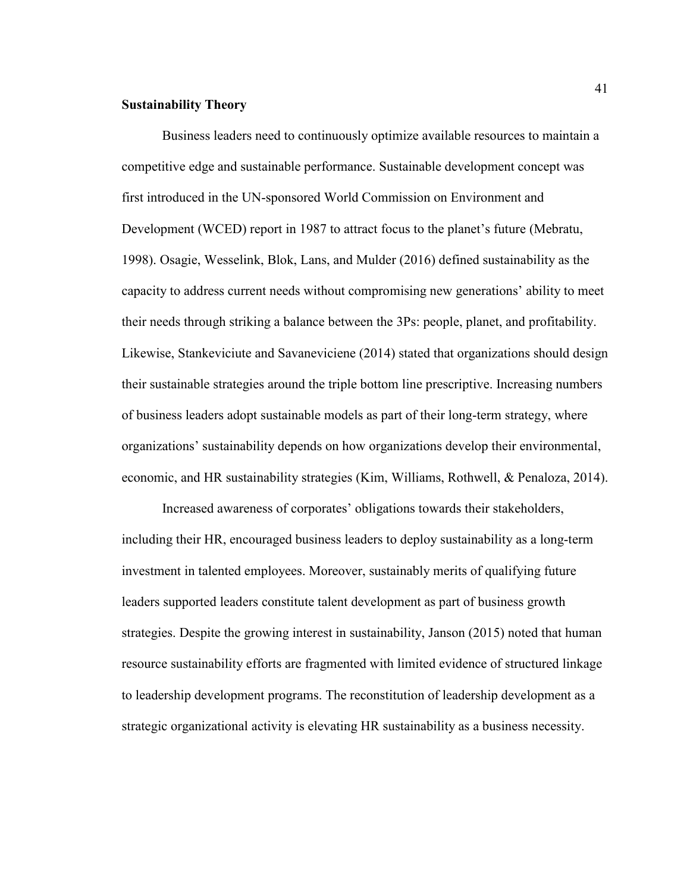## **Sustainability Theory**

Business leaders need to continuously optimize available resources to maintain a competitive edge and sustainable performance. Sustainable development concept was first introduced in the UN-sponsored World Commission on Environment and Development (WCED) report in 1987 to attract focus to the planet's future (Mebratu, 1998). Osagie, Wesselink, Blok, Lans, and Mulder (2016) defined sustainability as the capacity to address current needs without compromising new generations' ability to meet their needs through striking a balance between the 3Ps: people, planet, and profitability. Likewise, Stankeviciute and Savaneviciene (2014) stated that organizations should design their sustainable strategies around the triple bottom line prescriptive. Increasing numbers of business leaders adopt sustainable models as part of their long-term strategy, where organizations' sustainability depends on how organizations develop their environmental, economic, and HR sustainability strategies (Kim, Williams, Rothwell, & Penaloza, 2014).

Increased awareness of corporates' obligations towards their stakeholders, including their HR, encouraged business leaders to deploy sustainability as a long-term investment in talented employees. Moreover, sustainably merits of qualifying future leaders supported leaders constitute talent development as part of business growth strategies. Despite the growing interest in sustainability, Janson (2015) noted that human resource sustainability efforts are fragmented with limited evidence of structured linkage to leadership development programs. The reconstitution of leadership development as a strategic organizational activity is elevating HR sustainability as a business necessity.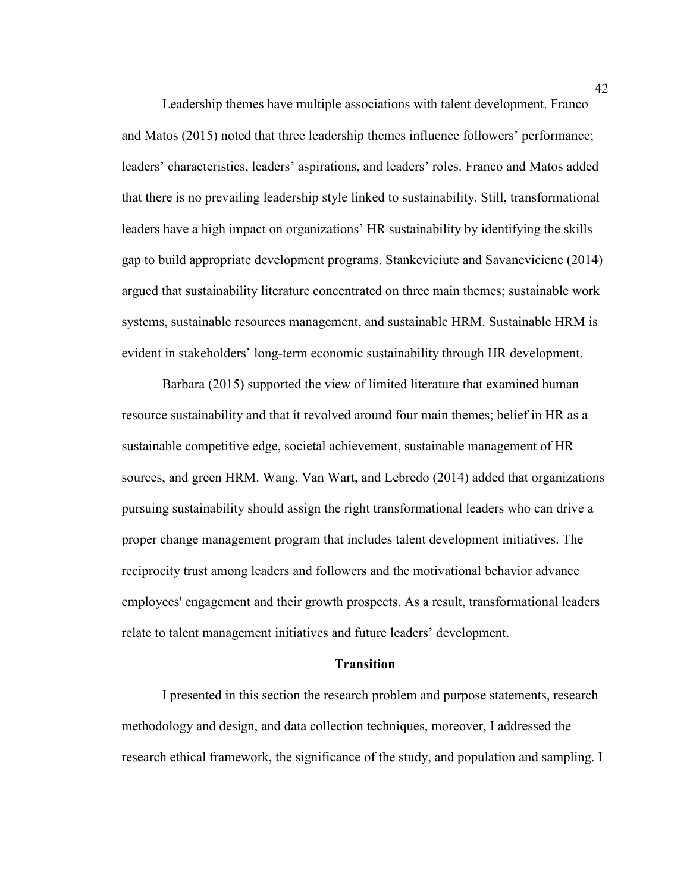Leadership themes have multiple associations with talent development. Franco and Matos (2015) noted that three leadership themes influence followers' performance; leaders' characteristics, leaders' aspirations, and leaders' roles. Franco and Matos added that there is no prevailing leadership style linked to sustainability. Still, transformational leaders have a high impact on organizations' HR sustainability by identifying the skills gap to build appropriate development programs. Stankeviciute and Savaneviciene (2014) argued that sustainability literature concentrated on three main themes; sustainable work systems, sustainable resources management, and sustainable HRM. Sustainable HRM is evident in stakeholders' long-term economic sustainability through HR development.

Barbara (2015) supported the view of limited literature that examined human resource sustainability and that it revolved around four main themes; belief in HR as a sustainable competitive edge, societal achievement, sustainable management of HR sources, and green HRM. Wang, Van Wart, and Lebredo (2014) added that organizations pursuing sustainability should assign the right transformational leaders who can drive a proper change management program that includes talent development initiatives. The reciprocity trust among leaders and followers and the motivational behavior advance employees' engagement and their growth prospects. As a result, transformational leaders relate to talent management initiatives and future leaders' development.

### **Transition**

I presented in this section the research problem and purpose statements, research methodology and design, and data collection techniques, moreover, I addressed the research ethical framework, the significance of the study, and population and sampling. I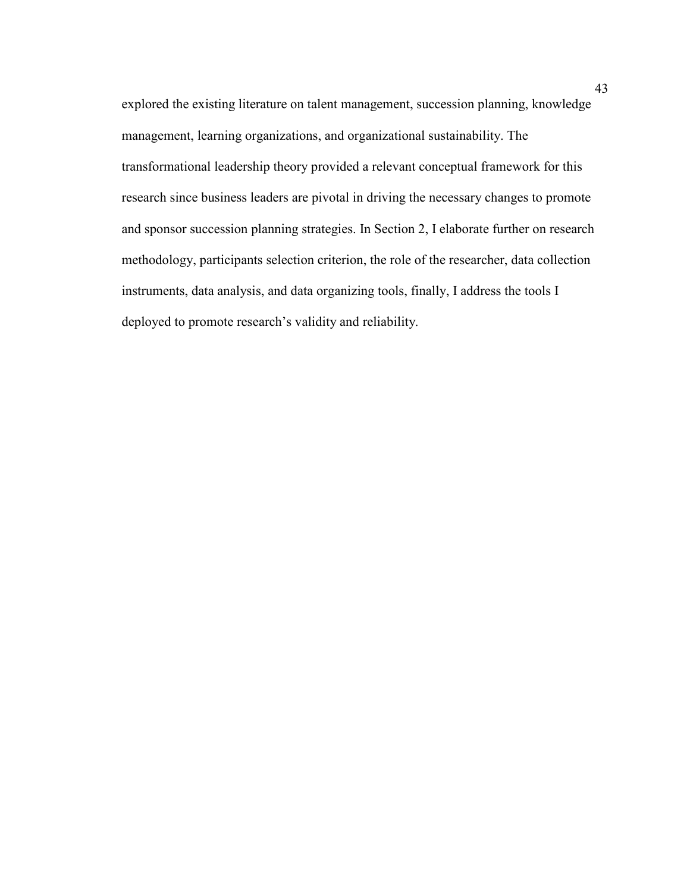explored the existing literature on talent management, succession planning, knowledge management, learning organizations, and organizational sustainability. The transformational leadership theory provided a relevant conceptual framework for this research since business leaders are pivotal in driving the necessary changes to promote and sponsor succession planning strategies. In Section 2, I elaborate further on research methodology, participants selection criterion, the role of the researcher, data collection instruments, data analysis, and data organizing tools, finally, I address the tools I deployed to promote research's validity and reliability.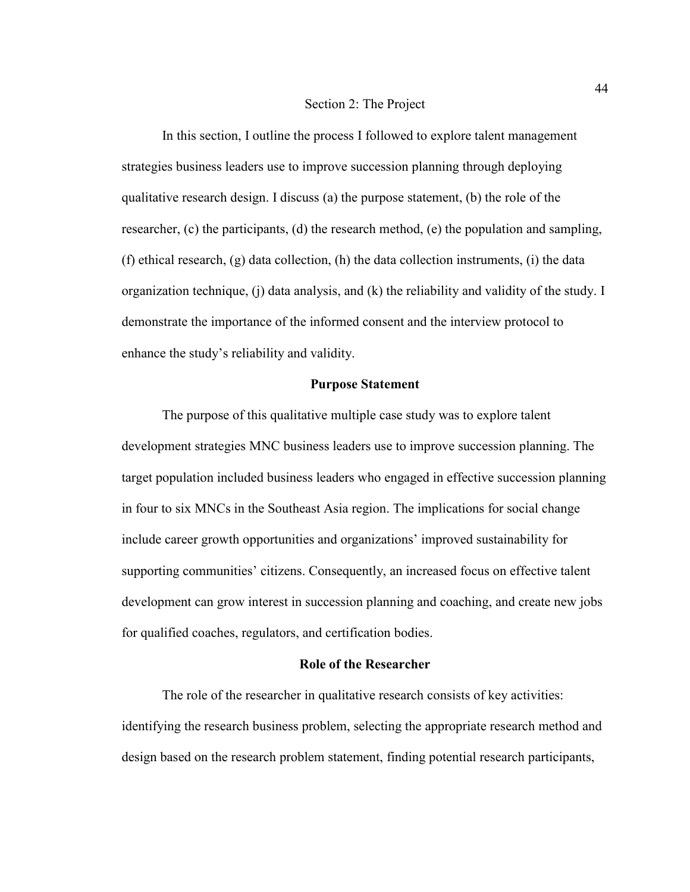### Section 2: The Project

In this section, I outline the process I followed to explore talent management strategies business leaders use to improve succession planning through deploying qualitative research design. I discuss (a) the purpose statement, (b) the role of the researcher, (c) the participants, (d) the research method, (e) the population and sampling, (f) ethical research, (g) data collection, (h) the data collection instruments, (i) the data organization technique, (j) data analysis, and (k) the reliability and validity of the study. I demonstrate the importance of the informed consent and the interview protocol to enhance the study's reliability and validity.

## **Purpose Statement**

The purpose of this qualitative multiple case study was to explore talent development strategies MNC business leaders use to improve succession planning. The target population included business leaders who engaged in effective succession planning in four to six MNCs in the Southeast Asia region. The implications for social change include career growth opportunities and organizations' improved sustainability for supporting communities' citizens. Consequently, an increased focus on effective talent development can grow interest in succession planning and coaching, and create new jobs for qualified coaches, regulators, and certification bodies.

# **Role of the Researcher**

The role of the researcher in qualitative research consists of key activities: identifying the research business problem, selecting the appropriate research method and design based on the research problem statement, finding potential research participants,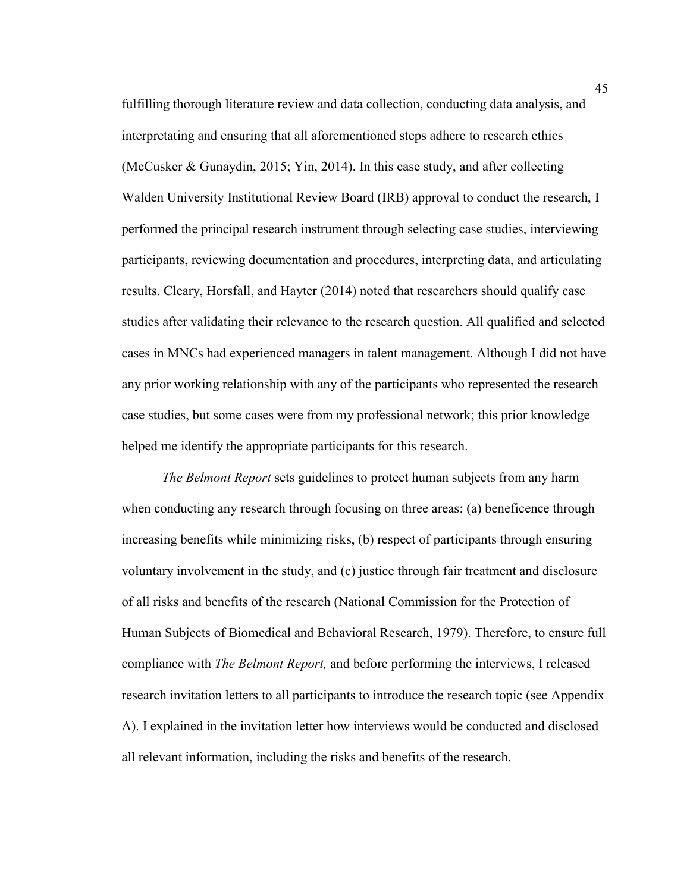fulfilling thorough literature review and data collection, conducting data analysis, and interpretating and ensuring that all aforementioned steps adhere to research ethics (McCusker & Gunaydin, 2015; Yin, 2014). In this case study, and after collecting Walden University Institutional Review Board (IRB) approval to conduct the research, I performed the principal research instrument through selecting case studies, interviewing participants, reviewing documentation and procedures, interpreting data, and articulating results. Cleary, Horsfall, and Hayter (2014) noted that researchers should qualify case studies after validating their relevance to the research question. All qualified and selected cases in MNCs had experienced managers in talent management. Although I did not have any prior working relationship with any of the participants who represented the research case studies, but some cases were from my professional network; this prior knowledge helped me identify the appropriate participants for this research.

*The Belmont Report* sets guidelines to protect human subjects from any harm when conducting any research through focusing on three areas: (a) beneficence through increasing benefits while minimizing risks, (b) respect of participants through ensuring voluntary involvement in the study, and (c) justice through fair treatment and disclosure of all risks and benefits of the research (National Commission for the Protection of Human Subjects of Biomedical and Behavioral Research, 1979). Therefore, to ensure full compliance with *The Belmont Report,* and before performing the interviews, I released research invitation letters to all participants to introduce the research topic (see Appendix A). I explained in the invitation letter how interviews would be conducted and disclosed all relevant information, including the risks and benefits of the research.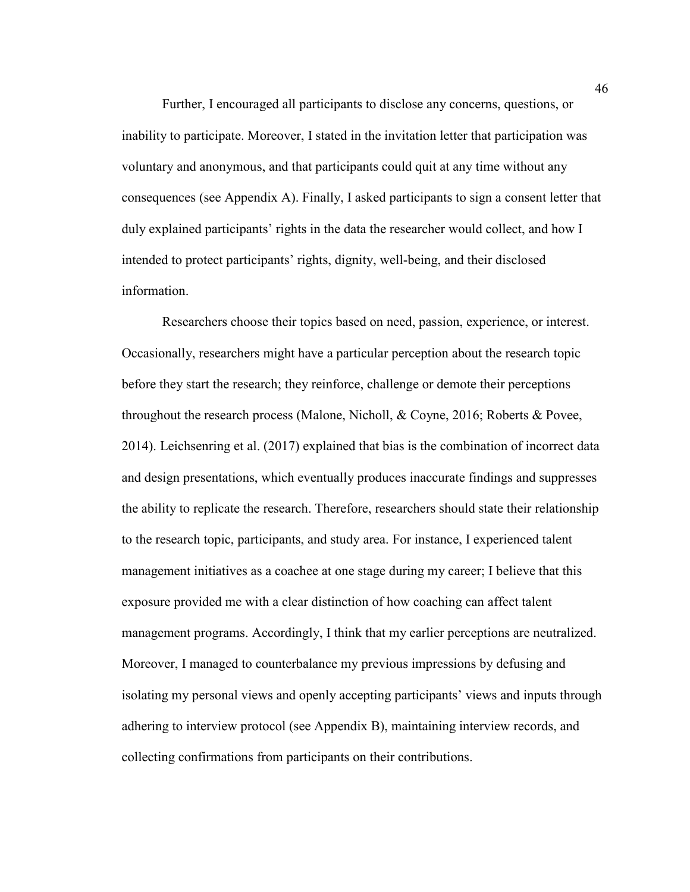Further, I encouraged all participants to disclose any concerns, questions, or inability to participate. Moreover, I stated in the invitation letter that participation was voluntary and anonymous, and that participants could quit at any time without any consequences (see Appendix A). Finally, I asked participants to sign a consent letter that duly explained participants' rights in the data the researcher would collect, and how I intended to protect participants' rights, dignity, well-being, and their disclosed information.

Researchers choose their topics based on need, passion, experience, or interest. Occasionally, researchers might have a particular perception about the research topic before they start the research; they reinforce, challenge or demote their perceptions throughout the research process (Malone, Nicholl, & Coyne, 2016; Roberts & Povee, 2014). Leichsenring et al. (2017) explained that bias is the combination of incorrect data and design presentations, which eventually produces inaccurate findings and suppresses the ability to replicate the research. Therefore, researchers should state their relationship to the research topic, participants, and study area. For instance, I experienced talent management initiatives as a coachee at one stage during my career; I believe that this exposure provided me with a clear distinction of how coaching can affect talent management programs. Accordingly, I think that my earlier perceptions are neutralized. Moreover, I managed to counterbalance my previous impressions by defusing and isolating my personal views and openly accepting participants' views and inputs through adhering to interview protocol (see Appendix B), maintaining interview records, and collecting confirmations from participants on their contributions.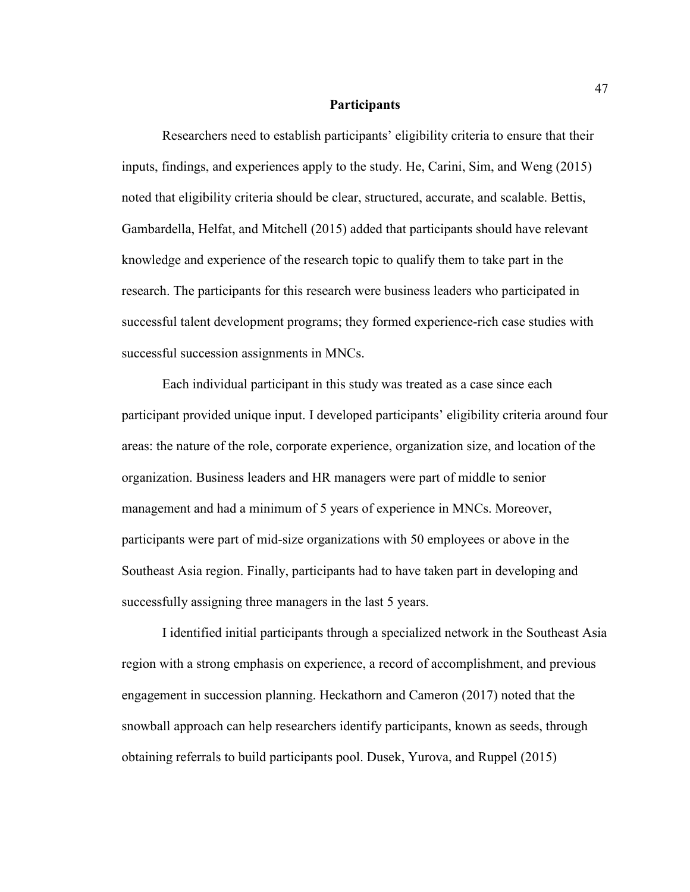#### **Participants**

Researchers need to establish participants' eligibility criteria to ensure that their inputs, findings, and experiences apply to the study. He, Carini, Sim, and Weng (2015) noted that eligibility criteria should be clear, structured, accurate, and scalable. Bettis, Gambardella, Helfat, and Mitchell (2015) added that participants should have relevant knowledge and experience of the research topic to qualify them to take part in the research. The participants for this research were business leaders who participated in successful talent development programs; they formed experience-rich case studies with successful succession assignments in MNCs.

Each individual participant in this study was treated as a case since each participant provided unique input. I developed participants' eligibility criteria around four areas: the nature of the role, corporate experience, organization size, and location of the organization. Business leaders and HR managers were part of middle to senior management and had a minimum of 5 years of experience in MNCs. Moreover, participants were part of mid-size organizations with 50 employees or above in the Southeast Asia region. Finally, participants had to have taken part in developing and successfully assigning three managers in the last 5 years.

I identified initial participants through a specialized network in the Southeast Asia region with a strong emphasis on experience, a record of accomplishment, and previous engagement in succession planning. Heckathorn and Cameron (2017) noted that the snowball approach can help researchers identify participants, known as seeds, through obtaining referrals to build participants pool. Dusek, Yurova, and Ruppel (2015)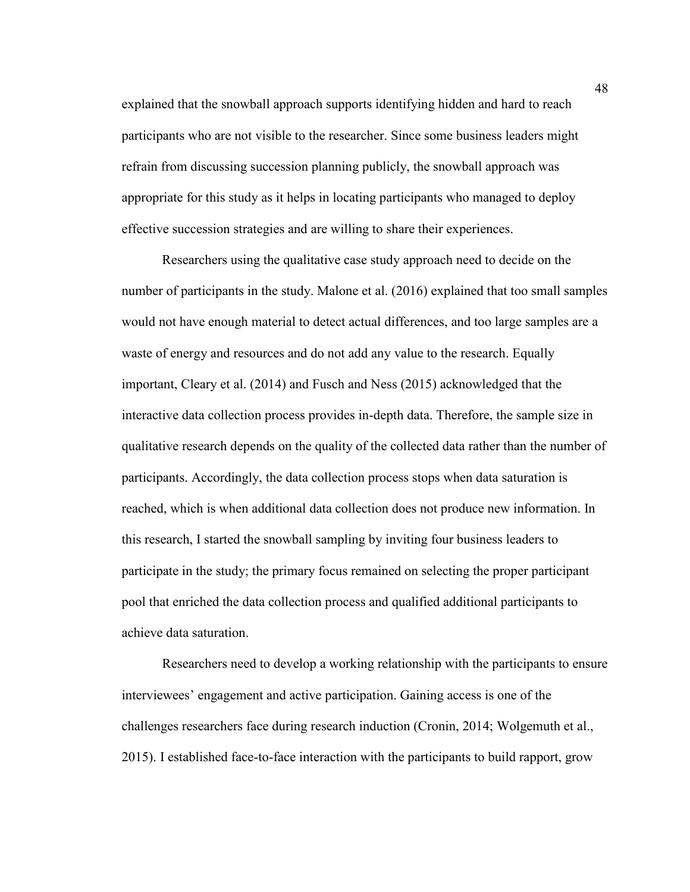explained that the snowball approach supports identifying hidden and hard to reach participants who are not visible to the researcher. Since some business leaders might refrain from discussing succession planning publicly, the snowball approach was appropriate for this study as it helps in locating participants who managed to deploy effective succession strategies and are willing to share their experiences.

Researchers using the qualitative case study approach need to decide on the number of participants in the study. Malone et al. (2016) explained that too small samples would not have enough material to detect actual differences, and too large samples are a waste of energy and resources and do not add any value to the research. Equally important, Cleary et al. (2014) and Fusch and Ness (2015) acknowledged that the interactive data collection process provides in-depth data. Therefore, the sample size in qualitative research depends on the quality of the collected data rather than the number of participants. Accordingly, the data collection process stops when data saturation is reached, which is when additional data collection does not produce new information. In this research, I started the snowball sampling by inviting four business leaders to participate in the study; the primary focus remained on selecting the proper participant pool that enriched the data collection process and qualified additional participants to achieve data saturation.

Researchers need to develop a working relationship with the participants to ensure interviewees' engagement and active participation. Gaining access is one of the challenges researchers face during research induction (Cronin, 2014; Wolgemuth et al., 2015). I established face-to-face interaction with the participants to build rapport, grow

48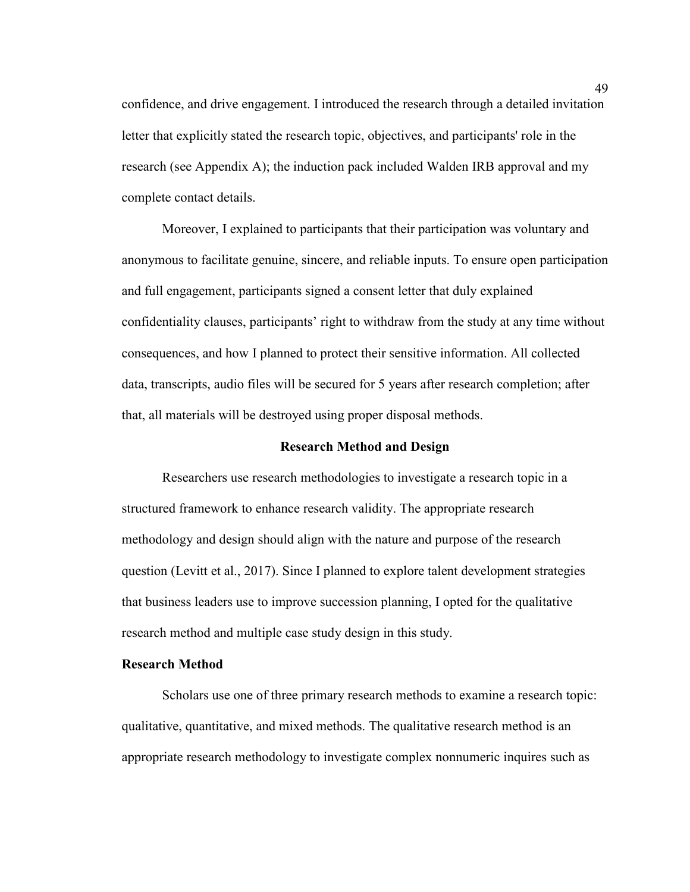confidence, and drive engagement. I introduced the research through a detailed invitation letter that explicitly stated the research topic, objectives, and participants' role in the research (see Appendix A); the induction pack included Walden IRB approval and my complete contact details.

Moreover, I explained to participants that their participation was voluntary and anonymous to facilitate genuine, sincere, and reliable inputs. To ensure open participation and full engagement, participants signed a consent letter that duly explained confidentiality clauses, participants' right to withdraw from the study at any time without consequences, and how I planned to protect their sensitive information. All collected data, transcripts, audio files will be secured for 5 years after research completion; after that, all materials will be destroyed using proper disposal methods.

### **Research Method and Design**

Researchers use research methodologies to investigate a research topic in a structured framework to enhance research validity. The appropriate research methodology and design should align with the nature and purpose of the research question (Levitt et al., 2017). Since I planned to explore talent development strategies that business leaders use to improve succession planning, I opted for the qualitative research method and multiple case study design in this study.

# **Research Method**

Scholars use one of three primary research methods to examine a research topic: qualitative, quantitative, and mixed methods. The qualitative research method is an appropriate research methodology to investigate complex nonnumeric inquires such as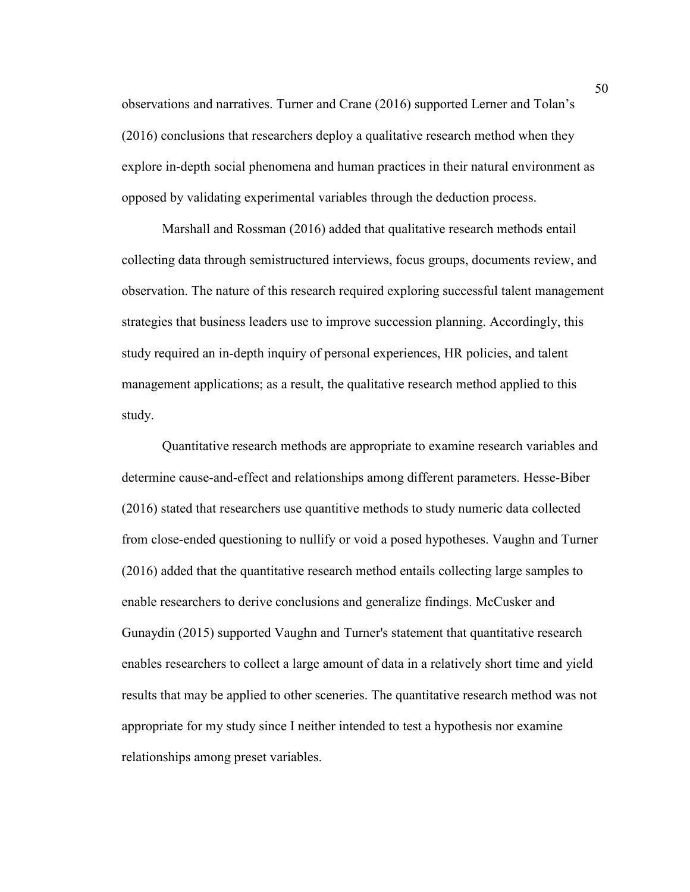observations and narratives. Turner and Crane (2016) supported Lerner and Tolan's (2016) conclusions that researchers deploy a qualitative research method when they explore in-depth social phenomena and human practices in their natural environment as opposed by validating experimental variables through the deduction process.

Marshall and Rossman (2016) added that qualitative research methods entail collecting data through semistructured interviews, focus groups, documents review, and observation. The nature of this research required exploring successful talent management strategies that business leaders use to improve succession planning. Accordingly, this study required an in-depth inquiry of personal experiences, HR policies, and talent management applications; as a result, the qualitative research method applied to this study.

Quantitative research methods are appropriate to examine research variables and determine cause-and-effect and relationships among different parameters. Hesse-Biber (2016) stated that researchers use quantitive methods to study numeric data collected from close-ended questioning to nullify or void a posed hypotheses. Vaughn and Turner (2016) added that the quantitative research method entails collecting large samples to enable researchers to derive conclusions and generalize findings. McCusker and Gunaydin (2015) supported Vaughn and Turner's statement that quantitative research enables researchers to collect a large amount of data in a relatively short time and yield results that may be applied to other sceneries. The quantitative research method was not appropriate for my study since I neither intended to test a hypothesis nor examine relationships among preset variables.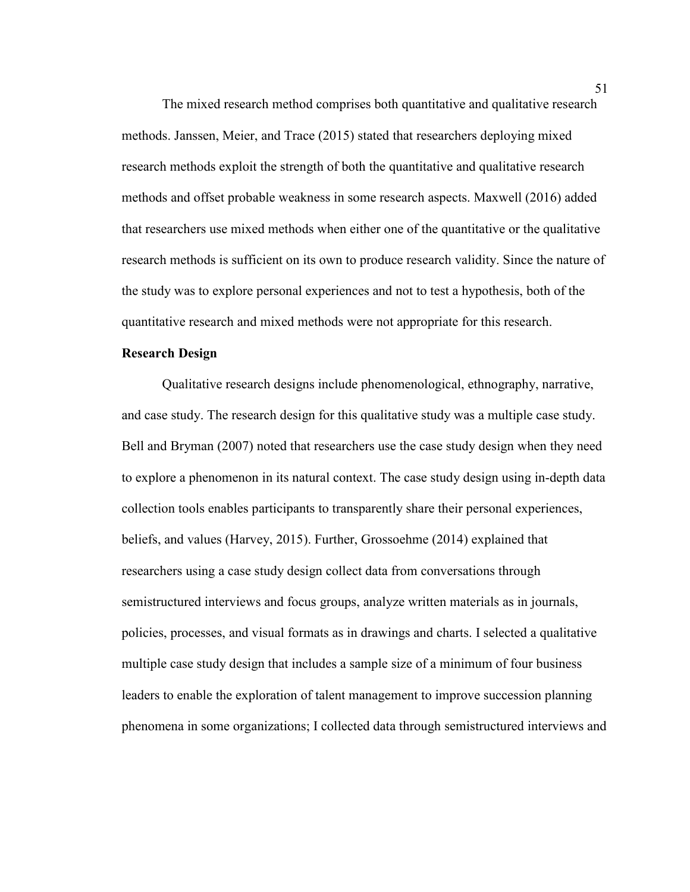The mixed research method comprises both quantitative and qualitative research methods. Janssen, Meier, and Trace (2015) stated that researchers deploying mixed research methods exploit the strength of both the quantitative and qualitative research methods and offset probable weakness in some research aspects. Maxwell (2016) added that researchers use mixed methods when either one of the quantitative or the qualitative research methods is sufficient on its own to produce research validity. Since the nature of the study was to explore personal experiences and not to test a hypothesis, both of the quantitative research and mixed methods were not appropriate for this research.

## **Research Design**

Qualitative research designs include phenomenological, ethnography, narrative, and case study. The research design for this qualitative study was a multiple case study. Bell and Bryman (2007) noted that researchers use the case study design when they need to explore a phenomenon in its natural context. The case study design using in-depth data collection tools enables participants to transparently share their personal experiences, beliefs, and values (Harvey, 2015). Further, Grossoehme (2014) explained that researchers using a case study design collect data from conversations through semistructured interviews and focus groups, analyze written materials as in journals, policies, processes, and visual formats as in drawings and charts. I selected a qualitative multiple case study design that includes a sample size of a minimum of four business leaders to enable the exploration of talent management to improve succession planning phenomena in some organizations; I collected data through semistructured interviews and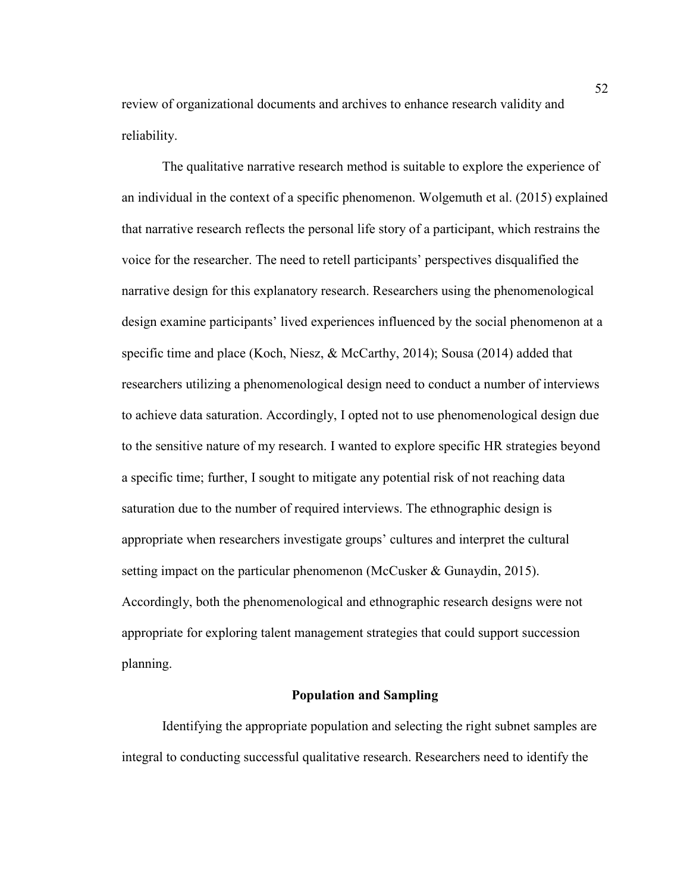review of organizational documents and archives to enhance research validity and reliability.

The qualitative narrative research method is suitable to explore the experience of an individual in the context of a specific phenomenon. Wolgemuth et al. (2015) explained that narrative research reflects the personal life story of a participant, which restrains the voice for the researcher. The need to retell participants' perspectives disqualified the narrative design for this explanatory research. Researchers using the phenomenological design examine participants' lived experiences influenced by the social phenomenon at a specific time and place (Koch, Niesz, & McCarthy, 2014); Sousa (2014) added that researchers utilizing a phenomenological design need to conduct a number of interviews to achieve data saturation. Accordingly, I opted not to use phenomenological design due to the sensitive nature of my research. I wanted to explore specific HR strategies beyond a specific time; further, I sought to mitigate any potential risk of not reaching data saturation due to the number of required interviews. The ethnographic design is appropriate when researchers investigate groups' cultures and interpret the cultural setting impact on the particular phenomenon (McCusker & Gunaydin, 2015). Accordingly, both the phenomenological and ethnographic research designs were not appropriate for exploring talent management strategies that could support succession planning.

## **Population and Sampling**

Identifying the appropriate population and selecting the right subnet samples are integral to conducting successful qualitative research. Researchers need to identify the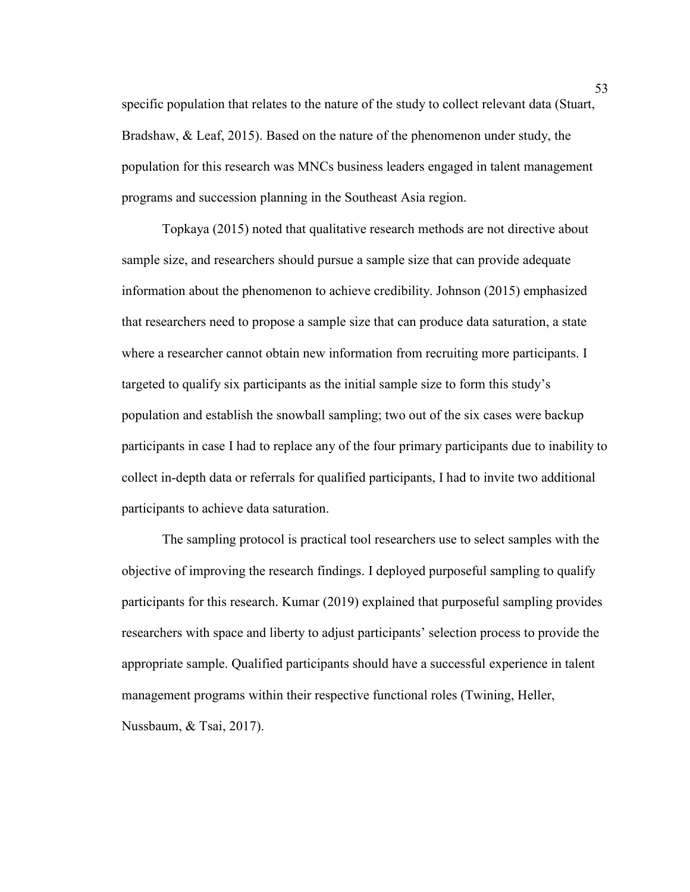specific population that relates to the nature of the study to collect relevant data (Stuart, Bradshaw, & Leaf, 2015). Based on the nature of the phenomenon under study, the population for this research was MNCs business leaders engaged in talent management programs and succession planning in the Southeast Asia region.

Topkaya (2015) noted that qualitative research methods are not directive about sample size, and researchers should pursue a sample size that can provide adequate information about the phenomenon to achieve credibility. Johnson (2015) emphasized that researchers need to propose a sample size that can produce data saturation, a state where a researcher cannot obtain new information from recruiting more participants. I targeted to qualify six participants as the initial sample size to form this study's population and establish the snowball sampling; two out of the six cases were backup participants in case I had to replace any of the four primary participants due to inability to collect in-depth data or referrals for qualified participants, I had to invite two additional participants to achieve data saturation.

The sampling protocol is practical tool researchers use to select samples with the objective of improving the research findings. I deployed purposeful sampling to qualify participants for this research. Kumar (2019) explained that purposeful sampling provides researchers with space and liberty to adjust participants' selection process to provide the appropriate sample. Qualified participants should have a successful experience in talent management programs within their respective functional roles (Twining, Heller, Nussbaum, & Tsai, 2017).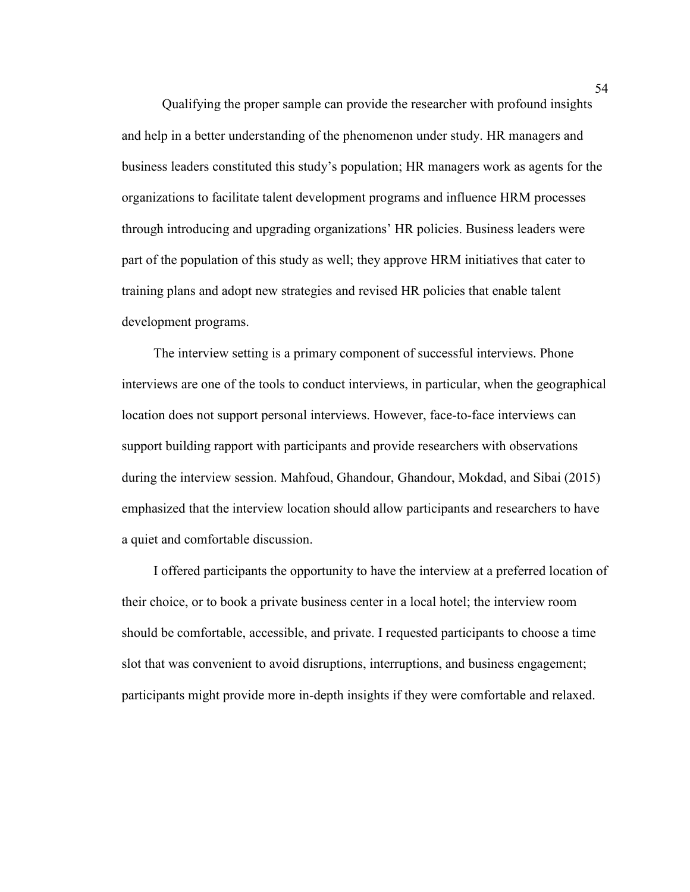Qualifying the proper sample can provide the researcher with profound insights and help in a better understanding of the phenomenon under study. HR managers and business leaders constituted this study's population; HR managers work as agents for the organizations to facilitate talent development programs and influence HRM processes through introducing and upgrading organizations' HR policies. Business leaders were part of the population of this study as well; they approve HRM initiatives that cater to training plans and adopt new strategies and revised HR policies that enable talent development programs.

The interview setting is a primary component of successful interviews. Phone interviews are one of the tools to conduct interviews, in particular, when the geographical location does not support personal interviews. However, face-to-face interviews can support building rapport with participants and provide researchers with observations during the interview session. Mahfoud, Ghandour, Ghandour, Mokdad, and Sibai (2015) emphasized that the interview location should allow participants and researchers to have a quiet and comfortable discussion.

I offered participants the opportunity to have the interview at a preferred location of their choice, or to book a private business center in a local hotel; the interview room should be comfortable, accessible, and private. I requested participants to choose a time slot that was convenient to avoid disruptions, interruptions, and business engagement; participants might provide more in-depth insights if they were comfortable and relaxed.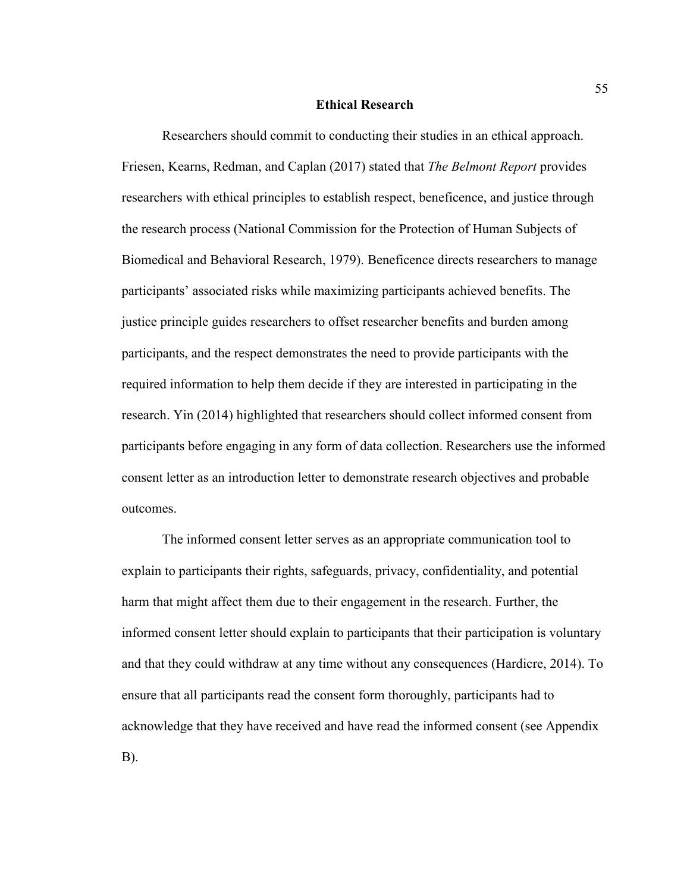#### **Ethical Research**

Researchers should commit to conducting their studies in an ethical approach. Friesen, Kearns, Redman, and Caplan (2017) stated that *The Belmont Report* provides researchers with ethical principles to establish respect, beneficence, and justice through the research process (National Commission for the Protection of Human Subjects of Biomedical and Behavioral Research, 1979). Beneficence directs researchers to manage participants' associated risks while maximizing participants achieved benefits. The justice principle guides researchers to offset researcher benefits and burden among participants, and the respect demonstrates the need to provide participants with the required information to help them decide if they are interested in participating in the research. Yin (2014) highlighted that researchers should collect informed consent from participants before engaging in any form of data collection. Researchers use the informed consent letter as an introduction letter to demonstrate research objectives and probable outcomes.

The informed consent letter serves as an appropriate communication tool to explain to participants their rights, safeguards, privacy, confidentiality, and potential harm that might affect them due to their engagement in the research. Further, the informed consent letter should explain to participants that their participation is voluntary and that they could withdraw at any time without any consequences (Hardicre, 2014). To ensure that all participants read the consent form thoroughly, participants had to acknowledge that they have received and have read the informed consent (see Appendix B).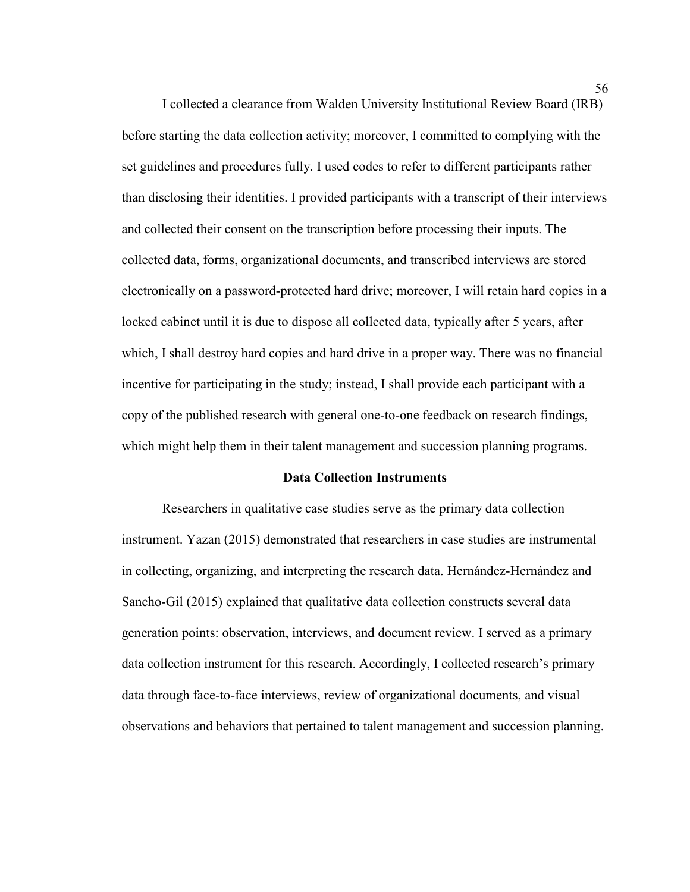I collected a clearance from Walden University Institutional Review Board (IRB) before starting the data collection activity; moreover, I committed to complying with the set guidelines and procedures fully. I used codes to refer to different participants rather than disclosing their identities. I provided participants with a transcript of their interviews and collected their consent on the transcription before processing their inputs. The collected data, forms, organizational documents, and transcribed interviews are stored electronically on a password-protected hard drive; moreover, I will retain hard copies in a locked cabinet until it is due to dispose all collected data, typically after 5 years, after which, I shall destroy hard copies and hard drive in a proper way. There was no financial incentive for participating in the study; instead, I shall provide each participant with a copy of the published research with general one-to-one feedback on research findings, which might help them in their talent management and succession planning programs.

### **Data Collection Instruments**

Researchers in qualitative case studies serve as the primary data collection instrument. Yazan (2015) demonstrated that researchers in case studies are instrumental in collecting, organizing, and interpreting the research data. Hernández-Hernández and Sancho-Gil (2015) explained that qualitative data collection constructs several data generation points: observation, interviews, and document review. I served as a primary data collection instrument for this research. Accordingly, I collected research's primary data through face-to-face interviews, review of organizational documents, and visual observations and behaviors that pertained to talent management and succession planning.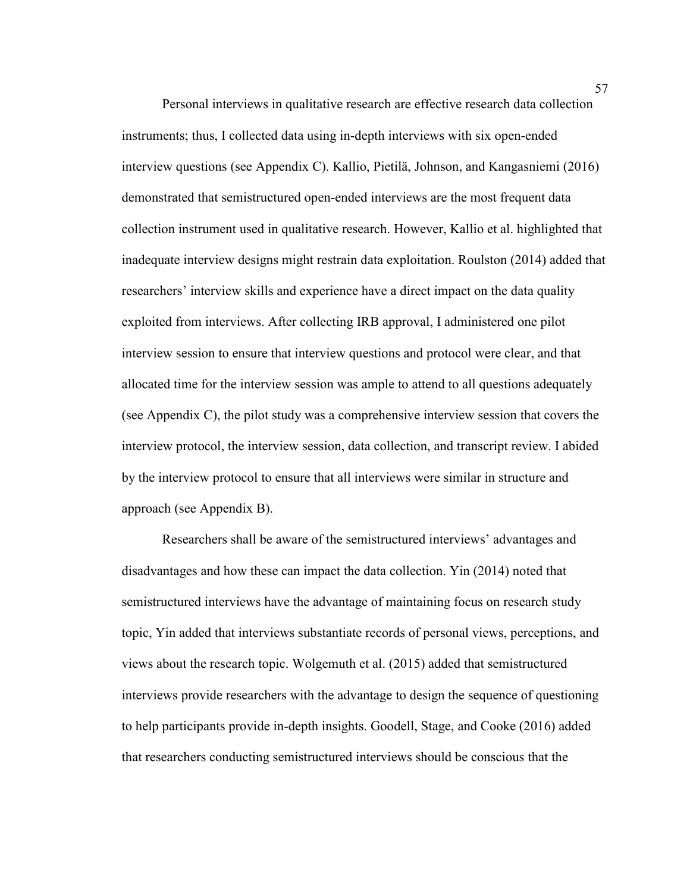Personal interviews in qualitative research are effective research data collection instruments; thus, I collected data using in-depth interviews with six open-ended interview questions (see Appendix C). Kallio, Pietilä, Johnson, and Kangasniemi (2016) demonstrated that semistructured open-ended interviews are the most frequent data collection instrument used in qualitative research. However, Kallio et al. highlighted that inadequate interview designs might restrain data exploitation. Roulston (2014) added that researchers' interview skills and experience have a direct impact on the data quality exploited from interviews. After collecting IRB approval, I administered one pilot interview session to ensure that interview questions and protocol were clear, and that allocated time for the interview session was ample to attend to all questions adequately (see Appendix C), the pilot study was a comprehensive interview session that covers the interview protocol, the interview session, data collection, and transcript review. I abided by the interview protocol to ensure that all interviews were similar in structure and approach (see Appendix B).

Researchers shall be aware of the semistructured interviews' advantages and disadvantages and how these can impact the data collection. Yin (2014) noted that semistructured interviews have the advantage of maintaining focus on research study topic, Yin added that interviews substantiate records of personal views, perceptions, and views about the research topic. Wolgemuth et al. (2015) added that semistructured interviews provide researchers with the advantage to design the sequence of questioning to help participants provide in-depth insights. Goodell, Stage, and Cooke (2016) added that researchers conducting semistructured interviews should be conscious that the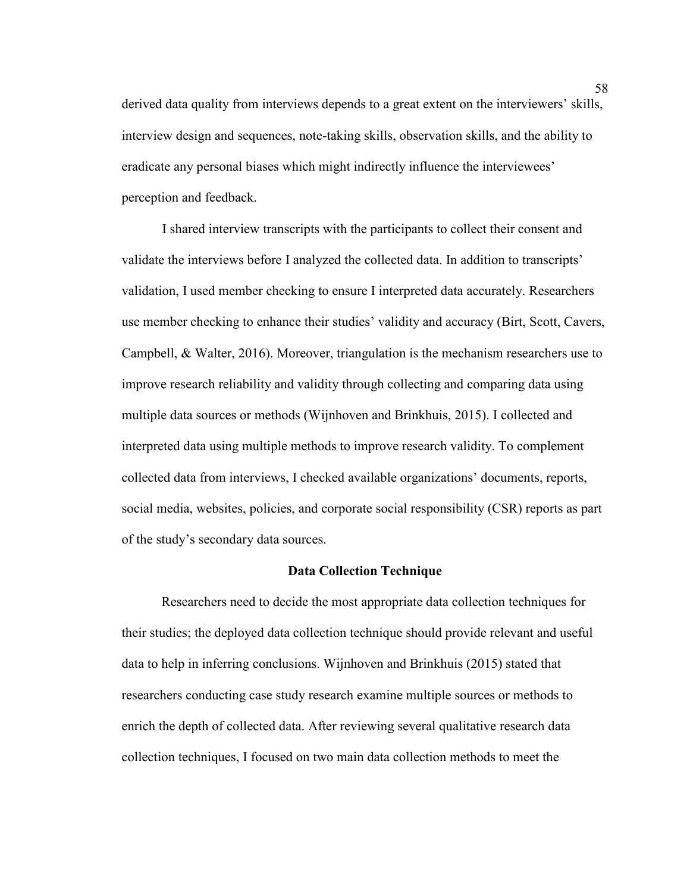derived data quality from interviews depends to a great extent on the interviewers' skills, interview design and sequences, note-taking skills, observation skills, and the ability to eradicate any personal biases which might indirectly influence the interviewees' perception and feedback.

I shared interview transcripts with the participants to collect their consent and validate the interviews before I analyzed the collected data. In addition to transcripts' validation, I used member checking to ensure I interpreted data accurately. Researchers use member checking to enhance their studies' validity and accuracy (Birt, Scott, Cavers, Campbell, & Walter, 2016). Moreover, triangulation is the mechanism researchers use to improve research reliability and validity through collecting and comparing data using multiple data sources or methods (Wijnhoven and Brinkhuis, 2015). I collected and interpreted data using multiple methods to improve research validity. To complement collected data from interviews, I checked available organizations' documents, reports, social media, websites, policies, and corporate social responsibility (CSR) reports as part of the study's secondary data sources.

### **Data Collection Technique**

Researchers need to decide the most appropriate data collection techniques for their studies; the deployed data collection technique should provide relevant and useful data to help in inferring conclusions. Wijnhoven and Brinkhuis (2015) stated that researchers conducting case study research examine multiple sources or methods to enrich the depth of collected data. After reviewing several qualitative research data collection techniques, I focused on two main data collection methods to meet the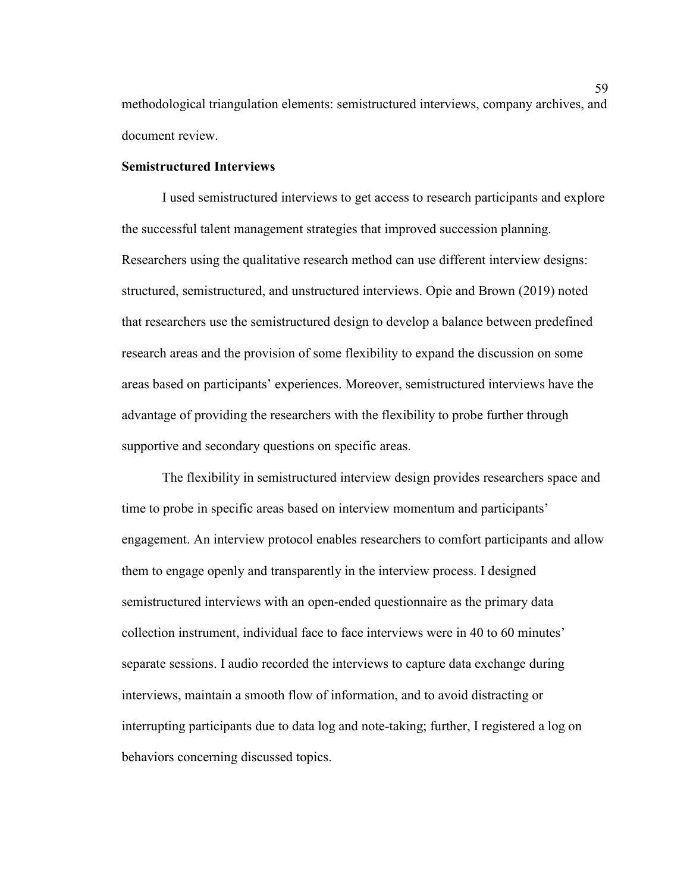methodological triangulation elements: semistructured interviews, company archives, and document review.

# **Semistructured Interviews**

I used semistructured interviews to get access to research participants and explore the successful talent management strategies that improved succession planning. Researchers using the qualitative research method can use different interview designs: structured, semistructured, and unstructured interviews. Opie and Brown (2019) noted that researchers use the semistructured design to develop a balance between predefined research areas and the provision of some flexibility to expand the discussion on some areas based on participants' experiences. Moreover, semistructured interviews have the advantage of providing the researchers with the flexibility to probe further through supportive and secondary questions on specific areas.

The flexibility in semistructured interview design provides researchers space and time to probe in specific areas based on interview momentum and participants' engagement. An interview protocol enables researchers to comfort participants and allow them to engage openly and transparently in the interview process. I designed semistructured interviews with an open-ended questionnaire as the primary data collection instrument, individual face to face interviews were in 40 to 60 minutes' separate sessions. I audio recorded the interviews to capture data exchange during interviews, maintain a smooth flow of information, and to avoid distracting or interrupting participants due to data log and note-taking; further, I registered a log on behaviors concerning discussed topics.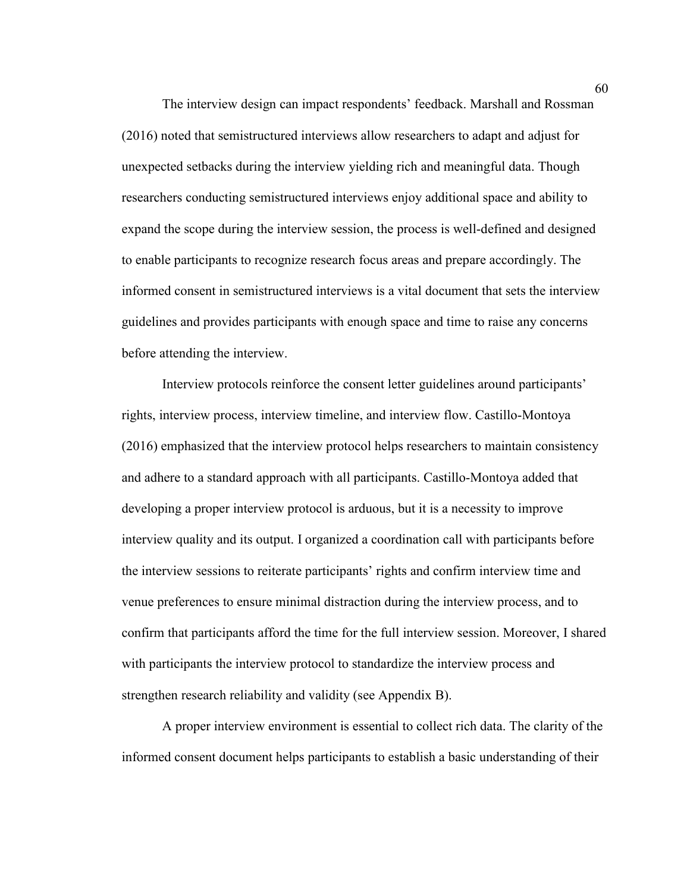The interview design can impact respondents' feedback. Marshall and Rossman (2016) noted that semistructured interviews allow researchers to adapt and adjust for unexpected setbacks during the interview yielding rich and meaningful data. Though researchers conducting semistructured interviews enjoy additional space and ability to expand the scope during the interview session, the process is well-defined and designed to enable participants to recognize research focus areas and prepare accordingly. The informed consent in semistructured interviews is a vital document that sets the interview guidelines and provides participants with enough space and time to raise any concerns before attending the interview.

Interview protocols reinforce the consent letter guidelines around participants' rights, interview process, interview timeline, and interview flow. Castillo-Montoya (2016) emphasized that the interview protocol helps researchers to maintain consistency and adhere to a standard approach with all participants. Castillo-Montoya added that developing a proper interview protocol is arduous, but it is a necessity to improve interview quality and its output. I organized a coordination call with participants before the interview sessions to reiterate participants' rights and confirm interview time and venue preferences to ensure minimal distraction during the interview process, and to confirm that participants afford the time for the full interview session. Moreover, I shared with participants the interview protocol to standardize the interview process and strengthen research reliability and validity (see Appendix B).

A proper interview environment is essential to collect rich data. The clarity of the informed consent document helps participants to establish a basic understanding of their

60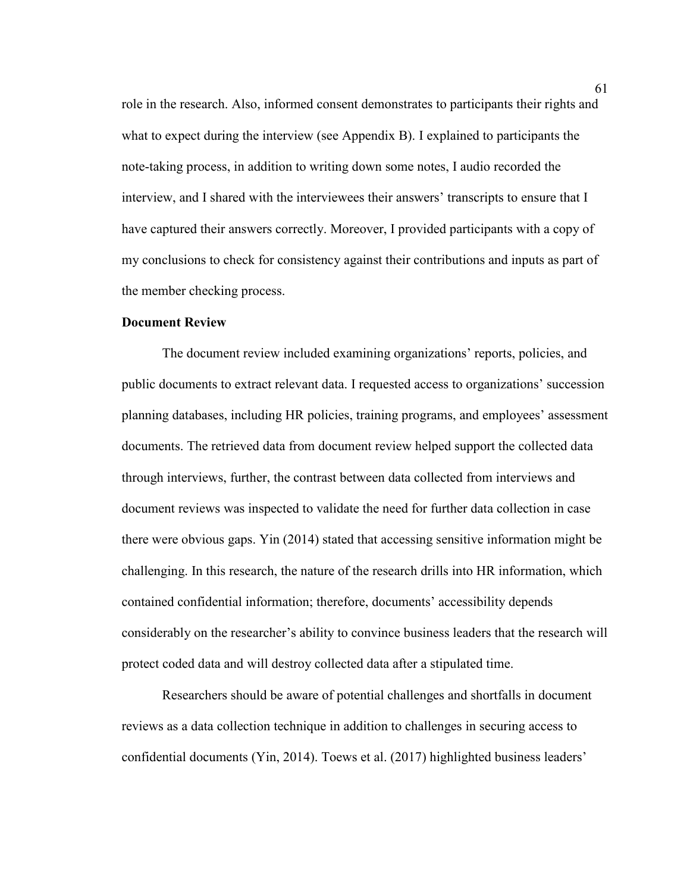role in the research. Also, informed consent demonstrates to participants their rights and what to expect during the interview (see Appendix B). I explained to participants the note-taking process, in addition to writing down some notes, I audio recorded the interview, and I shared with the interviewees their answers' transcripts to ensure that I have captured their answers correctly. Moreover, I provided participants with a copy of my conclusions to check for consistency against their contributions and inputs as part of the member checking process.

## **Document Review**

The document review included examining organizations' reports, policies, and public documents to extract relevant data. I requested access to organizations' succession planning databases, including HR policies, training programs, and employees' assessment documents. The retrieved data from document review helped support the collected data through interviews, further, the contrast between data collected from interviews and document reviews was inspected to validate the need for further data collection in case there were obvious gaps. Yin (2014) stated that accessing sensitive information might be challenging. In this research, the nature of the research drills into HR information, which contained confidential information; therefore, documents' accessibility depends considerably on the researcher's ability to convince business leaders that the research will protect coded data and will destroy collected data after a stipulated time.

Researchers should be aware of potential challenges and shortfalls in document reviews as a data collection technique in addition to challenges in securing access to confidential documents (Yin, 2014). Toews et al. (2017) highlighted business leaders'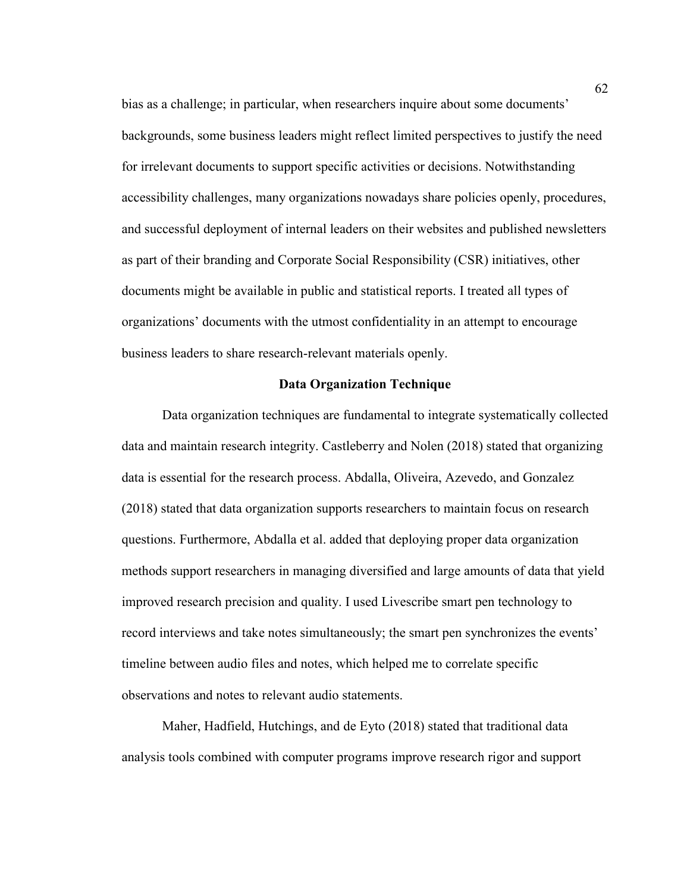bias as a challenge; in particular, when researchers inquire about some documents' backgrounds, some business leaders might reflect limited perspectives to justify the need for irrelevant documents to support specific activities or decisions. Notwithstanding accessibility challenges, many organizations nowadays share policies openly, procedures, and successful deployment of internal leaders on their websites and published newsletters as part of their branding and Corporate Social Responsibility (CSR) initiatives, other documents might be available in public and statistical reports. I treated all types of organizations' documents with the utmost confidentiality in an attempt to encourage business leaders to share research-relevant materials openly.

### **Data Organization Technique**

Data organization techniques are fundamental to integrate systematically collected data and maintain research integrity. Castleberry and Nolen (2018) stated that organizing data is essential for the research process. Abdalla, Oliveira, Azevedo, and Gonzalez (2018) stated that data organization supports researchers to maintain focus on research questions. Furthermore, Abdalla et al. added that deploying proper data organization methods support researchers in managing diversified and large amounts of data that yield improved research precision and quality. I used Livescribe smart pen technology to record interviews and take notes simultaneously; the smart pen synchronizes the events' timeline between audio files and notes, which helped me to correlate specific observations and notes to relevant audio statements.

Maher, Hadfield, Hutchings, and de Eyto (2018) stated that traditional data analysis tools combined with computer programs improve research rigor and support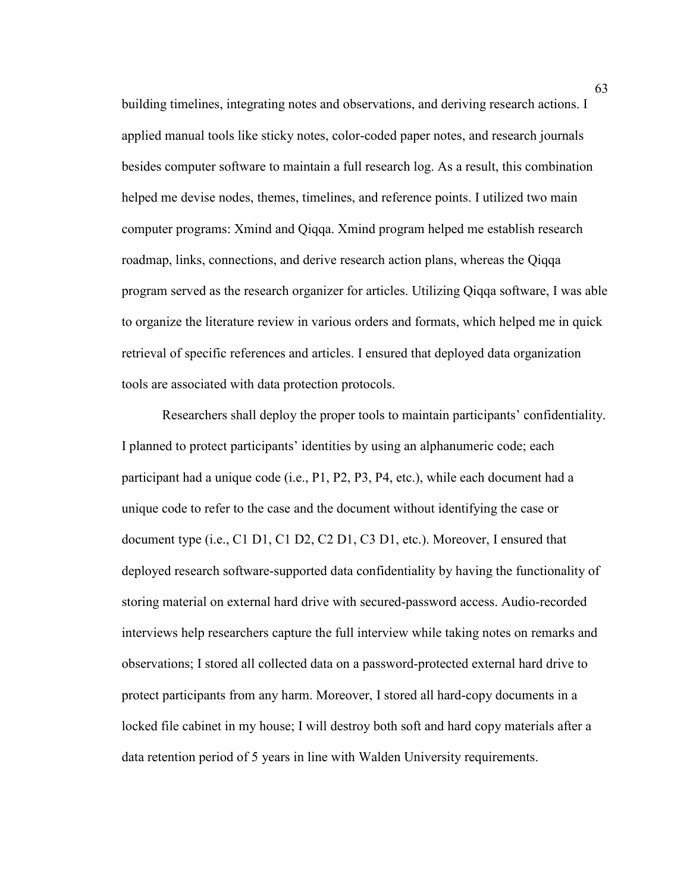building timelines, integrating notes and observations, and deriving research actions. I applied manual tools like sticky notes, color-coded paper notes, and research journals besides computer software to maintain a full research log. As a result, this combination helped me devise nodes, themes, timelines, and reference points. I utilized two main computer programs: Xmind and Qiqqa. Xmind program helped me establish research roadmap, links, connections, and derive research action plans, whereas the Qiqqa program served as the research organizer for articles. Utilizing Qiqqa software, I was able to organize the literature review in various orders and formats, which helped me in quick retrieval of specific references and articles. I ensured that deployed data organization tools are associated with data protection protocols.

Researchers shall deploy the proper tools to maintain participants' confidentiality. I planned to protect participants' identities by using an alphanumeric code; each participant had a unique code (i.e., P1, P2, P3, P4, etc.), while each document had a unique code to refer to the case and the document without identifying the case or document type (i.e., C1 D1, C1 D2, C2 D1, C3 D1, etc.). Moreover, I ensured that deployed research software-supported data confidentiality by having the functionality of storing material on external hard drive with secured-password access. Audio-recorded interviews help researchers capture the full interview while taking notes on remarks and observations; I stored all collected data on a password-protected external hard drive to protect participants from any harm. Moreover, I stored all hard-copy documents in a locked file cabinet in my house; I will destroy both soft and hard copy materials after a data retention period of 5 years in line with Walden University requirements.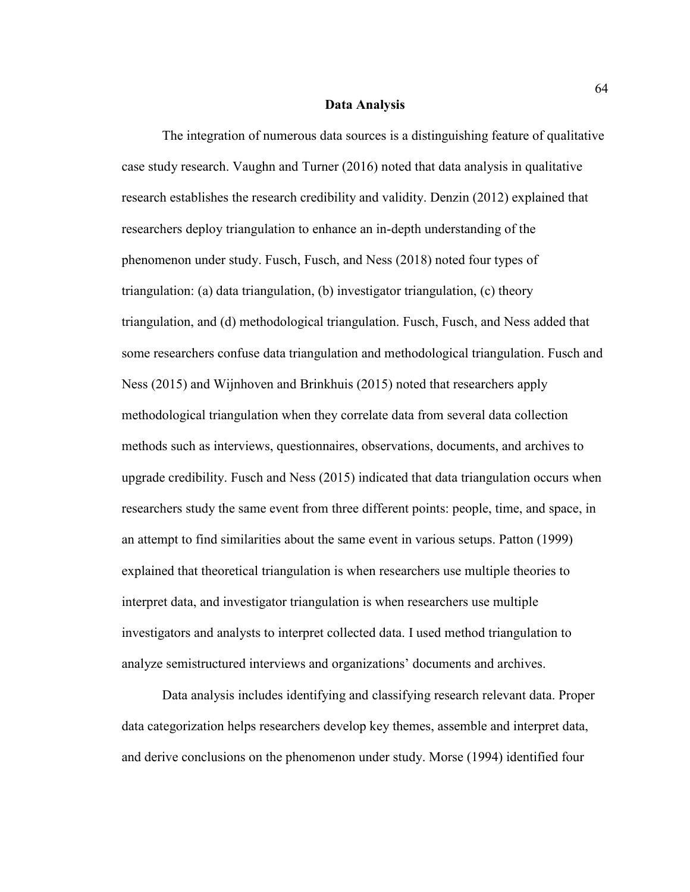#### **Data Analysis**

The integration of numerous data sources is a distinguishing feature of qualitative case study research. Vaughn and Turner (2016) noted that data analysis in qualitative research establishes the research credibility and validity. Denzin (2012) explained that researchers deploy triangulation to enhance an in-depth understanding of the phenomenon under study. Fusch, Fusch, and Ness (2018) noted four types of triangulation: (a) data triangulation, (b) investigator triangulation, (c) theory triangulation, and (d) methodological triangulation. Fusch, Fusch, and Ness added that some researchers confuse data triangulation and methodological triangulation. Fusch and Ness (2015) and Wijnhoven and Brinkhuis (2015) noted that researchers apply methodological triangulation when they correlate data from several data collection methods such as interviews, questionnaires, observations, documents, and archives to upgrade credibility. Fusch and Ness (2015) indicated that data triangulation occurs when researchers study the same event from three different points: people, time, and space, in an attempt to find similarities about the same event in various setups. Patton (1999) explained that theoretical triangulation is when researchers use multiple theories to interpret data, and investigator triangulation is when researchers use multiple investigators and analysts to interpret collected data. I used method triangulation to analyze semistructured interviews and organizations' documents and archives.

Data analysis includes identifying and classifying research relevant data. Proper data categorization helps researchers develop key themes, assemble and interpret data, and derive conclusions on the phenomenon under study. Morse (1994) identified four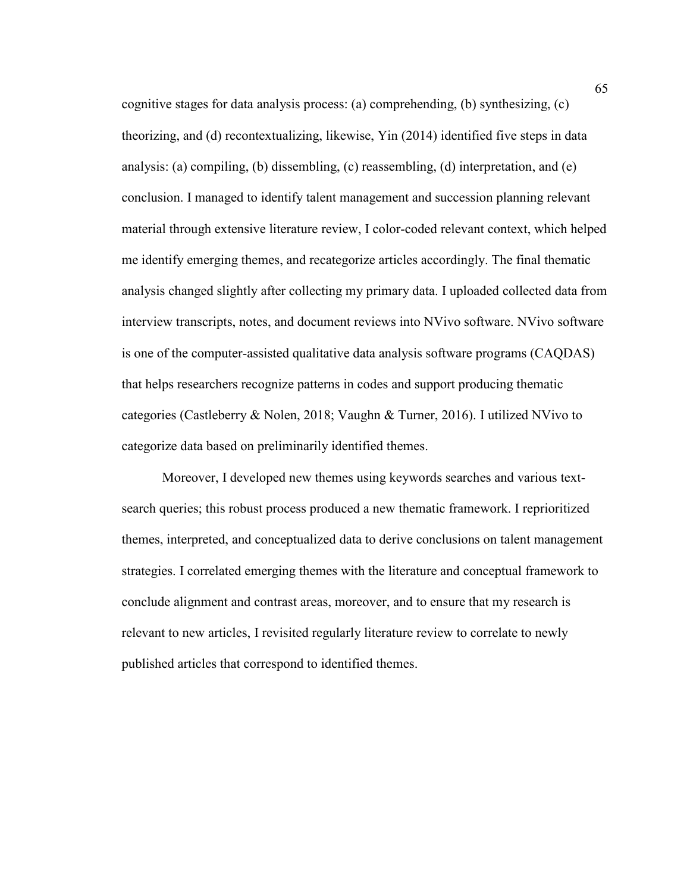cognitive stages for data analysis process: (a) comprehending, (b) synthesizing, (c) theorizing, and (d) recontextualizing, likewise, Yin (2014) identified five steps in data analysis: (a) compiling, (b) dissembling, (c) reassembling, (d) interpretation, and (e) conclusion. I managed to identify talent management and succession planning relevant material through extensive literature review, I color-coded relevant context, which helped me identify emerging themes, and recategorize articles accordingly. The final thematic analysis changed slightly after collecting my primary data. I uploaded collected data from interview transcripts, notes, and document reviews into NVivo software. NVivo software is one of the computer-assisted qualitative data analysis software programs (CAQDAS) that helps researchers recognize patterns in codes and support producing thematic categories (Castleberry & Nolen, 2018; Vaughn & Turner, 2016). I utilized NVivo to categorize data based on preliminarily identified themes.

Moreover, I developed new themes using keywords searches and various textsearch queries; this robust process produced a new thematic framework. I reprioritized themes, interpreted, and conceptualized data to derive conclusions on talent management strategies. I correlated emerging themes with the literature and conceptual framework to conclude alignment and contrast areas, moreover, and to ensure that my research is relevant to new articles, I revisited regularly literature review to correlate to newly published articles that correspond to identified themes.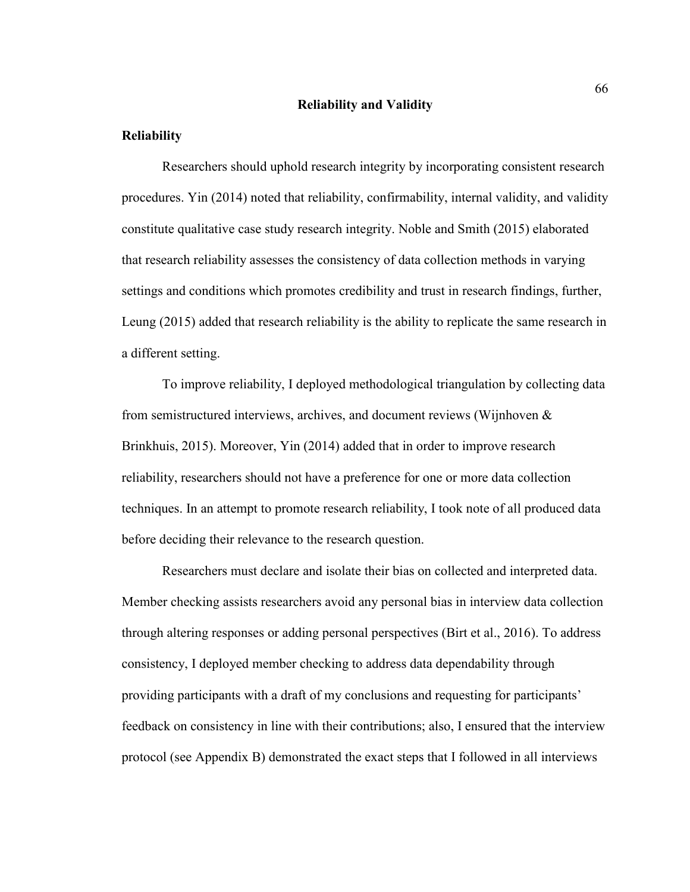#### **Reliability and Validity**

### **Reliability**

Researchers should uphold research integrity by incorporating consistent research procedures. Yin (2014) noted that reliability, confirmability, internal validity, and validity constitute qualitative case study research integrity. Noble and Smith (2015) elaborated that research reliability assesses the consistency of data collection methods in varying settings and conditions which promotes credibility and trust in research findings, further, Leung (2015) added that research reliability is the ability to replicate the same research in a different setting.

To improve reliability, I deployed methodological triangulation by collecting data from semistructured interviews, archives, and document reviews (Wijnhoven & Brinkhuis, 2015). Moreover, Yin (2014) added that in order to improve research reliability, researchers should not have a preference for one or more data collection techniques. In an attempt to promote research reliability, I took note of all produced data before deciding their relevance to the research question.

Researchers must declare and isolate their bias on collected and interpreted data. Member checking assists researchers avoid any personal bias in interview data collection through altering responses or adding personal perspectives (Birt et al., 2016). To address consistency, I deployed member checking to address data dependability through providing participants with a draft of my conclusions and requesting for participants' feedback on consistency in line with their contributions; also, I ensured that the interview protocol (see Appendix B) demonstrated the exact steps that I followed in all interviews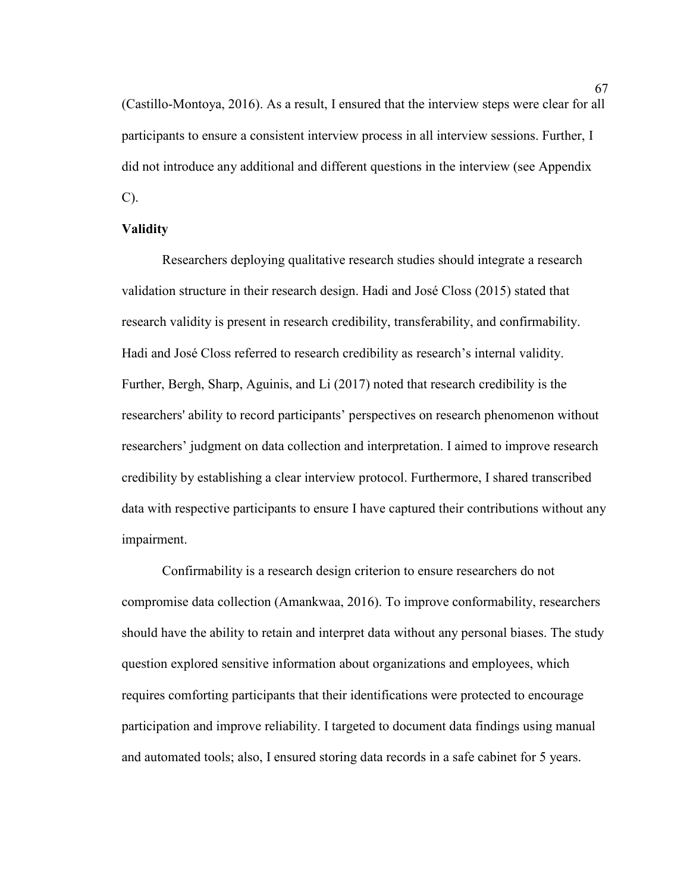(Castillo-Montoya, 2016). As a result, I ensured that the interview steps were clear for all participants to ensure a consistent interview process in all interview sessions. Further, I did not introduce any additional and different questions in the interview (see Appendix C).

### **Validity**

Researchers deploying qualitative research studies should integrate a research validation structure in their research design. Hadi and José Closs (2015) stated that research validity is present in research credibility, transferability, and confirmability. Hadi and José Closs referred to research credibility as research's internal validity. Further, Bergh, Sharp, Aguinis, and Li (2017) noted that research credibility is the researchers' ability to record participants' perspectives on research phenomenon without researchers' judgment on data collection and interpretation. I aimed to improve research credibility by establishing a clear interview protocol. Furthermore, I shared transcribed data with respective participants to ensure I have captured their contributions without any impairment.

Confirmability is a research design criterion to ensure researchers do not compromise data collection (Amankwaa, 2016). To improve conformability, researchers should have the ability to retain and interpret data without any personal biases. The study question explored sensitive information about organizations and employees, which requires comforting participants that their identifications were protected to encourage participation and improve reliability. I targeted to document data findings using manual and automated tools; also, I ensured storing data records in a safe cabinet for 5 years.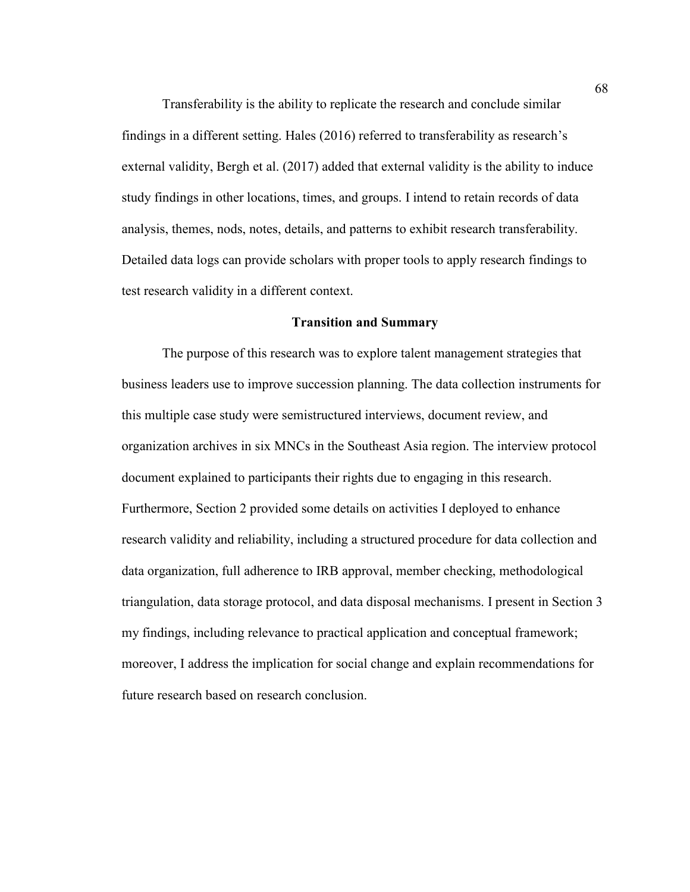Transferability is the ability to replicate the research and conclude similar findings in a different setting. Hales (2016) referred to transferability as research's external validity, Bergh et al. (2017) added that external validity is the ability to induce study findings in other locations, times, and groups. I intend to retain records of data analysis, themes, nods, notes, details, and patterns to exhibit research transferability. Detailed data logs can provide scholars with proper tools to apply research findings to test research validity in a different context.

## **Transition and Summary**

The purpose of this research was to explore talent management strategies that business leaders use to improve succession planning. The data collection instruments for this multiple case study were semistructured interviews, document review, and organization archives in six MNCs in the Southeast Asia region. The interview protocol document explained to participants their rights due to engaging in this research. Furthermore, Section 2 provided some details on activities I deployed to enhance research validity and reliability, including a structured procedure for data collection and data organization, full adherence to IRB approval, member checking, methodological triangulation, data storage protocol, and data disposal mechanisms. I present in Section 3 my findings, including relevance to practical application and conceptual framework; moreover, I address the implication for social change and explain recommendations for future research based on research conclusion.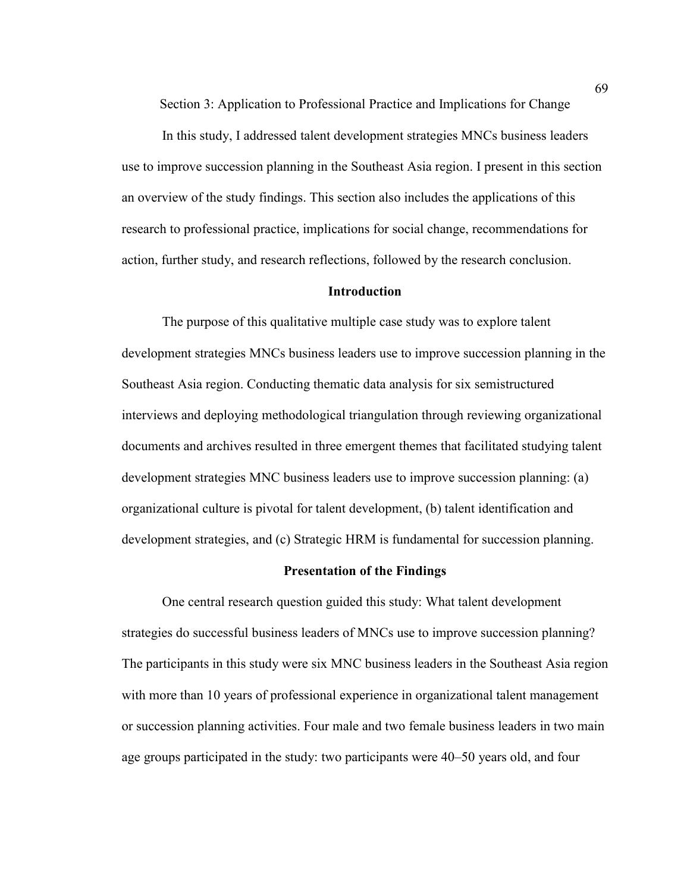Section 3: Application to Professional Practice and Implications for Change

In this study, I addressed talent development strategies MNCs business leaders use to improve succession planning in the Southeast Asia region. I present in this section an overview of the study findings. This section also includes the applications of this research to professional practice, implications for social change, recommendations for action, further study, and research reflections, followed by the research conclusion.

#### **Introduction**

 The purpose of this qualitative multiple case study was to explore talent development strategies MNCs business leaders use to improve succession planning in the Southeast Asia region. Conducting thematic data analysis for six semistructured interviews and deploying methodological triangulation through reviewing organizational documents and archives resulted in three emergent themes that facilitated studying talent development strategies MNC business leaders use to improve succession planning: (a) organizational culture is pivotal for talent development, (b) talent identification and development strategies, and (c) Strategic HRM is fundamental for succession planning.

### **Presentation of the Findings**

One central research question guided this study: What talent development strategies do successful business leaders of MNCs use to improve succession planning? The participants in this study were six MNC business leaders in the Southeast Asia region with more than 10 years of professional experience in organizational talent management or succession planning activities. Four male and two female business leaders in two main age groups participated in the study: two participants were 40–50 years old, and four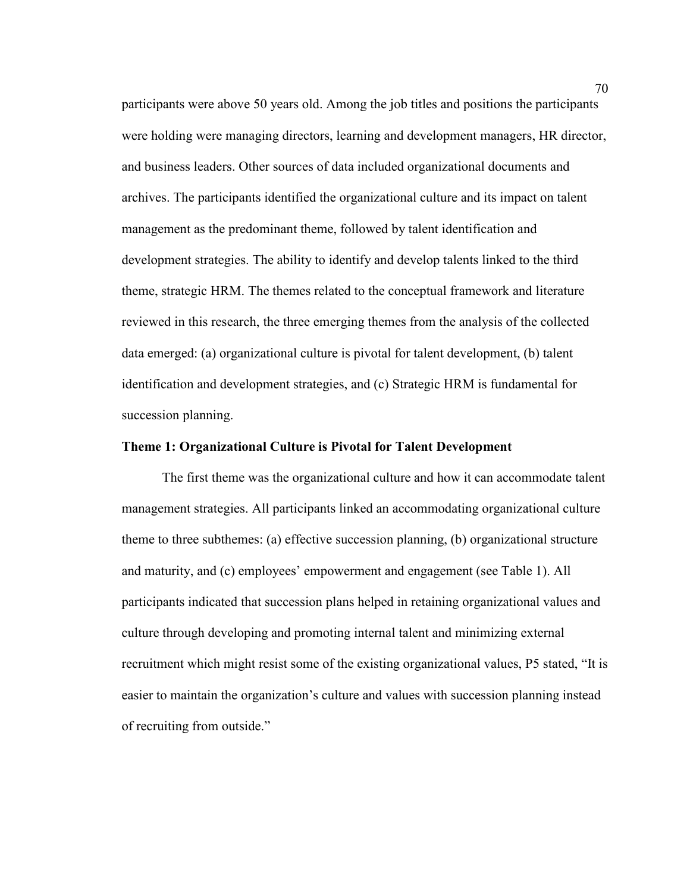participants were above 50 years old. Among the job titles and positions the participants were holding were managing directors, learning and development managers, HR director, and business leaders. Other sources of data included organizational documents and archives. The participants identified the organizational culture and its impact on talent management as the predominant theme, followed by talent identification and development strategies. The ability to identify and develop talents linked to the third theme, strategic HRM. The themes related to the conceptual framework and literature reviewed in this research, the three emerging themes from the analysis of the collected data emerged: (a) organizational culture is pivotal for talent development, (b) talent identification and development strategies, and (c) Strategic HRM is fundamental for succession planning.

## **Theme 1: Organizational Culture is Pivotal for Talent Development**

The first theme was the organizational culture and how it can accommodate talent management strategies. All participants linked an accommodating organizational culture theme to three subthemes: (a) effective succession planning, (b) organizational structure and maturity, and (c) employees' empowerment and engagement (see Table 1). All participants indicated that succession plans helped in retaining organizational values and culture through developing and promoting internal talent and minimizing external recruitment which might resist some of the existing organizational values, P5 stated, "It is easier to maintain the organization's culture and values with succession planning instead of recruiting from outside."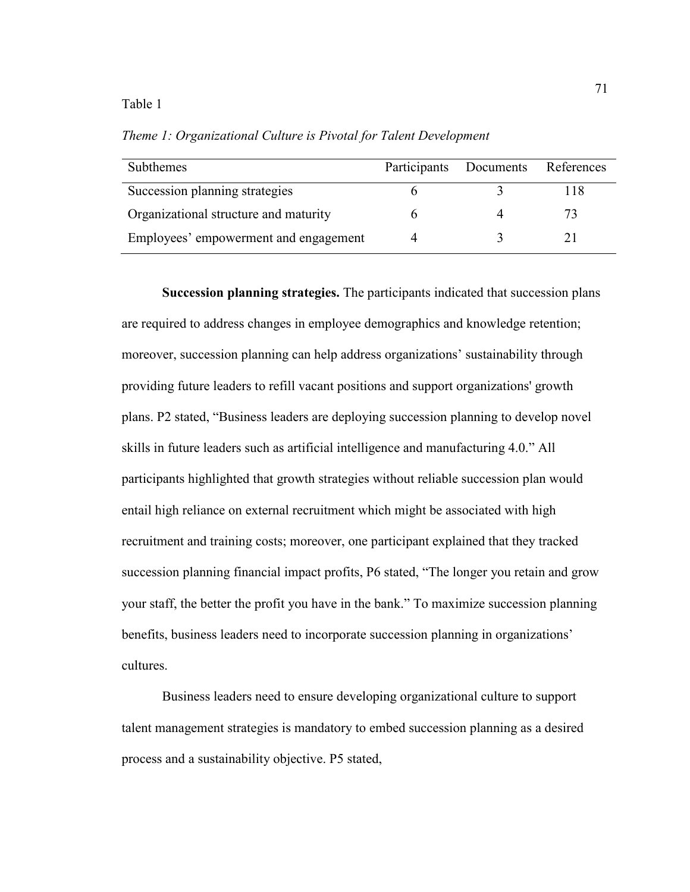#### Table 1

*Theme 1: Organizational Culture is Pivotal for Talent Development* 

| <b>Subthemes</b>                      | Participants | Documents | References |
|---------------------------------------|--------------|-----------|------------|
| Succession planning strategies        |              |           | 118        |
| Organizational structure and maturity |              |           | 73         |
| Employees' empowerment and engagement |              |           |            |

**Succession planning strategies.** The participants indicated that succession plans are required to address changes in employee demographics and knowledge retention; moreover, succession planning can help address organizations' sustainability through providing future leaders to refill vacant positions and support organizations' growth plans. P2 stated, "Business leaders are deploying succession planning to develop novel skills in future leaders such as artificial intelligence and manufacturing 4.0." All participants highlighted that growth strategies without reliable succession plan would entail high reliance on external recruitment which might be associated with high recruitment and training costs; moreover, one participant explained that they tracked succession planning financial impact profits, P6 stated, "The longer you retain and grow your staff, the better the profit you have in the bank." To maximize succession planning benefits, business leaders need to incorporate succession planning in organizations' cultures.

Business leaders need to ensure developing organizational culture to support talent management strategies is mandatory to embed succession planning as a desired process and a sustainability objective. P5 stated,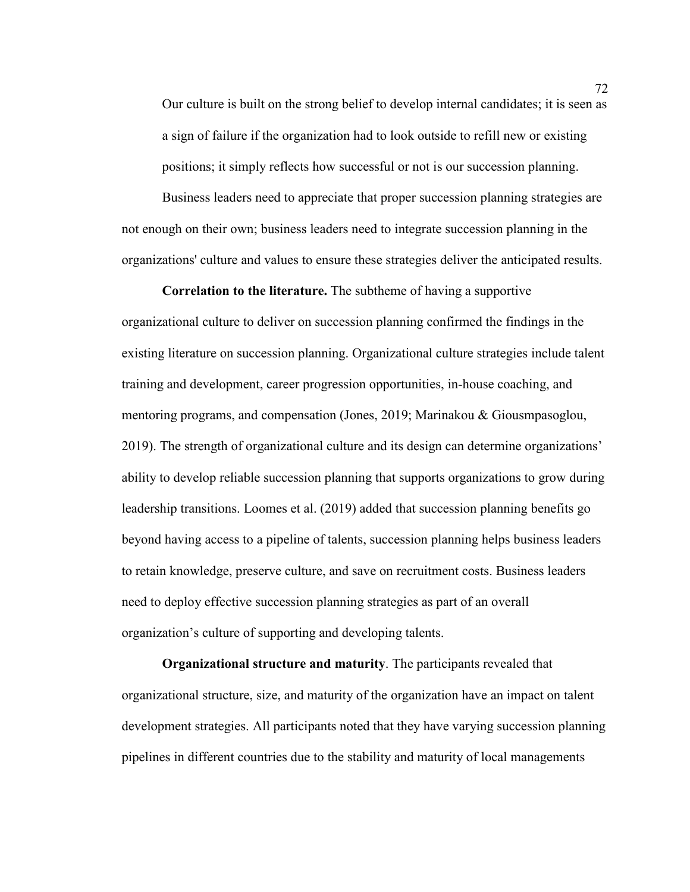Our culture is built on the strong belief to develop internal candidates; it is seen as a sign of failure if the organization had to look outside to refill new or existing positions; it simply reflects how successful or not is our succession planning.

Business leaders need to appreciate that proper succession planning strategies are not enough on their own; business leaders need to integrate succession planning in the organizations' culture and values to ensure these strategies deliver the anticipated results.

**Correlation to the literature.** The subtheme of having a supportive organizational culture to deliver on succession planning confirmed the findings in the existing literature on succession planning. Organizational culture strategies include talent training and development, career progression opportunities, in-house coaching, and mentoring programs, and compensation (Jones, 2019; Marinakou & Giousmpasoglou, 2019). The strength of organizational culture and its design can determine organizations' ability to develop reliable succession planning that supports organizations to grow during leadership transitions. Loomes et al. (2019) added that succession planning benefits go beyond having access to a pipeline of talents, succession planning helps business leaders to retain knowledge, preserve culture, and save on recruitment costs. Business leaders need to deploy effective succession planning strategies as part of an overall organization's culture of supporting and developing talents.

**Organizational structure and maturity**. The participants revealed that organizational structure, size, and maturity of the organization have an impact on talent development strategies. All participants noted that they have varying succession planning pipelines in different countries due to the stability and maturity of local managements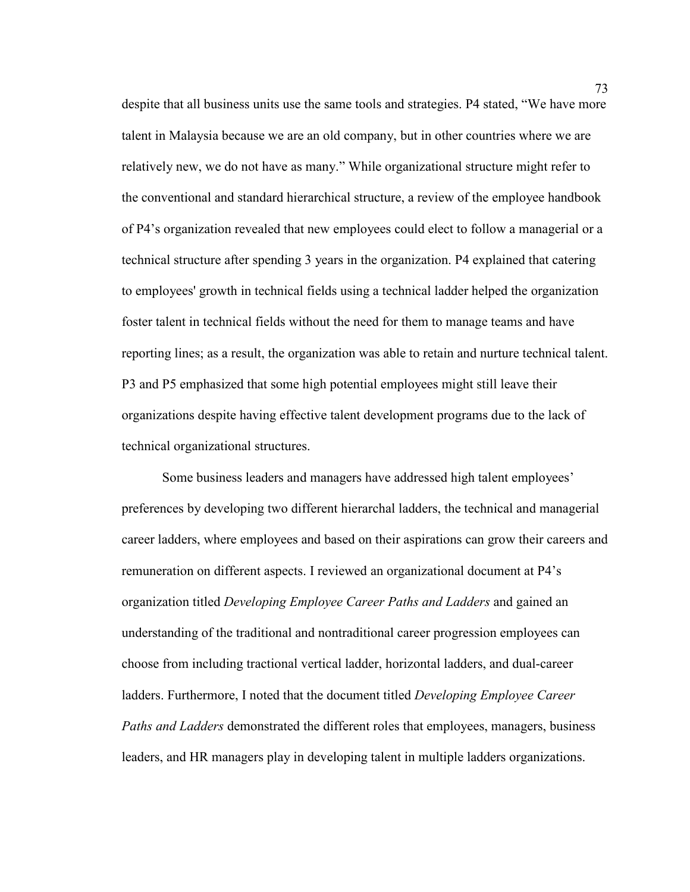despite that all business units use the same tools and strategies. P4 stated, "We have more talent in Malaysia because we are an old company, but in other countries where we are relatively new, we do not have as many." While organizational structure might refer to the conventional and standard hierarchical structure, a review of the employee handbook of P4's organization revealed that new employees could elect to follow a managerial or a technical structure after spending 3 years in the organization. P4 explained that catering to employees' growth in technical fields using a technical ladder helped the organization foster talent in technical fields without the need for them to manage teams and have reporting lines; as a result, the organization was able to retain and nurture technical talent. P3 and P5 emphasized that some high potential employees might still leave their organizations despite having effective talent development programs due to the lack of technical organizational structures.

Some business leaders and managers have addressed high talent employees' preferences by developing two different hierarchal ladders, the technical and managerial career ladders, where employees and based on their aspirations can grow their careers and remuneration on different aspects. I reviewed an organizational document at P4's organization titled *Developing Employee Career Paths and Ladders* and gained an understanding of the traditional and nontraditional career progression employees can choose from including tractional vertical ladder, horizontal ladders, and dual-career ladders. Furthermore, I noted that the document titled *Developing Employee Career Paths and Ladders* demonstrated the different roles that employees, managers, business leaders, and HR managers play in developing talent in multiple ladders organizations.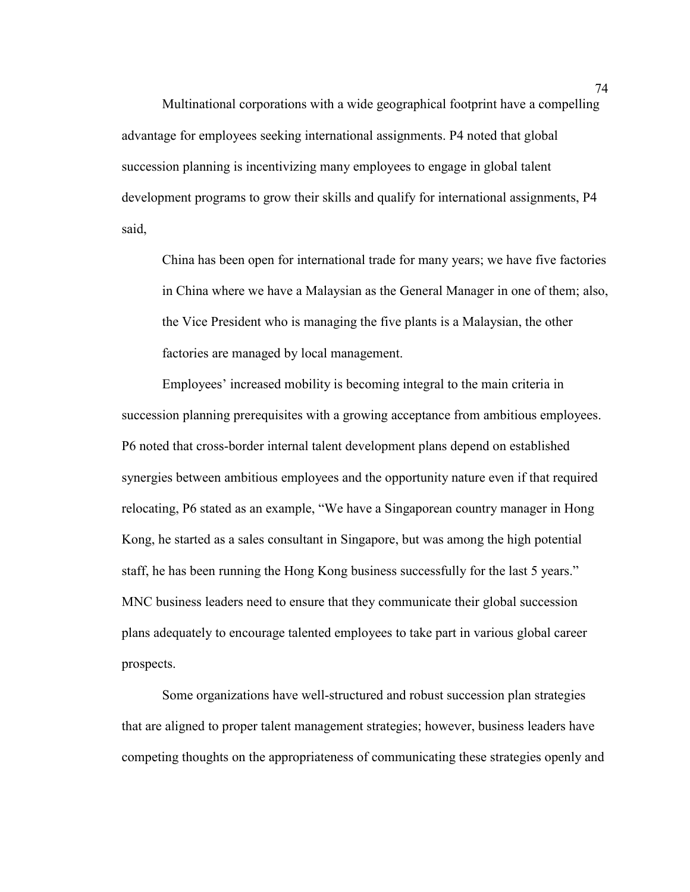Multinational corporations with a wide geographical footprint have a compelling advantage for employees seeking international assignments. P4 noted that global succession planning is incentivizing many employees to engage in global talent development programs to grow their skills and qualify for international assignments, P4 said,

China has been open for international trade for many years; we have five factories in China where we have a Malaysian as the General Manager in one of them; also, the Vice President who is managing the five plants is a Malaysian, the other factories are managed by local management.

Employees' increased mobility is becoming integral to the main criteria in succession planning prerequisites with a growing acceptance from ambitious employees. P6 noted that cross-border internal talent development plans depend on established synergies between ambitious employees and the opportunity nature even if that required relocating, P6 stated as an example, "We have a Singaporean country manager in Hong Kong, he started as a sales consultant in Singapore, but was among the high potential staff, he has been running the Hong Kong business successfully for the last 5 years." MNC business leaders need to ensure that they communicate their global succession plans adequately to encourage talented employees to take part in various global career prospects.

Some organizations have well-structured and robust succession plan strategies that are aligned to proper talent management strategies; however, business leaders have competing thoughts on the appropriateness of communicating these strategies openly and

74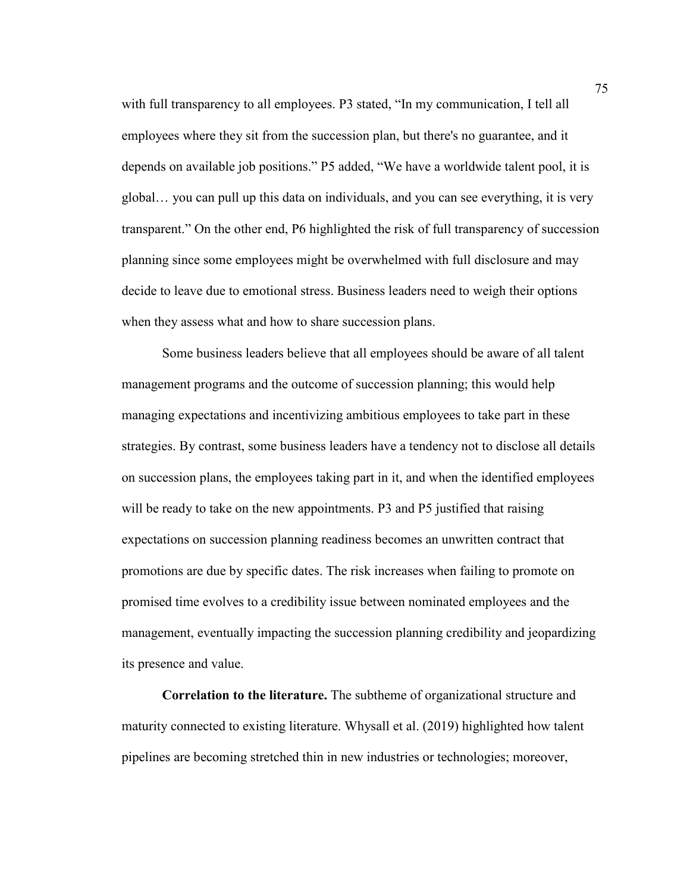with full transparency to all employees. P3 stated, "In my communication, I tell all employees where they sit from the succession plan, but there's no guarantee, and it depends on available job positions." P5 added, "We have a worldwide talent pool, it is global… you can pull up this data on individuals, and you can see everything, it is very transparent." On the other end, P6 highlighted the risk of full transparency of succession planning since some employees might be overwhelmed with full disclosure and may decide to leave due to emotional stress. Business leaders need to weigh their options when they assess what and how to share succession plans.

Some business leaders believe that all employees should be aware of all talent management programs and the outcome of succession planning; this would help managing expectations and incentivizing ambitious employees to take part in these strategies. By contrast, some business leaders have a tendency not to disclose all details on succession plans, the employees taking part in it, and when the identified employees will be ready to take on the new appointments. P3 and P5 justified that raising expectations on succession planning readiness becomes an unwritten contract that promotions are due by specific dates. The risk increases when failing to promote on promised time evolves to a credibility issue between nominated employees and the management, eventually impacting the succession planning credibility and jeopardizing its presence and value.

**Correlation to the literature.** The subtheme of organizational structure and maturity connected to existing literature. Whysall et al. (2019) highlighted how talent pipelines are becoming stretched thin in new industries or technologies; moreover,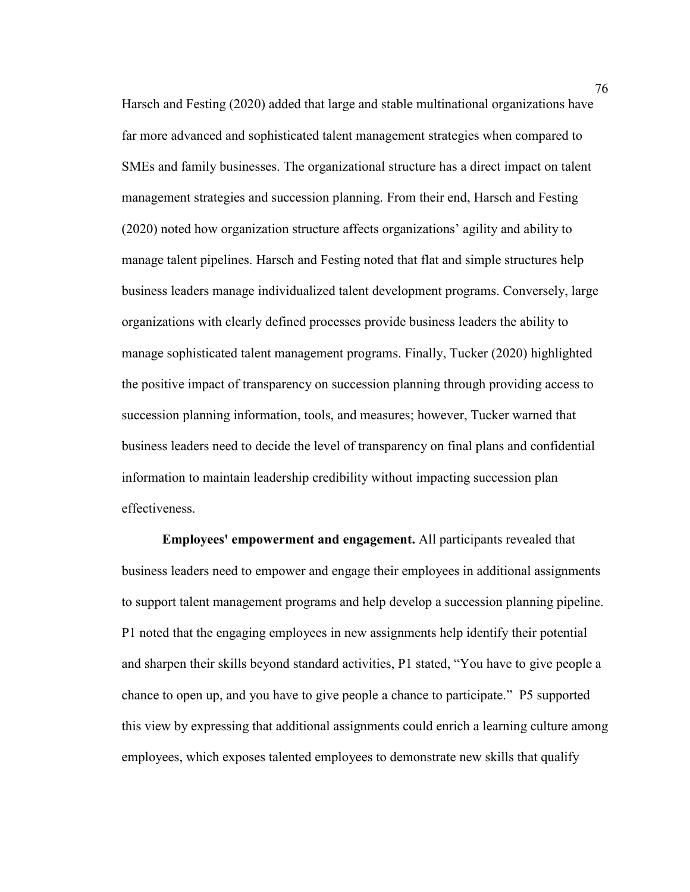Harsch and Festing (2020) added that large and stable multinational organizations have far more advanced and sophisticated talent management strategies when compared to SMEs and family businesses. The organizational structure has a direct impact on talent management strategies and succession planning. From their end, Harsch and Festing (2020) noted how organization structure affects organizations' agility and ability to manage talent pipelines. Harsch and Festing noted that flat and simple structures help business leaders manage individualized talent development programs. Conversely, large organizations with clearly defined processes provide business leaders the ability to manage sophisticated talent management programs. Finally, Tucker (2020) highlighted the positive impact of transparency on succession planning through providing access to succession planning information, tools, and measures; however, Tucker warned that business leaders need to decide the level of transparency on final plans and confidential information to maintain leadership credibility without impacting succession plan effectiveness.

**Employees' empowerment and engagement.** All participants revealed that business leaders need to empower and engage their employees in additional assignments to support talent management programs and help develop a succession planning pipeline. P1 noted that the engaging employees in new assignments help identify their potential and sharpen their skills beyond standard activities, P1 stated, "You have to give people a chance to open up, and you have to give people a chance to participate." P5 supported this view by expressing that additional assignments could enrich a learning culture among employees, which exposes talented employees to demonstrate new skills that qualify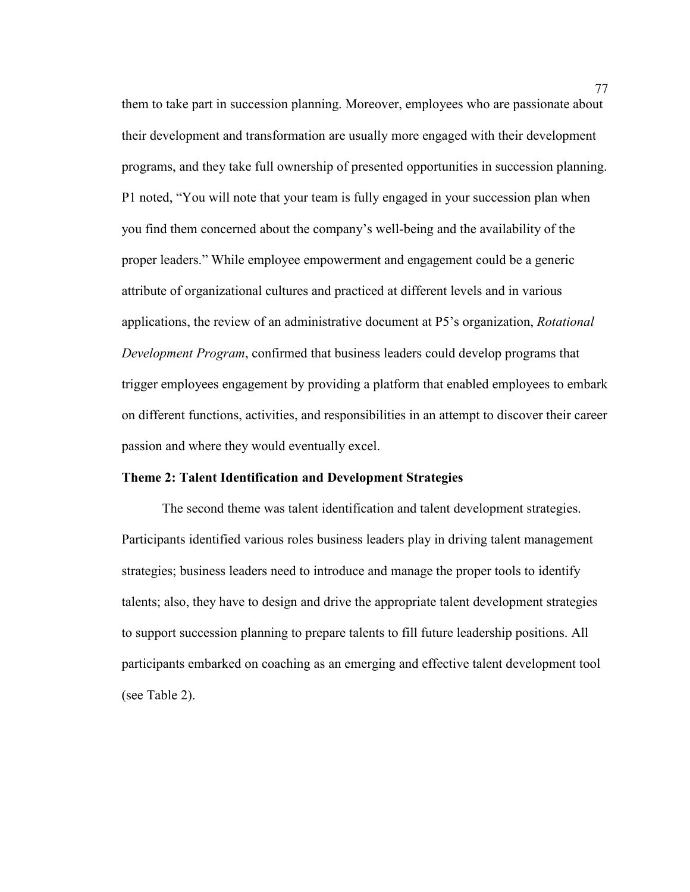them to take part in succession planning. Moreover, employees who are passionate about their development and transformation are usually more engaged with their development programs, and they take full ownership of presented opportunities in succession planning. P1 noted, "You will note that your team is fully engaged in your succession plan when you find them concerned about the company's well-being and the availability of the proper leaders." While employee empowerment and engagement could be a generic attribute of organizational cultures and practiced at different levels and in various applications, the review of an administrative document at P5's organization, *Rotational Development Program*, confirmed that business leaders could develop programs that trigger employees engagement by providing a platform that enabled employees to embark on different functions, activities, and responsibilities in an attempt to discover their career passion and where they would eventually excel.

# **Theme 2: Talent Identification and Development Strategies**

The second theme was talent identification and talent development strategies. Participants identified various roles business leaders play in driving talent management strategies; business leaders need to introduce and manage the proper tools to identify talents; also, they have to design and drive the appropriate talent development strategies to support succession planning to prepare talents to fill future leadership positions. All participants embarked on coaching as an emerging and effective talent development tool (see Table 2).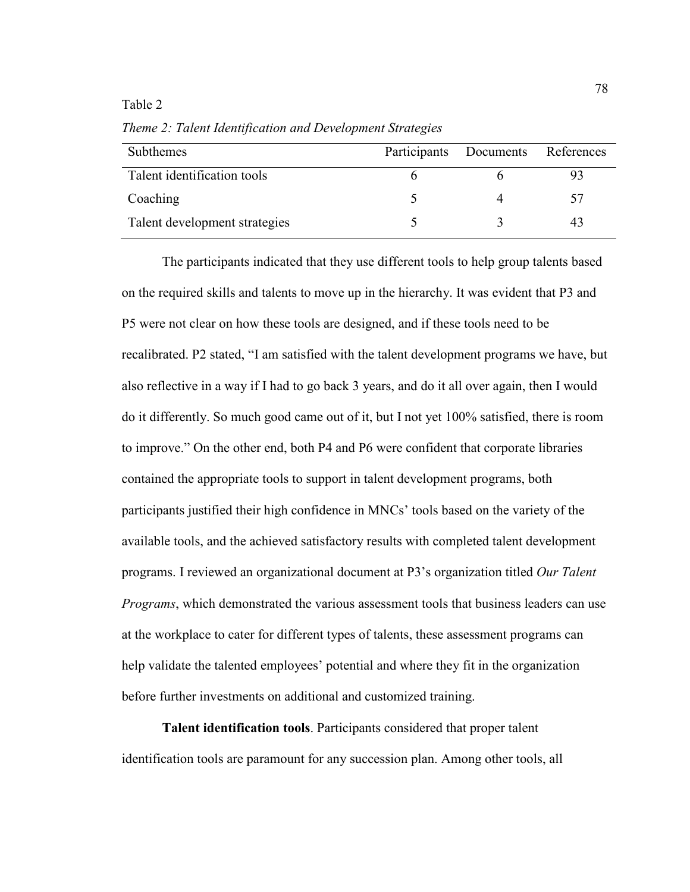### Table 2

Subthemes Participants Documents References Talent identification tools 6 6 6 93  $Coaching$   $5$   $4$   $57$ Talent development strategies 5 3 43

*Theme 2: Talent Identification and Development Strategies* 

The participants indicated that they use different tools to help group talents based on the required skills and talents to move up in the hierarchy. It was evident that P3 and P5 were not clear on how these tools are designed, and if these tools need to be recalibrated. P2 stated, "I am satisfied with the talent development programs we have, but also reflective in a way if I had to go back 3 years, and do it all over again, then I would do it differently. So much good came out of it, but I not yet 100% satisfied, there is room to improve." On the other end, both P4 and P6 were confident that corporate libraries contained the appropriate tools to support in talent development programs, both participants justified their high confidence in MNCs' tools based on the variety of the available tools, and the achieved satisfactory results with completed talent development programs. I reviewed an organizational document at P3's organization titled *Our Talent Programs*, which demonstrated the various assessment tools that business leaders can use at the workplace to cater for different types of talents, these assessment programs can help validate the talented employees' potential and where they fit in the organization before further investments on additional and customized training.

**Talent identification tools**. Participants considered that proper talent identification tools are paramount for any succession plan. Among other tools, all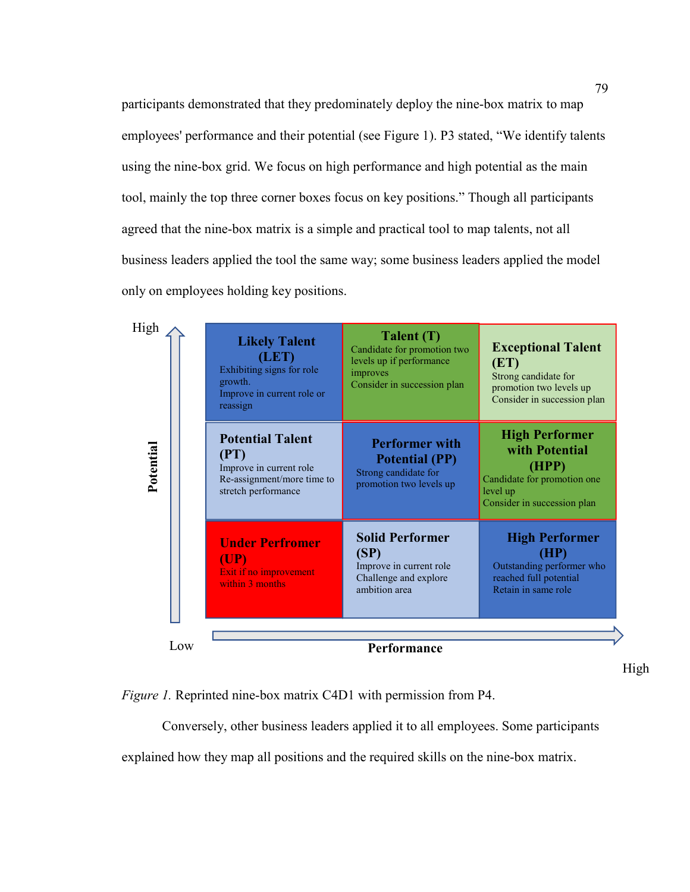participants demonstrated that they predominately deploy the nine-box matrix to map employees' performance and their potential (see Figure 1). P3 stated, "We identify talents using the nine-box grid. We focus on high performance and high potential as the main tool, mainly the top three corner boxes focus on key positions." Though all participants agreed that the nine-box matrix is a simple and practical tool to map talents, not all business leaders applied the tool the same way; some business leaders applied the model only on employees holding key positions.

| High      | <b>Likely Talent</b><br>(LET)<br>Exhibiting signs for role<br>growth.<br>Improve in current role or<br>reassign | Talent (T)<br>Candidate for promotion two<br>levels up if performance<br>improves<br>Consider in succession plan | <b>Exceptional Talent</b><br>(ET)<br>Strong candidate for<br>promotion two levels up<br>Consider in succession plan        |
|-----------|-----------------------------------------------------------------------------------------------------------------|------------------------------------------------------------------------------------------------------------------|----------------------------------------------------------------------------------------------------------------------------|
| Potential | <b>Potential Talent</b><br>(PT)<br>Improve in current role<br>Re-assignment/more time to<br>stretch performance | <b>Performer with</b><br><b>Potential (PP)</b><br>Strong candidate for<br>promotion two levels up                | <b>High Performer</b><br>with Potential<br>(HPP)<br>Candidate for promotion one<br>level up<br>Consider in succession plan |
|           | <b>Under Perfromer</b><br>$(\mathbf{UP})$<br>Exit if no improvement<br>within 3 months                          | <b>Solid Performer</b><br>(SP)<br>Improve in current role<br>Challenge and explore<br>ambition area              | <b>High Performer</b><br>(HP)<br>Outstanding performer who<br>reached full potential<br>Retain in same role                |
| Low       |                                                                                                                 | Performance                                                                                                      |                                                                                                                            |

High

*Figure 1.* Reprinted nine-box matrix C4D1 with permission from P4.

Conversely, other business leaders applied it to all employees. Some participants explained how they map all positions and the required skills on the nine-box matrix.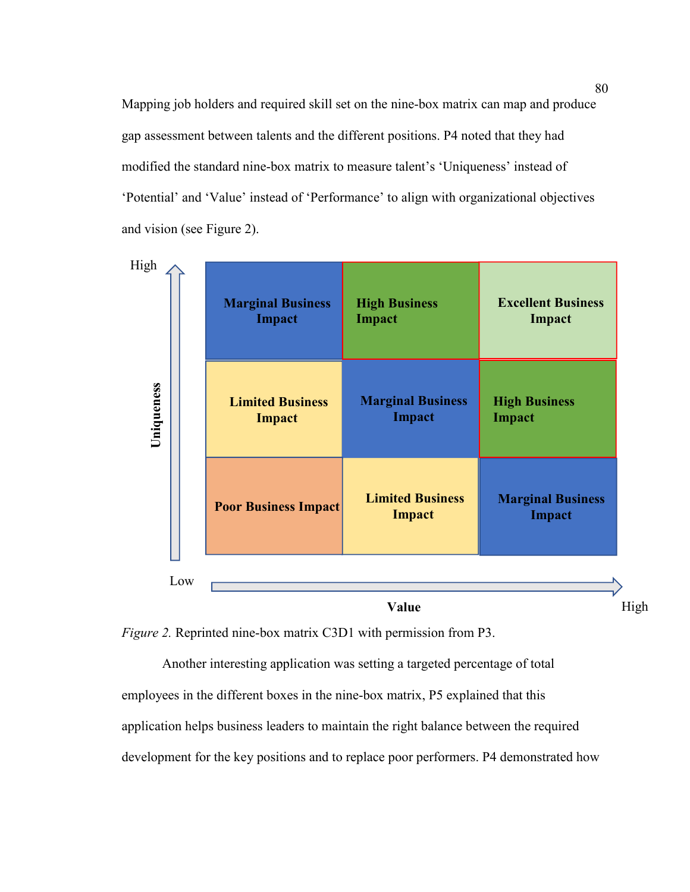Mapping job holders and required skill set on the nine-box matrix can map and produce gap assessment between talents and the different positions. P4 noted that they had modified the standard nine-box matrix to measure talent's 'Uniqueness' instead of 'Potential' and 'Value' instead of 'Performance' to align with organizational objectives and vision (see Figure 2).

| High       | <b>Marginal Business</b>    | <b>High Business</b>              | <b>Excellent Business</b>                 |
|------------|-----------------------------|-----------------------------------|-------------------------------------------|
|            | <b>Impact</b>               | <b>Impact</b>                     | Impact                                    |
| Uniqueness | <b>Limited Business</b>     | <b>Marginal Business</b>          | <b>High Business</b>                      |
|            | Impact                      | Impact                            | Impact                                    |
|            | <b>Poor Business Impact</b> | <b>Limited Business</b><br>Impact | <b>Marginal Business</b><br><b>Impact</b> |
| Low        |                             | Value                             | High                                      |



Another interesting application was setting a targeted percentage of total employees in the different boxes in the nine-box matrix, P5 explained that this application helps business leaders to maintain the right balance between the required development for the key positions and to replace poor performers. P4 demonstrated how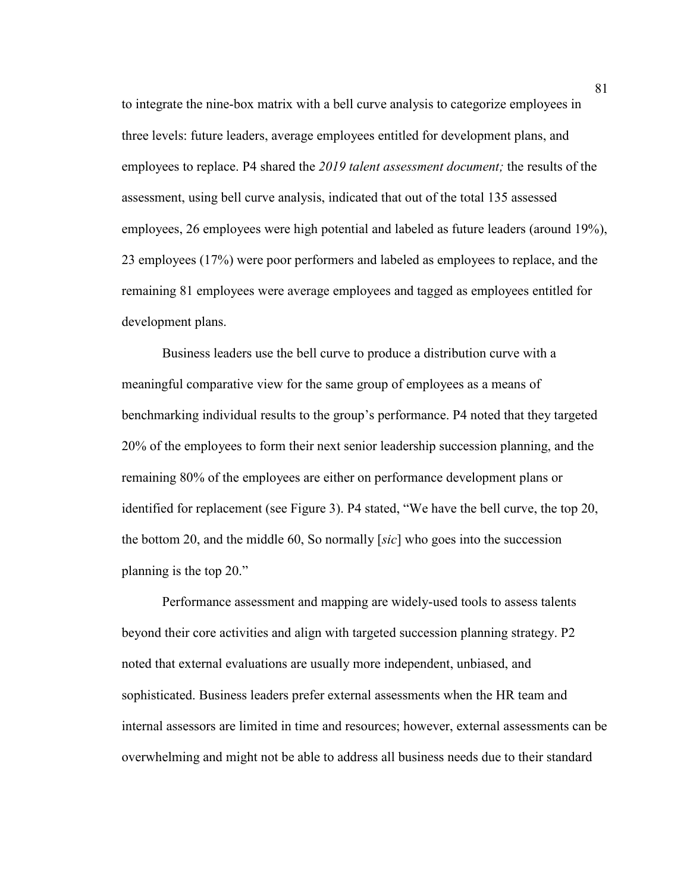to integrate the nine-box matrix with a bell curve analysis to categorize employees in three levels: future leaders, average employees entitled for development plans, and employees to replace. P4 shared the *2019 talent assessment document;* the results of the assessment, using bell curve analysis, indicated that out of the total 135 assessed employees, 26 employees were high potential and labeled as future leaders (around 19%), 23 employees (17%) were poor performers and labeled as employees to replace, and the remaining 81 employees were average employees and tagged as employees entitled for development plans.

Business leaders use the bell curve to produce a distribution curve with a meaningful comparative view for the same group of employees as a means of benchmarking individual results to the group's performance. P4 noted that they targeted 20% of the employees to form their next senior leadership succession planning, and the remaining 80% of the employees are either on performance development plans or identified for replacement (see Figure 3). P4 stated, "We have the bell curve, the top 20, the bottom 20, and the middle 60, So normally [*sic*] who goes into the succession planning is the top 20."

Performance assessment and mapping are widely-used tools to assess talents beyond their core activities and align with targeted succession planning strategy. P2 noted that external evaluations are usually more independent, unbiased, and sophisticated. Business leaders prefer external assessments when the HR team and internal assessors are limited in time and resources; however, external assessments can be overwhelming and might not be able to address all business needs due to their standard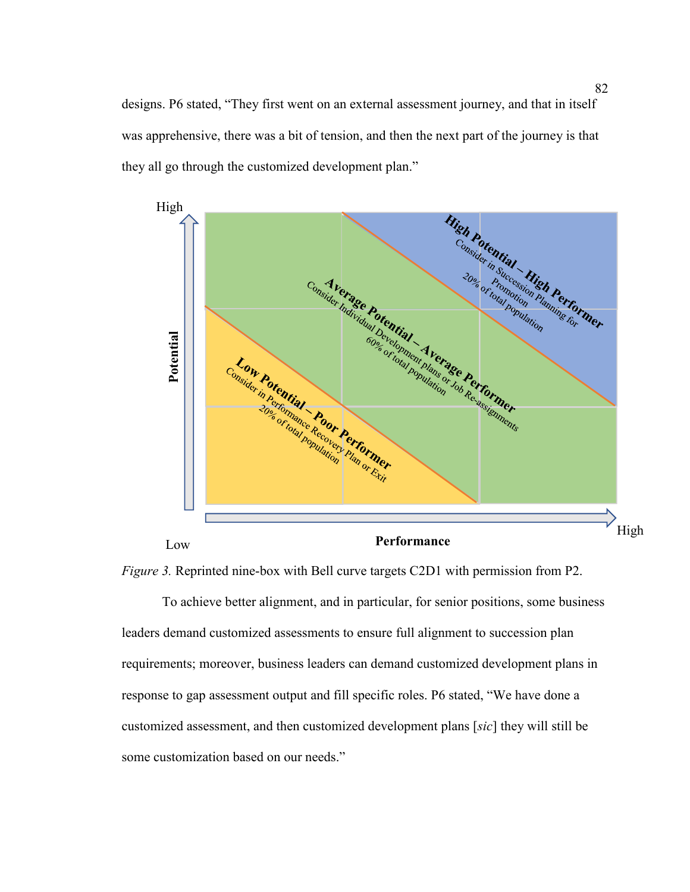designs. P6 stated, "They first went on an external assessment journey, and that in itself was apprehensive, there was a bit of tension, and then the next part of the journey is that they all go through the customized development plan."





To achieve better alignment, and in particular, for senior positions, some business leaders demand customized assessments to ensure full alignment to succession plan requirements; moreover, business leaders can demand customized development plans in response to gap assessment output and fill specific roles. P6 stated, "We have done a customized assessment, and then customized development plans [*sic*] they will still be some customization based on our needs."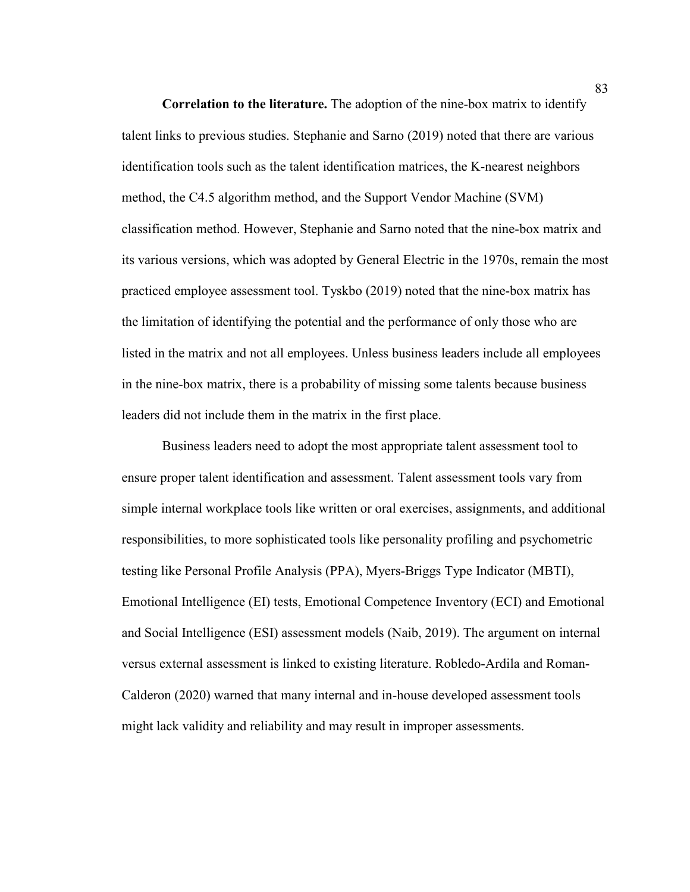**Correlation to the literature.** The adoption of the nine-box matrix to identify talent links to previous studies. Stephanie and Sarno (2019) noted that there are various identification tools such as the talent identification matrices, the K-nearest neighbors method, the C4.5 algorithm method, and the Support Vendor Machine (SVM) classification method. However, Stephanie and Sarno noted that the nine-box matrix and its various versions, which was adopted by General Electric in the 1970s, remain the most practiced employee assessment tool. Tyskbo (2019) noted that the nine-box matrix has the limitation of identifying the potential and the performance of only those who are listed in the matrix and not all employees. Unless business leaders include all employees in the nine-box matrix, there is a probability of missing some talents because business leaders did not include them in the matrix in the first place.

Business leaders need to adopt the most appropriate talent assessment tool to ensure proper talent identification and assessment. Talent assessment tools vary from simple internal workplace tools like written or oral exercises, assignments, and additional responsibilities, to more sophisticated tools like personality profiling and psychometric testing like Personal Profile Analysis (PPA), Myers-Briggs Type Indicator (MBTI), Emotional Intelligence (EI) tests, Emotional Competence Inventory (ECI) and Emotional and Social Intelligence (ESI) assessment models (Naib, 2019). The argument on internal versus external assessment is linked to existing literature. Robledo-Ardila and Roman-Calderon (2020) warned that many internal and in-house developed assessment tools might lack validity and reliability and may result in improper assessments.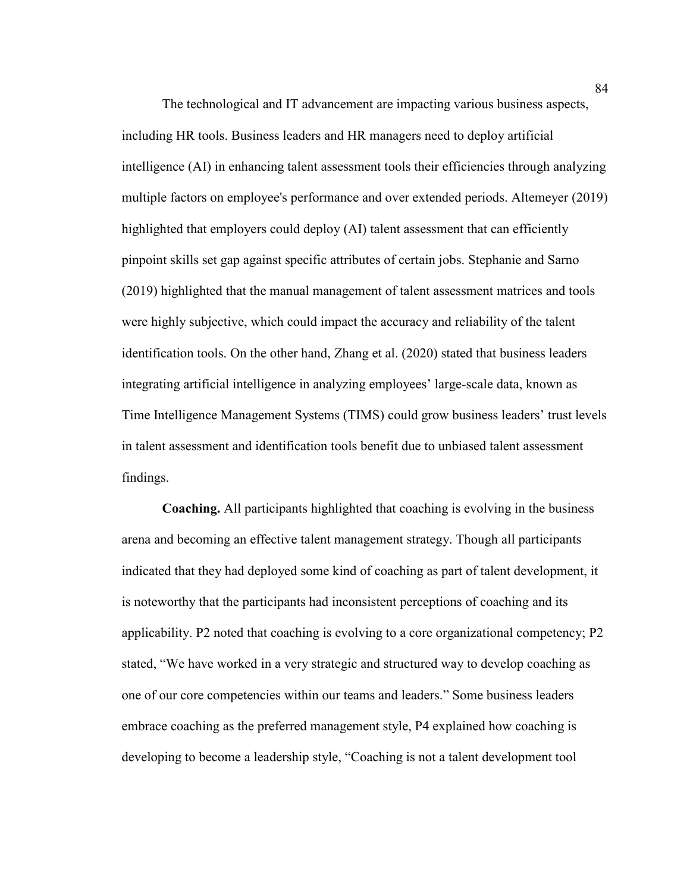The technological and IT advancement are impacting various business aspects, including HR tools. Business leaders and HR managers need to deploy artificial intelligence (AI) in enhancing talent assessment tools their efficiencies through analyzing multiple factors on employee's performance and over extended periods. Altemeyer (2019) highlighted that employers could deploy (AI) talent assessment that can efficiently pinpoint skills set gap against specific attributes of certain jobs. Stephanie and Sarno (2019) highlighted that the manual management of talent assessment matrices and tools were highly subjective, which could impact the accuracy and reliability of the talent identification tools. On the other hand, Zhang et al. (2020) stated that business leaders integrating artificial intelligence in analyzing employees' large-scale data, known as Time Intelligence Management Systems (TIMS) could grow business leaders' trust levels in talent assessment and identification tools benefit due to unbiased talent assessment findings.

**Coaching.** All participants highlighted that coaching is evolving in the business arena and becoming an effective talent management strategy. Though all participants indicated that they had deployed some kind of coaching as part of talent development, it is noteworthy that the participants had inconsistent perceptions of coaching and its applicability. P2 noted that coaching is evolving to a core organizational competency; P2 stated, "We have worked in a very strategic and structured way to develop coaching as one of our core competencies within our teams and leaders." Some business leaders embrace coaching as the preferred management style, P4 explained how coaching is developing to become a leadership style, "Coaching is not a talent development tool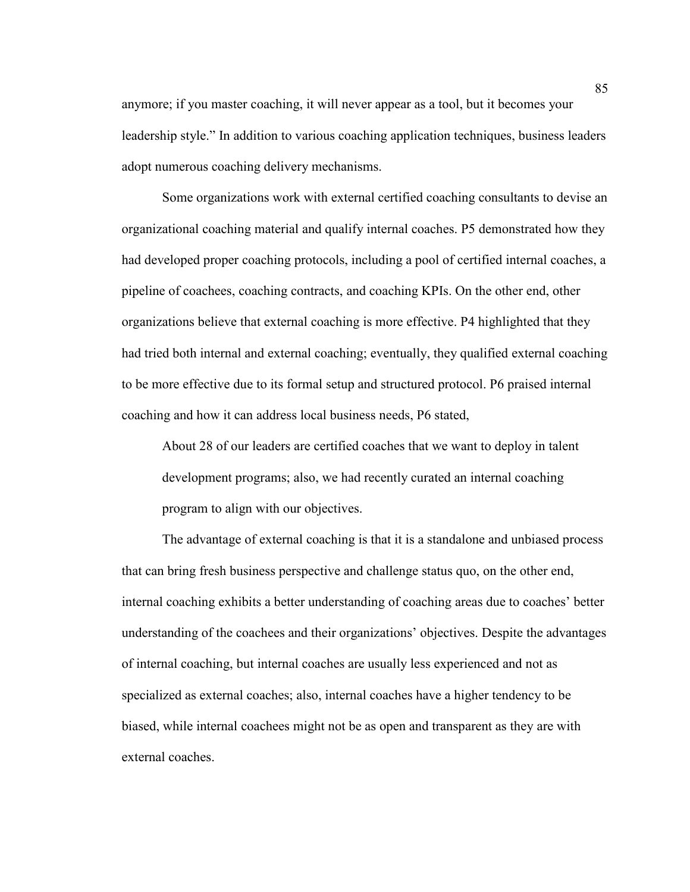anymore; if you master coaching, it will never appear as a tool, but it becomes your leadership style." In addition to various coaching application techniques, business leaders adopt numerous coaching delivery mechanisms.

Some organizations work with external certified coaching consultants to devise an organizational coaching material and qualify internal coaches. P5 demonstrated how they had developed proper coaching protocols, including a pool of certified internal coaches, a pipeline of coachees, coaching contracts, and coaching KPIs. On the other end, other organizations believe that external coaching is more effective. P4 highlighted that they had tried both internal and external coaching; eventually, they qualified external coaching to be more effective due to its formal setup and structured protocol. P6 praised internal coaching and how it can address local business needs, P6 stated,

About 28 of our leaders are certified coaches that we want to deploy in talent development programs; also, we had recently curated an internal coaching program to align with our objectives.

The advantage of external coaching is that it is a standalone and unbiased process that can bring fresh business perspective and challenge status quo, on the other end, internal coaching exhibits a better understanding of coaching areas due to coaches' better understanding of the coachees and their organizations' objectives. Despite the advantages of internal coaching, but internal coaches are usually less experienced and not as specialized as external coaches; also, internal coaches have a higher tendency to be biased, while internal coachees might not be as open and transparent as they are with external coaches.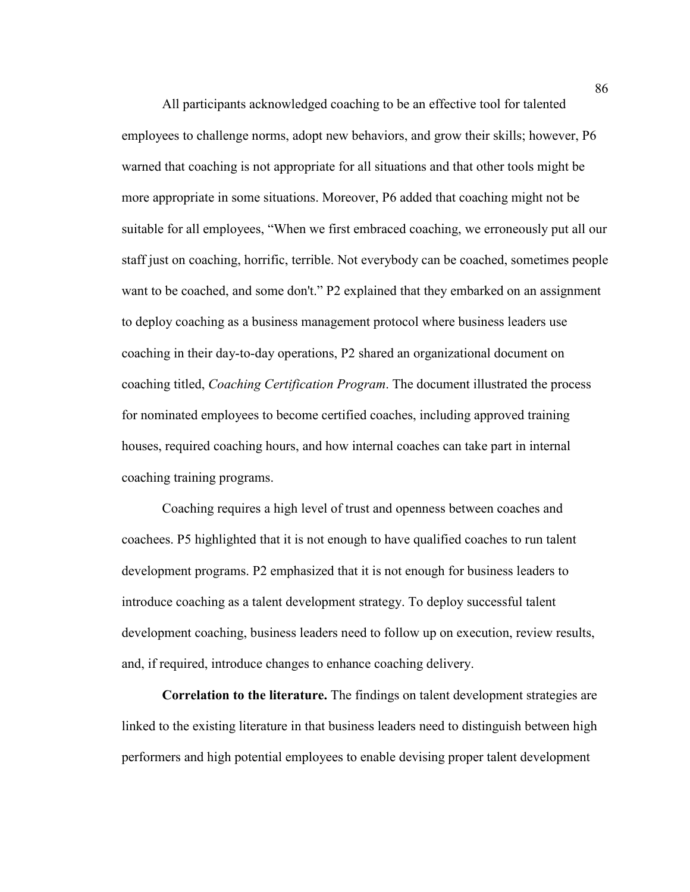All participants acknowledged coaching to be an effective tool for talented employees to challenge norms, adopt new behaviors, and grow their skills; however, P6 warned that coaching is not appropriate for all situations and that other tools might be more appropriate in some situations. Moreover, P6 added that coaching might not be suitable for all employees, "When we first embraced coaching, we erroneously put all our staff just on coaching, horrific, terrible. Not everybody can be coached, sometimes people want to be coached, and some don't." P2 explained that they embarked on an assignment to deploy coaching as a business management protocol where business leaders use coaching in their day-to-day operations, P2 shared an organizational document on coaching titled, *Coaching Certification Program*. The document illustrated the process for nominated employees to become certified coaches, including approved training houses, required coaching hours, and how internal coaches can take part in internal coaching training programs.

Coaching requires a high level of trust and openness between coaches and coachees. P5 highlighted that it is not enough to have qualified coaches to run talent development programs. P2 emphasized that it is not enough for business leaders to introduce coaching as a talent development strategy. To deploy successful talent development coaching, business leaders need to follow up on execution, review results, and, if required, introduce changes to enhance coaching delivery.

**Correlation to the literature.** The findings on talent development strategies are linked to the existing literature in that business leaders need to distinguish between high performers and high potential employees to enable devising proper talent development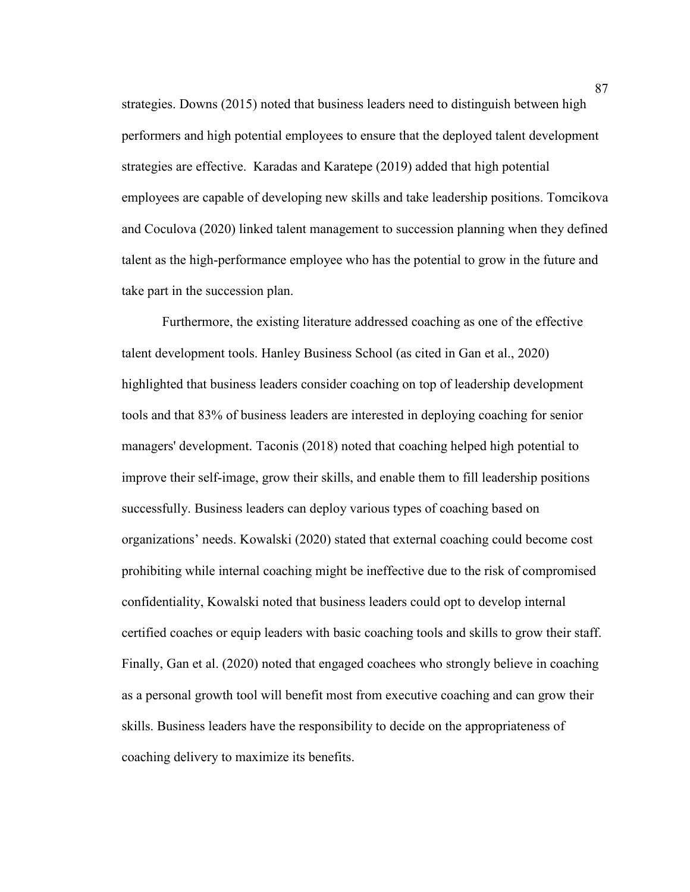strategies. Downs (2015) noted that business leaders need to distinguish between high performers and high potential employees to ensure that the deployed talent development strategies are effective. Karadas and Karatepe (2019) added that high potential employees are capable of developing new skills and take leadership positions. Tomcikova and Coculova (2020) linked talent management to succession planning when they defined talent as the high-performance employee who has the potential to grow in the future and take part in the succession plan.

Furthermore, the existing literature addressed coaching as one of the effective talent development tools. Hanley Business School (as cited in Gan et al., 2020) highlighted that business leaders consider coaching on top of leadership development tools and that 83% of business leaders are interested in deploying coaching for senior managers' development. Taconis (2018) noted that coaching helped high potential to improve their self-image, grow their skills, and enable them to fill leadership positions successfully. Business leaders can deploy various types of coaching based on organizations' needs. Kowalski (2020) stated that external coaching could become cost prohibiting while internal coaching might be ineffective due to the risk of compromised confidentiality, Kowalski noted that business leaders could opt to develop internal certified coaches or equip leaders with basic coaching tools and skills to grow their staff. Finally, Gan et al. (2020) noted that engaged coachees who strongly believe in coaching as a personal growth tool will benefit most from executive coaching and can grow their skills. Business leaders have the responsibility to decide on the appropriateness of coaching delivery to maximize its benefits.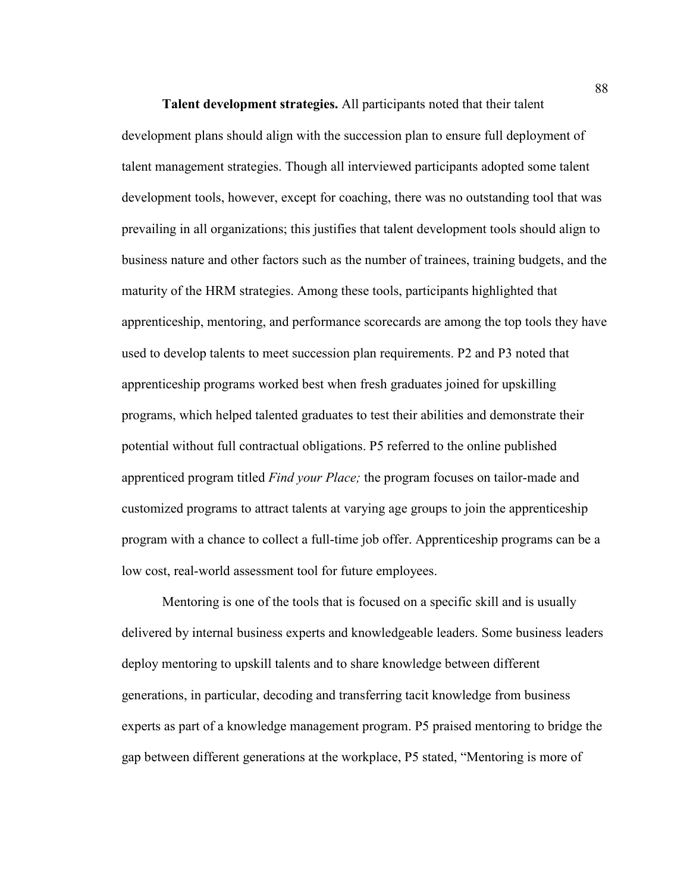**Talent development strategies.** All participants noted that their talent development plans should align with the succession plan to ensure full deployment of talent management strategies. Though all interviewed participants adopted some talent development tools, however, except for coaching, there was no outstanding tool that was prevailing in all organizations; this justifies that talent development tools should align to business nature and other factors such as the number of trainees, training budgets, and the maturity of the HRM strategies. Among these tools, participants highlighted that apprenticeship, mentoring, and performance scorecards are among the top tools they have used to develop talents to meet succession plan requirements. P2 and P3 noted that apprenticeship programs worked best when fresh graduates joined for upskilling programs, which helped talented graduates to test their abilities and demonstrate their potential without full contractual obligations. P5 referred to the online published apprenticed program titled *Find your Place;* the program focuses on tailor-made and customized programs to attract talents at varying age groups to join the apprenticeship program with a chance to collect a full-time job offer. Apprenticeship programs can be a low cost, real-world assessment tool for future employees.

Mentoring is one of the tools that is focused on a specific skill and is usually delivered by internal business experts and knowledgeable leaders. Some business leaders deploy mentoring to upskill talents and to share knowledge between different generations, in particular, decoding and transferring tacit knowledge from business experts as part of a knowledge management program. P5 praised mentoring to bridge the gap between different generations at the workplace, P5 stated, "Mentoring is more of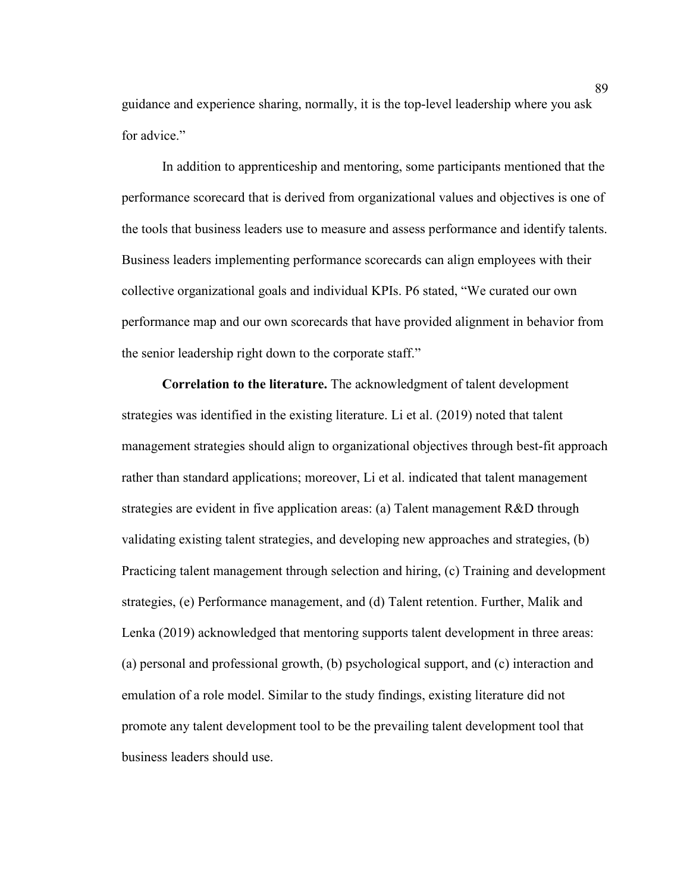guidance and experience sharing, normally, it is the top-level leadership where you ask for advice."

In addition to apprenticeship and mentoring, some participants mentioned that the performance scorecard that is derived from organizational values and objectives is one of the tools that business leaders use to measure and assess performance and identify talents. Business leaders implementing performance scorecards can align employees with their collective organizational goals and individual KPIs. P6 stated, "We curated our own performance map and our own scorecards that have provided alignment in behavior from the senior leadership right down to the corporate staff."

**Correlation to the literature.** The acknowledgment of talent development strategies was identified in the existing literature. Li et al. (2019) noted that talent management strategies should align to organizational objectives through best-fit approach rather than standard applications; moreover, Li et al. indicated that talent management strategies are evident in five application areas: (a) Talent management R&D through validating existing talent strategies, and developing new approaches and strategies, (b) Practicing talent management through selection and hiring, (c) Training and development strategies, (e) Performance management, and (d) Talent retention. Further, Malik and Lenka (2019) acknowledged that mentoring supports talent development in three areas: (a) personal and professional growth, (b) psychological support, and (c) interaction and emulation of a role model. Similar to the study findings, existing literature did not promote any talent development tool to be the prevailing talent development tool that business leaders should use.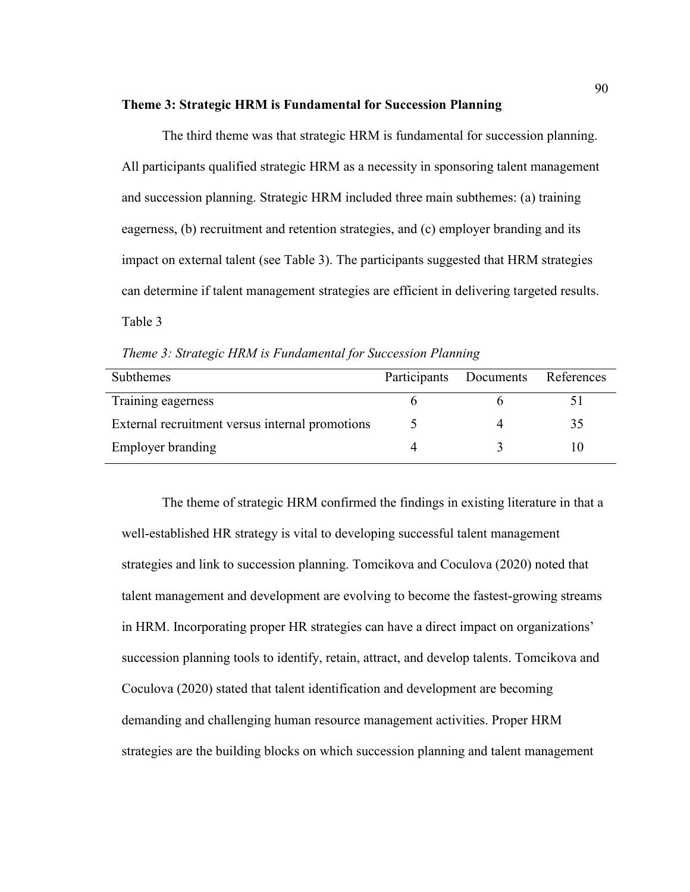#### **Theme 3: Strategic HRM is Fundamental for Succession Planning**

The third theme was that strategic HRM is fundamental for succession planning. All participants qualified strategic HRM as a necessity in sponsoring talent management and succession planning. Strategic HRM included three main subthemes: (a) training eagerness, (b) recruitment and retention strategies, and (c) employer branding and its impact on external talent (see Table 3). The participants suggested that HRM strategies can determine if talent management strategies are efficient in delivering targeted results. Table 3

*Theme 3: Strategic HRM is Fundamental for Succession Planning* 

| <b>Subthemes</b>                                | Participants Documents | References |
|-------------------------------------------------|------------------------|------------|
| Training eagerness                              |                        |            |
| External recruitment versus internal promotions |                        | 35         |
| Employer branding                               |                        |            |

The theme of strategic HRM confirmed the findings in existing literature in that a well-established HR strategy is vital to developing successful talent management strategies and link to succession planning. Tomcikova and Coculova (2020) noted that talent management and development are evolving to become the fastest-growing streams in HRM. Incorporating proper HR strategies can have a direct impact on organizations' succession planning tools to identify, retain, attract, and develop talents. Tomcikova and Coculova (2020) stated that talent identification and development are becoming demanding and challenging human resource management activities. Proper HRM strategies are the building blocks on which succession planning and talent management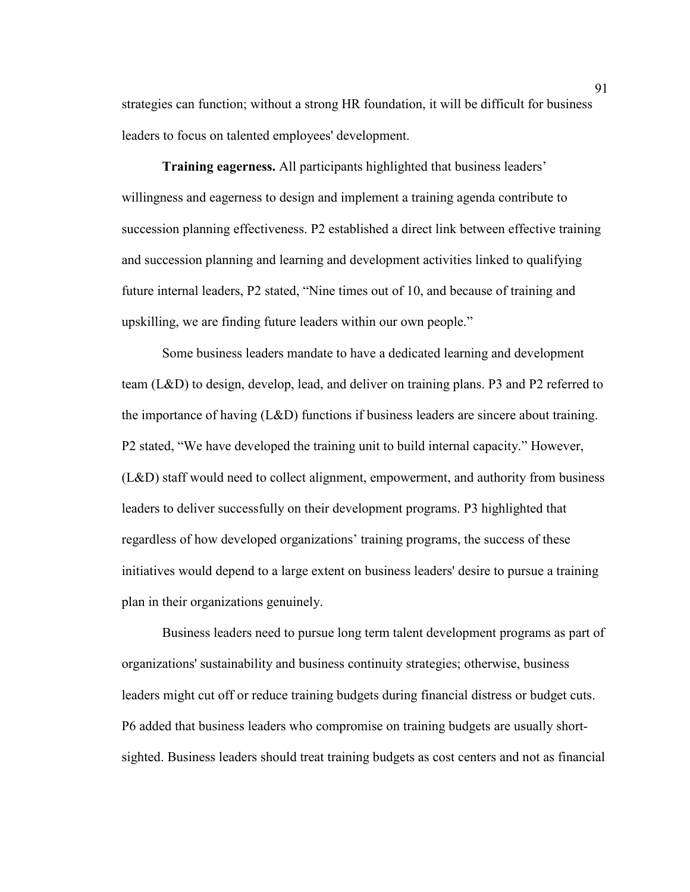strategies can function; without a strong HR foundation, it will be difficult for business leaders to focus on talented employees' development.

**Training eagerness.** All participants highlighted that business leaders' willingness and eagerness to design and implement a training agenda contribute to succession planning effectiveness. P2 established a direct link between effective training and succession planning and learning and development activities linked to qualifying future internal leaders, P2 stated, "Nine times out of 10, and because of training and upskilling, we are finding future leaders within our own people."

Some business leaders mandate to have a dedicated learning and development team (L&D) to design, develop, lead, and deliver on training plans. P3 and P2 referred to the importance of having (L&D) functions if business leaders are sincere about training. P2 stated, "We have developed the training unit to build internal capacity." However, (L&D) staff would need to collect alignment, empowerment, and authority from business leaders to deliver successfully on their development programs. P3 highlighted that regardless of how developed organizations' training programs, the success of these initiatives would depend to a large extent on business leaders' desire to pursue a training plan in their organizations genuinely.

Business leaders need to pursue long term talent development programs as part of organizations' sustainability and business continuity strategies; otherwise, business leaders might cut off or reduce training budgets during financial distress or budget cuts. P6 added that business leaders who compromise on training budgets are usually shortsighted. Business leaders should treat training budgets as cost centers and not as financial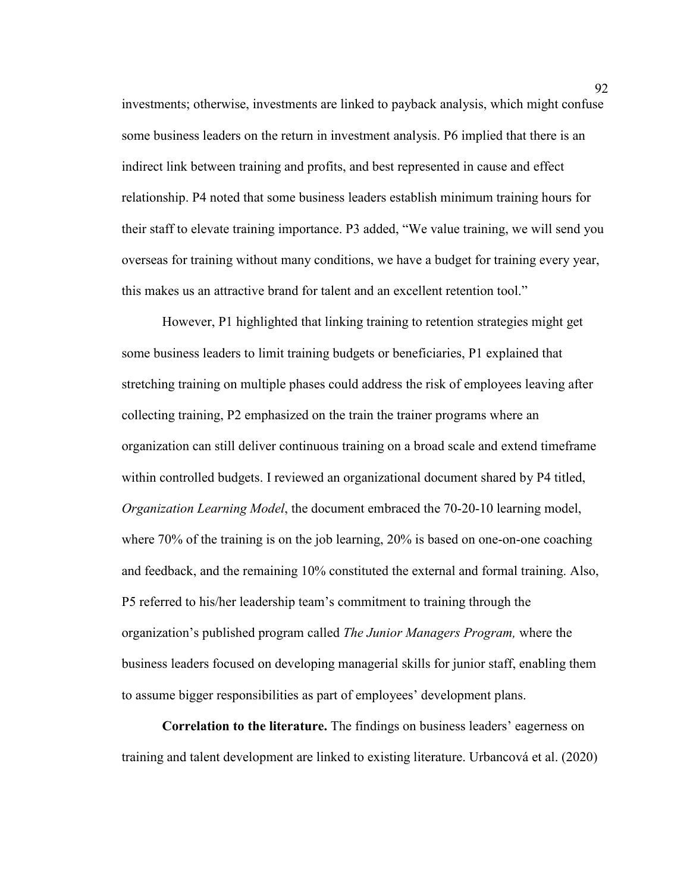investments; otherwise, investments are linked to payback analysis, which might confuse some business leaders on the return in investment analysis. P6 implied that there is an indirect link between training and profits, and best represented in cause and effect relationship. P4 noted that some business leaders establish minimum training hours for their staff to elevate training importance. P3 added, "We value training, we will send you overseas for training without many conditions, we have a budget for training every year, this makes us an attractive brand for talent and an excellent retention tool."

However, P1 highlighted that linking training to retention strategies might get some business leaders to limit training budgets or beneficiaries, P1 explained that stretching training on multiple phases could address the risk of employees leaving after collecting training, P2 emphasized on the train the trainer programs where an organization can still deliver continuous training on a broad scale and extend timeframe within controlled budgets. I reviewed an organizational document shared by P4 titled, *Organization Learning Model*, the document embraced the 70-20-10 learning model, where 70% of the training is on the job learning, 20% is based on one-on-one coaching and feedback, and the remaining 10% constituted the external and formal training. Also, P5 referred to his/her leadership team's commitment to training through the organization's published program called *The Junior Managers Program,* where the business leaders focused on developing managerial skills for junior staff, enabling them to assume bigger responsibilities as part of employees' development plans.

**Correlation to the literature.** The findings on business leaders' eagerness on training and talent development are linked to existing literature. Urbancová et al. (2020)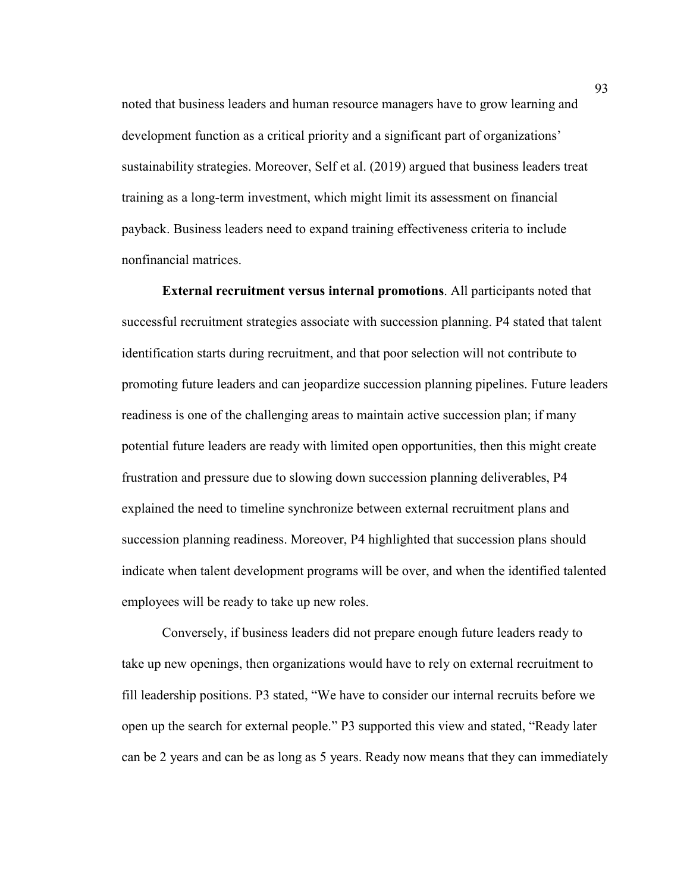noted that business leaders and human resource managers have to grow learning and development function as a critical priority and a significant part of organizations' sustainability strategies. Moreover, Self et al. (2019) argued that business leaders treat training as a long-term investment, which might limit its assessment on financial payback. Business leaders need to expand training effectiveness criteria to include nonfinancial matrices.

 **External recruitment versus internal promotions**. All participants noted that successful recruitment strategies associate with succession planning. P4 stated that talent identification starts during recruitment, and that poor selection will not contribute to promoting future leaders and can jeopardize succession planning pipelines. Future leaders readiness is one of the challenging areas to maintain active succession plan; if many potential future leaders are ready with limited open opportunities, then this might create frustration and pressure due to slowing down succession planning deliverables, P4 explained the need to timeline synchronize between external recruitment plans and succession planning readiness. Moreover, P4 highlighted that succession plans should indicate when talent development programs will be over, and when the identified talented employees will be ready to take up new roles.

Conversely, if business leaders did not prepare enough future leaders ready to take up new openings, then organizations would have to rely on external recruitment to fill leadership positions. P3 stated, "We have to consider our internal recruits before we open up the search for external people." P3 supported this view and stated, "Ready later can be 2 years and can be as long as 5 years. Ready now means that they can immediately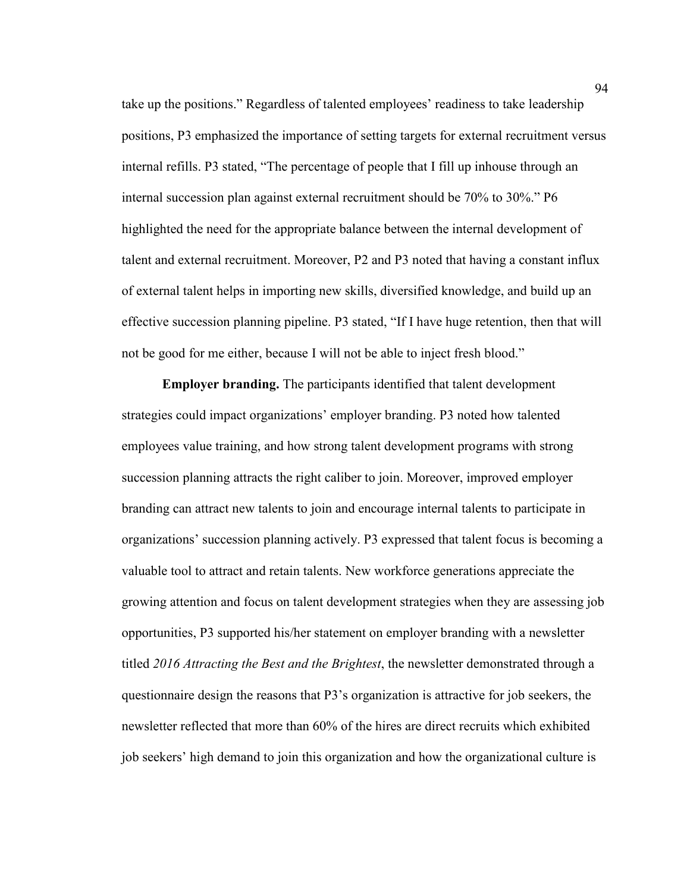take up the positions." Regardless of talented employees' readiness to take leadership positions, P3 emphasized the importance of setting targets for external recruitment versus internal refills. P3 stated, "The percentage of people that I fill up inhouse through an internal succession plan against external recruitment should be 70% to 30%." P6 highlighted the need for the appropriate balance between the internal development of talent and external recruitment. Moreover, P2 and P3 noted that having a constant influx of external talent helps in importing new skills, diversified knowledge, and build up an effective succession planning pipeline. P3 stated, "If I have huge retention, then that will not be good for me either, because I will not be able to inject fresh blood."

**Employer branding.** The participants identified that talent development strategies could impact organizations' employer branding. P3 noted how talented employees value training, and how strong talent development programs with strong succession planning attracts the right caliber to join. Moreover, improved employer branding can attract new talents to join and encourage internal talents to participate in organizations' succession planning actively. P3 expressed that talent focus is becoming a valuable tool to attract and retain talents. New workforce generations appreciate the growing attention and focus on talent development strategies when they are assessing job opportunities, P3 supported his/her statement on employer branding with a newsletter titled *2016 Attracting the Best and the Brightest*, the newsletter demonstrated through a questionnaire design the reasons that P3's organization is attractive for job seekers, the newsletter reflected that more than 60% of the hires are direct recruits which exhibited job seekers' high demand to join this organization and how the organizational culture is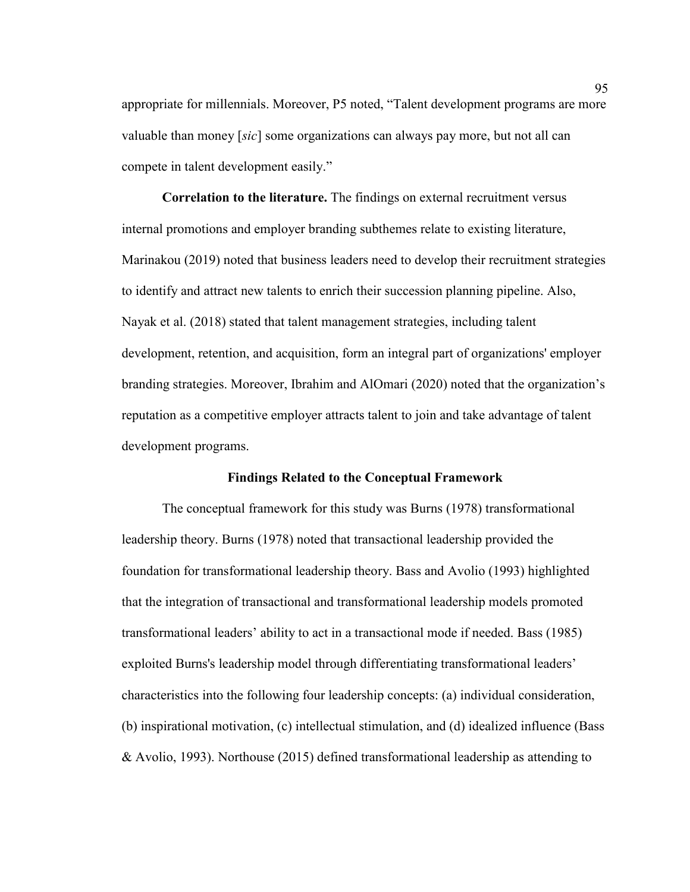appropriate for millennials. Moreover, P5 noted, "Talent development programs are more valuable than money [*sic*] some organizations can always pay more, but not all can compete in talent development easily."

**Correlation to the literature.** The findings on external recruitment versus internal promotions and employer branding subthemes relate to existing literature, Marinakou (2019) noted that business leaders need to develop their recruitment strategies to identify and attract new talents to enrich their succession planning pipeline. Also, Nayak et al. (2018) stated that talent management strategies, including talent development, retention, and acquisition, form an integral part of organizations' employer branding strategies. Moreover, Ibrahim and AlOmari (2020) noted that the organization's reputation as a competitive employer attracts talent to join and take advantage of talent development programs.

#### **Findings Related to the Conceptual Framework**

The conceptual framework for this study was Burns (1978) transformational leadership theory. Burns (1978) noted that transactional leadership provided the foundation for transformational leadership theory. Bass and Avolio (1993) highlighted that the integration of transactional and transformational leadership models promoted transformational leaders' ability to act in a transactional mode if needed. Bass (1985) exploited Burns's leadership model through differentiating transformational leaders' characteristics into the following four leadership concepts: (a) individual consideration, (b) inspirational motivation, (c) intellectual stimulation, and (d) idealized influence (Bass & Avolio, 1993). Northouse (2015) defined transformational leadership as attending to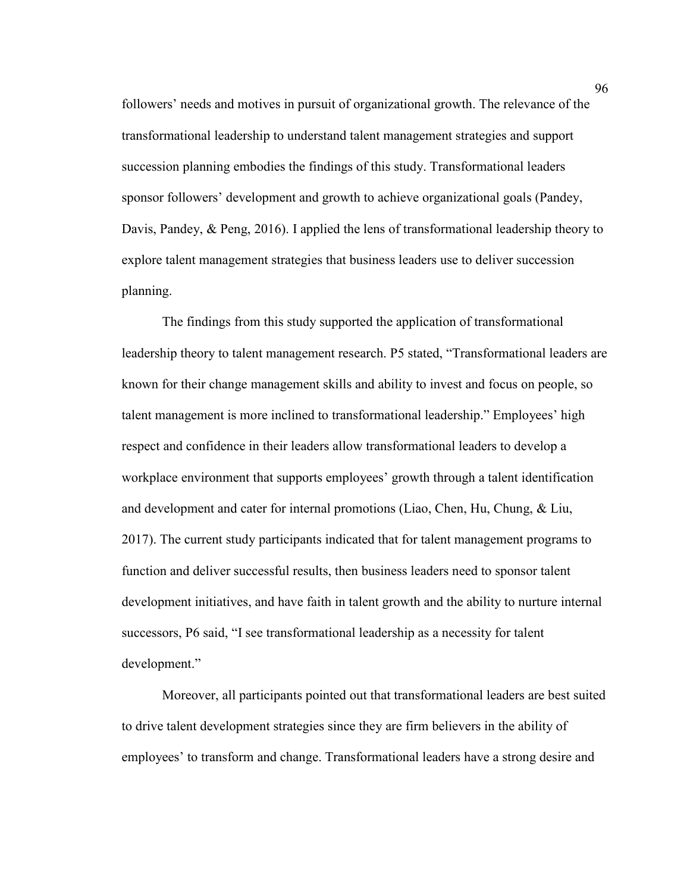followers' needs and motives in pursuit of organizational growth. The relevance of the transformational leadership to understand talent management strategies and support succession planning embodies the findings of this study. Transformational leaders sponsor followers' development and growth to achieve organizational goals (Pandey, Davis, Pandey, & Peng, 2016). I applied the lens of transformational leadership theory to explore talent management strategies that business leaders use to deliver succession planning.

The findings from this study supported the application of transformational leadership theory to talent management research. P5 stated, "Transformational leaders are known for their change management skills and ability to invest and focus on people, so talent management is more inclined to transformational leadership." Employees' high respect and confidence in their leaders allow transformational leaders to develop a workplace environment that supports employees' growth through a talent identification and development and cater for internal promotions (Liao, Chen, Hu, Chung, & Liu, 2017). The current study participants indicated that for talent management programs to function and deliver successful results, then business leaders need to sponsor talent development initiatives, and have faith in talent growth and the ability to nurture internal successors, P6 said, "I see transformational leadership as a necessity for talent development."

Moreover, all participants pointed out that transformational leaders are best suited to drive talent development strategies since they are firm believers in the ability of employees' to transform and change. Transformational leaders have a strong desire and

96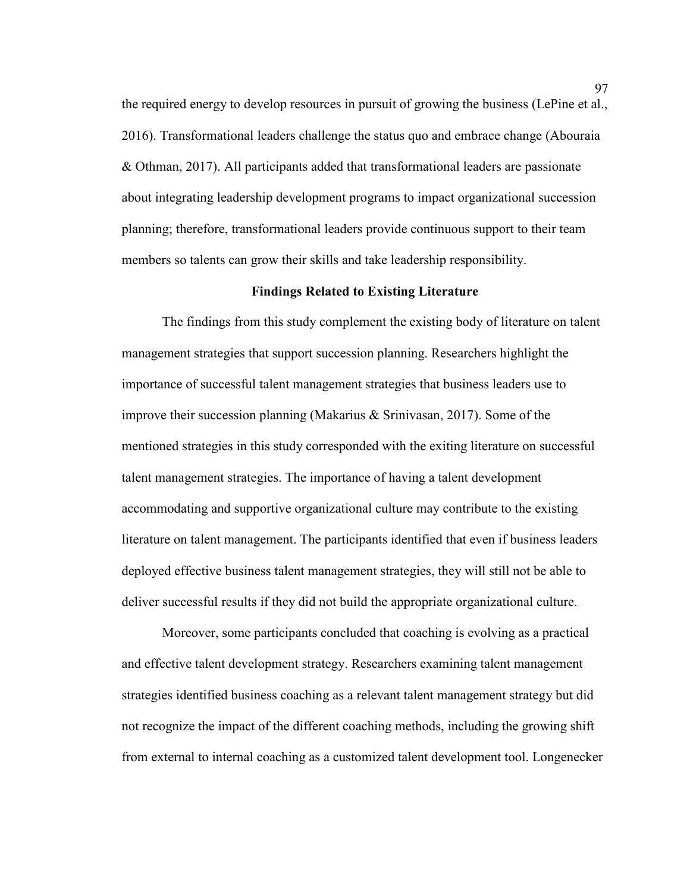the required energy to develop resources in pursuit of growing the business (LePine et al., 2016). Transformational leaders challenge the status quo and embrace change (Abouraia & Othman, 2017). All participants added that transformational leaders are passionate about integrating leadership development programs to impact organizational succession planning; therefore, transformational leaders provide continuous support to their team members so talents can grow their skills and take leadership responsibility.

## **Findings Related to Existing Literature**

The findings from this study complement the existing body of literature on talent management strategies that support succession planning. Researchers highlight the importance of successful talent management strategies that business leaders use to improve their succession planning (Makarius & Srinivasan, 2017). Some of the mentioned strategies in this study corresponded with the exiting literature on successful talent management strategies. The importance of having a talent development accommodating and supportive organizational culture may contribute to the existing literature on talent management. The participants identified that even if business leaders deployed effective business talent management strategies, they will still not be able to deliver successful results if they did not build the appropriate organizational culture.

Moreover, some participants concluded that coaching is evolving as a practical and effective talent development strategy. Researchers examining talent management strategies identified business coaching as a relevant talent management strategy but did not recognize the impact of the different coaching methods, including the growing shift from external to internal coaching as a customized talent development tool. Longenecker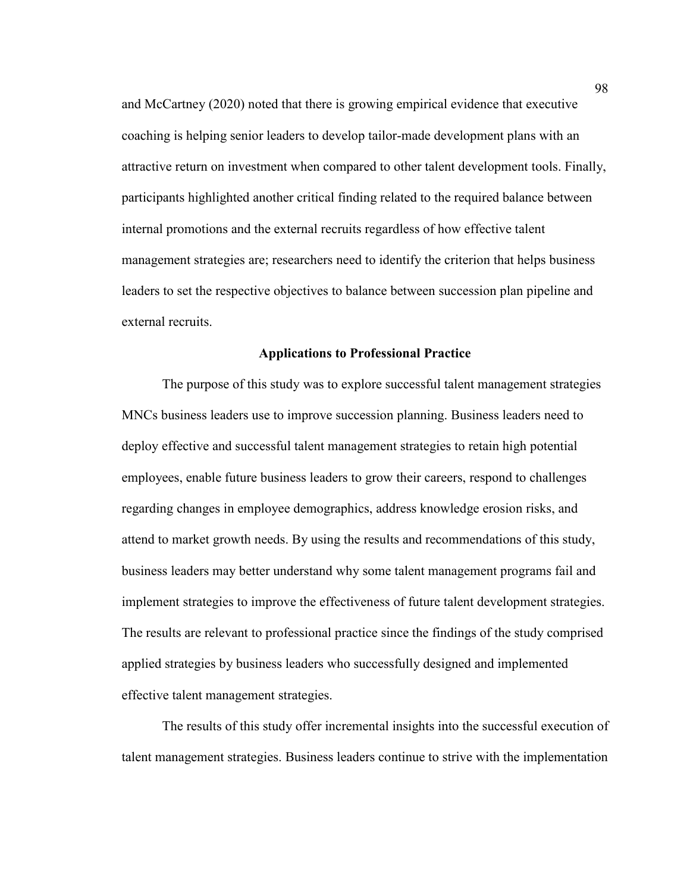and McCartney (2020) noted that there is growing empirical evidence that executive coaching is helping senior leaders to develop tailor-made development plans with an attractive return on investment when compared to other talent development tools. Finally, participants highlighted another critical finding related to the required balance between internal promotions and the external recruits regardless of how effective talent management strategies are; researchers need to identify the criterion that helps business leaders to set the respective objectives to balance between succession plan pipeline and external recruits.

### **Applications to Professional Practice**

The purpose of this study was to explore successful talent management strategies MNCs business leaders use to improve succession planning. Business leaders need to deploy effective and successful talent management strategies to retain high potential employees, enable future business leaders to grow their careers, respond to challenges regarding changes in employee demographics, address knowledge erosion risks, and attend to market growth needs. By using the results and recommendations of this study, business leaders may better understand why some talent management programs fail and implement strategies to improve the effectiveness of future talent development strategies. The results are relevant to professional practice since the findings of the study comprised applied strategies by business leaders who successfully designed and implemented effective talent management strategies.

The results of this study offer incremental insights into the successful execution of talent management strategies. Business leaders continue to strive with the implementation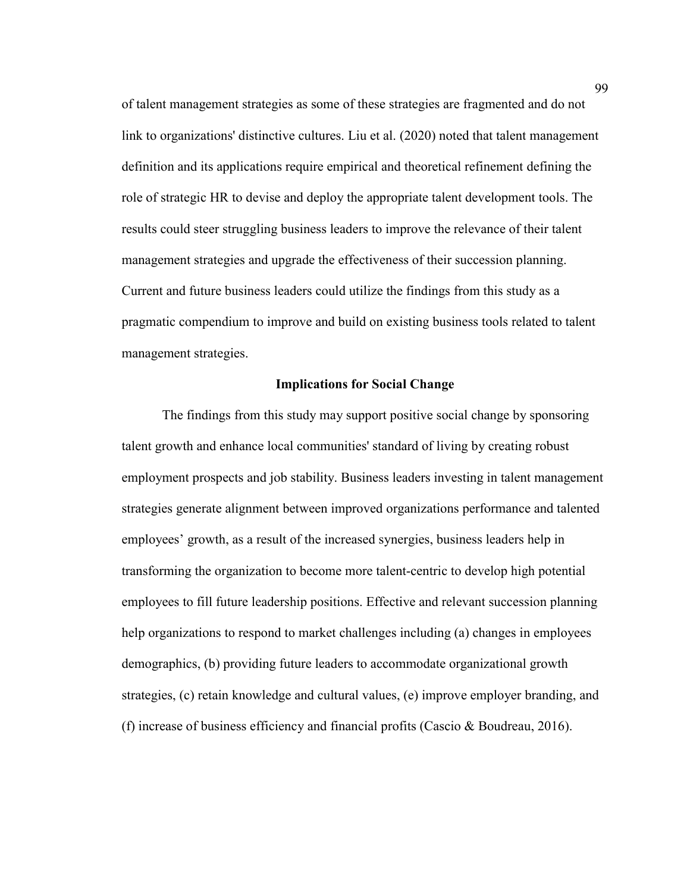of talent management strategies as some of these strategies are fragmented and do not link to organizations' distinctive cultures. Liu et al. (2020) noted that talent management definition and its applications require empirical and theoretical refinement defining the role of strategic HR to devise and deploy the appropriate talent development tools. The results could steer struggling business leaders to improve the relevance of their talent management strategies and upgrade the effectiveness of their succession planning. Current and future business leaders could utilize the findings from this study as a pragmatic compendium to improve and build on existing business tools related to talent management strategies.

### **Implications for Social Change**

The findings from this study may support positive social change by sponsoring talent growth and enhance local communities' standard of living by creating robust employment prospects and job stability. Business leaders investing in talent management strategies generate alignment between improved organizations performance and talented employees' growth, as a result of the increased synergies, business leaders help in transforming the organization to become more talent-centric to develop high potential employees to fill future leadership positions. Effective and relevant succession planning help organizations to respond to market challenges including (a) changes in employees demographics, (b) providing future leaders to accommodate organizational growth strategies, (c) retain knowledge and cultural values, (e) improve employer branding, and (f) increase of business efficiency and financial profits (Cascio & Boudreau, 2016).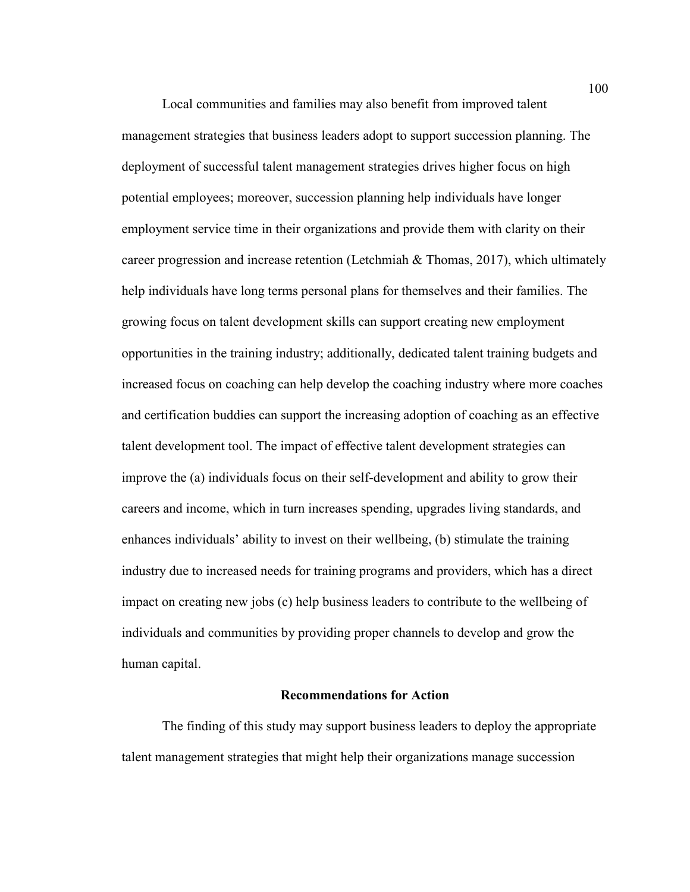Local communities and families may also benefit from improved talent management strategies that business leaders adopt to support succession planning. The deployment of successful talent management strategies drives higher focus on high potential employees; moreover, succession planning help individuals have longer employment service time in their organizations and provide them with clarity on their career progression and increase retention (Letchmiah & Thomas, 2017), which ultimately help individuals have long terms personal plans for themselves and their families. The growing focus on talent development skills can support creating new employment opportunities in the training industry; additionally, dedicated talent training budgets and increased focus on coaching can help develop the coaching industry where more coaches and certification buddies can support the increasing adoption of coaching as an effective talent development tool. The impact of effective talent development strategies can improve the (a) individuals focus on their self-development and ability to grow their careers and income, which in turn increases spending, upgrades living standards, and enhances individuals' ability to invest on their wellbeing, (b) stimulate the training industry due to increased needs for training programs and providers, which has a direct impact on creating new jobs (c) help business leaders to contribute to the wellbeing of individuals and communities by providing proper channels to develop and grow the human capital.

#### **Recommendations for Action**

 The finding of this study may support business leaders to deploy the appropriate talent management strategies that might help their organizations manage succession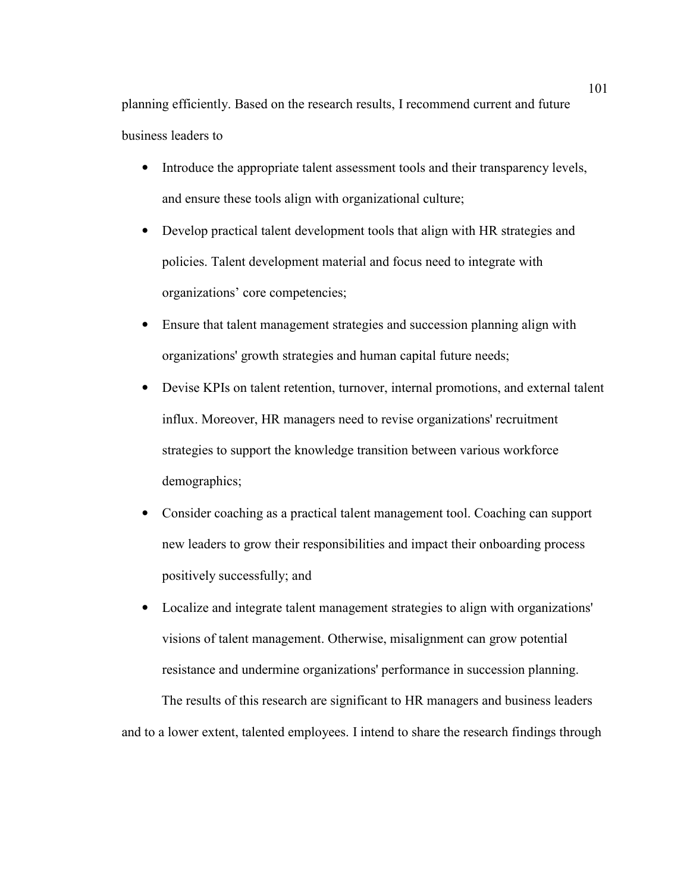planning efficiently. Based on the research results, I recommend current and future business leaders to

- Introduce the appropriate talent assessment tools and their transparency levels, and ensure these tools align with organizational culture;
- Develop practical talent development tools that align with HR strategies and policies. Talent development material and focus need to integrate with organizations' core competencies;
- Ensure that talent management strategies and succession planning align with organizations' growth strategies and human capital future needs;
- Devise KPIs on talent retention, turnover, internal promotions, and external talent influx. Moreover, HR managers need to revise organizations' recruitment strategies to support the knowledge transition between various workforce demographics;
- Consider coaching as a practical talent management tool. Coaching can support new leaders to grow their responsibilities and impact their onboarding process positively successfully; and
- Localize and integrate talent management strategies to align with organizations' visions of talent management. Otherwise, misalignment can grow potential resistance and undermine organizations' performance in succession planning.

The results of this research are significant to HR managers and business leaders and to a lower extent, talented employees. I intend to share the research findings through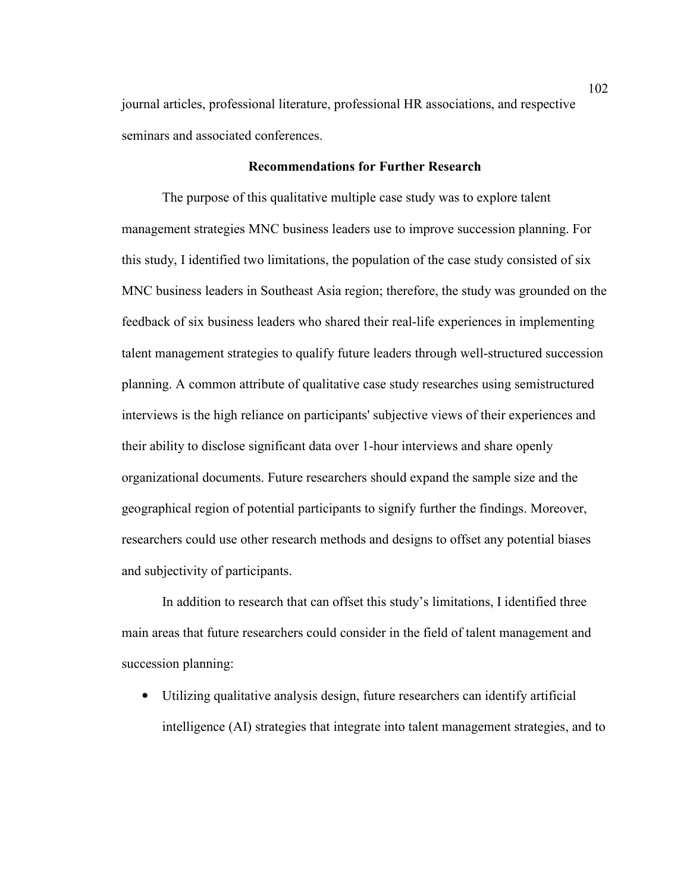journal articles, professional literature, professional HR associations, and respective seminars and associated conferences.

# **Recommendations for Further Research**

 The purpose of this qualitative multiple case study was to explore talent management strategies MNC business leaders use to improve succession planning. For this study, I identified two limitations, the population of the case study consisted of six MNC business leaders in Southeast Asia region; therefore, the study was grounded on the feedback of six business leaders who shared their real-life experiences in implementing talent management strategies to qualify future leaders through well-structured succession planning. A common attribute of qualitative case study researches using semistructured interviews is the high reliance on participants' subjective views of their experiences and their ability to disclose significant data over 1-hour interviews and share openly organizational documents. Future researchers should expand the sample size and the geographical region of potential participants to signify further the findings. Moreover, researchers could use other research methods and designs to offset any potential biases and subjectivity of participants.

In addition to research that can offset this study's limitations, I identified three main areas that future researchers could consider in the field of talent management and succession planning:

• Utilizing qualitative analysis design, future researchers can identify artificial intelligence (AI) strategies that integrate into talent management strategies, and to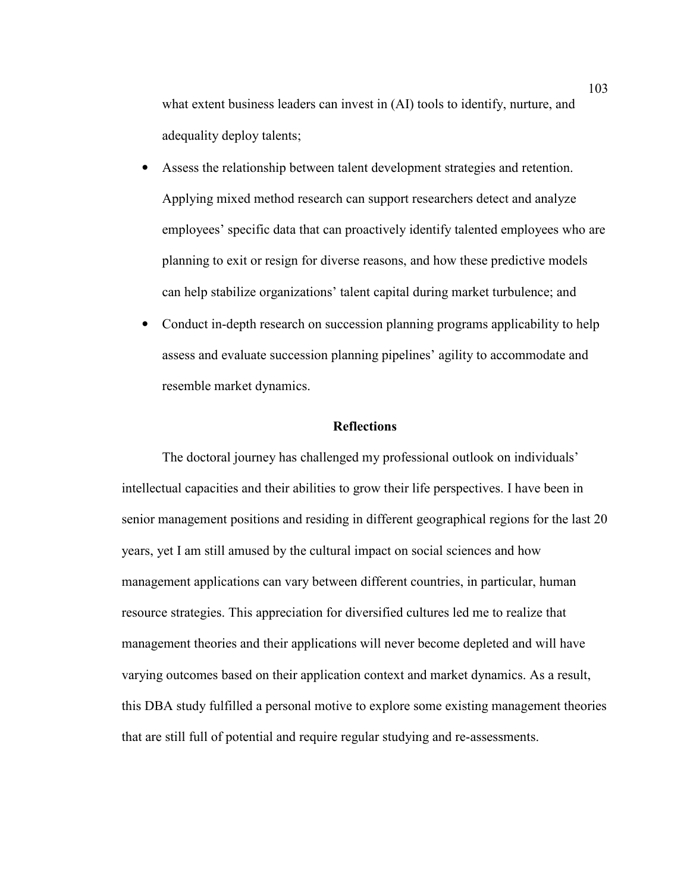what extent business leaders can invest in (AI) tools to identify, nurture, and adequality deploy talents;

- Assess the relationship between talent development strategies and retention. Applying mixed method research can support researchers detect and analyze employees' specific data that can proactively identify talented employees who are planning to exit or resign for diverse reasons, and how these predictive models can help stabilize organizations' talent capital during market turbulence; and
- Conduct in-depth research on succession planning programs applicability to help assess and evaluate succession planning pipelines' agility to accommodate and resemble market dynamics.

### **Reflections**

 The doctoral journey has challenged my professional outlook on individuals' intellectual capacities and their abilities to grow their life perspectives. I have been in senior management positions and residing in different geographical regions for the last 20 years, yet I am still amused by the cultural impact on social sciences and how management applications can vary between different countries, in particular, human resource strategies. This appreciation for diversified cultures led me to realize that management theories and their applications will never become depleted and will have varying outcomes based on their application context and market dynamics. As a result, this DBA study fulfilled a personal motive to explore some existing management theories that are still full of potential and require regular studying and re-assessments.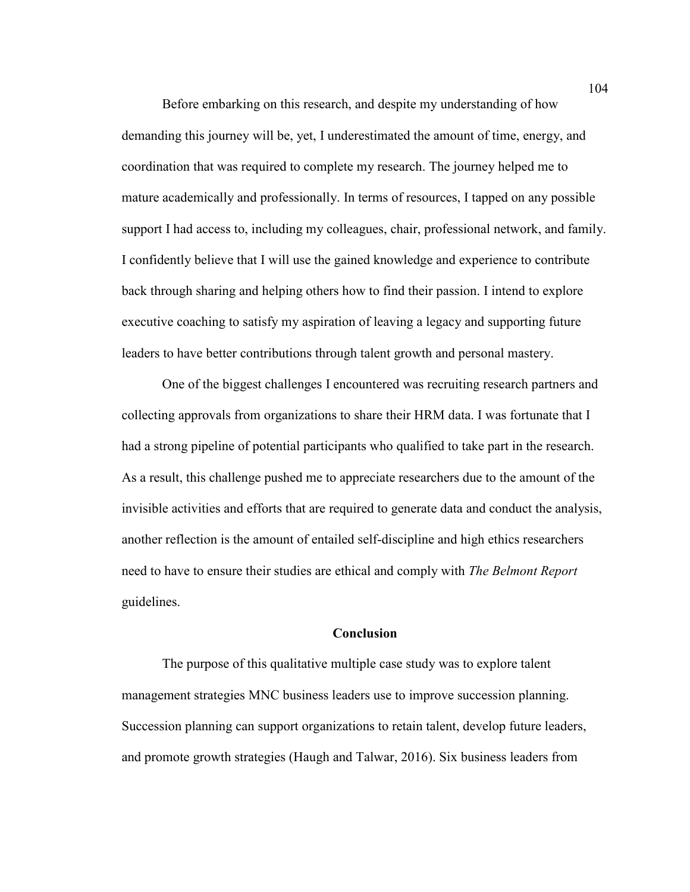Before embarking on this research, and despite my understanding of how demanding this journey will be, yet, I underestimated the amount of time, energy, and coordination that was required to complete my research. The journey helped me to mature academically and professionally. In terms of resources, I tapped on any possible support I had access to, including my colleagues, chair, professional network, and family. I confidently believe that I will use the gained knowledge and experience to contribute back through sharing and helping others how to find their passion. I intend to explore executive coaching to satisfy my aspiration of leaving a legacy and supporting future leaders to have better contributions through talent growth and personal mastery.

One of the biggest challenges I encountered was recruiting research partners and collecting approvals from organizations to share their HRM data. I was fortunate that I had a strong pipeline of potential participants who qualified to take part in the research. As a result, this challenge pushed me to appreciate researchers due to the amount of the invisible activities and efforts that are required to generate data and conduct the analysis, another reflection is the amount of entailed self-discipline and high ethics researchers need to have to ensure their studies are ethical and comply with *The Belmont Report* guidelines.

### **Conclusion**

The purpose of this qualitative multiple case study was to explore talent management strategies MNC business leaders use to improve succession planning. Succession planning can support organizations to retain talent, develop future leaders, and promote growth strategies (Haugh and Talwar, 2016). Six business leaders from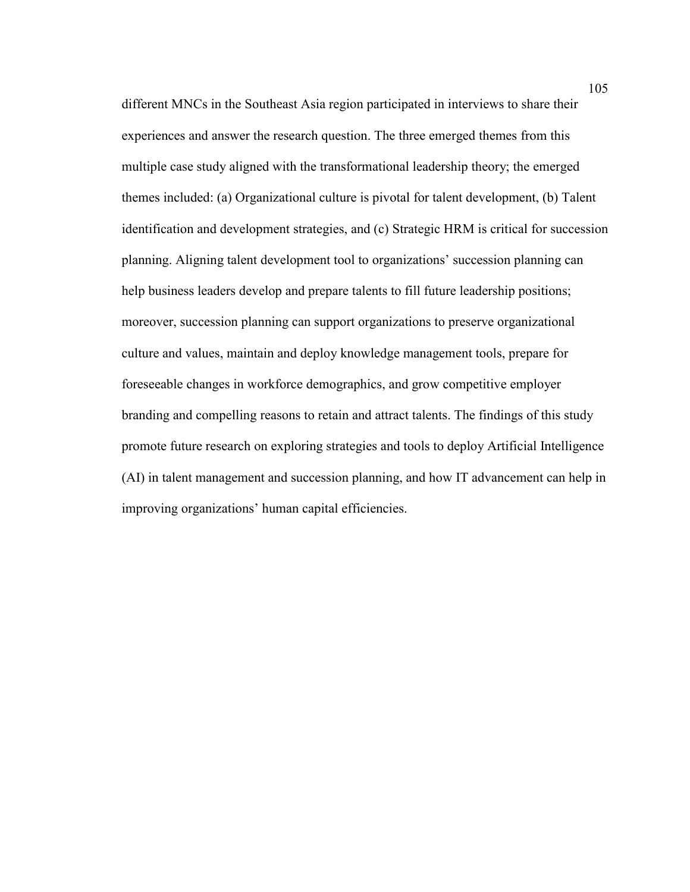different MNCs in the Southeast Asia region participated in interviews to share their experiences and answer the research question. The three emerged themes from this multiple case study aligned with the transformational leadership theory; the emerged themes included: (a) Organizational culture is pivotal for talent development, (b) Talent identification and development strategies, and (c) Strategic HRM is critical for succession planning. Aligning talent development tool to organizations' succession planning can help business leaders develop and prepare talents to fill future leadership positions; moreover, succession planning can support organizations to preserve organizational culture and values, maintain and deploy knowledge management tools, prepare for foreseeable changes in workforce demographics, and grow competitive employer branding and compelling reasons to retain and attract talents. The findings of this study promote future research on exploring strategies and tools to deploy Artificial Intelligence (AI) in talent management and succession planning, and how IT advancement can help in improving organizations' human capital efficiencies.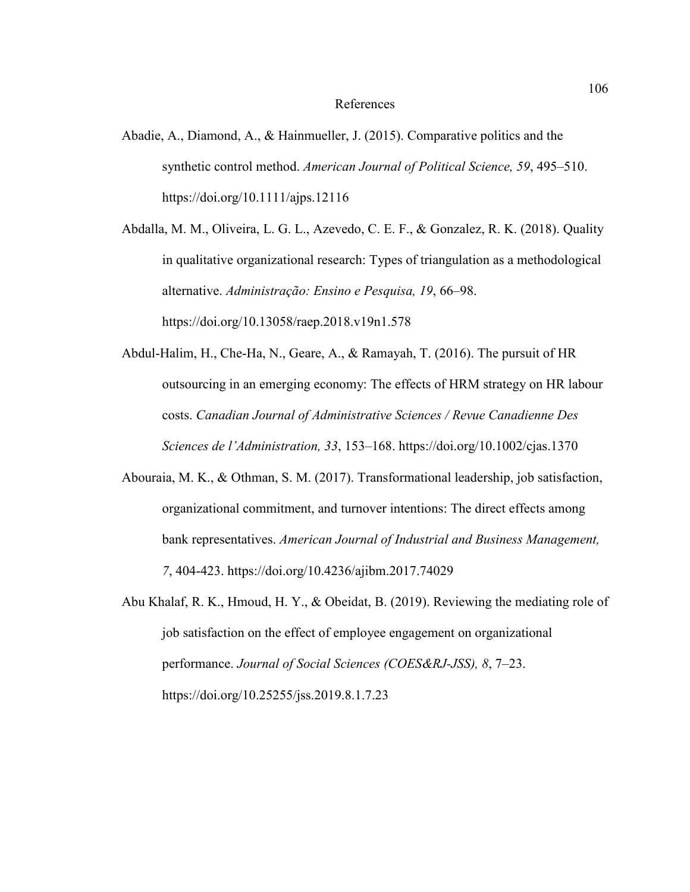### References

Abadie, A., Diamond, A., & Hainmueller, J. (2015). Comparative politics and the synthetic control method. *American Journal of Political Science, 59*, 495–510. https://doi.org/10.1111/ajps.12116

Abdalla, M. M., Oliveira, L. G. L., Azevedo, C. E. F., & Gonzalez, R. K. (2018). Quality in qualitative organizational research: Types of triangulation as a methodological alternative. *Administração: Ensino e Pesquisa, 19*, 66–98. https://doi.org/10.13058/raep.2018.v19n1.578

- Abdul-Halim, H., Che-Ha, N., Geare, A., & Ramayah, T. (2016). The pursuit of HR outsourcing in an emerging economy: The effects of HRM strategy on HR labour costs. *Canadian Journal of Administrative Sciences / Revue Canadienne Des Sciences de l'Administration, 33*, 153–168. https://doi.org/10.1002/cjas.1370
- Abouraia, M. K., & Othman, S. M. (2017). Transformational leadership, job satisfaction, organizational commitment, and turnover intentions: The direct effects among bank representatives. *American Journal of Industrial and Business Management, 7*, 404-423. https://doi.org/10.4236/ajibm.2017.74029
- Abu Khalaf, R. K., Hmoud, H. Y., & Obeidat, B. (2019). Reviewing the mediating role of job satisfaction on the effect of employee engagement on organizational performance. *Journal of Social Sciences (COES&RJ-JSS), 8*, 7–23. https://doi.org/10.25255/jss.2019.8.1.7.23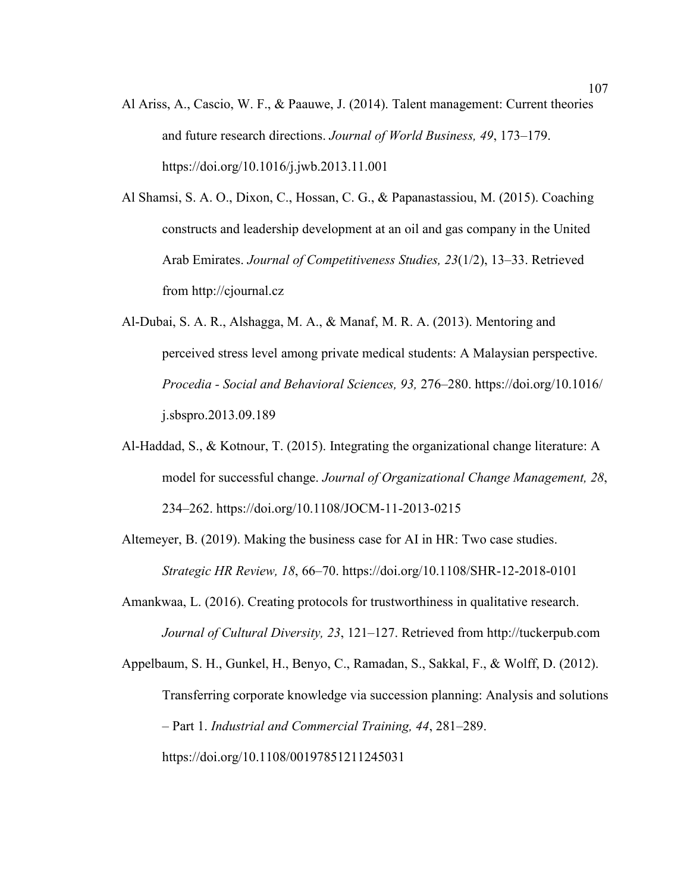- Al Ariss, A., Cascio, W. F., & Paauwe, J. (2014). Talent management: Current theories and future research directions. *Journal of World Business, 49*, 173–179. https://doi.org/10.1016/j.jwb.2013.11.001
- Al Shamsi, S. A. O., Dixon, C., Hossan, C. G., & Papanastassiou, M. (2015). Coaching constructs and leadership development at an oil and gas company in the United Arab Emirates. *Journal of Competitiveness Studies, 23*(1/2), 13–33. Retrieved from http://cjournal.cz
- Al-Dubai, S. A. R., Alshagga, M. A., & Manaf, M. R. A. (2013). Mentoring and perceived stress level among private medical students: A Malaysian perspective. *Procedia - Social and Behavioral Sciences, 93,* 276–280. https://doi.org/10.1016/ j.sbspro.2013.09.189
- Al-Haddad, S., & Kotnour, T. (2015). Integrating the organizational change literature: A model for successful change. *Journal of Organizational Change Management, 28*, 234–262. https://doi.org/10.1108/JOCM-11-2013-0215
- Altemeyer, B. (2019). Making the business case for AI in HR: Two case studies. *Strategic HR Review, 18*, 66–70. https://doi.org/10.1108/SHR-12-2018-0101
- Amankwaa, L. (2016). Creating protocols for trustworthiness in qualitative research. *Journal of Cultural Diversity, 23*, 121–127. Retrieved from http://tuckerpub.com
- Appelbaum, S. H., Gunkel, H., Benyo, C., Ramadan, S., Sakkal, F., & Wolff, D. (2012). Transferring corporate knowledge via succession planning: Analysis and solutions – Part 1. *Industrial and Commercial Training, 44*, 281–289. https://doi.org/10.1108/00197851211245031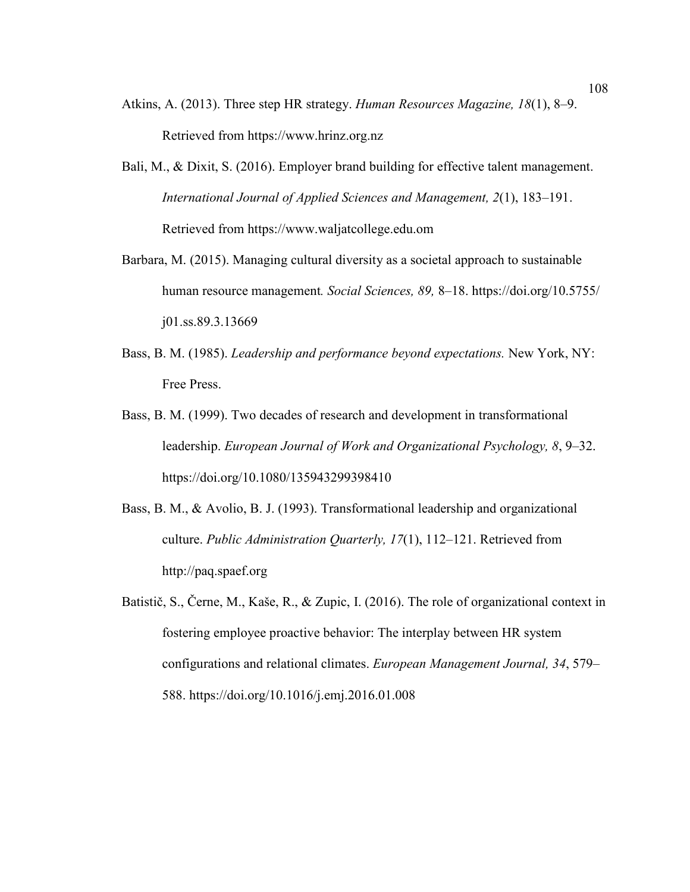- Atkins, A. (2013). Three step HR strategy. *Human Resources Magazine, 18*(1), 8–9. Retrieved from https://www.hrinz.org.nz
- Bali, M., & Dixit, S. (2016). Employer brand building for effective talent management. *International Journal of Applied Sciences and Management, 2*(1), 183–191. Retrieved from https://www.waljatcollege.edu.om
- Barbara, M. (2015). Managing cultural diversity as a societal approach to sustainable human resource management*. Social Sciences, 89,* 8–18. https://doi.org/10.5755/ j01.ss.89.3.13669
- Bass, B. M. (1985). *Leadership and performance beyond expectations.* New York, NY: Free Press.
- Bass, B. M. (1999). Two decades of research and development in transformational leadership. *European Journal of Work and Organizational Psychology, 8*, 9–32. https://doi.org/10.1080/135943299398410
- Bass, B. M., & Avolio, B. J. (1993). Transformational leadership and organizational culture. *Public Administration Quarterly, 17*(1), 112–121. Retrieved from http://paq.spaef.org
- Batistič, S., Černe, M., Kaše, R., & Zupic, I. (2016). The role of organizational context in fostering employee proactive behavior: The interplay between HR system configurations and relational climates. *European Management Journal, 34*, 579– 588. https://doi.org/10.1016/j.emj.2016.01.008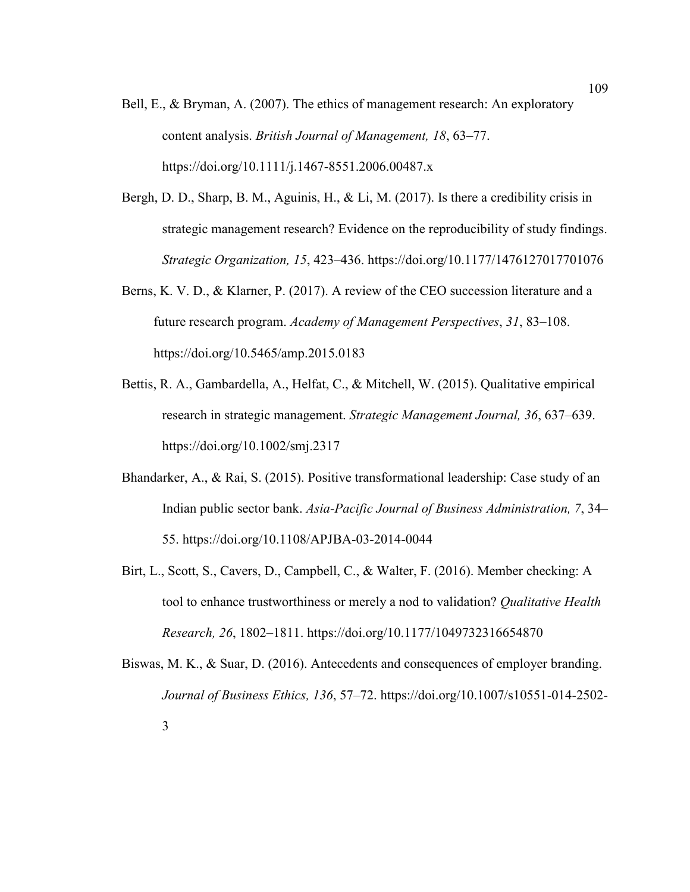- Bell, E., & Bryman, A. (2007). The ethics of management research: An exploratory content analysis. *British Journal of Management, 18*, 63–77. https://doi.org/10.1111/j.1467-8551.2006.00487.x
- Bergh, D. D., Sharp, B. M., Aguinis, H., & Li, M. (2017). Is there a credibility crisis in strategic management research? Evidence on the reproducibility of study findings. *Strategic Organization, 15*, 423–436. https://doi.org/10.1177/1476127017701076
- Berns, K. V. D., & Klarner, P. (2017). A review of the CEO succession literature and a future research program. *Academy of Management Perspectives*, *31*, 83–108. https://doi.org/10.5465/amp.2015.0183
- Bettis, R. A., Gambardella, A., Helfat, C., & Mitchell, W. (2015). Qualitative empirical research in strategic management. *Strategic Management Journal, 36*, 637–639. https://doi.org/10.1002/smj.2317
- Bhandarker, A., & Rai, S. (2015). Positive transformational leadership: Case study of an Indian public sector bank. *Asia-Pacific Journal of Business Administration, 7*, 34– 55. https://doi.org/10.1108/APJBA-03-2014-0044
- Birt, L., Scott, S., Cavers, D., Campbell, C., & Walter, F. (2016). Member checking: A tool to enhance trustworthiness or merely a nod to validation? *Qualitative Health Research, 26*, 1802–1811. https://doi.org/10.1177/1049732316654870
- Biswas, M. K., & Suar, D. (2016). Antecedents and consequences of employer branding. *Journal of Business Ethics, 136*, 57–72. https://doi.org/10.1007/s10551-014-2502- 3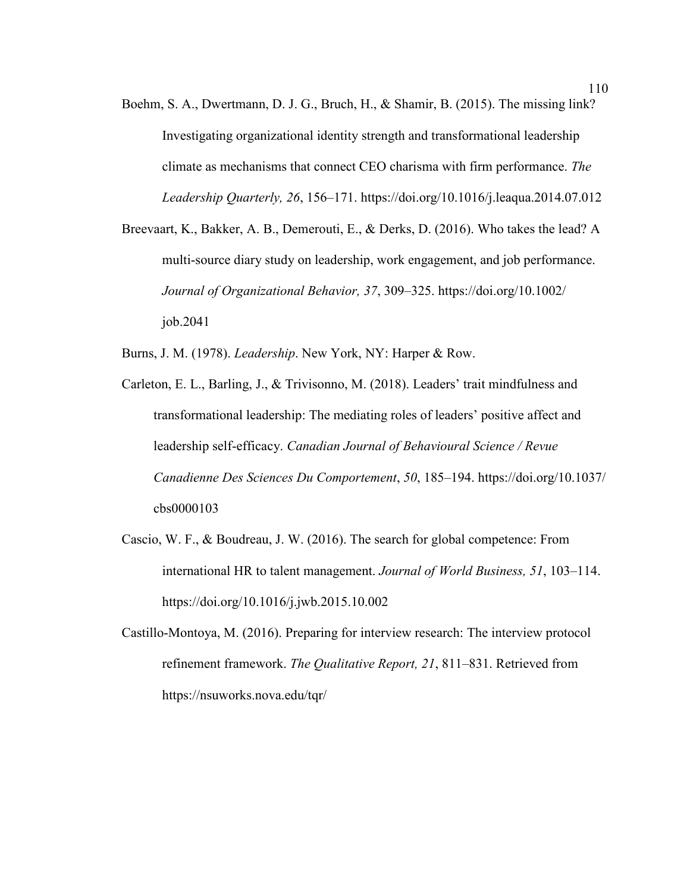- Boehm, S. A., Dwertmann, D. J. G., Bruch, H., & Shamir, B. (2015). The missing link? Investigating organizational identity strength and transformational leadership climate as mechanisms that connect CEO charisma with firm performance. *The Leadership Quarterly, 26*, 156–171. https://doi.org/10.1016/j.leaqua.2014.07.012
- Breevaart, K., Bakker, A. B., Demerouti, E., & Derks, D. (2016). Who takes the lead? A multi-source diary study on leadership, work engagement, and job performance. *Journal of Organizational Behavior, 37*, 309–325. https://doi.org/10.1002/ job.2041

Burns, J. M. (1978). *Leadership*. New York, NY: Harper & Row.

- Carleton, E. L., Barling, J., & Trivisonno, M. (2018). Leaders' trait mindfulness and transformational leadership: The mediating roles of leaders' positive affect and leadership self-efficacy. *Canadian Journal of Behavioural Science / Revue Canadienne Des Sciences Du Comportement*, *50*, 185–194. https://doi.org/10.1037/ cbs0000103
- Cascio, W. F., & Boudreau, J. W. (2016). The search for global competence: From international HR to talent management. *Journal of World Business, 51*, 103–114. https://doi.org/10.1016/j.jwb.2015.10.002
- Castillo-Montoya, M. (2016). Preparing for interview research: The interview protocol refinement framework. *The Qualitative Report, 21*, 811–831. Retrieved from https://nsuworks.nova.edu/tqr/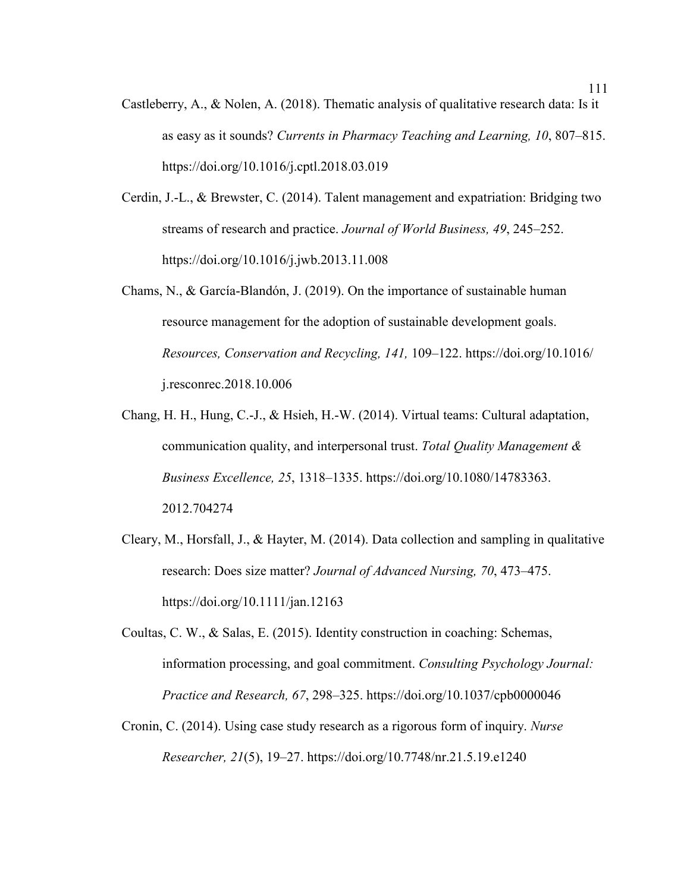- Castleberry, A., & Nolen, A. (2018). Thematic analysis of qualitative research data: Is it as easy as it sounds? *Currents in Pharmacy Teaching and Learning, 10*, 807–815. https://doi.org/10.1016/j.cptl.2018.03.019
- Cerdin, J.-L., & Brewster, C. (2014). Talent management and expatriation: Bridging two streams of research and practice. *Journal of World Business, 49*, 245–252. https://doi.org/10.1016/j.jwb.2013.11.008
- Chams, N., & García-Blandón, J. (2019). On the importance of sustainable human resource management for the adoption of sustainable development goals. *Resources, Conservation and Recycling, 141,* 109–122. https://doi.org/10.1016/ j.resconrec.2018.10.006
- Chang, H. H., Hung, C.-J., & Hsieh, H.-W. (2014). Virtual teams: Cultural adaptation, communication quality, and interpersonal trust. *Total Quality Management & Business Excellence, 25*, 1318–1335. https://doi.org/10.1080/14783363. 2012.704274
- Cleary, M., Horsfall, J., & Hayter, M. (2014). Data collection and sampling in qualitative research: Does size matter? *Journal of Advanced Nursing, 70*, 473–475. https://doi.org/10.1111/jan.12163
- Coultas, C. W., & Salas, E. (2015). Identity construction in coaching: Schemas, information processing, and goal commitment. *Consulting Psychology Journal: Practice and Research, 67*, 298–325. https://doi.org/10.1037/cpb0000046
- Cronin, C. (2014). Using case study research as a rigorous form of inquiry. *Nurse Researcher, 21*(5), 19–27. https://doi.org/10.7748/nr.21.5.19.e1240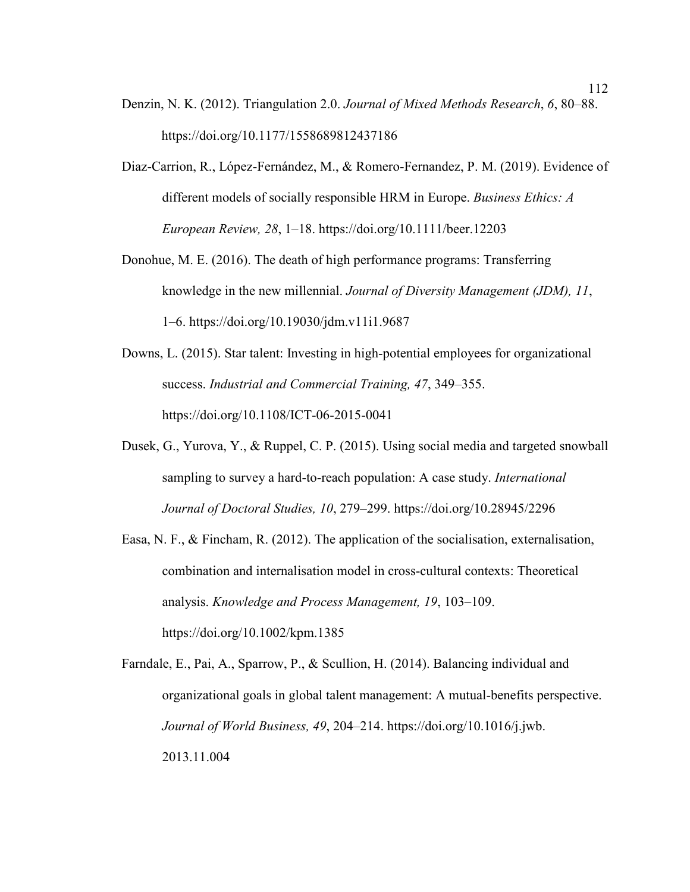- Denzin, N. K. (2012). Triangulation 2.0. *Journal of Mixed Methods Research*, *6*, 80–88. https://doi.org/10.1177/1558689812437186
- Diaz-Carrion, R., López-Fernández, M., & Romero-Fernandez, P. M. (2019). Evidence of different models of socially responsible HRM in Europe. *Business Ethics: A European Review, 28*, 1–18. https://doi.org/10.1111/beer.12203
- Donohue, M. E. (2016). The death of high performance programs: Transferring knowledge in the new millennial. *Journal of Diversity Management (JDM), 11*, 1–6. https://doi.org/10.19030/jdm.v11i1.9687
- Downs, L. (2015). Star talent: Investing in high-potential employees for organizational success. *Industrial and Commercial Training, 47*, 349–355. https://doi.org/10.1108/ICT-06-2015-0041
- Dusek, G., Yurova, Y., & Ruppel, C. P. (2015). Using social media and targeted snowball sampling to survey a hard-to-reach population: A case study. *International Journal of Doctoral Studies, 10*, 279–299. https://doi.org/10.28945/2296
- Easa, N. F., & Fincham, R. (2012). The application of the socialisation, externalisation, combination and internalisation model in cross-cultural contexts: Theoretical analysis. *Knowledge and Process Management, 19*, 103–109. https://doi.org/10.1002/kpm.1385
- Farndale, E., Pai, A., Sparrow, P., & Scullion, H. (2014). Balancing individual and organizational goals in global talent management: A mutual-benefits perspective. *Journal of World Business, 49*, 204–214. https://doi.org/10.1016/j.jwb. 2013.11.004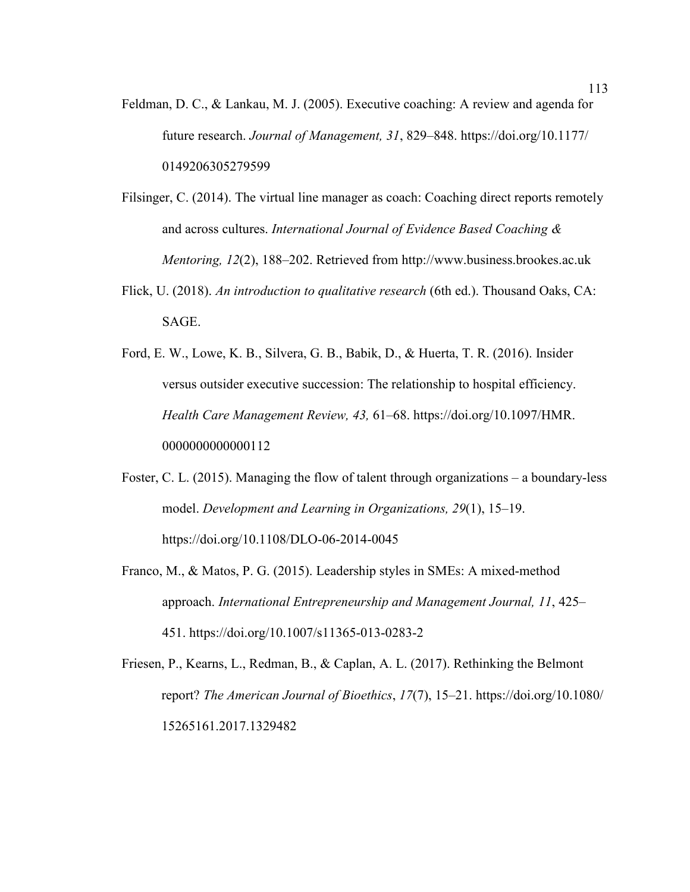- Feldman, D. C., & Lankau, M. J. (2005). Executive coaching: A review and agenda for future research. *Journal of Management, 31*, 829–848. https://doi.org/10.1177/ 0149206305279599
- Filsinger, C. (2014). The virtual line manager as coach: Coaching direct reports remotely and across cultures. *International Journal of Evidence Based Coaching & Mentoring, 12*(2), 188–202. Retrieved from http://www.business.brookes.ac.uk
- Flick, U. (2018). *An introduction to qualitative research* (6th ed.). Thousand Oaks, CA: SAGE.
- Ford, E. W., Lowe, K. B., Silvera, G. B., Babik, D., & Huerta, T. R. (2016). Insider versus outsider executive succession: The relationship to hospital efficiency. *Health Care Management Review, 43,* 61–68. https://doi.org/10.1097/HMR. 0000000000000112
- Foster, C. L. (2015). Managing the flow of talent through organizations a boundary-less model. *Development and Learning in Organizations, 29*(1), 15–19. https://doi.org/10.1108/DLO-06-2014-0045
- Franco, M., & Matos, P. G. (2015). Leadership styles in SMEs: A mixed-method approach. *International Entrepreneurship and Management Journal, 11*, 425– 451. https://doi.org/10.1007/s11365-013-0283-2
- Friesen, P., Kearns, L., Redman, B., & Caplan, A. L. (2017). Rethinking the Belmont report? *The American Journal of Bioethics*, *17*(7), 15–21. https://doi.org/10.1080/ 15265161.2017.1329482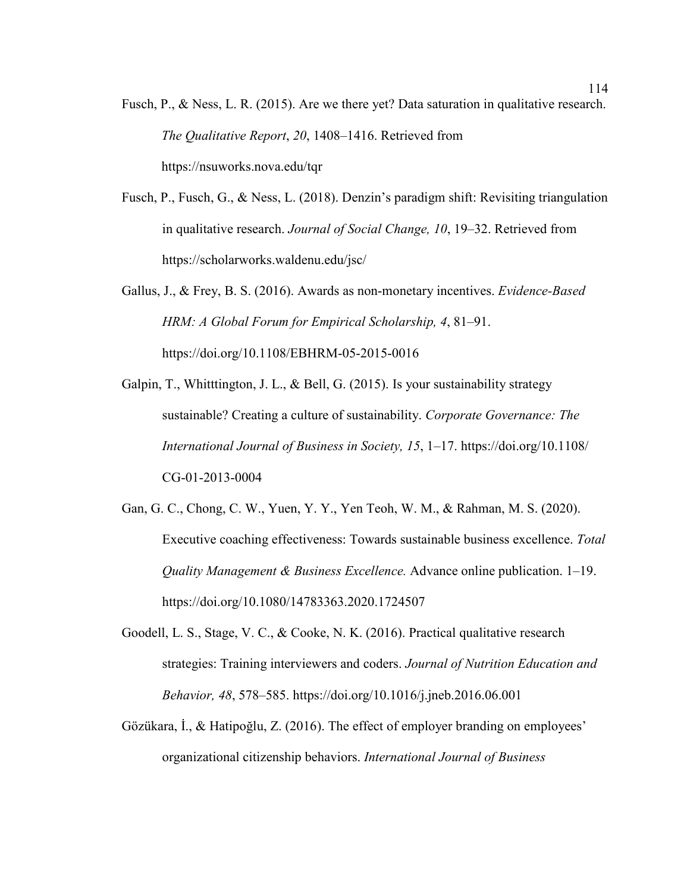- Fusch, P., & Ness, L. R. (2015). Are we there yet? Data saturation in qualitative research. *The Qualitative Report*, *20*, 1408–1416. Retrieved from https://nsuworks.nova.edu/tqr
- Fusch, P., Fusch, G., & Ness, L. (2018). Denzin's paradigm shift: Revisiting triangulation in qualitative research. *Journal of Social Change, 10*, 19–32. Retrieved from https://scholarworks.waldenu.edu/jsc/
- Gallus, J., & Frey, B. S. (2016). Awards as non-monetary incentives. *Evidence-Based HRM: A Global Forum for Empirical Scholarship, 4*, 81–91. https://doi.org/10.1108/EBHRM-05-2015-0016
- Galpin, T., Whitttington, J. L., & Bell, G. (2015). Is your sustainability strategy sustainable? Creating a culture of sustainability. *Corporate Governance: The International Journal of Business in Society, 15*, 1–17. https://doi.org/10.1108/ CG-01-2013-0004
- Gan, G. C., Chong, C. W., Yuen, Y. Y., Yen Teoh, W. M., & Rahman, M. S. (2020). Executive coaching effectiveness: Towards sustainable business excellence. *Total Quality Management & Business Excellence.* Advance online publication. 1–19. https://doi.org/10.1080/14783363.2020.1724507
- Goodell, L. S., Stage, V. C., & Cooke, N. K. (2016). Practical qualitative research strategies: Training interviewers and coders. *Journal of Nutrition Education and Behavior, 48*, 578–585. https://doi.org/10.1016/j.jneb.2016.06.001
- Gözükara, İ., & Hatipoğlu, Z. (2016). The effect of employer branding on employees' organizational citizenship behaviors. *International Journal of Business*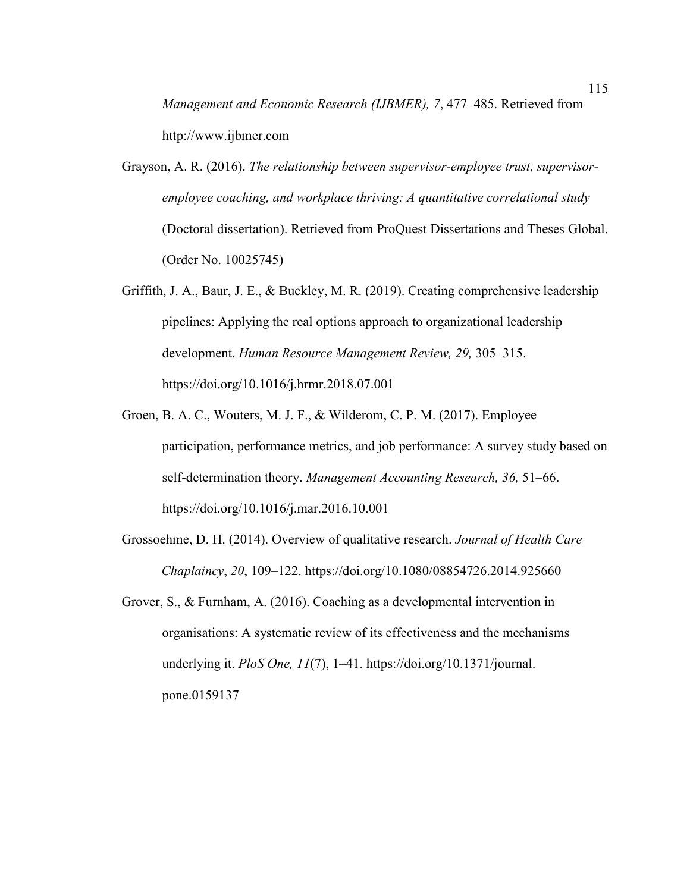*Management and Economic Research (IJBMER), 7*, 477–485. Retrieved from http://www.ijbmer.com

- Grayson, A. R. (2016). *The relationship between supervisor-employee trust, supervisoremployee coaching, and workplace thriving: A quantitative correlational study* (Doctoral dissertation). Retrieved from ProQuest Dissertations and Theses Global. (Order No. 10025745)
- Griffith, J. A., Baur, J. E., & Buckley, M. R. (2019). Creating comprehensive leadership pipelines: Applying the real options approach to organizational leadership development. *Human Resource Management Review, 29,* 305–315. https://doi.org/10.1016/j.hrmr.2018.07.001
- Groen, B. A. C., Wouters, M. J. F., & Wilderom, C. P. M. (2017). Employee participation, performance metrics, and job performance: A survey study based on self-determination theory. *Management Accounting Research, 36,* 51–66. https://doi.org/10.1016/j.mar.2016.10.001
- Grossoehme, D. H. (2014). Overview of qualitative research. *Journal of Health Care Chaplaincy*, *20*, 109–122. https://doi.org/10.1080/08854726.2014.925660
- Grover, S., & Furnham, A. (2016). Coaching as a developmental intervention in organisations: A systematic review of its effectiveness and the mechanisms underlying it. *PloS One, 11*(7), 1–41. https://doi.org/10.1371/journal. pone.0159137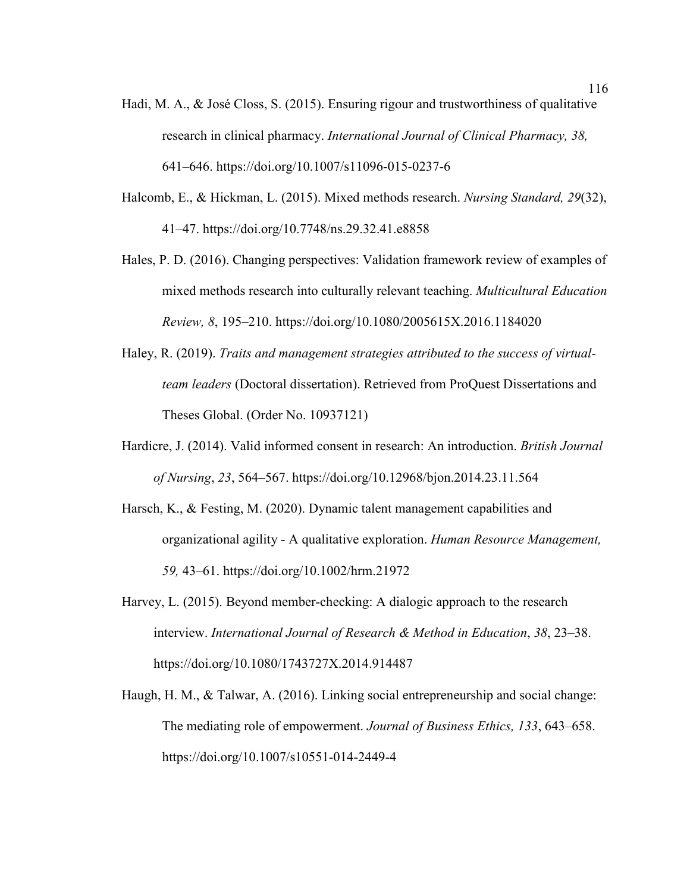- Hadi, M. A., & José Closs, S. (2015). Ensuring rigour and trustworthiness of qualitative research in clinical pharmacy. *International Journal of Clinical Pharmacy, 38,*  641–646. https://doi.org/10.1007/s11096-015-0237-6
- Halcomb, E., & Hickman, L. (2015). Mixed methods research. *Nursing Standard, 29*(32), 41–47. https://doi.org/10.7748/ns.29.32.41.e8858
- Hales, P. D. (2016). Changing perspectives: Validation framework review of examples of mixed methods research into culturally relevant teaching. *Multicultural Education Review, 8*, 195–210. https://doi.org/10.1080/2005615X.2016.1184020
- Haley, R. (2019). *Traits and management strategies attributed to the success of virtualteam leaders* (Doctoral dissertation). Retrieved from ProQuest Dissertations and Theses Global. (Order No. 10937121)
- Hardicre, J. (2014). Valid informed consent in research: An introduction. *British Journal of Nursing*, *23*, 564–567. https://doi.org/10.12968/bjon.2014.23.11.564
- Harsch, K., & Festing, M. (2020). Dynamic talent management capabilities and organizational agility - A qualitative exploration. *Human Resource Management, 59,* 43–61. https://doi.org/10.1002/hrm.21972
- Harvey, L. (2015). Beyond member-checking: A dialogic approach to the research interview. *International Journal of Research & Method in Education*, *38*, 23–38. https://doi.org/10.1080/1743727X.2014.914487
- Haugh, H. M., & Talwar, A. (2016). Linking social entrepreneurship and social change: The mediating role of empowerment. *Journal of Business Ethics, 133*, 643–658. https://doi.org/10.1007/s10551-014-2449-4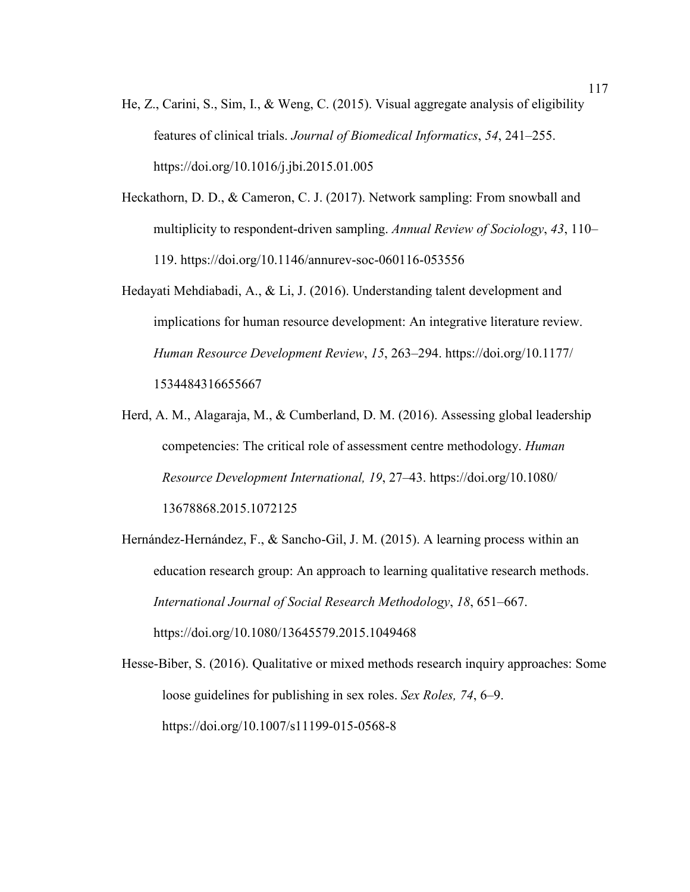- He, Z., Carini, S., Sim, I., & Weng, C. (2015). Visual aggregate analysis of eligibility features of clinical trials. *Journal of Biomedical Informatics*, *54*, 241–255. https://doi.org/10.1016/j.jbi.2015.01.005
- Heckathorn, D. D., & Cameron, C. J. (2017). Network sampling: From snowball and multiplicity to respondent-driven sampling. *Annual Review of Sociology*, *43*, 110– 119. https://doi.org/10.1146/annurev-soc-060116-053556
- Hedayati Mehdiabadi, A., & Li, J. (2016). Understanding talent development and implications for human resource development: An integrative literature review. *Human Resource Development Review*, *15*, 263–294. https://doi.org/10.1177/ 1534484316655667
- Herd, A. M., Alagaraja, M., & Cumberland, D. M. (2016). Assessing global leadership competencies: The critical role of assessment centre methodology. *Human Resource Development International, 19*, 27–43. https://doi.org/10.1080/ 13678868.2015.1072125
- Hernández-Hernández, F., & Sancho-Gil, J. M. (2015). A learning process within an education research group: An approach to learning qualitative research methods. *International Journal of Social Research Methodology*, *18*, 651–667. https://doi.org/10.1080/13645579.2015.1049468
- Hesse-Biber, S. (2016). Qualitative or mixed methods research inquiry approaches: Some loose guidelines for publishing in sex roles. *Sex Roles, 74*, 6–9. https://doi.org/10.1007/s11199-015-0568-8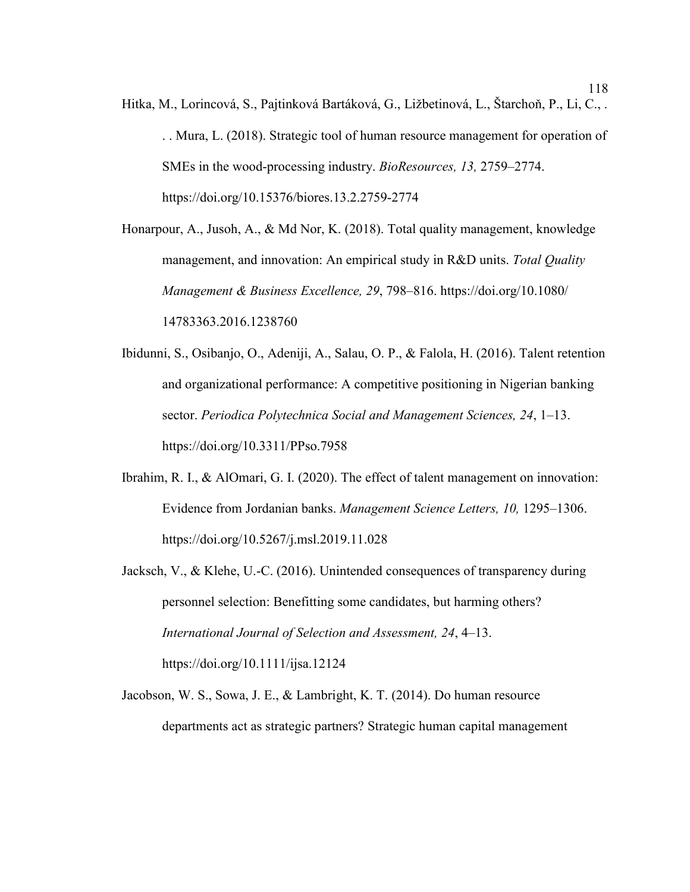Hitka, M., Lorincová, S., Pajtinková Bartáková, G., Ližbetinová, L., Štarchoň, P., Li, C., . . . Mura, L. (2018). Strategic tool of human resource management for operation of SMEs in the wood-processing industry. *BioResources, 13,* 2759–2774. https://doi.org/10.15376/biores.13.2.2759-2774

Honarpour, A., Jusoh, A., & Md Nor, K. (2018). Total quality management, knowledge management, and innovation: An empirical study in R&D units. *Total Quality Management & Business Excellence, 29*, 798–816. https://doi.org/10.1080/ 14783363.2016.1238760

Ibidunni, S., Osibanjo, O., Adeniji, A., Salau, O. P., & Falola, H. (2016). Talent retention and organizational performance: A competitive positioning in Nigerian banking sector. *Periodica Polytechnica Social and Management Sciences, 24*, 1–13. https://doi.org/10.3311/PPso.7958

- Ibrahim, R. I., & AlOmari, G. I. (2020). The effect of talent management on innovation: Evidence from Jordanian banks. *Management Science Letters, 10,* 1295–1306. https://doi.org/10.5267/j.msl.2019.11.028
- Jacksch, V., & Klehe, U.-C. (2016). Unintended consequences of transparency during personnel selection: Benefitting some candidates, but harming others? *International Journal of Selection and Assessment, 24*, 4–13. https://doi.org/10.1111/ijsa.12124
- Jacobson, W. S., Sowa, J. E., & Lambright, K. T. (2014). Do human resource departments act as strategic partners? Strategic human capital management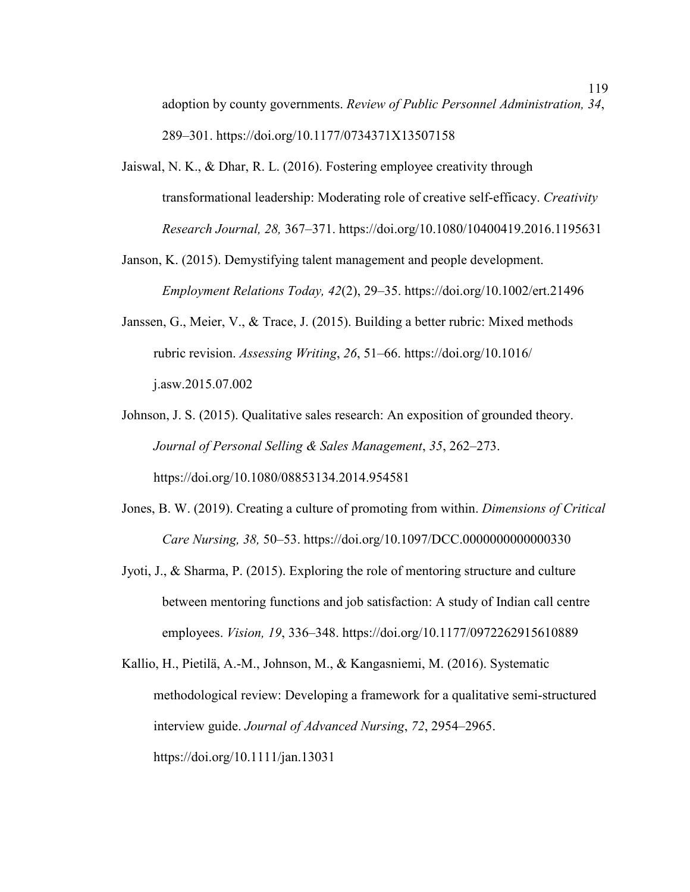adoption by county governments. *Review of Public Personnel Administration, 34*, 289–301. https://doi.org/10.1177/0734371X13507158

- Jaiswal, N. K., & Dhar, R. L. (2016). Fostering employee creativity through transformational leadership: Moderating role of creative self-efficacy. *Creativity Research Journal, 28,* 367–371. https://doi.org/10.1080/10400419.2016.1195631
- Janson, K. (2015). Demystifying talent management and people development. *Employment Relations Today, 42*(2), 29–35. https://doi.org/10.1002/ert.21496
- Janssen, G., Meier, V., & Trace, J. (2015). Building a better rubric: Mixed methods rubric revision. *Assessing Writing*, *26*, 51–66. https://doi.org/10.1016/ j.asw.2015.07.002
- Johnson, J. S. (2015). Qualitative sales research: An exposition of grounded theory. *Journal of Personal Selling & Sales Management*, *35*, 262–273. https://doi.org/10.1080/08853134.2014.954581
- Jones, B. W. (2019). Creating a culture of promoting from within. *Dimensions of Critical Care Nursing, 38,* 50–53. https://doi.org/10.1097/DCC.0000000000000330
- Jyoti, J., & Sharma, P. (2015). Exploring the role of mentoring structure and culture between mentoring functions and job satisfaction: A study of Indian call centre employees. *Vision, 19*, 336–348. https://doi.org/10.1177/0972262915610889
- Kallio, H., Pietilä, A.-M., Johnson, M., & Kangasniemi, M. (2016). Systematic methodological review: Developing a framework for a qualitative semi-structured interview guide. *Journal of Advanced Nursing*, *72*, 2954–2965. https://doi.org/10.1111/jan.13031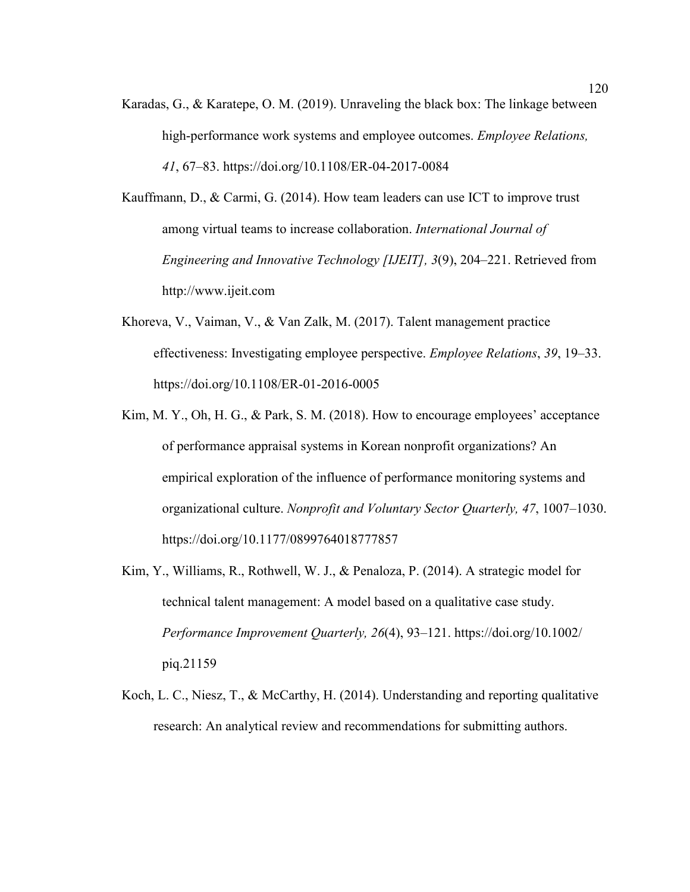Karadas, G., & Karatepe, O. M. (2019). Unraveling the black box: The linkage between high-performance work systems and employee outcomes. *Employee Relations, 41*, 67–83. https://doi.org/10.1108/ER-04-2017-0084

Kauffmann, D., & Carmi, G. (2014). How team leaders can use ICT to improve trust among virtual teams to increase collaboration. *International Journal of Engineering and Innovative Technology [IJEIT], 3*(9), 204–221. Retrieved from http://www.ijeit.com

- Khoreva, V., Vaiman, V., & Van Zalk, M. (2017). Talent management practice effectiveness: Investigating employee perspective. *Employee Relations*, *39*, 19–33. https://doi.org/10.1108/ER-01-2016-0005
- Kim, M. Y., Oh, H. G., & Park, S. M. (2018). How to encourage employees' acceptance of performance appraisal systems in Korean nonprofit organizations? An empirical exploration of the influence of performance monitoring systems and organizational culture. *Nonprofit and Voluntary Sector Quarterly, 47*, 1007–1030. https://doi.org/10.1177/0899764018777857
- Kim, Y., Williams, R., Rothwell, W. J., & Penaloza, P. (2014). A strategic model for technical talent management: A model based on a qualitative case study. *Performance Improvement Quarterly, 26*(4), 93–121. https://doi.org/10.1002/ piq.21159
- Koch, L. C., Niesz, T., & McCarthy, H. (2014). Understanding and reporting qualitative research: An analytical review and recommendations for submitting authors.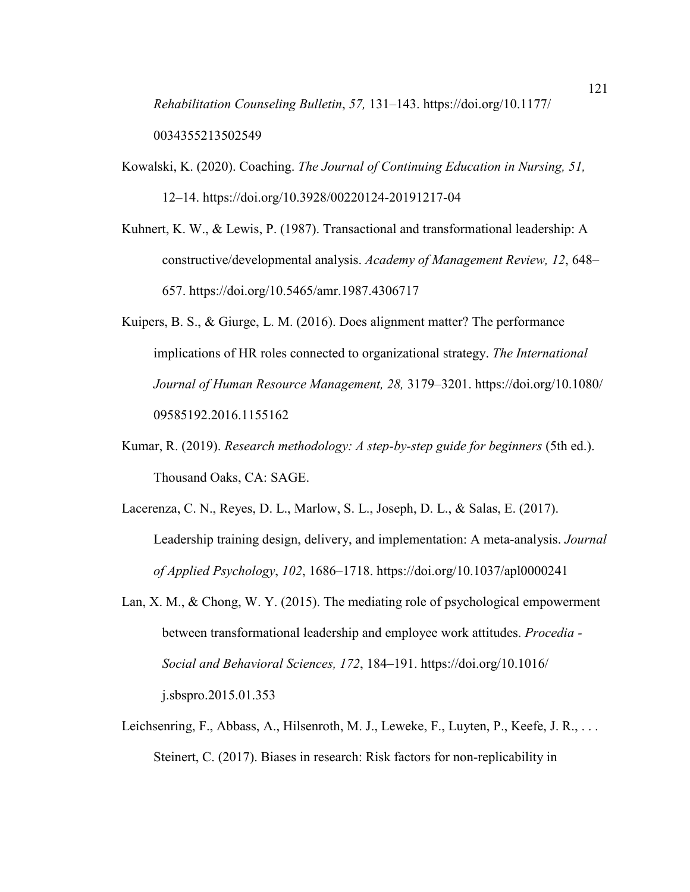*Rehabilitation Counseling Bulletin*, *57,* 131–143. https://doi.org/10.1177/ 0034355213502549

- Kowalski, K. (2020). Coaching. *The Journal of Continuing Education in Nursing, 51,* 12–14. https://doi.org/10.3928/00220124-20191217-04
- Kuhnert, K. W., & Lewis, P. (1987). Transactional and transformational leadership: A constructive/developmental analysis. *Academy of Management Review, 12*, 648– 657. https://doi.org/10.5465/amr.1987.4306717
- Kuipers, B. S., & Giurge, L. M. (2016). Does alignment matter? The performance implications of HR roles connected to organizational strategy. *The International Journal of Human Resource Management, 28,* 3179–3201. https://doi.org/10.1080/ 09585192.2016.1155162
- Kumar, R. (2019). *Research methodology: A step-by-step guide for beginners* (5th ed.). Thousand Oaks, CA: SAGE.
- Lacerenza, C. N., Reyes, D. L., Marlow, S. L., Joseph, D. L., & Salas, E. (2017). Leadership training design, delivery, and implementation: A meta-analysis. *Journal of Applied Psychology*, *102*, 1686–1718. https://doi.org/10.1037/apl0000241
- Lan, X. M., & Chong, W. Y. (2015). The mediating role of psychological empowerment between transformational leadership and employee work attitudes. *Procedia - Social and Behavioral Sciences, 172*, 184–191. https://doi.org/10.1016/ j.sbspro.2015.01.353
- Leichsenring, F., Abbass, A., Hilsenroth, M. J., Leweke, F., Luyten, P., Keefe, J. R., ... Steinert, C. (2017). Biases in research: Risk factors for non-replicability in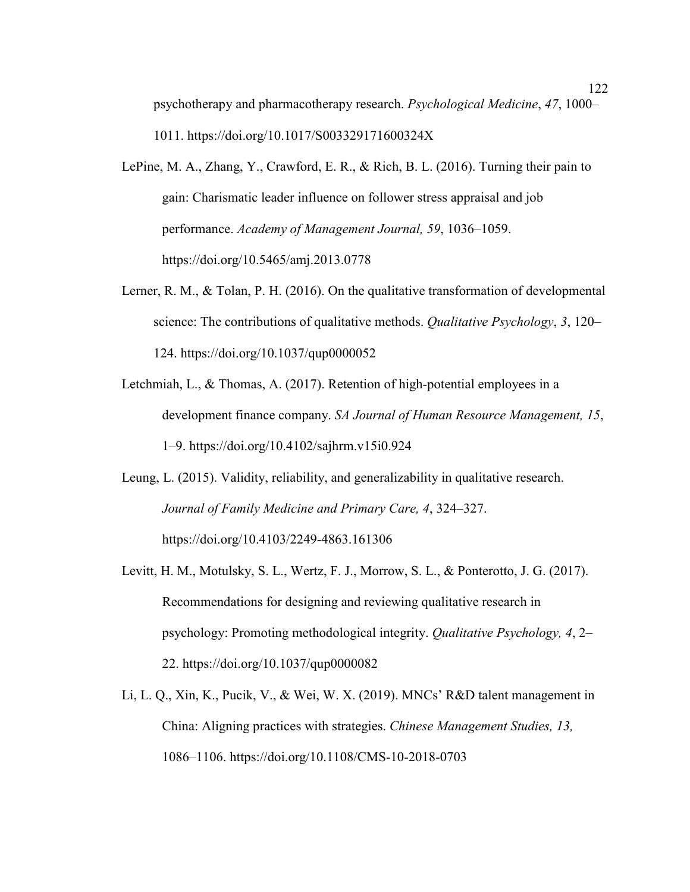psychotherapy and pharmacotherapy research. *Psychological Medicine*, *47*, 1000– 1011. https://doi.org/10.1017/S003329171600324X

- LePine, M. A., Zhang, Y., Crawford, E. R., & Rich, B. L. (2016). Turning their pain to gain: Charismatic leader influence on follower stress appraisal and job performance. *Academy of Management Journal, 59*, 1036–1059. https://doi.org/10.5465/amj.2013.0778
- Lerner, R. M., & Tolan, P. H. (2016). On the qualitative transformation of developmental science: The contributions of qualitative methods. *Qualitative Psychology*, *3*, 120– 124. https://doi.org/10.1037/qup0000052
- Letchmiah, L., & Thomas, A. (2017). Retention of high-potential employees in a development finance company. *SA Journal of Human Resource Management, 15*, 1–9. https://doi.org/10.4102/sajhrm.v15i0.924
- Leung, L. (2015). Validity, reliability, and generalizability in qualitative research. *Journal of Family Medicine and Primary Care, 4*, 324–327. https://doi.org/10.4103/2249-4863.161306
- Levitt, H. M., Motulsky, S. L., Wertz, F. J., Morrow, S. L., & Ponterotto, J. G. (2017). Recommendations for designing and reviewing qualitative research in psychology: Promoting methodological integrity. *Qualitative Psychology, 4*, 2– 22. https://doi.org/10.1037/qup0000082
- Li, L. Q., Xin, K., Pucik, V., & Wei, W. X. (2019). MNCs' R&D talent management in China: Aligning practices with strategies. *Chinese Management Studies, 13,* 1086–1106. https://doi.org/10.1108/CMS-10-2018-0703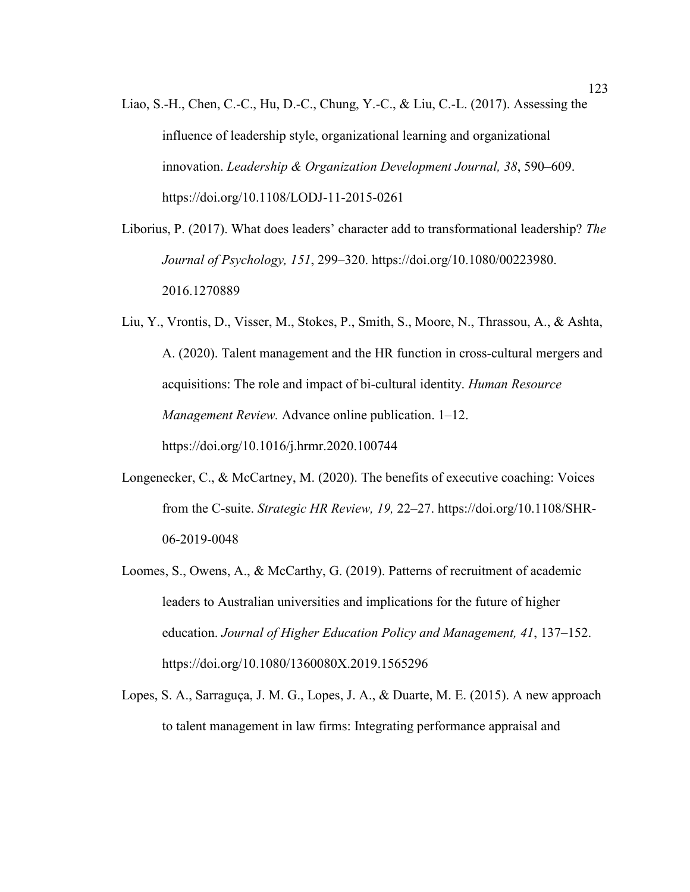- Liao, S.-H., Chen, C.-C., Hu, D.-C., Chung, Y.-C., & Liu, C.-L. (2017). Assessing the influence of leadership style, organizational learning and organizational innovation. *Leadership & Organization Development Journal, 38*, 590–609. https://doi.org/10.1108/LODJ-11-2015-0261
- Liborius, P. (2017). What does leaders' character add to transformational leadership? *The Journal of Psychology, 151*, 299–320. https://doi.org/10.1080/00223980. 2016.1270889
- Liu, Y., Vrontis, D., Visser, M., Stokes, P., Smith, S., Moore, N., Thrassou, A., & Ashta, A. (2020). Talent management and the HR function in cross-cultural mergers and acquisitions: The role and impact of bi-cultural identity. *Human Resource Management Review.* Advance online publication. 1–12. https://doi.org/10.1016/j.hrmr.2020.100744
- Longenecker, C., & McCartney, M. (2020). The benefits of executive coaching: Voices from the C-suite. *Strategic HR Review, 19,* 22–27. https://doi.org/10.1108/SHR-06-2019-0048
- Loomes, S., Owens, A., & McCarthy, G. (2019). Patterns of recruitment of academic leaders to Australian universities and implications for the future of higher education. *Journal of Higher Education Policy and Management, 41*, 137–152. https://doi.org/10.1080/1360080X.2019.1565296
- Lopes, S. A., Sarraguça, J. M. G., Lopes, J. A., & Duarte, M. E. (2015). A new approach to talent management in law firms: Integrating performance appraisal and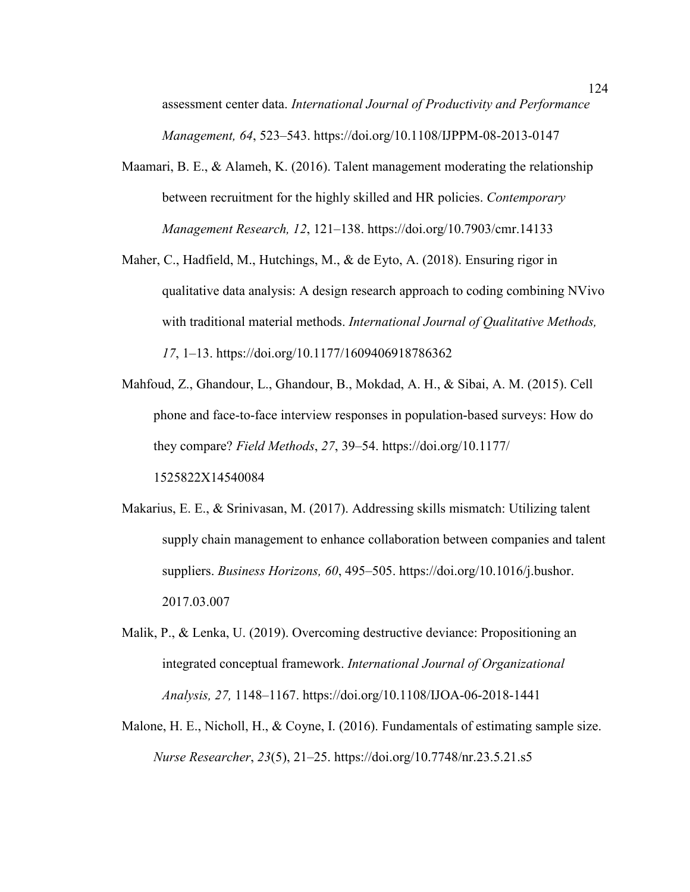assessment center data. *International Journal of Productivity and Performance Management, 64*, 523–543. https://doi.org/10.1108/IJPPM-08-2013-0147

- Maamari, B. E., & Alameh, K. (2016). Talent management moderating the relationship between recruitment for the highly skilled and HR policies. *Contemporary Management Research, 12*, 121–138. https://doi.org/10.7903/cmr.14133
- Maher, C., Hadfield, M., Hutchings, M., & de Eyto, A. (2018). Ensuring rigor in qualitative data analysis: A design research approach to coding combining NVivo with traditional material methods. *International Journal of Qualitative Methods, 17*, 1–13. https://doi.org/10.1177/1609406918786362
- Mahfoud, Z., Ghandour, L., Ghandour, B., Mokdad, A. H., & Sibai, A. M. (2015). Cell phone and face-to-face interview responses in population-based surveys: How do they compare? *Field Methods*, *27*, 39–54. https://doi.org/10.1177/ 1525822X14540084
- Makarius, E. E., & Srinivasan, M. (2017). Addressing skills mismatch: Utilizing talent supply chain management to enhance collaboration between companies and talent suppliers. *Business Horizons, 60*, 495–505. https://doi.org/10.1016/j.bushor. 2017.03.007
- Malik, P., & Lenka, U. (2019). Overcoming destructive deviance: Propositioning an integrated conceptual framework. *International Journal of Organizational Analysis, 27,* 1148–1167. https://doi.org/10.1108/IJOA-06-2018-1441
- Malone, H. E., Nicholl, H., & Coyne, I. (2016). Fundamentals of estimating sample size. *Nurse Researcher*, *23*(5), 21–25. https://doi.org/10.7748/nr.23.5.21.s5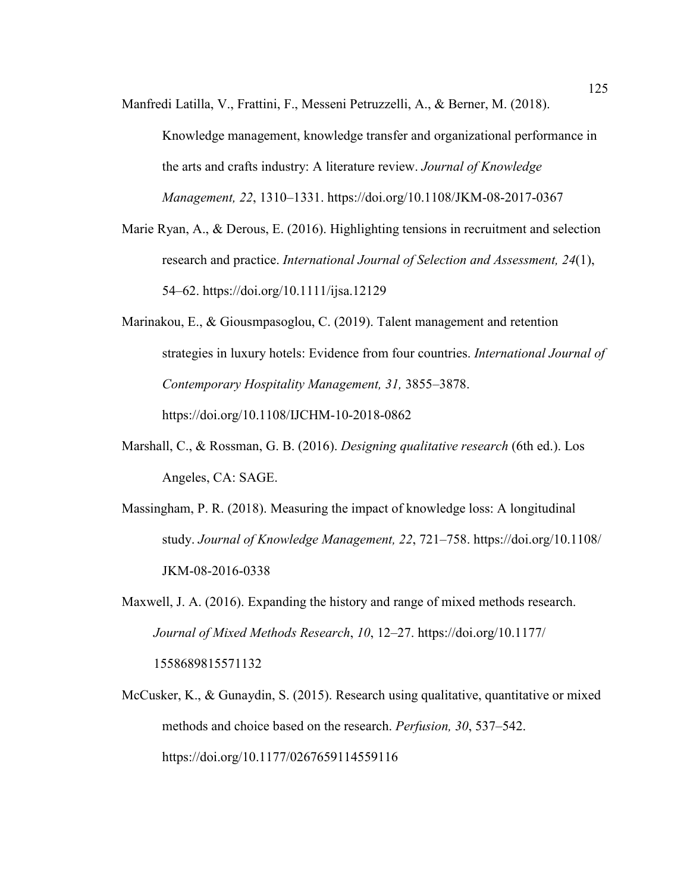Manfredi Latilla, V., Frattini, F., Messeni Petruzzelli, A., & Berner, M. (2018).

Knowledge management, knowledge transfer and organizational performance in the arts and crafts industry: A literature review. *Journal of Knowledge Management, 22*, 1310–1331. https://doi.org/10.1108/JKM-08-2017-0367

- Marie Ryan, A., & Derous, E. (2016). Highlighting tensions in recruitment and selection research and practice. *International Journal of Selection and Assessment, 24*(1), 54–62. https://doi.org/10.1111/ijsa.12129
- Marinakou, E., & Giousmpasoglou, C. (2019). Talent management and retention strategies in luxury hotels: Evidence from four countries. *International Journal of Contemporary Hospitality Management, 31,* 3855–3878. https://doi.org/10.1108/IJCHM-10-2018-0862
- Marshall, C., & Rossman, G. B. (2016). *Designing qualitative research* (6th ed.). Los Angeles, CA: SAGE.
- Massingham, P. R. (2018). Measuring the impact of knowledge loss: A longitudinal study. *Journal of Knowledge Management, 22*, 721–758. https://doi.org/10.1108/ JKM-08-2016-0338
- Maxwell, J. A. (2016). Expanding the history and range of mixed methods research. *Journal of Mixed Methods Research*, *10*, 12–27. https://doi.org/10.1177/ 1558689815571132
- McCusker, K., & Gunaydin, S. (2015). Research using qualitative, quantitative or mixed methods and choice based on the research. *Perfusion, 30*, 537–542. https://doi.org/10.1177/0267659114559116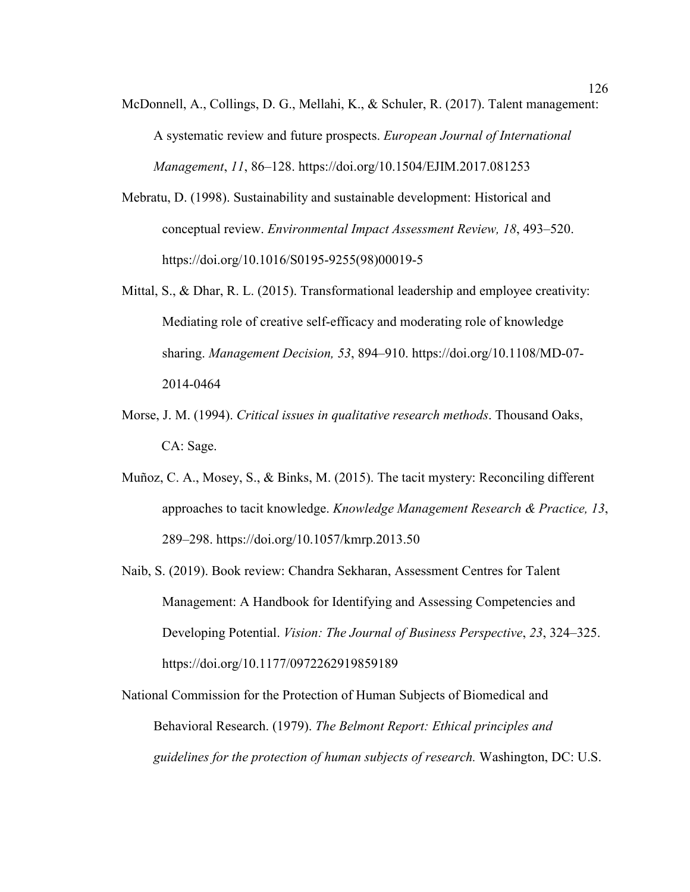- McDonnell, A., Collings, D. G., Mellahi, K., & Schuler, R. (2017). Talent management: A systematic review and future prospects. *European Journal of International Management*, *11*, 86–128. https://doi.org/10.1504/EJIM.2017.081253
- Mebratu, D. (1998). Sustainability and sustainable development: Historical and conceptual review. *Environmental Impact Assessment Review, 18*, 493–520. https://doi.org/10.1016/S0195-9255(98)00019-5
- Mittal, S., & Dhar, R. L. (2015). Transformational leadership and employee creativity: Mediating role of creative self-efficacy and moderating role of knowledge sharing. *Management Decision, 53*, 894–910. https://doi.org/10.1108/MD-07- 2014-0464
- Morse, J. M. (1994). *Critical issues in qualitative research methods*. Thousand Oaks, CA: Sage.
- Muñoz, C. A., Mosey, S., & Binks, M. (2015). The tacit mystery: Reconciling different approaches to tacit knowledge. *Knowledge Management Research & Practice, 13*, 289–298. https://doi.org/10.1057/kmrp.2013.50
- Naib, S. (2019). Book review: Chandra Sekharan, Assessment Centres for Talent Management: A Handbook for Identifying and Assessing Competencies and Developing Potential. *Vision: The Journal of Business Perspective*, *23*, 324–325. https://doi.org/10.1177/0972262919859189

National Commission for the Protection of Human Subjects of Biomedical and Behavioral Research. (1979). *The Belmont Report: Ethical principles and guidelines for the protection of human subjects of research.* Washington, DC: U.S.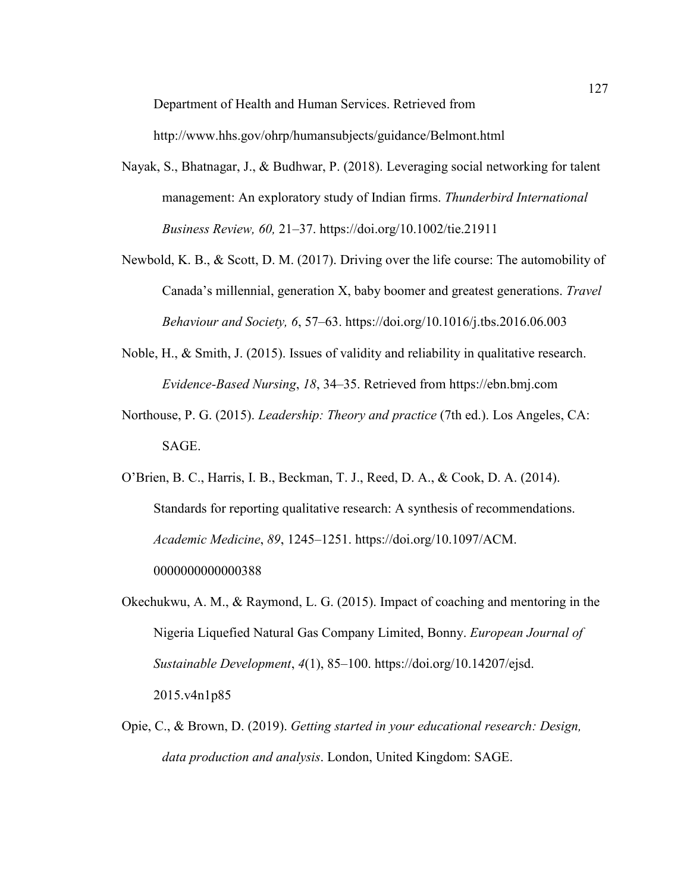Department of Health and Human Services. Retrieved from

http://www.hhs.gov/ohrp/humansubjects/guidance/Belmont.html

- Nayak, S., Bhatnagar, J., & Budhwar, P. (2018). Leveraging social networking for talent management: An exploratory study of Indian firms. *Thunderbird International Business Review, 60,* 21–37. https://doi.org/10.1002/tie.21911
- Newbold, K. B., & Scott, D. M. (2017). Driving over the life course: The automobility of Canada's millennial, generation X, baby boomer and greatest generations. *Travel Behaviour and Society, 6*, 57–63. https://doi.org/10.1016/j.tbs.2016.06.003
- Noble, H., & Smith, J. (2015). Issues of validity and reliability in qualitative research. *Evidence-Based Nursing*, *18*, 34–35. Retrieved from https://ebn.bmj.com
- Northouse, P. G. (2015). *Leadership: Theory and practice* (7th ed.). Los Angeles, CA: SAGE.
- O'Brien, B. C., Harris, I. B., Beckman, T. J., Reed, D. A., & Cook, D. A. (2014). Standards for reporting qualitative research: A synthesis of recommendations. *Academic Medicine*, *89*, 1245–1251. https://doi.org/10.1097/ACM. 0000000000000388
- Okechukwu, A. M., & Raymond, L. G. (2015). Impact of coaching and mentoring in the Nigeria Liquefied Natural Gas Company Limited, Bonny. *European Journal of Sustainable Development*, *4*(1), 85–100. https://doi.org/10.14207/ejsd. 2015.v4n1p85
- Opie, C., & Brown, D. (2019). *Getting started in your educational research: Design, data production and analysis*. London, United Kingdom: SAGE.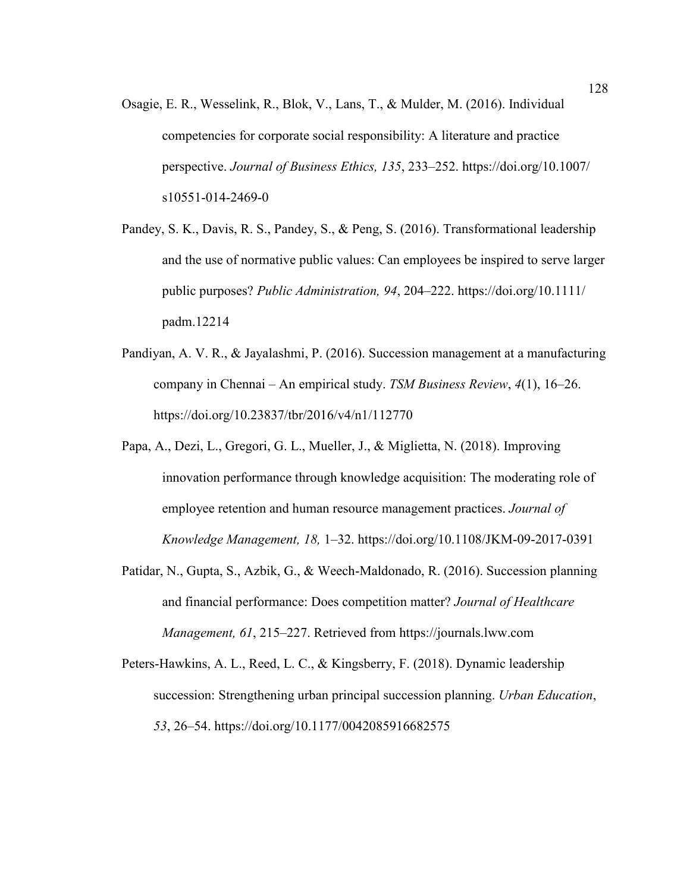- Osagie, E. R., Wesselink, R., Blok, V., Lans, T., & Mulder, M. (2016). Individual competencies for corporate social responsibility: A literature and practice perspective. *Journal of Business Ethics, 135*, 233–252. https://doi.org/10.1007/ s10551-014-2469-0
- Pandey, S. K., Davis, R. S., Pandey, S., & Peng, S. (2016). Transformational leadership and the use of normative public values: Can employees be inspired to serve larger public purposes? *Public Administration, 94*, 204–222. https://doi.org/10.1111/ padm.12214
- Pandiyan, A. V. R., & Jayalashmi, P. (2016). Succession management at a manufacturing company in Chennai – An empirical study. *TSM Business Review*, *4*(1), 16–26. https://doi.org/10.23837/tbr/2016/v4/n1/112770
- Papa, A., Dezi, L., Gregori, G. L., Mueller, J., & Miglietta, N. (2018). Improving innovation performance through knowledge acquisition: The moderating role of employee retention and human resource management practices. *Journal of Knowledge Management, 18,* 1–32. https://doi.org/10.1108/JKM-09-2017-0391
- Patidar, N., Gupta, S., Azbik, G., & Weech-Maldonado, R. (2016). Succession planning and financial performance: Does competition matter? *Journal of Healthcare Management, 61*, 215–227. Retrieved from https://journals.lww.com
- Peters-Hawkins, A. L., Reed, L. C., & Kingsberry, F. (2018). Dynamic leadership succession: Strengthening urban principal succession planning. *Urban Education*, *53*, 26–54. https://doi.org/10.1177/0042085916682575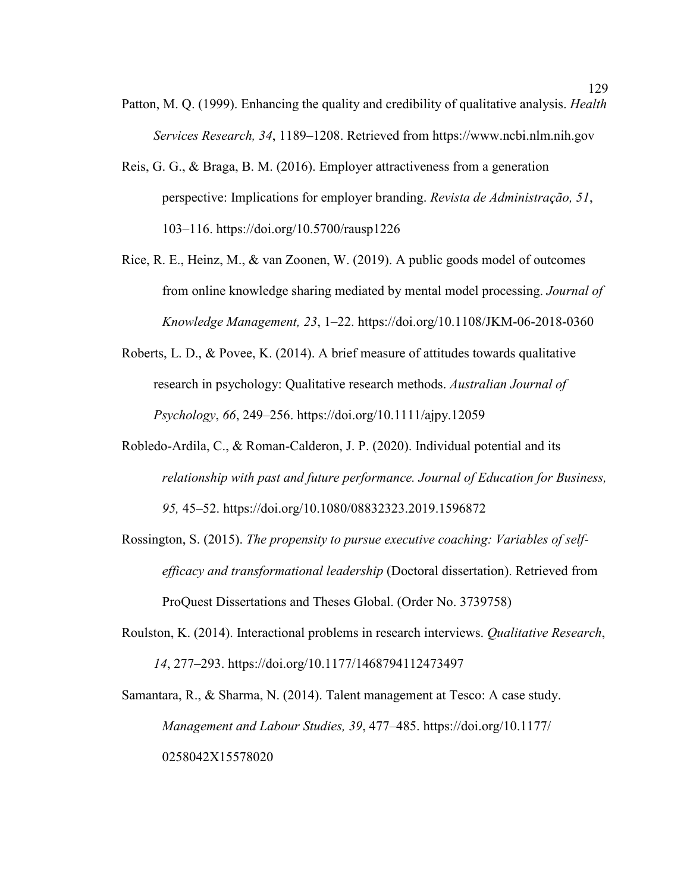- Patton, M. Q. (1999). Enhancing the quality and credibility of qualitative analysis. *Health Services Research, 34*, 1189–1208. Retrieved from https://www.ncbi.nlm.nih.gov
- Reis, G. G., & Braga, B. M. (2016). Employer attractiveness from a generation perspective: Implications for employer branding. *Revista de Administração, 51*, 103–116. https://doi.org/10.5700/rausp1226
- Rice, R. E., Heinz, M., & van Zoonen, W. (2019). A public goods model of outcomes from online knowledge sharing mediated by mental model processing. *Journal of Knowledge Management, 23*, 1–22. https://doi.org/10.1108/JKM-06-2018-0360
- Roberts, L. D., & Povee, K. (2014). A brief measure of attitudes towards qualitative research in psychology: Qualitative research methods. *Australian Journal of Psychology*, *66*, 249–256. https://doi.org/10.1111/ajpy.12059
- Robledo-Ardila, C., & Roman-Calderon, J. P. (2020). Individual potential and its *relationship with past and future performance. Journal of Education for Business, 95,* 45–52. https://doi.org/10.1080/08832323.2019.1596872
- Rossington, S. (2015). *The propensity to pursue executive coaching: Variables of selfefficacy and transformational leadership* (Doctoral dissertation). Retrieved from ProQuest Dissertations and Theses Global. (Order No. 3739758)
- Roulston, K. (2014). Interactional problems in research interviews. *Qualitative Research*, *14*, 277–293. https://doi.org/10.1177/1468794112473497
- Samantara, R., & Sharma, N. (2014). Talent management at Tesco: A case study. *Management and Labour Studies, 39*, 477–485. https://doi.org/10.1177/ 0258042X15578020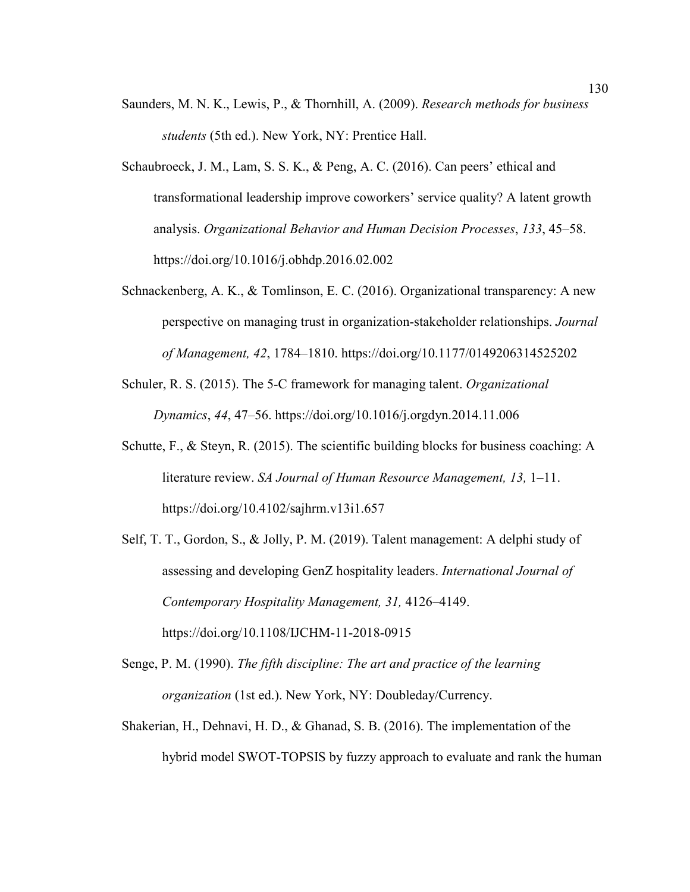- Saunders, M. N. K., Lewis, P., & Thornhill, A. (2009). *Research methods for business students* (5th ed.). New York, NY: Prentice Hall.
- Schaubroeck, J. M., Lam, S. S. K., & Peng, A. C. (2016). Can peers' ethical and transformational leadership improve coworkers' service quality? A latent growth analysis. *Organizational Behavior and Human Decision Processes*, *133*, 45–58. https://doi.org/10.1016/j.obhdp.2016.02.002
- Schnackenberg, A. K., & Tomlinson, E. C. (2016). Organizational transparency: A new perspective on managing trust in organization-stakeholder relationships. *Journal of Management, 42*, 1784–1810. https://doi.org/10.1177/0149206314525202
- Schuler, R. S. (2015). The 5-C framework for managing talent. *Organizational Dynamics*, *44*, 47–56. https://doi.org/10.1016/j.orgdyn.2014.11.006
- Schutte, F., & Steyn, R. (2015). The scientific building blocks for business coaching: A literature review. *SA Journal of Human Resource Management, 13,* 1–11. https://doi.org/10.4102/sajhrm.v13i1.657
- Self, T. T., Gordon, S., & Jolly, P. M. (2019). Talent management: A delphi study of assessing and developing GenZ hospitality leaders. *International Journal of Contemporary Hospitality Management, 31,* 4126–4149. https://doi.org/10.1108/IJCHM-11-2018-0915
- Senge, P. M. (1990). *The fifth discipline: The art and practice of the learning organization* (1st ed.). New York, NY: Doubleday/Currency.
- Shakerian, H., Dehnavi, H. D., & Ghanad, S. B. (2016). The implementation of the hybrid model SWOT-TOPSIS by fuzzy approach to evaluate and rank the human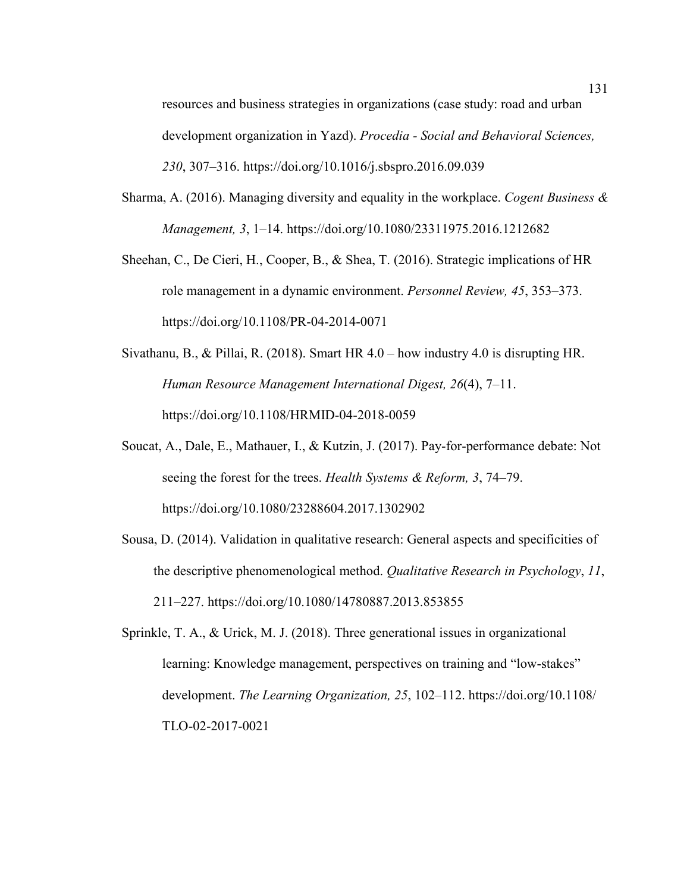resources and business strategies in organizations (case study: road and urban development organization in Yazd). *Procedia - Social and Behavioral Sciences, 230*, 307–316. https://doi.org/10.1016/j.sbspro.2016.09.039

- Sharma, A. (2016). Managing diversity and equality in the workplace. *Cogent Business & Management, 3*, 1–14. https://doi.org/10.1080/23311975.2016.1212682
- Sheehan, C., De Cieri, H., Cooper, B., & Shea, T. (2016). Strategic implications of HR role management in a dynamic environment. *Personnel Review, 45*, 353–373. https://doi.org/10.1108/PR-04-2014-0071
- Sivathanu, B., & Pillai, R. (2018). Smart HR 4.0 how industry 4.0 is disrupting HR. *Human Resource Management International Digest, 26*(4), 7–11. https://doi.org/10.1108/HRMID-04-2018-0059
- Soucat, A., Dale, E., Mathauer, I., & Kutzin, J. (2017). Pay-for-performance debate: Not seeing the forest for the trees. *Health Systems & Reform, 3*, 74–79. https://doi.org/10.1080/23288604.2017.1302902
- Sousa, D. (2014). Validation in qualitative research: General aspects and specificities of the descriptive phenomenological method. *Qualitative Research in Psychology*, *11*, 211–227. https://doi.org/10.1080/14780887.2013.853855
- Sprinkle, T. A., & Urick, M. J. (2018). Three generational issues in organizational learning: Knowledge management, perspectives on training and "low-stakes" development. *The Learning Organization, 25*, 102–112. https://doi.org/10.1108/ TLO-02-2017-0021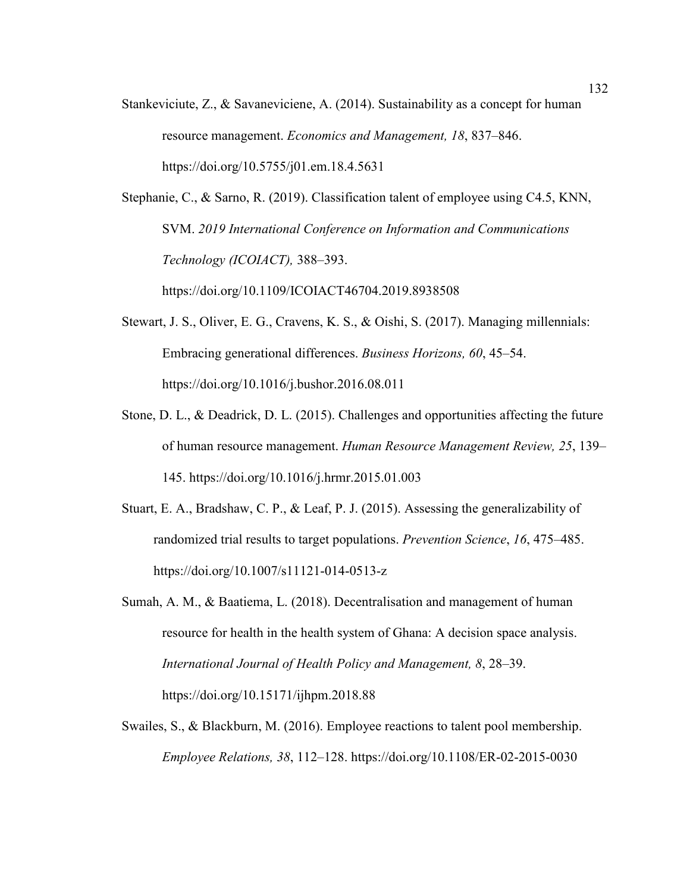Stankeviciute, Z., & Savaneviciene, A. (2014). Sustainability as a concept for human resource management. *Economics and Management, 18*, 837–846. https://doi.org/10.5755/j01.em.18.4.5631

Stephanie, C., & Sarno, R. (2019). Classification talent of employee using C4.5, KNN, SVM. *2019 International Conference on Information and Communications Technology (ICOIACT),* 388–393. https://doi.org/10.1109/ICOIACT46704.2019.8938508

- Stewart, J. S., Oliver, E. G., Cravens, K. S., & Oishi, S. (2017). Managing millennials: Embracing generational differences. *Business Horizons, 60*, 45–54. https://doi.org/10.1016/j.bushor.2016.08.011
- Stone, D. L., & Deadrick, D. L. (2015). Challenges and opportunities affecting the future of human resource management. *Human Resource Management Review, 25*, 139– 145. https://doi.org/10.1016/j.hrmr.2015.01.003
- Stuart, E. A., Bradshaw, C. P., & Leaf, P. J. (2015). Assessing the generalizability of randomized trial results to target populations. *Prevention Science*, *16*, 475–485. https://doi.org/10.1007/s11121-014-0513-z
- Sumah, A. M., & Baatiema, L. (2018). Decentralisation and management of human resource for health in the health system of Ghana: A decision space analysis. *International Journal of Health Policy and Management, 8*, 28–39. https://doi.org/10.15171/ijhpm.2018.88
- Swailes, S., & Blackburn, M. (2016). Employee reactions to talent pool membership. *Employee Relations, 38*, 112–128. https://doi.org/10.1108/ER-02-2015-0030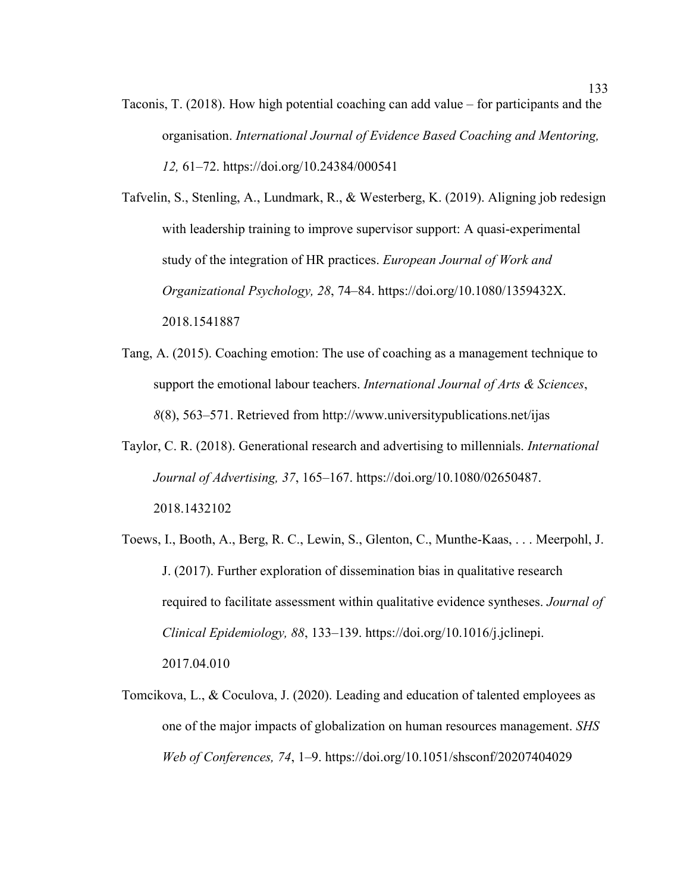Taconis, T. (2018). How high potential coaching can add value – for participants and the organisation. *International Journal of Evidence Based Coaching and Mentoring, 12,* 61–72. https://doi.org/10.24384/000541

Tafvelin, S., Stenling, A., Lundmark, R., & Westerberg, K. (2019). Aligning job redesign with leadership training to improve supervisor support: A quasi-experimental study of the integration of HR practices. *European Journal of Work and Organizational Psychology, 28*, 74–84. https://doi.org/10.1080/1359432X. 2018.1541887

- Tang, A. (2015). Coaching emotion: The use of coaching as a management technique to support the emotional labour teachers. *International Journal of Arts & Sciences*, *8*(8), 563–571. Retrieved from http://www.universitypublications.net/ijas
- Taylor, C. R. (2018). Generational research and advertising to millennials. *International Journal of Advertising, 37*, 165–167. https://doi.org/10.1080/02650487. 2018.1432102
- Toews, I., Booth, A., Berg, R. C., Lewin, S., Glenton, C., Munthe-Kaas, . . . Meerpohl, J. J. (2017). Further exploration of dissemination bias in qualitative research required to facilitate assessment within qualitative evidence syntheses. *Journal of Clinical Epidemiology, 88*, 133–139. https://doi.org/10.1016/j.jclinepi. 2017.04.010
- Tomcikova, L., & Coculova, J. (2020). Leading and education of talented employees as one of the major impacts of globalization on human resources management. *SHS Web of Conferences, 74*, 1–9. https://doi.org/10.1051/shsconf/20207404029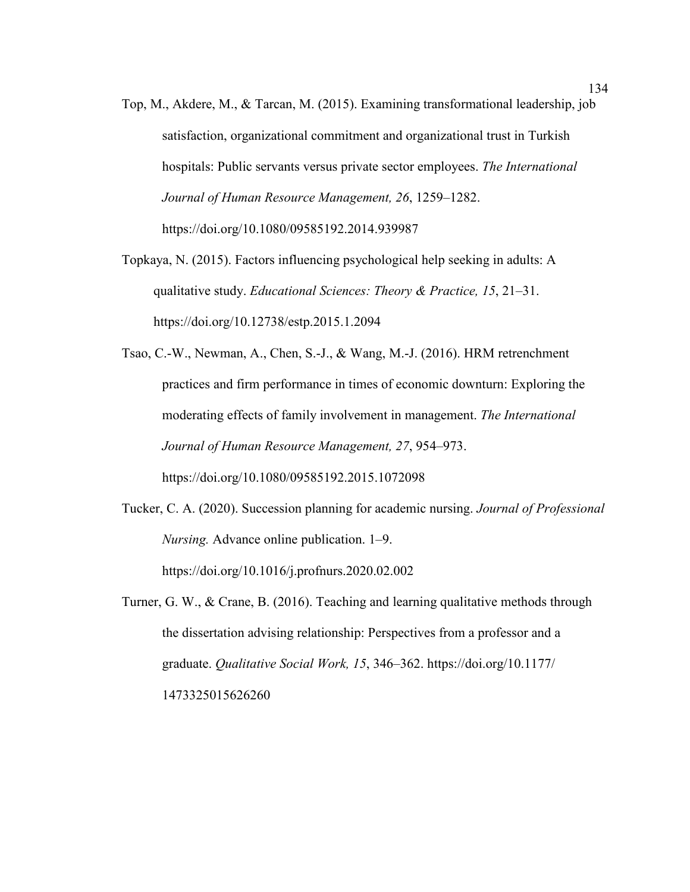- Top, M., Akdere, M., & Tarcan, M. (2015). Examining transformational leadership, job satisfaction, organizational commitment and organizational trust in Turkish hospitals: Public servants versus private sector employees. *The International Journal of Human Resource Management, 26*, 1259–1282. https://doi.org/10.1080/09585192.2014.939987
- Topkaya, N. (2015). Factors influencing psychological help seeking in adults: A qualitative study. *Educational Sciences: Theory & Practice, 15*, 21–31. https://doi.org/10.12738/estp.2015.1.2094

Tsao, C.-W., Newman, A., Chen, S.-J., & Wang, M.-J. (2016). HRM retrenchment practices and firm performance in times of economic downturn: Exploring the moderating effects of family involvement in management. *The International Journal of Human Resource Management, 27*, 954–973. https://doi.org/10.1080/09585192.2015.1072098

- Tucker, C. A. (2020). Succession planning for academic nursing. *Journal of Professional Nursing.* Advance online publication. 1–9. https://doi.org/10.1016/j.profnurs.2020.02.002
- Turner, G. W., & Crane, B. (2016). Teaching and learning qualitative methods through the dissertation advising relationship: Perspectives from a professor and a graduate. *Qualitative Social Work, 15*, 346–362. https://doi.org/10.1177/ 1473325015626260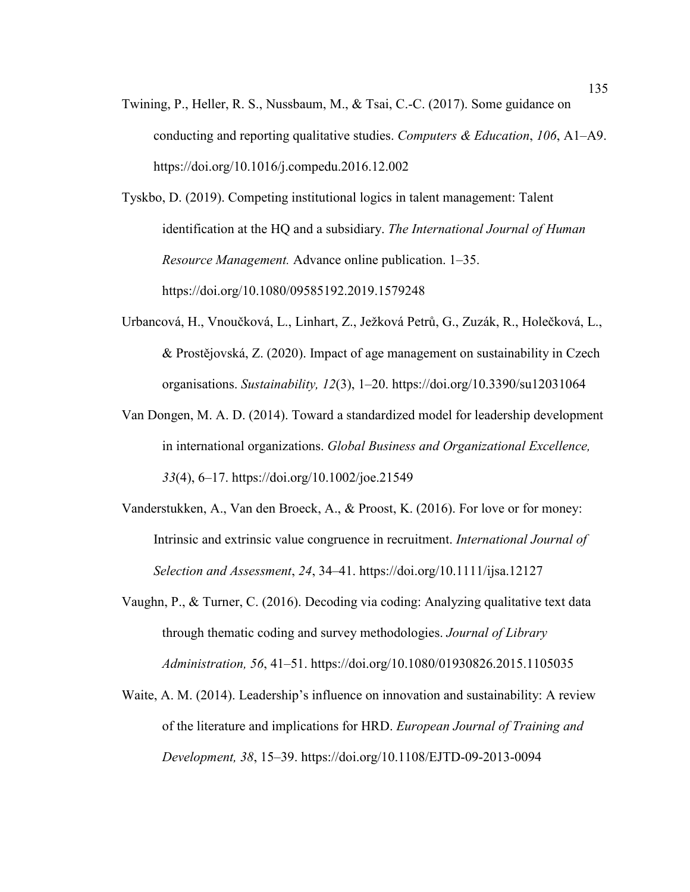Twining, P., Heller, R. S., Nussbaum, M., & Tsai, C.-C. (2017). Some guidance on conducting and reporting qualitative studies. *Computers & Education*, *106*, A1–A9. https://doi.org/10.1016/j.compedu.2016.12.002

Tyskbo, D. (2019). Competing institutional logics in talent management: Talent identification at the HQ and a subsidiary. *The International Journal of Human Resource Management.* Advance online publication. 1–35. https://doi.org/10.1080/09585192.2019.1579248

- Urbancová, H., Vnoučková, L., Linhart, Z., Ježková Petrů, G., Zuzák, R., Holečková, L., & Prostějovská, Z. (2020). Impact of age management on sustainability in Czech organisations. *Sustainability, 12*(3), 1–20. https://doi.org/10.3390/su12031064
- Van Dongen, M. A. D. (2014). Toward a standardized model for leadership development in international organizations. *Global Business and Organizational Excellence, 33*(4), 6–17. https://doi.org/10.1002/joe.21549
- Vanderstukken, A., Van den Broeck, A., & Proost, K. (2016). For love or for money: Intrinsic and extrinsic value congruence in recruitment. *International Journal of Selection and Assessment*, *24*, 34–41. https://doi.org/10.1111/ijsa.12127
- Vaughn, P., & Turner, C. (2016). Decoding via coding: Analyzing qualitative text data through thematic coding and survey methodologies. *Journal of Library Administration, 56*, 41–51. https://doi.org/10.1080/01930826.2015.1105035
- Waite, A. M. (2014). Leadership's influence on innovation and sustainability: A review of the literature and implications for HRD. *European Journal of Training and Development, 38*, 15–39. https://doi.org/10.1108/EJTD-09-2013-0094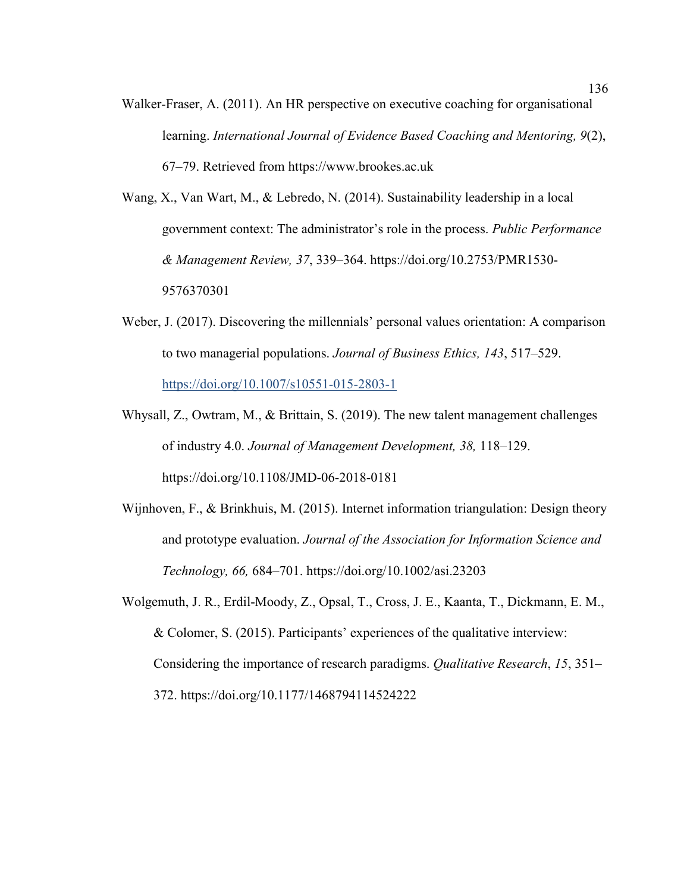- Walker-Fraser, A. (2011). An HR perspective on executive coaching for organisational learning. *International Journal of Evidence Based Coaching and Mentoring, 9*(2), 67–79. Retrieved from https://www.brookes.ac.uk
- Wang, X., Van Wart, M., & Lebredo, N. (2014). Sustainability leadership in a local government context: The administrator's role in the process. *Public Performance & Management Review, 37*, 339–364. https://doi.org/10.2753/PMR1530- 9576370301
- Weber, J. (2017). Discovering the millennials' personal values orientation: A comparison to two managerial populations. *Journal of Business Ethics, 143*, 517–529. https://doi.org/10.1007/s10551-015-2803-1
- Whysall, Z., Owtram, M., & Brittain, S. (2019). The new talent management challenges of industry 4.0. *Journal of Management Development, 38,* 118–129. https://doi.org/10.1108/JMD-06-2018-0181
- Wijnhoven, F., & Brinkhuis, M. (2015). Internet information triangulation: Design theory and prototype evaluation. *Journal of the Association for Information Science and Technology, 66,* 684–701. https://doi.org/10.1002/asi.23203
- Wolgemuth, J. R., Erdil-Moody, Z., Opsal, T., Cross, J. E., Kaanta, T., Dickmann, E. M., & Colomer, S. (2015). Participants' experiences of the qualitative interview: Considering the importance of research paradigms. *Qualitative Research*, *15*, 351– 372. https://doi.org/10.1177/1468794114524222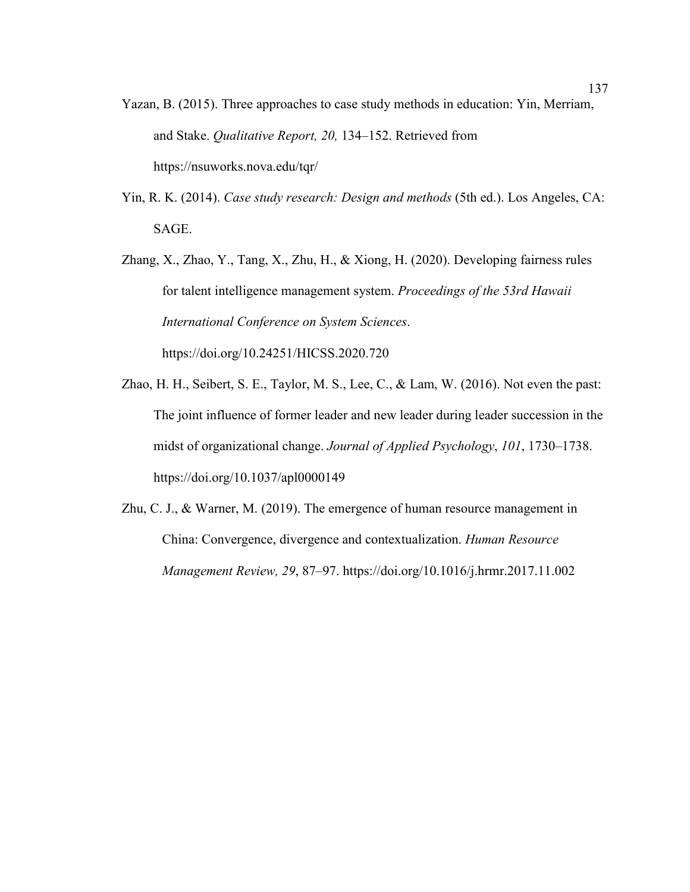- Yazan, B. (2015). Three approaches to case study methods in education: Yin, Merriam, and Stake. *Qualitative Report, 20,* 134–152. Retrieved from https://nsuworks.nova.edu/tqr/
- Yin, R. K. (2014). *Case study research: Design and methods* (5th ed.). Los Angeles, CA: SAGE.
- Zhang, X., Zhao, Y., Tang, X., Zhu, H., & Xiong, H. (2020). Developing fairness rules for talent intelligence management system. *Proceedings of the 53rd Hawaii International Conference on System Sciences*. https://doi.org/10.24251/HICSS.2020.720
- Zhao, H. H., Seibert, S. E., Taylor, M. S., Lee, C., & Lam, W. (2016). Not even the past: The joint influence of former leader and new leader during leader succession in the midst of organizational change. *Journal of Applied Psychology*, *101*, 1730–1738. https://doi.org/10.1037/apl0000149
- Zhu, C. J., & Warner, M. (2019). The emergence of human resource management in China: Convergence, divergence and contextualization. *Human Resource Management Review, 29*, 87–97. https://doi.org/10.1016/j.hrmr.2017.11.002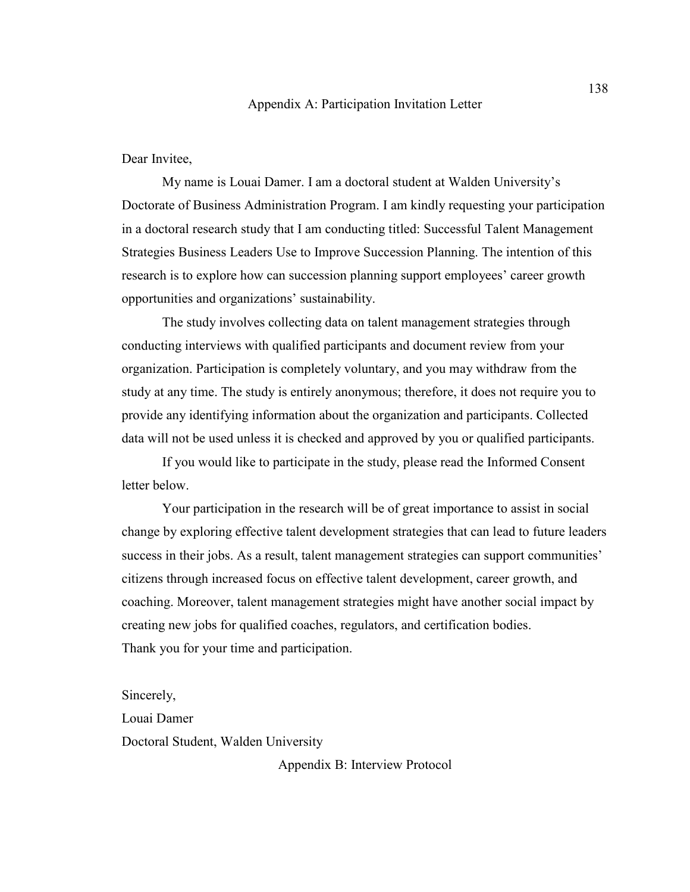Dear Invitee,

My name is Louai Damer. I am a doctoral student at Walden University's Doctorate of Business Administration Program. I am kindly requesting your participation in a doctoral research study that I am conducting titled: Successful Talent Management Strategies Business Leaders Use to Improve Succession Planning. The intention of this research is to explore how can succession planning support employees' career growth opportunities and organizations' sustainability.

The study involves collecting data on talent management strategies through conducting interviews with qualified participants and document review from your organization. Participation is completely voluntary, and you may withdraw from the study at any time. The study is entirely anonymous; therefore, it does not require you to provide any identifying information about the organization and participants. Collected data will not be used unless it is checked and approved by you or qualified participants.

If you would like to participate in the study, please read the Informed Consent letter below.

Your participation in the research will be of great importance to assist in social change by exploring effective talent development strategies that can lead to future leaders success in their jobs. As a result, talent management strategies can support communities' citizens through increased focus on effective talent development, career growth, and coaching. Moreover, talent management strategies might have another social impact by creating new jobs for qualified coaches, regulators, and certification bodies. Thank you for your time and participation.

Sincerely,

Louai Damer Doctoral Student, Walden University

Appendix B: Interview Protocol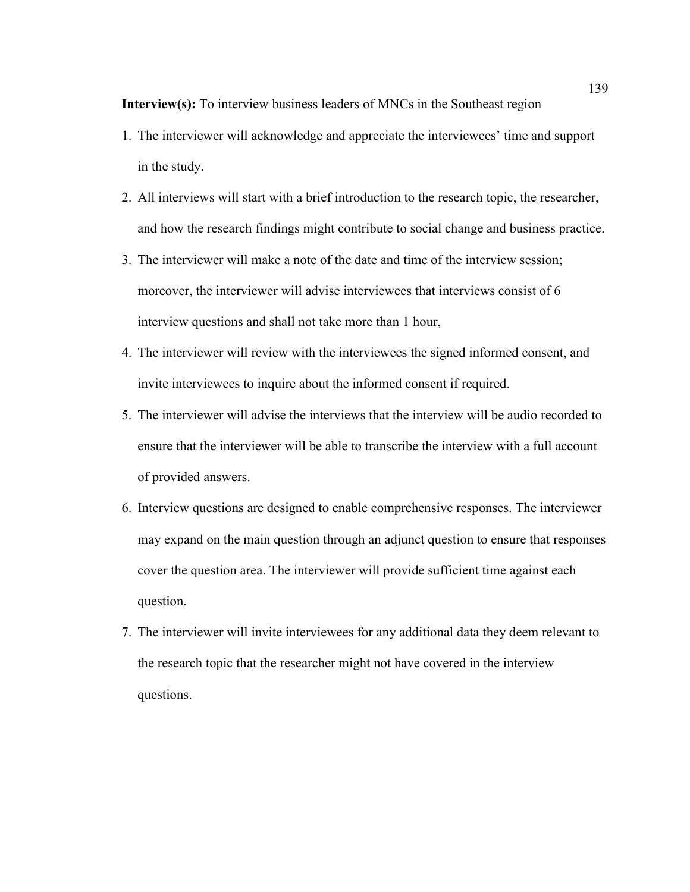**Interview(s):** To interview business leaders of MNCs in the Southeast region

- 1. The interviewer will acknowledge and appreciate the interviewees' time and support in the study.
- 2. All interviews will start with a brief introduction to the research topic, the researcher, and how the research findings might contribute to social change and business practice.
- 3. The interviewer will make a note of the date and time of the interview session; moreover, the interviewer will advise interviewees that interviews consist of 6 interview questions and shall not take more than 1 hour,
- 4. The interviewer will review with the interviewees the signed informed consent, and invite interviewees to inquire about the informed consent if required.
- 5. The interviewer will advise the interviews that the interview will be audio recorded to ensure that the interviewer will be able to transcribe the interview with a full account of provided answers.
- 6. Interview questions are designed to enable comprehensive responses. The interviewer may expand on the main question through an adjunct question to ensure that responses cover the question area. The interviewer will provide sufficient time against each question.
- 7. The interviewer will invite interviewees for any additional data they deem relevant to the research topic that the researcher might not have covered in the interview questions.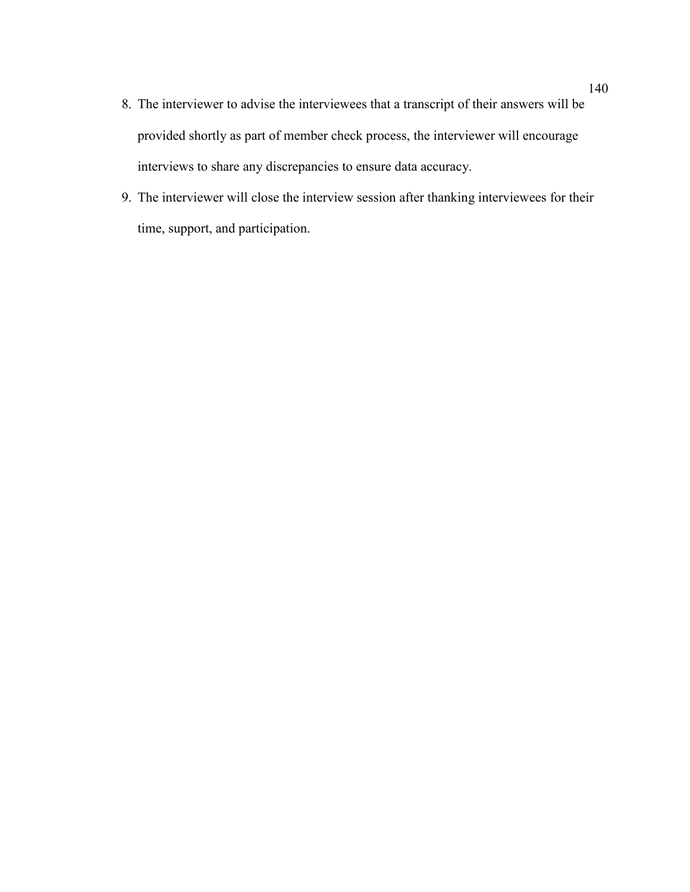- 8. The interviewer to advise the interviewees that a transcript of their answers will be provided shortly as part of member check process, the interviewer will encourage interviews to share any discrepancies to ensure data accuracy.
- 9. The interviewer will close the interview session after thanking interviewees for their time, support, and participation.